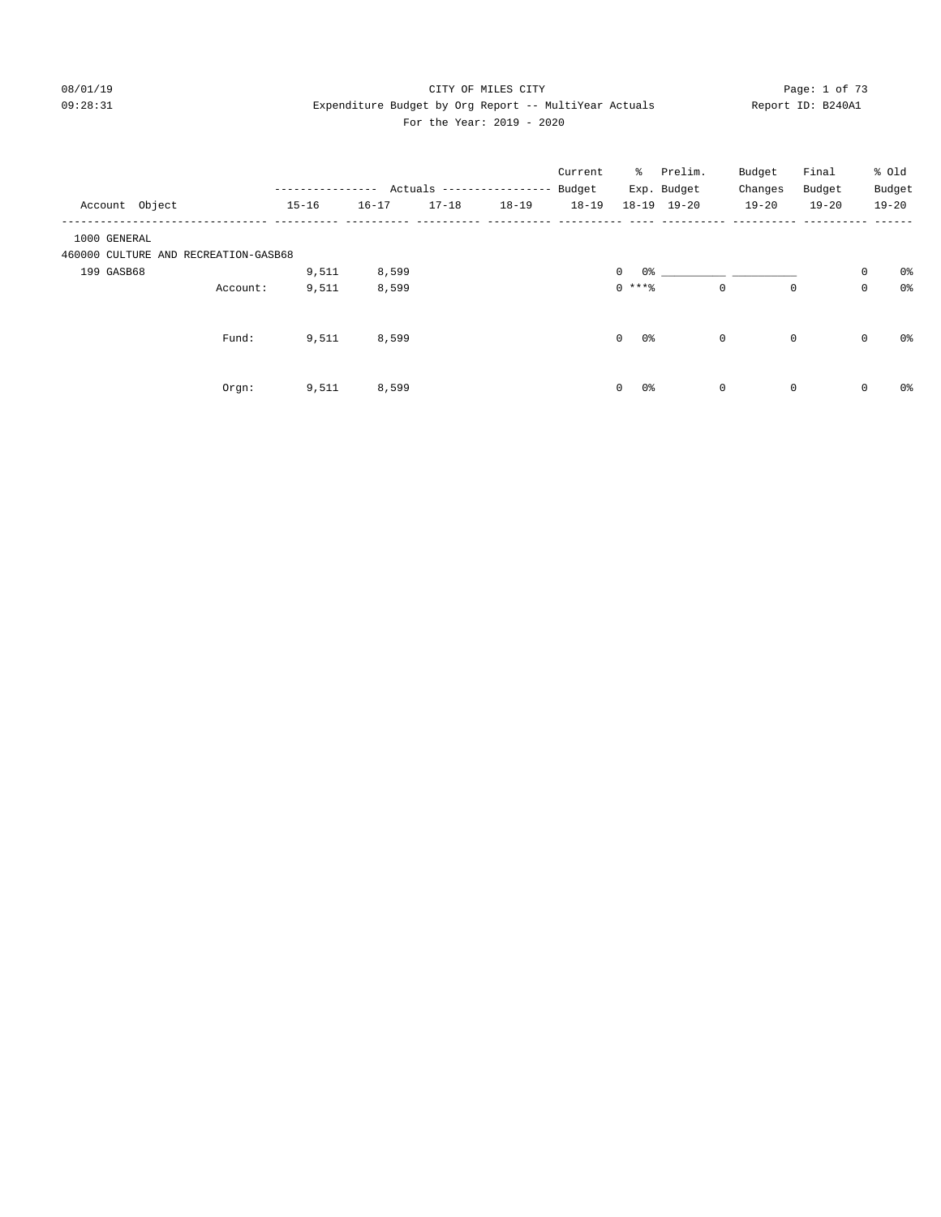#### 08/01/19 Page: 1 of 73 09:28:31 Expenditure Budget by Org Report -- MultiYear Actuals Report ID: B240A1 For the Year: 2019 - 2020

| Account Object |                                      | -----------<br>$15 - 16$ | $16 - 17$ | $17 - 18$ | Actuals -----------------<br>$18 - 19$ | Current<br>Budget<br>$18 - 19$ | $18 - 19$            | % Prelim.<br>Exp. Budget<br>$19 - 20$ |             | Budget<br>Changes<br>$19 - 20$ | Final<br>Budget<br>$19 - 20$ |             | % old<br>Budget<br>$19 - 20$ |
|----------------|--------------------------------------|--------------------------|-----------|-----------|----------------------------------------|--------------------------------|----------------------|---------------------------------------|-------------|--------------------------------|------------------------------|-------------|------------------------------|
| 1000 GENERAL   |                                      |                          |           |           |                                        |                                |                      |                                       |             |                                |                              |             |                              |
|                | 460000 CULTURE AND RECREATION-GASB68 |                          |           |           |                                        |                                |                      |                                       |             |                                |                              |             |                              |
| 199 GASB68     |                                      | 9,511                    | 8,599     |           |                                        |                                | $\circ$              |                                       |             |                                |                              | $\mathsf 0$ | 0%                           |
|                | Account:                             | 9,511                    | 8,599     |           |                                        |                                | $0$ ****             |                                       | $\mathbf 0$ | 0                              |                              | 0           | $0\,$                        |
|                | Fund:                                | 9,511                    | 8,599     |           |                                        |                                | $\overline{0}$<br>0% |                                       | $\mathbf 0$ | 0                              |                              | $\mathbf 0$ | 0%                           |
|                | Orgn:                                | 9,511                    | 8,599     |           |                                        |                                | 0 %<br>$\mathbf{0}$  |                                       | $\mathbf 0$ | 0                              |                              | 0           | 0%                           |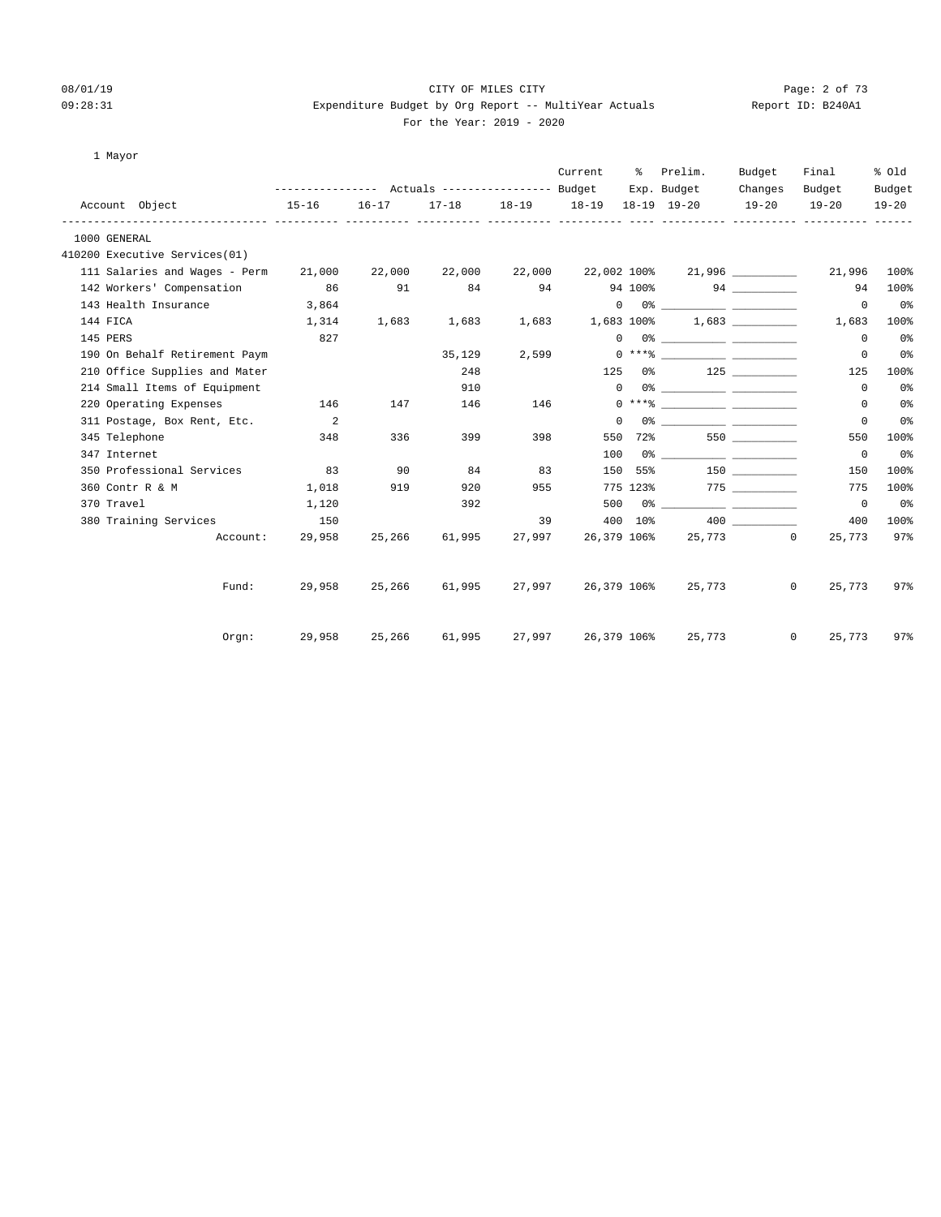## 08/01/19 Page: 2 of 73 09:28:31 Expenditure Budget by Org Report -- MultiYear Actuals Report ID: B240A1

| 1 Mayor |  |
|---------|--|
|---------|--|

|                                      |           |           |           |        | Current                          | - 옹      | Prelim.                                                                                                                                                                                                                                                                                                                                                                                                                                                                                                             | Budget    | Final             | % Old          |
|--------------------------------------|-----------|-----------|-----------|--------|----------------------------------|----------|---------------------------------------------------------------------------------------------------------------------------------------------------------------------------------------------------------------------------------------------------------------------------------------------------------------------------------------------------------------------------------------------------------------------------------------------------------------------------------------------------------------------|-----------|-------------------|----------------|
|                                      |           |           |           |        |                                  |          | Exp. Budget                                                                                                                                                                                                                                                                                                                                                                                                                                                                                                         | Changes   | Budget            | Budget         |
| Account Object                       | $15 - 16$ | $16 - 17$ | $17 - 18$ |        | 18-19    18-19    18-19    19-20 |          |                                                                                                                                                                                                                                                                                                                                                                                                                                                                                                                     | $19 - 20$ | $19 - 20$         | $19 - 20$      |
| 1000 GENERAL                         |           |           |           |        |                                  |          |                                                                                                                                                                                                                                                                                                                                                                                                                                                                                                                     |           |                   |                |
| 410200 Executive Services(01)        |           |           |           |        |                                  |          |                                                                                                                                                                                                                                                                                                                                                                                                                                                                                                                     |           |                   |                |
| 111 Salaries and Wages - Perm 21,000 |           | 22,000    | 22,000    | 22,000 |                                  |          | 22,002 100% 21,996                                                                                                                                                                                                                                                                                                                                                                                                                                                                                                  |           | 21,996            | 100%           |
| 142 Workers' Compensation            | 86        | 91        | 84        | 94     |                                  |          | 94 100%                                                                                                                                                                                                                                                                                                                                                                                                                                                                                                             |           | 94                | 100%           |
| 143 Health Insurance                 | 3,864     |           |           |        |                                  |          | $\begin{picture}(150,10) \put(0,0){\vector(1,0){100}} \put(15,0){\vector(1,0){100}} \put(15,0){\vector(1,0){100}} \put(15,0){\vector(1,0){100}} \put(15,0){\vector(1,0){100}} \put(15,0){\vector(1,0){100}} \put(15,0){\vector(1,0){100}} \put(15,0){\vector(1,0){100}} \put(15,0){\vector(1,0){100}} \put(15,0){\vector(1,0){100}} \put(15,0){\vector(1,0){100}}$                                                                                                                                                  |           | $\circ$           | 0 <sub>8</sub> |
| 144 FICA                             | 1,314     | 1,683     | 1,683     | 1,683  | 1,683 100%                       |          |                                                                                                                                                                                                                                                                                                                                                                                                                                                                                                                     | 1,683     | 1,683             | 100%           |
| 145 PERS                             | 827       |           |           |        |                                  |          | $\begin{picture}(150,10) \put(0,0){\vector(1,0){100}} \put(15,0){\vector(1,0){100}} \put(15,0){\vector(1,0){100}} \put(15,0){\vector(1,0){100}} \put(15,0){\vector(1,0){100}} \put(15,0){\vector(1,0){100}} \put(15,0){\vector(1,0){100}} \put(15,0){\vector(1,0){100}} \put(15,0){\vector(1,0){100}} \put(15,0){\vector(1,0){100}} \put(15,0){\vector(1,0){100}}$                                                                                                                                                  |           | 0                 | 0 <sup>°</sup> |
| 190 On Behalf Retirement Paym        |           |           | 35,129    |        | 2,599                            |          |                                                                                                                                                                                                                                                                                                                                                                                                                                                                                                                     |           | 0                 | 0 <sub>8</sub> |
| 210 Office Supplies and Mater        |           |           | 248       |        | 125                              |          | $0\%$ 125                                                                                                                                                                                                                                                                                                                                                                                                                                                                                                           |           | 125               | 100%           |
| 214 Small Items of Equipment         |           |           | 910       |        |                                  |          | $\begin{picture}(150,10) \put(0,0){\vector(1,0){100}} \put(15,0){\vector(1,0){100}} \put(15,0){\vector(1,0){100}} \put(15,0){\vector(1,0){100}} \put(15,0){\vector(1,0){100}} \put(15,0){\vector(1,0){100}} \put(15,0){\vector(1,0){100}} \put(15,0){\vector(1,0){100}} \put(15,0){\vector(1,0){100}} \put(15,0){\vector(1,0){100}} \put(15,0){\vector(1,0){100}}$                                                                                                                                                  |           | $\Omega$          | 0 <sub>8</sub> |
| 220 Operating Expenses               | 146       | 147       | 146       | 146    |                                  |          | $0 \xrightarrow{***\text{\texttt{\%}}}\xrightarrow{\hspace*{1.5cm}}\xrightarrow{\hspace*{1.5cm}}\xrightarrow{\hspace*{1.5cm}}\xrightarrow{\hspace*{1.5cm}}\xrightarrow{\hspace*{1.5cm}}\xrightarrow{\hspace*{1.5cm}}\xrightarrow{\hspace*{1.5cm}}\xrightarrow{\hspace*{1.5cm}}\xrightarrow{\hspace*{1.5cm}}\xrightarrow{\hspace*{1.5cm}}\xrightarrow{\hspace*{1.5cm}}\xrightarrow{\hspace*{1.5cm}}\xrightarrow{\hspace*{1.5cm}}\xrightarrow{\hspace*{1.5cm}}\xrightarrow{\hspace*{1.5cm}}\xrightarrow{\hspace*{1.5$ |           | $\circ$           | 0 <sub>8</sub> |
| 311 Postage, Box Rent, Etc.          | $\sim$ 2  |           |           |        |                                  | $\Omega$ |                                                                                                                                                                                                                                                                                                                                                                                                                                                                                                                     |           | 0                 | 0 <sub>8</sub> |
| 345 Telephone                        | 348       | 336       | 399       | 398    | 550                              |          | 72% 550                                                                                                                                                                                                                                                                                                                                                                                                                                                                                                             |           | 550               | 100%           |
| 347 Internet                         |           |           |           |        | 100                              |          |                                                                                                                                                                                                                                                                                                                                                                                                                                                                                                                     |           | $\overline{0}$    | 0 <sup>°</sup> |
| 350 Professional Services            | 83        | 90        | 84        | 83     |                                  |          | 150 55% 150                                                                                                                                                                                                                                                                                                                                                                                                                                                                                                         |           | 150               | 100%           |
| 360 Contr R & M                      | 1,018     | 919       | 920       | 955    |                                  |          | 775 123% 775                                                                                                                                                                                                                                                                                                                                                                                                                                                                                                        |           | 775               | 100%           |
| 370 Travel                           | 1,120     |           | 392       |        |                                  |          |                                                                                                                                                                                                                                                                                                                                                                                                                                                                                                                     |           | $\overline{0}$    | 0%             |
| 380 Training Services                | 150       |           |           | 39     |                                  |          | 400 10%                                                                                                                                                                                                                                                                                                                                                                                                                                                                                                             | 400 000   | 400               | 100%           |
| Account:                             | 29,958    | 25,266    | 61,995    | 27,997 |                                  |          | 26,379 106% 25,773 0                                                                                                                                                                                                                                                                                                                                                                                                                                                                                                |           | 25,773            | 97%            |
| Fund:                                | 29,958    | 25,266    | 61,995    |        | 27,997 26,379 106%               |          | 25,773                                                                                                                                                                                                                                                                                                                                                                                                                                                                                                              |           | $\circ$<br>25,773 | 97%            |
|                                      |           |           |           |        |                                  |          |                                                                                                                                                                                                                                                                                                                                                                                                                                                                                                                     |           |                   |                |
| Orgn:                                | 29,958    | 25,266    | 61,995    |        |                                  |          | 27,997 26,379 106% 25,773                                                                                                                                                                                                                                                                                                                                                                                                                                                                                           |           | $\circ$<br>25,773 | 97%            |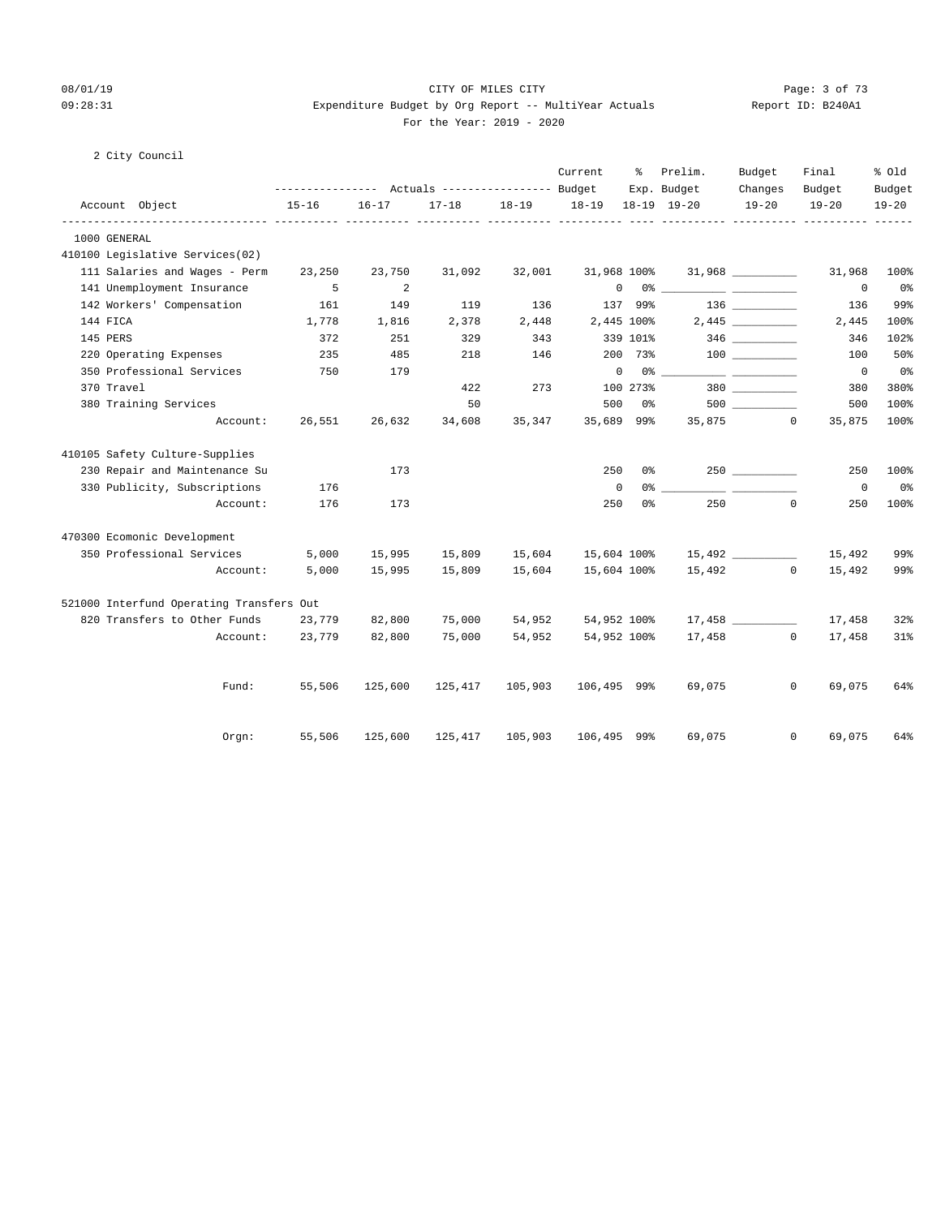#### 08/01/19 Page: 3 of 73 09:28:31 Expenditure Budget by Org Report -- MultiYear Actuals Report ID: B240A1 For the Year: 2019 - 2020

|  | City Council |  |
|--|--------------|--|
|--|--------------|--|

|                                                         | --------------- Actuals ---------------- Budget |           |                              |           | Current            | ႜႜ       | Prelim.<br>Exp. Budget                                                                                                                                                                                                                                        | Budget               | Final                  | % old               |
|---------------------------------------------------------|-------------------------------------------------|-----------|------------------------------|-----------|--------------------|----------|---------------------------------------------------------------------------------------------------------------------------------------------------------------------------------------------------------------------------------------------------------------|----------------------|------------------------|---------------------|
| Account Object                                          | $15 - 16$                                       | $16 - 17$ | $17 - 18$                    | $18 - 19$ | $18 - 19$          |          | 18-19 19-20                                                                                                                                                                                                                                                   | Changes<br>$19 - 20$ | Budget<br>$19 - 20$    | Budget<br>$19 - 20$ |
| ------------------ ----------<br>1000 GENERAL           |                                                 |           | ----------- ---------- ----- |           | ______ ___________ |          | _____ ___________                                                                                                                                                                                                                                             |                      |                        | $- - - -$           |
| 410100 Legislative Services(02)                         |                                                 |           |                              |           |                    |          |                                                                                                                                                                                                                                                               |                      |                        |                     |
| 111 Salaries and Wages - Perm                           |                                                 |           |                              |           | 31,968 100%        |          |                                                                                                                                                                                                                                                               |                      |                        | 100%                |
|                                                         | 23,250<br>-5                                    | 23,750    | 31,092                       | 32,001    | $\mathbf 0$        |          |                                                                                                                                                                                                                                                               | $31,968$ _________   | 31,968                 |                     |
| 141 Unemployment Insurance<br>142 Workers' Compensation |                                                 | 2         |                              |           |                    |          | $0\frac{3}{2}$ . The contract of $\frac{3}{2}$ . The contract of $\frac{3}{2}$ . The contract of $\frac{3}{2}$ . The contract of $\frac{3}{2}$ . The contract of $\frac{3}{2}$ . The contract of $\frac{3}{2}$ . The contract of $\frac{3}{2}$ . The contract |                      | $^{\circ}$             | 0%<br>99%           |
|                                                         | 161                                             | 149       | 119                          | 136       |                    | 137 99%  |                                                                                                                                                                                                                                                               |                      | 136                    |                     |
| 144 FICA                                                | 1,778                                           | 1,816     | 2,378                        | 2,448     | 2,445 100%         |          |                                                                                                                                                                                                                                                               |                      | 2,445                  | 100%                |
| 145 PERS                                                | 372                                             | 251       | 329                          | 343       |                    | 339 101% |                                                                                                                                                                                                                                                               |                      | 346                    | 102%                |
| 220 Operating Expenses                                  | 235                                             | 485       | 218                          | 146       |                    | 200 73%  |                                                                                                                                                                                                                                                               |                      | 100                    | 50%                 |
| 350 Professional Services                               | 750                                             | 179       |                              |           | 0                  |          | 0 %                                                                                                                                                                                                                                                           |                      | $\mathbf 0$            | 0%                  |
| 370 Travel                                              |                                                 |           | 422                          | 273       |                    | 100 273% |                                                                                                                                                                                                                                                               |                      | 380                    | 380%                |
| 380 Training Services                                   |                                                 |           | 50                           |           | 500                | 0%       |                                                                                                                                                                                                                                                               |                      | 500                    | 100%                |
| Account:                                                | 26,551                                          | 26,632    | 34,608                       | 35,347    | 35,689 99%         |          |                                                                                                                                                                                                                                                               | 35,875<br>$\Omega$   | 35,875                 | 100%                |
| 410105 Safety Culture-Supplies                          |                                                 |           |                              |           |                    |          |                                                                                                                                                                                                                                                               |                      |                        |                     |
| 230 Repair and Maintenance Su                           |                                                 | 173       |                              |           | 250                | 0%       |                                                                                                                                                                                                                                                               | $250$ __________     | 250                    | 100%                |
| 330 Publicity, Subscriptions                            | 176                                             |           |                              |           | $\mathsf 0$        | 0 %      |                                                                                                                                                                                                                                                               |                      | $\mathbf 0$            | 0%                  |
| Account:                                                | 176                                             | 173       |                              |           | 250                | 0%       | 250                                                                                                                                                                                                                                                           | $\mathbf 0$          | 250                    | 100%                |
| 470300 Ecomonic Development                             |                                                 |           |                              |           |                    |          |                                                                                                                                                                                                                                                               |                      |                        |                     |
| 350 Professional Services                               | 5,000                                           | 15,995    | 15,809                       | 15,604    | 15,604 100%        |          |                                                                                                                                                                                                                                                               | 15,492               | 15,492                 | 99%                 |
| Account:                                                | 5,000                                           | 15,995    | 15,809                       | 15,604    | 15,604 100%        |          |                                                                                                                                                                                                                                                               | 15,492               | $\Omega$<br>15,492     | 99%                 |
| 521000 Interfund Operating Transfers Out                |                                                 |           |                              |           |                    |          |                                                                                                                                                                                                                                                               |                      |                        |                     |
| 820 Transfers to Other Funds                            | 23,779                                          | 82,800    | 75,000                       | 54,952    | 54,952 100%        |          |                                                                                                                                                                                                                                                               |                      | 17,458                 | 32%                 |
| Account:                                                | 23,779                                          | 82,800    | 75,000                       | 54,952    | 54,952 100%        |          |                                                                                                                                                                                                                                                               | 17,458               | $\circ$<br>17,458      | $31$ %              |
|                                                         |                                                 |           |                              |           |                    |          |                                                                                                                                                                                                                                                               |                      |                        |                     |
| Fund:                                                   | 55,506                                          | 125,600   | 125,417                      | 105,903   | 106,495 99%        |          | 69,075                                                                                                                                                                                                                                                        |                      | $\mathsf{O}$<br>69,075 | 64%                 |
| Orgn:                                                   | 55,506                                          | 125,600   | 125,417                      | 105,903   | 106,495 99%        |          | 69,075                                                                                                                                                                                                                                                        | $\mathbf{0}$         | 69,075                 | 64%                 |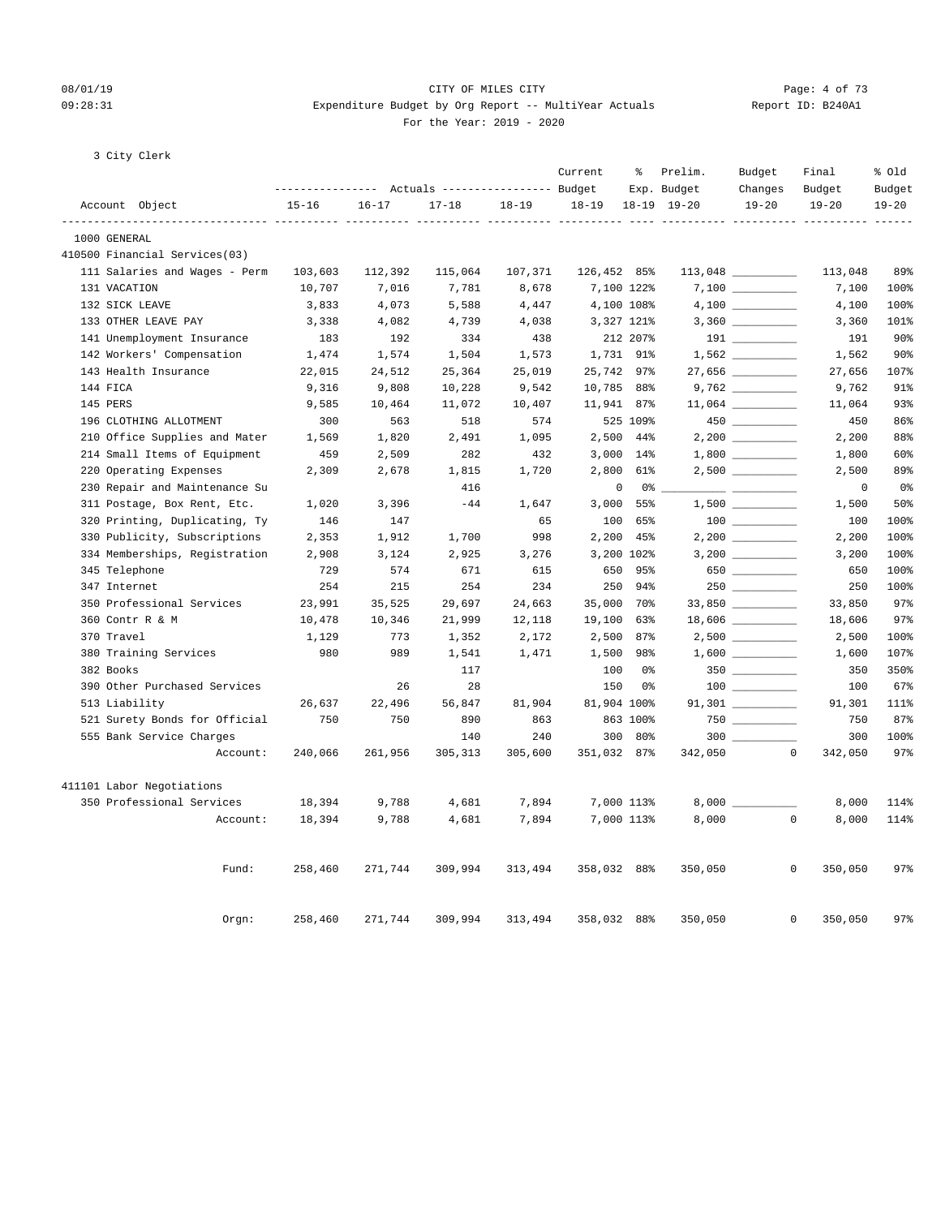#### 08/01/19 Page: 4 of 73 09:28:31 Expenditure Budget by Org Report -- MultiYear Actuals Report ID: B240A1 For the Year: 2019 - 2020

3 City Clerk

|                               |           |           |                                                 |           | Current     | ႜွ             | Prelim.         | Budget             | Final                   | % Old          |
|-------------------------------|-----------|-----------|-------------------------------------------------|-----------|-------------|----------------|-----------------|--------------------|-------------------------|----------------|
|                               |           |           | --------------- Actuals ---------------- Budget |           |             |                | Exp. Budget     | Changes            | Budget                  | Budget         |
| Account Object                | $15 - 16$ | $16 - 17$ | $17 - 18$                                       | $18 - 19$ | $18 - 19$   |                | $18-19$ $19-20$ | $19 - 20$          | $19 - 20$               | $19 - 20$      |
| 1000 GENERAL                  |           |           |                                                 |           |             |                |                 |                    |                         |                |
| 410500 Financial Services(03) |           |           |                                                 |           |             |                |                 |                    |                         |                |
| 111 Salaries and Wages - Perm | 103,603   | 112,392   | 115,064                                         | 107,371   | 126,452 85% |                |                 |                    | 113,048                 | 89%            |
| 131 VACATION                  | 10,707    | 7,016     | 7,781                                           | 8,678     |             | 7,100 122%     |                 |                    | 7,100                   | 100%           |
| 132 SICK LEAVE                | 3,833     | 4,073     | 5,588                                           | 4,447     |             | 4,100 108%     |                 |                    | 4,100                   | 100%           |
| 133 OTHER LEAVE PAY           | 3,338     | 4,082     | 4,739                                           | 4,038     |             | 3,327 121%     |                 |                    | 3,360                   | 101%           |
| 141 Unemployment Insurance    | 183       | 192       | 334                                             | 438       |             | 212 207%       |                 |                    | 191                     | 90%            |
| 142 Workers' Compensation     | 1,474     | 1,574     | 1,504                                           | 1,573     |             | 1,731 91%      |                 |                    | 1,562                   | $90\%$         |
| 143 Health Insurance          | 22,015    | 24,512    | 25,364                                          | 25,019    | 25,742 97%  |                |                 |                    | 27,656                  | 107%           |
| 144 FICA                      | 9,316     | 9,808     | 10,228                                          | 9,542     | 10,785 88%  |                |                 |                    | 9,762                   | 91%            |
| 145 PERS                      | 9,585     | 10,464    | 11,072                                          | 10,407    | 11,941 87%  |                |                 | $11,064$ _________ | 11,064                  | 93%            |
| 196 CLOTHING ALLOTMENT        | 300       | 563       | 518                                             | 574       |             | 525 109%       |                 |                    | 450                     | 86%            |
| 210 Office Supplies and Mater | 1,569     | 1,820     | 2,491                                           | 1,095     | 2,500       | 44%            |                 |                    | 2,200                   | 88%            |
| 214 Small Items of Equipment  | 459       | 2,509     | 282                                             | 432       |             | 3,000 14%      |                 |                    | 1,800                   | 60%            |
| 220 Operating Expenses        | 2,309     | 2,678     | 1,815                                           | 1,720     | 2,800       | 61%            |                 |                    | 2,500                   | 89%            |
| 230 Repair and Maintenance Su |           |           | 416                                             |           |             | 0<br>0%        |                 |                    | $\circ$                 | 0 <sup>8</sup> |
| 311 Postage, Box Rent, Etc.   | 1,020     | 3,396     | $-44$                                           | 1,647     | 3,000       | 55%            |                 |                    | 1,500                   | 50%            |
| 320 Printing, Duplicating, Ty | 146       | 147       |                                                 | 65        | 100         | 65%            |                 | 100 000            | 100                     | 100%           |
| 330 Publicity, Subscriptions  | 2,353     | 1,912     | 1,700                                           | 998       | 2,200       | 45%            |                 |                    | 2,200                   | 100%           |
| 334 Memberships, Registration | 2,908     | 3,124     | 2,925                                           | 3,276     |             | 3,200 102%     |                 |                    | 3,200                   | 100%           |
| 345 Telephone                 | 729       | 574       | 671                                             | 615       | 650         | 95%            |                 | 650                | 650                     | 100%           |
| 347 Internet                  | 254       | 215       | 254                                             | 234       | 250         | 94%            |                 |                    | 250                     | 100%           |
| 350 Professional Services     | 23,991    | 35,525    | 29,697                                          | 24,663    | 35,000      | 70%            |                 |                    | 33,850                  | 97%            |
| 360 Contr R & M               | 10,478    | 10,346    | 21,999                                          | 12,118    | 19,100      | 63%            |                 |                    | 18,606                  | 97%            |
| 370 Travel                    | 1,129     | 773       | 1,352                                           | 2,172     | 2,500       | 87%            |                 |                    | 2,500                   | 100%           |
| 380 Training Services         | 980       | 989       | 1,541                                           | 1,471     | 1,500       | 98%            |                 |                    | 1,600                   | 107%           |
| 382 Books                     |           |           | 117                                             |           | 100         | 0%             |                 |                    | 350                     | 350%           |
| 390 Other Purchased Services  |           | 26        | 28                                              |           | 150         | 0 <sup>8</sup> |                 |                    | 100                     | 67%            |
| 513 Liability                 | 26,637    | 22,496    | 56,847                                          | 81,904    | 81,904 100% |                |                 |                    | 91,301                  | 111%           |
| 521 Surety Bonds for Official | 750       | 750       | 890                                             | 863       |             | 863 100%       |                 |                    | 750                     | 87%            |
| 555 Bank Service Charges      |           |           | 140                                             | 240       | 300         | 80%            |                 | $300$              | 300                     | 100%           |
| Account:                      | 240,066   | 261,956   | 305, 313                                        | 305,600   | 351,032 87% |                | 342,050         |                    | $\mathbf 0$<br>342,050  | 97%            |
| 411101 Labor Negotiations     |           |           |                                                 |           |             |                |                 |                    |                         |                |
| 350 Professional Services     | 18,394    | 9,788     | 4,681                                           | 7,894     |             | 7,000 113%     | $8,000$ $\_$    |                    | 8,000                   | 114%           |
| Account:                      | 18,394    | 9,788     | 4,681                                           | 7,894     |             | 7,000 113%     | 8,000           |                    | $\Omega$<br>8,000       | 114%           |
|                               |           |           |                                                 |           |             |                |                 |                    |                         |                |
| Fund:                         | 258,460   | 271,744   | 309,994                                         | 313,494   | 358,032 88% |                | 350,050         |                    | $\mathbf{0}$<br>350,050 | 97%            |
| Orgn:                         | 258,460   | 271,744   | 309,994                                         | 313,494   | 358,032     | 88%            | 350,050         |                    | $\mathbf 0$<br>350,050  | 97%            |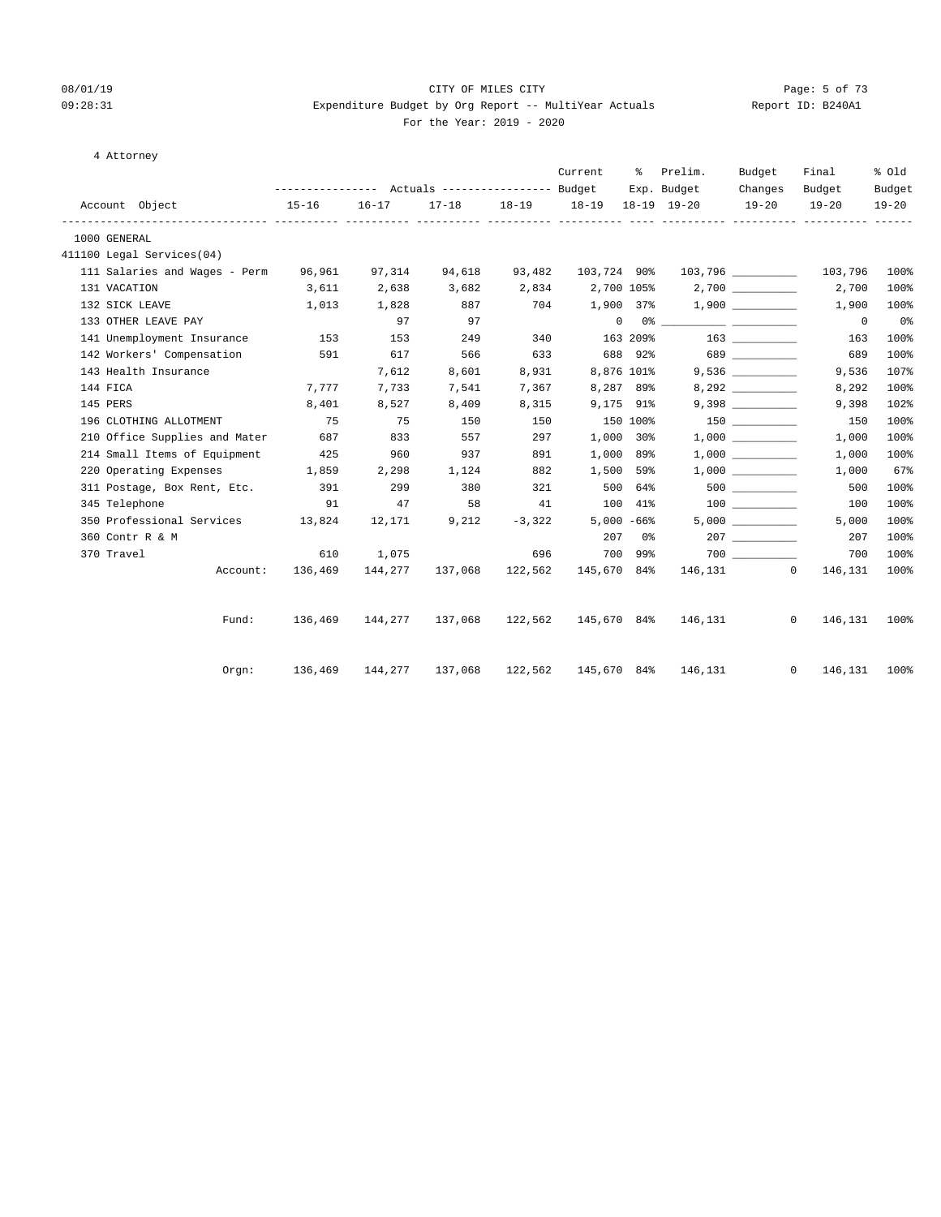#### 08/01/19 Page: 5 of 73 09:28:31 Expenditure Budget by Org Report -- MultiYear Actuals Report ID: B240A1 For the Year: 2019 - 2020

| 4 Attorney<br>$\sim$ |  |
|----------------------|--|
|----------------------|--|

|                                             |                  |           |                         |                | Current                       | ိ              | Prelim.<br>--------------- Actuals ---------------- Budget Exp. Budget                                                                                                                                                                                                                                                                                             | Budget               | Final                             | % old               |
|---------------------------------------------|------------------|-----------|-------------------------|----------------|-------------------------------|----------------|--------------------------------------------------------------------------------------------------------------------------------------------------------------------------------------------------------------------------------------------------------------------------------------------------------------------------------------------------------------------|----------------------|-----------------------------------|---------------------|
| Account Object                              | $15 - 16$        | $16 - 17$ |                         |                | 17-18 18-19 18-19 18-19 19-20 |                |                                                                                                                                                                                                                                                                                                                                                                    | Changes<br>$19 - 20$ | Budget<br>$19 - 20$               | Budget<br>$19 - 20$ |
| 1000 GENERAL                                |                  |           |                         |                |                               |                |                                                                                                                                                                                                                                                                                                                                                                    |                      |                                   |                     |
| 411100 Legal Services(04)                   |                  |           |                         |                |                               |                |                                                                                                                                                                                                                                                                                                                                                                    |                      |                                   |                     |
| 111 Salaries and Wages - Perm 96,961 97,314 |                  |           | 94,618                  |                |                               |                | 93,482  103,724  90%  103,796  _________                                                                                                                                                                                                                                                                                                                           |                      | 103,796 100%                      |                     |
| 131 VACATION                                | 3,611            | 2,638     | 3,682                   |                |                               |                | 2,834 2,700 105% 2,700                                                                                                                                                                                                                                                                                                                                             |                      | 2,700                             | 100%                |
| 132 SICK LEAVE                              | 1,013            | 1,828     | 887 704                 |                |                               |                | $1,900$ 37% $1,900$ _________                                                                                                                                                                                                                                                                                                                                      |                      | 1,900                             | 100%                |
| 133 OTHER LEAVE PAY                         |                  | 97        | 97                      |                |                               |                | $\begin{picture}(150,10) \put(0,0){\vector(1,0){100}} \put(15,0){\vector(1,0){100}} \put(15,0){\vector(1,0){100}} \put(15,0){\vector(1,0){100}} \put(15,0){\vector(1,0){100}} \put(15,0){\vector(1,0){100}} \put(15,0){\vector(1,0){100}} \put(15,0){\vector(1,0){100}} \put(15,0){\vector(1,0){100}} \put(15,0){\vector(1,0){100}} \put(15,0){\vector(1,0){100}}$ |                      | $\overline{\phantom{0}}$          | 0 <sub>8</sub>      |
| 141 Unemployment Insurance                  | 153 153          |           | 249                     |                |                               |                |                                                                                                                                                                                                                                                                                                                                                                    |                      | 163                               | 100%                |
| 142 Workers' Compensation 591               |                  | 617       | 566                     | 633            |                               |                |                                                                                                                                                                                                                                                                                                                                                                    |                      | 689                               | 100%                |
| 143 Health Insurance                        |                  | 7,612     | 8,601                   | 8,931          | 8,876 101%                    |                |                                                                                                                                                                                                                                                                                                                                                                    | 9,536                | 9,536                             | 107%                |
| 144 FICA                                    | 7,777            | 7,733     | 7,541                   | 7,367          |                               | 8,287 89%      |                                                                                                                                                                                                                                                                                                                                                                    | 8,292                | 8,292                             | 100%                |
| 145 PERS                                    | 8,401            | 8,527     | 8,409                   |                | 8,315 9,175 91%               |                |                                                                                                                                                                                                                                                                                                                                                                    |                      | 9,398                             | 102%                |
| 196 CLOTHING ALLOTMENT                      | 75               | 75        | 150                     | 150            | 150 100%                      |                |                                                                                                                                                                                                                                                                                                                                                                    |                      | 150                               | 100%                |
| 210 Office Supplies and Mater 687           |                  | 833       | 557                     | 297            |                               | 1,000 30%      |                                                                                                                                                                                                                                                                                                                                                                    | 1,000                | 1,000                             | 100%                |
| 214 Small Items of Equipment                | 425              | 960       | 937                     | 891            |                               | 1,000 89%      |                                                                                                                                                                                                                                                                                                                                                                    |                      | 1,000                             | 100%                |
| 220 Operating Expenses 1,859                |                  | 2,298     | 1,124                   | 882            | 1,500 59%                     |                |                                                                                                                                                                                                                                                                                                                                                                    |                      | 1,000                             | 67%                 |
| 311 Postage, Box Rent, Etc. 391             |                  | 299       | 380                     | 321            |                               | 500 64%        |                                                                                                                                                                                                                                                                                                                                                                    |                      | 500                               | 100%                |
| 345 Telephone                               | 91               | 47        | 58                      |                |                               |                |                                                                                                                                                                                                                                                                                                                                                                    |                      | 100                               | 100%                |
| 350 Professional Services 13,824            |                  | 12,171    |                         | $9,212 -3,322$ |                               | $5,000 - 66$ % |                                                                                                                                                                                                                                                                                                                                                                    |                      | 5,000                             | 100%                |
| 360 Contr R & M                             |                  |           |                         |                |                               | 207 0%         |                                                                                                                                                                                                                                                                                                                                                                    |                      | 207                               | 100%                |
| 370 Travel                                  | 610              | 1,075     |                         |                | 696 700                       | 700 99%        |                                                                                                                                                                                                                                                                                                                                                                    |                      | 700                               | 100%                |
|                                             | Account: 136,469 |           | 144,277 137,068 122,562 |                | 145,670 84%                   |                | 146,131 0                                                                                                                                                                                                                                                                                                                                                          |                      | 146,131                           | 100%                |
|                                             |                  |           |                         |                |                               |                |                                                                                                                                                                                                                                                                                                                                                                    |                      |                                   |                     |
| Fund:                                       | 136,469          |           | 144,277 137,068 122,562 |                |                               |                | 145,670 84% 146,131                                                                                                                                                                                                                                                                                                                                                |                      | $\circ$<br>146,131                | 100%                |
| $0$ rqn:                                    |                  |           |                         |                |                               |                | 145,670 84% 146,131                                                                                                                                                                                                                                                                                                                                                |                      | $0 \qquad \qquad$<br>146,131 100% |                     |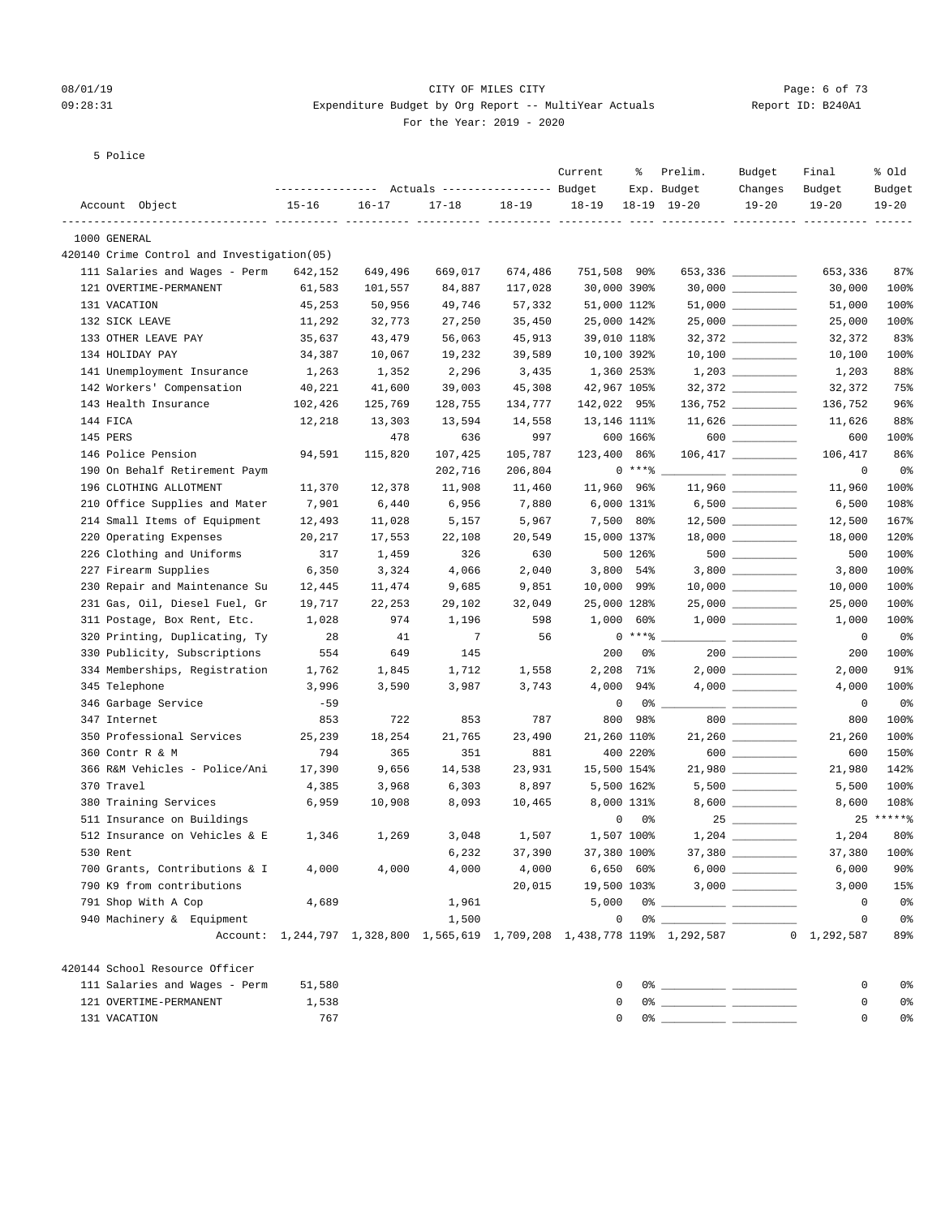#### 08/01/19 Page: 6 of 73 09:28:31 Expenditure Budget by Org Report -- MultiYear Actuals Report ID: B240A1 For the Year: 2019 - 2020

5 Police

|                                            |                  |           |                                  |           | Current   | ႜ           | Prelim.                                                                   | Budget                                                                                                                                                                                                                                                                                                                                              | Final                                      | % Old       |
|--------------------------------------------|------------------|-----------|----------------------------------|-----------|-----------|-------------|---------------------------------------------------------------------------|-----------------------------------------------------------------------------------------------------------------------------------------------------------------------------------------------------------------------------------------------------------------------------------------------------------------------------------------------------|--------------------------------------------|-------------|
|                                            | ---------------- |           | Actuals ----------------- Budget |           |           |             | Exp. Budget                                                               | Changes                                                                                                                                                                                                                                                                                                                                             | Budget                                     | Budget      |
| Account Object                             | $15 - 16$        | $16 - 17$ | $17 - 18$                        | $18 - 19$ | $18 - 19$ |             | $18-19$ $19-20$                                                           | $19 - 20$                                                                                                                                                                                                                                                                                                                                           | $19 - 20$<br>___________ __________ ______ | $19 - 20$   |
| 1000 GENERAL                               |                  |           |                                  |           |           |             |                                                                           |                                                                                                                                                                                                                                                                                                                                                     |                                            |             |
| 420140 Crime Control and Investigation(05) |                  |           |                                  |           |           |             |                                                                           |                                                                                                                                                                                                                                                                                                                                                     |                                            |             |
| 111 Salaries and Wages - Perm              | 642,152          | 649,496   | 669,017                          | 674,486   |           | 751,508 90% |                                                                           | 653,336 ________                                                                                                                                                                                                                                                                                                                                    | 653,336                                    | 87%         |
| 121 OVERTIME-PERMANENT                     | 61,583           | 101,557   | 84,887                           | 117,028   |           | 30,000 390% |                                                                           | $30,000$ ___________                                                                                                                                                                                                                                                                                                                                | 30,000                                     | 100%        |
| 131 VACATION                               | 45,253           | 50,956    | 49,746                           | 57,332    |           | 51,000 112% |                                                                           |                                                                                                                                                                                                                                                                                                                                                     | 51,000                                     | 100%        |
| 132 SICK LEAVE                             | 11,292           | 32,773    | 27,250                           | 35,450    |           | 25,000 142% |                                                                           | $25,000$ ___________                                                                                                                                                                                                                                                                                                                                | 25,000                                     | 100%        |
| 133 OTHER LEAVE PAY                        | 35,637           | 43,479    | 56,063                           | 45,913    |           | 39,010 118% |                                                                           |                                                                                                                                                                                                                                                                                                                                                     | 32,372                                     | 83%         |
| 134 HOLIDAY PAY                            | 34,387           | 10,067    | 19,232                           | 39,589    |           | 10,100 392% |                                                                           | $10,100$ _________                                                                                                                                                                                                                                                                                                                                  | 10,100                                     | 100%        |
| 141 Unemployment Insurance                 | 1,263            | 1,352     | 2,296                            | 3,435     |           | 1,360 253%  |                                                                           |                                                                                                                                                                                                                                                                                                                                                     | 1,203                                      | 88%         |
| 142 Workers' Compensation                  | 40,221           | 41,600    | 39,003                           | 45,308    |           | 42,967 105% |                                                                           | $32,372$ _________                                                                                                                                                                                                                                                                                                                                  | 32,372                                     | 75%         |
| 143 Health Insurance                       | 102,426          | 125,769   | 128,755                          | 134,777   |           | 142,022 95% |                                                                           | $136,752$ _________                                                                                                                                                                                                                                                                                                                                 | 136,752                                    | 96%         |
| 144 FICA                                   | 12,218           | 13,303    | 13,594                           | 14,558    |           | 13,146 111% |                                                                           | $11,626$ _________                                                                                                                                                                                                                                                                                                                                  | 11,626                                     | 88%         |
| 145 PERS                                   |                  | 478       | 636                              | 997       |           | 600 166%    |                                                                           | $600$ ________                                                                                                                                                                                                                                                                                                                                      | 600                                        | 100%        |
| 146 Police Pension                         | 94,591           | 115,820   | 107,425                          | 105,787   |           | 123,400 86% |                                                                           |                                                                                                                                                                                                                                                                                                                                                     | 106,417                                    | 86%         |
| 190 On Behalf Retirement Paym              |                  |           | 202,716                          | 206,804   |           | $0***8$     |                                                                           |                                                                                                                                                                                                                                                                                                                                                     | 0                                          | 0%          |
| 196 CLOTHING ALLOTMENT                     | 11,370           | 12,378    | 11,908                           | 11,460    |           | 11,960 96%  |                                                                           | $11,960$ _________                                                                                                                                                                                                                                                                                                                                  | 11,960                                     | 100%        |
| 210 Office Supplies and Mater              | 7,901            | 6,440     | 6,956                            | 7,880     |           | 6,000 131%  |                                                                           |                                                                                                                                                                                                                                                                                                                                                     | 6,500                                      | 108%        |
| 214 Small Items of Equipment               | 12,493           | 11,028    | 5,157                            | 5,967     |           | 7,500 80%   |                                                                           |                                                                                                                                                                                                                                                                                                                                                     | 12,500                                     | 167%        |
| 220 Operating Expenses                     | 20,217           | 17,553    | 22,108                           | 20,549    |           | 15,000 137% |                                                                           |                                                                                                                                                                                                                                                                                                                                                     | 18,000                                     | 120%        |
| 226 Clothing and Uniforms                  | 317              | 1,459     | 326                              | 630       |           | 500 126%    |                                                                           | $500$ _________                                                                                                                                                                                                                                                                                                                                     | 500                                        | 100%        |
| 227 Firearm Supplies                       | 6,350            | 3,324     | 4,066                            | 2,040     |           | $3,800$ 54% |                                                                           |                                                                                                                                                                                                                                                                                                                                                     | 3,800                                      | 100%        |
| 230 Repair and Maintenance Su              | 12,445           | 11,474    | 9,685                            | 9,851     |           | 10,000 99%  |                                                                           |                                                                                                                                                                                                                                                                                                                                                     | 10,000                                     | 100%        |
| 231 Gas, Oil, Diesel Fuel, Gr              | 19,717           | 22,253    | 29,102                           | 32,049    |           | 25,000 128% |                                                                           |                                                                                                                                                                                                                                                                                                                                                     | 25,000                                     | 100%        |
| 311 Postage, Box Rent, Etc.                | 1,028            | 974       | 1,196                            | 598       |           | $1,000$ 60% |                                                                           |                                                                                                                                                                                                                                                                                                                                                     | 1,000                                      | 100%        |
| 320 Printing, Duplicating, Ty              | 28               | 41        | 7                                | 56        |           | $0***8$     |                                                                           |                                                                                                                                                                                                                                                                                                                                                     | 0                                          | 0%          |
| 330 Publicity, Subscriptions               | 554              | 649       | 145                              |           | 200       | 0%          |                                                                           | $200$ ________                                                                                                                                                                                                                                                                                                                                      | 200                                        | 100%        |
| 334 Memberships, Registration              | 1,762            | 1,845     | 1,712                            | 1,558     | 2,208     | 71%         |                                                                           |                                                                                                                                                                                                                                                                                                                                                     | 2,000                                      | 91%         |
| 345 Telephone                              | 3,996            | 3,590     | 3,987                            | 3,743     | 4,000     | 94%         |                                                                           | $4,000$ __________                                                                                                                                                                                                                                                                                                                                  | 4,000                                      | 100%        |
| 346 Garbage Service                        | $-59$            |           |                                  |           |           | 0<br>0 %    |                                                                           |                                                                                                                                                                                                                                                                                                                                                     | 0                                          | 0%          |
| 347 Internet                               | 853              | 722       | 853                              | 787       | 800       | 98%         |                                                                           | $800$ _________                                                                                                                                                                                                                                                                                                                                     | 800                                        | 100%        |
| 350 Professional Services                  | 25,239           | 18,254    | 21,765                           | 23,490    |           | 21,260 110% |                                                                           | 21,260                                                                                                                                                                                                                                                                                                                                              | 21,260                                     | 100%        |
| 360 Contr R & M                            | 794              | 365       | 351                              | 881       |           | 400 220%    |                                                                           | $\begin{picture}(150,10) \put(0,0){\line(1,0){10}} \put(15,0){\line(1,0){10}} \put(15,0){\line(1,0){10}} \put(15,0){\line(1,0){10}} \put(15,0){\line(1,0){10}} \put(15,0){\line(1,0){10}} \put(15,0){\line(1,0){10}} \put(15,0){\line(1,0){10}} \put(15,0){\line(1,0){10}} \put(15,0){\line(1,0){10}} \put(15,0){\line(1,0){10}} \put(15,0){\line($ | 600                                        | 150%        |
| 366 R&M Vehicles - Police/Ani              | 17,390           | 9,656     | 14,538                           | 23,931    |           | 15,500 154% |                                                                           |                                                                                                                                                                                                                                                                                                                                                     | 21,980                                     | 142%        |
| 370 Travel                                 | 4,385            | 3,968     | 6,303                            | 8,897     |           | 5,500 162%  |                                                                           |                                                                                                                                                                                                                                                                                                                                                     | 5,500                                      | 100%        |
| 380 Training Services                      | 6,959            | 10,908    | 8,093                            | 10,465    |           | 8,000 131%  |                                                                           | 8,600 _________                                                                                                                                                                                                                                                                                                                                     | 8,600                                      | 108%        |
| 511 Insurance on Buildings                 |                  |           |                                  |           |           | 0<br>0%     |                                                                           | $25$ __________                                                                                                                                                                                                                                                                                                                                     |                                            | $25****$    |
| 512 Insurance on Vehicles & E              | 1,346            | 1,269     | 3,048                            | 1,507     |           | 1,507 100%  |                                                                           |                                                                                                                                                                                                                                                                                                                                                     | 1,204                                      | 80%         |
| 530 Rent                                   |                  |           | 6,232                            | 37,390    |           | 37,380 100% |                                                                           |                                                                                                                                                                                                                                                                                                                                                     |                                            | 37,380 100% |
| 700 Grants, Contributions & I              | 4,000            | 4,000     | 4,000                            | 4,000     |           | 6,650 60%   |                                                                           |                                                                                                                                                                                                                                                                                                                                                     | 6,000                                      | 90%         |
| 790 K9 from contributions                  |                  |           |                                  | 20,015    |           |             | 19,500 103% 3,000 ________                                                |                                                                                                                                                                                                                                                                                                                                                     | 3,000                                      | 15%         |
| 791 Shop With A Cop                        | 4,689            |           | 1,961                            |           | 5,000     |             |                                                                           |                                                                                                                                                                                                                                                                                                                                                     | 0                                          | 0%          |
| 940 Machinery & Equipment                  |                  |           | 1,500                            |           |           | 0           |                                                                           |                                                                                                                                                                                                                                                                                                                                                     | 0                                          | 0%          |
|                                            |                  |           |                                  |           |           |             | Account: 1,244,797 1,328,800 1,565,619 1,709,208 1,438,778 119% 1,292,587 |                                                                                                                                                                                                                                                                                                                                                     | $0 \quad 1,292,587$                        | 89%         |
| 420144 School Resource Officer             |                  |           |                                  |           |           |             |                                                                           |                                                                                                                                                                                                                                                                                                                                                     |                                            |             |
| 111 Salaries and Wages - Perm              | 51,580           |           |                                  |           |           | 0           |                                                                           |                                                                                                                                                                                                                                                                                                                                                     | 0                                          | 0%          |
| 121 OVERTIME-PERMANENT                     | 1,538            |           |                                  |           |           | 0           |                                                                           |                                                                                                                                                                                                                                                                                                                                                     | 0                                          | 0%          |
| 131 VACATION                               | 767              |           |                                  |           |           | 0           |                                                                           |                                                                                                                                                                                                                                                                                                                                                     | 0                                          | 0%          |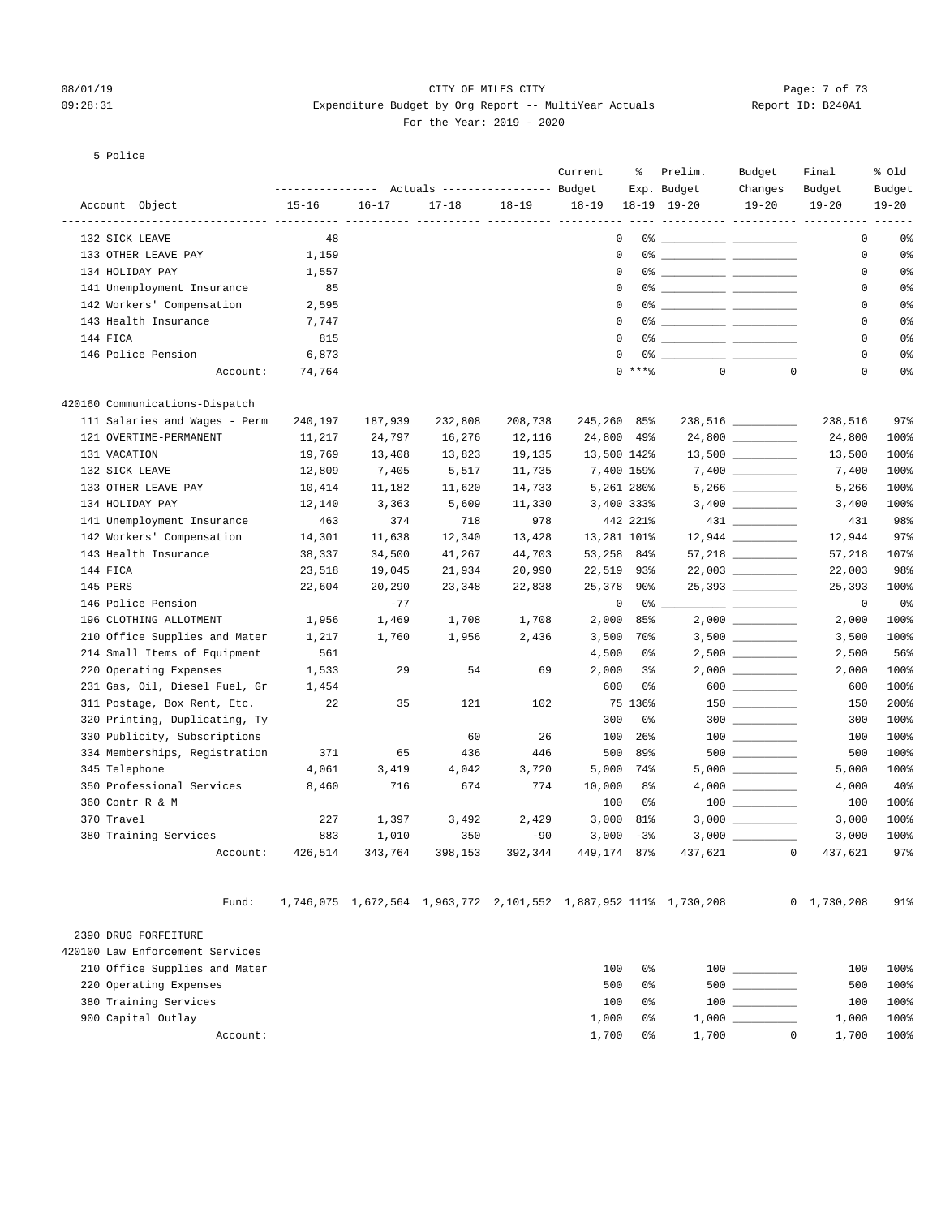#### 08/01/19 Page: 7 of 73 09:28:31 Expenditure Budget by Org Report -- MultiYear Actuals Report ID: B240A1 For the Year: 2019 - 2020

#### 5 Police

|                                   |                  |           |                                  |         | Current                            | ႜ           | Prelim.                                                          | Budget                                                                                                                                                                                                                                                                                                                                                                                                                                                                     | Final                                        | % Old     |
|-----------------------------------|------------------|-----------|----------------------------------|---------|------------------------------------|-------------|------------------------------------------------------------------|----------------------------------------------------------------------------------------------------------------------------------------------------------------------------------------------------------------------------------------------------------------------------------------------------------------------------------------------------------------------------------------------------------------------------------------------------------------------------|----------------------------------------------|-----------|
|                                   | ---------------- |           | Actuals ----------------- Budget |         |                                    |             | Exp. Budget                                                      | Changes                                                                                                                                                                                                                                                                                                                                                                                                                                                                    | Budget                                       | Budget    |
| Account Object<br>--------------- | $15 - 16$        | $16 - 17$ | $17 - 18$                        | 18-19   | $18 - 19$<br>----- ---------- ---- |             | 18-19 19-20                                                      | $19 - 20$                                                                                                                                                                                                                                                                                                                                                                                                                                                                  | $19 - 20$<br>---------- ---------- --------- | $19 - 20$ |
| 132 SICK LEAVE                    | 48               |           |                                  |         | 0                                  |             |                                                                  |                                                                                                                                                                                                                                                                                                                                                                                                                                                                            | 0                                            | 0%        |
| 133 OTHER LEAVE PAY               | 1,159            |           |                                  |         | $\mathbf 0$                        |             |                                                                  |                                                                                                                                                                                                                                                                                                                                                                                                                                                                            | 0                                            | 0%        |
| 134 HOLIDAY PAY                   | 1,557            |           |                                  |         | 0                                  |             |                                                                  |                                                                                                                                                                                                                                                                                                                                                                                                                                                                            | 0                                            | 0%        |
| 141 Unemployment Insurance        | 85               |           |                                  |         | 0                                  |             |                                                                  |                                                                                                                                                                                                                                                                                                                                                                                                                                                                            | 0                                            | 0%        |
| 142 Workers' Compensation         | 2,595            |           |                                  |         | 0                                  |             |                                                                  |                                                                                                                                                                                                                                                                                                                                                                                                                                                                            | 0                                            | 0%        |
| 143 Health Insurance              | 7,747            |           |                                  |         | 0                                  |             |                                                                  |                                                                                                                                                                                                                                                                                                                                                                                                                                                                            | 0                                            | 0%        |
| 144 FICA                          | 815              |           |                                  |         | $\mathbf 0$                        |             |                                                                  |                                                                                                                                                                                                                                                                                                                                                                                                                                                                            | 0                                            | 0%        |
| 146 Police Pension                | 6,873            |           |                                  |         | $\mathbf 0$                        |             |                                                                  |                                                                                                                                                                                                                                                                                                                                                                                                                                                                            | 0                                            | 0%        |
| Account:                          | 74,764           |           |                                  |         |                                    | $0$ ****    | $\mathbf{0}$                                                     | $\mathbf 0$                                                                                                                                                                                                                                                                                                                                                                                                                                                                | 0                                            | 0%        |
| 420160 Communications-Dispatch    |                  |           |                                  |         |                                    |             |                                                                  |                                                                                                                                                                                                                                                                                                                                                                                                                                                                            |                                              |           |
| 111 Salaries and Wages - Perm     | 240,197          | 187,939   | 232,808                          | 208,738 | 245,260 85%                        |             |                                                                  | 238,516 _________                                                                                                                                                                                                                                                                                                                                                                                                                                                          | 238,516                                      | 97%       |
| 121 OVERTIME-PERMANENT            | 11,217           | 24,797    | 16,276                           | 12,116  | 24,800 49%                         |             |                                                                  |                                                                                                                                                                                                                                                                                                                                                                                                                                                                            | 24,800                                       | 100%      |
| 131 VACATION                      | 19,769           | 13,408    | 13,823                           | 19,135  | 13,500 142%                        |             |                                                                  | $13,500$ _________                                                                                                                                                                                                                                                                                                                                                                                                                                                         | 13,500                                       | 100%      |
| 132 SICK LEAVE                    | 12,809           | 7,405     | 5,517                            | 11,735  | 7,400 159%                         |             |                                                                  |                                                                                                                                                                                                                                                                                                                                                                                                                                                                            | 7,400                                        | 100%      |
| 133 OTHER LEAVE PAY               | 10,414           | 11,182    | 11,620                           | 14,733  | 5,261 280%                         |             |                                                                  | $5\,,266\,\,\underline{\hspace{1cm}}$                                                                                                                                                                                                                                                                                                                                                                                                                                      | 5,266                                        | 100%      |
| 134 HOLIDAY PAY                   | 12,140           | 3,363     | 5,609                            | 11,330  | 3,400 333%                         |             |                                                                  |                                                                                                                                                                                                                                                                                                                                                                                                                                                                            | 3,400                                        | 100%      |
| 141 Unemployment Insurance        | 463              | 374       | 718                              | 978     |                                    | 442 221%    |                                                                  |                                                                                                                                                                                                                                                                                                                                                                                                                                                                            | 431                                          | 98%       |
| 142 Workers' Compensation         | 14,301           | 11,638    | 12,340                           | 13,428  | 13,281 101%                        |             |                                                                  |                                                                                                                                                                                                                                                                                                                                                                                                                                                                            | 12,944                                       | 97%       |
| 143 Health Insurance              | 38,337           | 34,500    | 41,267                           | 44,703  | 53,258 84%                         |             |                                                                  | $57,218$ __________                                                                                                                                                                                                                                                                                                                                                                                                                                                        | 57,218                                       | 107%      |
| 144 FICA                          | 23,518           | 19,045    | 21,934                           | 20,990  | 22,519 93%                         |             |                                                                  | 22,003 __________                                                                                                                                                                                                                                                                                                                                                                                                                                                          | 22,003                                       | 98%       |
| 145 PERS                          | 22,604           | 20,290    | 23,348                           | 22,838  | 25,378 90%                         |             |                                                                  | 25,393                                                                                                                                                                                                                                                                                                                                                                                                                                                                     | 25,393                                       | 100%      |
| 146 Police Pension                |                  | $-77$     |                                  |         | 0                                  | 0%          |                                                                  | $\frac{1}{2} \left( \frac{1}{2} \right) \left( \frac{1}{2} \right) \left( \frac{1}{2} \right) \left( \frac{1}{2} \right) \left( \frac{1}{2} \right) \left( \frac{1}{2} \right) \left( \frac{1}{2} \right) \left( \frac{1}{2} \right) \left( \frac{1}{2} \right) \left( \frac{1}{2} \right) \left( \frac{1}{2} \right) \left( \frac{1}{2} \right) \left( \frac{1}{2} \right) \left( \frac{1}{2} \right) \left( \frac{1}{2} \right) \left( \frac{1}{2} \right) \left( \frac$ | $\mathbf 0$                                  | 0%        |
| 196 CLOTHING ALLOTMENT            | 1,956            | 1,469     | 1,708                            | 1,708   | 2,000                              | 85%         |                                                                  | $2,000$ _________                                                                                                                                                                                                                                                                                                                                                                                                                                                          | 2,000                                        | 100%      |
| 210 Office Supplies and Mater     | 1,217            | 1,760     | 1,956                            | 2,436   |                                    | 3,500 70%   |                                                                  |                                                                                                                                                                                                                                                                                                                                                                                                                                                                            | 3,500                                        | 100%      |
| 214 Small Items of Equipment      | 561              |           |                                  |         | 4,500                              | 0%          |                                                                  | $2,500$ __________                                                                                                                                                                                                                                                                                                                                                                                                                                                         | 2,500                                        | 56%       |
| 220 Operating Expenses            | 1,533            | 29        | 54                               | 69      | 2,000                              | 3%          |                                                                  |                                                                                                                                                                                                                                                                                                                                                                                                                                                                            | 2,000                                        | 100%      |
| 231 Gas, Oil, Diesel Fuel, Gr     | 1,454            |           |                                  |         | 600                                | 0%          |                                                                  | $600$ ___________                                                                                                                                                                                                                                                                                                                                                                                                                                                          | 600                                          | 100%      |
| 311 Postage, Box Rent, Etc.       | 22               | 35        | 121                              | 102     |                                    | 75 136%     |                                                                  | $150$ ________                                                                                                                                                                                                                                                                                                                                                                                                                                                             | 150                                          | 200%      |
| 320 Printing, Duplicating, Ty     |                  |           |                                  |         | 300                                | 0%          |                                                                  | $300$                                                                                                                                                                                                                                                                                                                                                                                                                                                                      | 300                                          | 100%      |
| 330 Publicity, Subscriptions      |                  |           | 60                               | 26      | 100                                | 26%         |                                                                  | $\begin{tabular}{c} 100 \end{tabular}$                                                                                                                                                                                                                                                                                                                                                                                                                                     | 100                                          | 100%      |
| 334 Memberships, Registration     | 371              | 65        | 436                              | 446     | 500                                | 89%         |                                                                  |                                                                                                                                                                                                                                                                                                                                                                                                                                                                            | 500                                          | 100%      |
| 345 Telephone                     | 4,061            | 3,419     | 4,042                            | 3,720   |                                    | 5,000 74%   |                                                                  | $5,000$ __________                                                                                                                                                                                                                                                                                                                                                                                                                                                         | 5,000                                        | 100%      |
| 350 Professional Services         | 8,460            | 716       | 674                              | 774     | 10,000                             | 8%          |                                                                  |                                                                                                                                                                                                                                                                                                                                                                                                                                                                            | 4,000                                        | 40%       |
| 360 Contr R & M                   |                  |           |                                  |         | 100                                | 0%          |                                                                  | $100$ ________                                                                                                                                                                                                                                                                                                                                                                                                                                                             | 100                                          | 100%      |
| 370 Travel                        | 227              | 1,397     | 3,492                            | 2,429   | 3,000                              | 81%         |                                                                  |                                                                                                                                                                                                                                                                                                                                                                                                                                                                            | 3,000                                        | 100%      |
| 380 Training Services             | 883              | 1,010     | 350                              | $-90$   |                                    | $3,000 - 3$ |                                                                  | 3,000                                                                                                                                                                                                                                                                                                                                                                                                                                                                      | 3,000                                        | 100%      |
| Account:                          | 426,514          | 343,764   | 398,153                          | 392,344 | 449,174 87%                        |             | 437,621                                                          | $\overline{0}$                                                                                                                                                                                                                                                                                                                                                                                                                                                             | 437,621                                      | 97%       |
| Fund:                             |                  |           |                                  |         |                                    |             | 1,746,075 1,672,564 1,963,772 2,101,552 1,887,952 111% 1,730,208 |                                                                                                                                                                                                                                                                                                                                                                                                                                                                            | 0, 1, 730, 208                               | 91%       |
| 2390 DRUG FORFEITURE              |                  |           |                                  |         |                                    |             |                                                                  |                                                                                                                                                                                                                                                                                                                                                                                                                                                                            |                                              |           |
| 420100 Law Enforcement Services   |                  |           |                                  |         |                                    |             |                                                                  |                                                                                                                                                                                                                                                                                                                                                                                                                                                                            |                                              |           |
| 210 Office Supplies and Mater     |                  |           |                                  |         | 100                                | 0%          |                                                                  |                                                                                                                                                                                                                                                                                                                                                                                                                                                                            | 100                                          | 100%      |

 220 Operating Expenses 500 0% 500 \_\_\_\_\_\_\_\_\_\_ 500 100% 380 Training Services 100 0% 100 \_\_\_\_\_\_\_\_\_\_ 100 100% 900 Capital Outlay 1,000 0% 1,000 \_\_\_\_\_\_\_\_\_\_ 1,000 100% Account: 1,700 0% 1,700 0 1,700 100%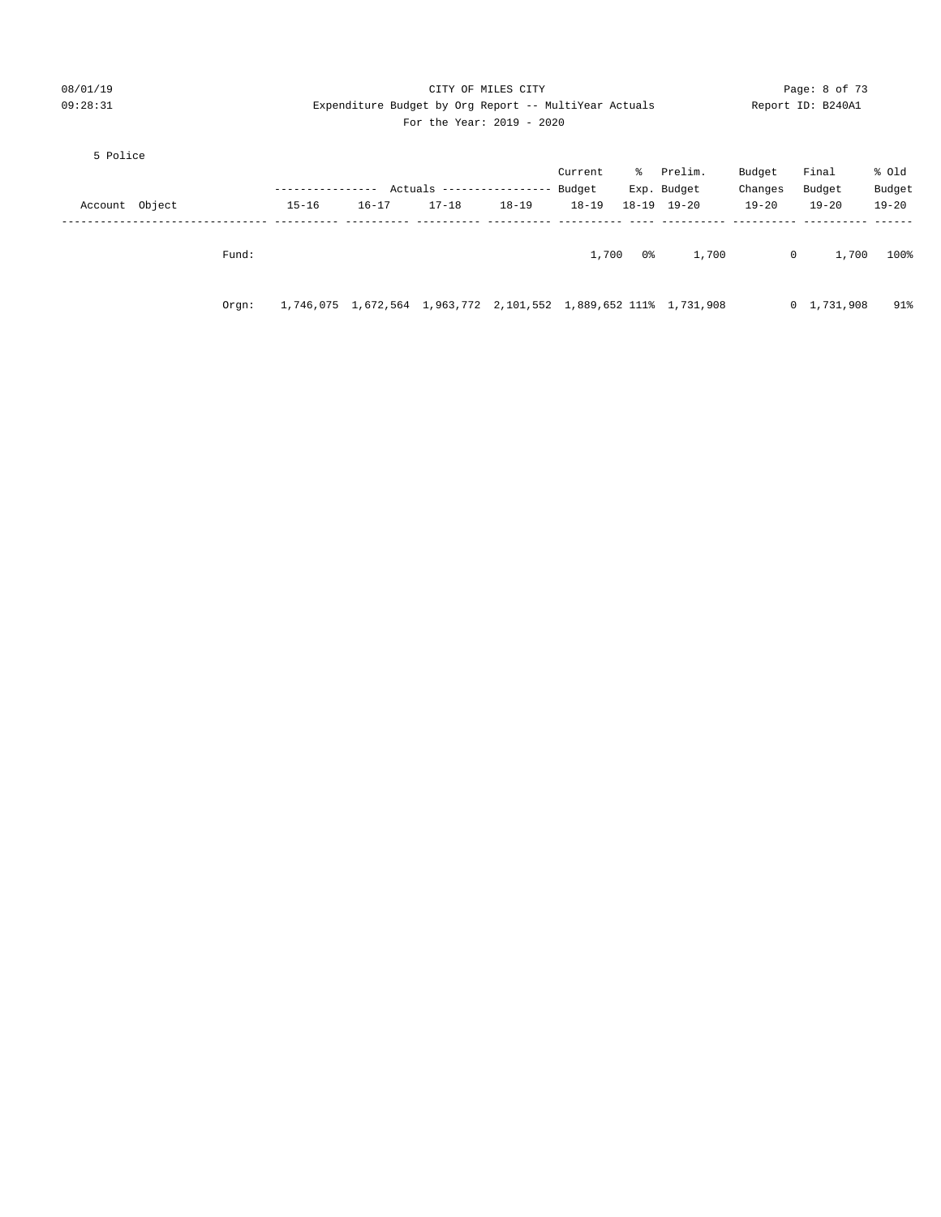| 08/01/19       |       |                                                       |           |                                                                  | Page: 8 of 73 |           |    |                     |             |                |           |
|----------------|-------|-------------------------------------------------------|-----------|------------------------------------------------------------------|---------------|-----------|----|---------------------|-------------|----------------|-----------|
| 09:28:31       |       | Expenditure Budget by Org Report -- MultiYear Actuals |           | Report ID: B240A1                                                |               |           |    |                     |             |                |           |
|                |       |                                                       |           | For the Year: $2019 - 2020$                                      |               |           |    |                     |             |                |           |
| 5 Police       |       |                                                       |           |                                                                  |               |           |    |                     |             |                |           |
|                |       |                                                       |           |                                                                  |               | Current   |    | % Prelim.           | Budget      | Final          | % old     |
|                |       | ------------                                          |           | Actuals ------------------                                       |               | Budget    |    | Exp. Budget         | Changes     | Budget         | Budget    |
| Account Object |       | $15 - 16$                                             | $16 - 17$ | $17 - 18$                                                        | $18 - 19$     | $18 - 19$ |    | $18 - 19$ $19 - 20$ | $19 - 20$   | $19 - 20$      | $19 - 20$ |
|                |       |                                                       |           |                                                                  |               |           |    |                     |             |                |           |
|                | Fund: |                                                       |           |                                                                  |               | 1,700     | 0% | 1,700               | $\mathbf 0$ | 1,700          | 100%      |
|                | Orqn: |                                                       |           | 1,746,075 1,672,564 1,963,772 2,101,552 1,889,652 111% 1,731,908 |               |           |    |                     |             | 0, 1, 731, 908 | 91%       |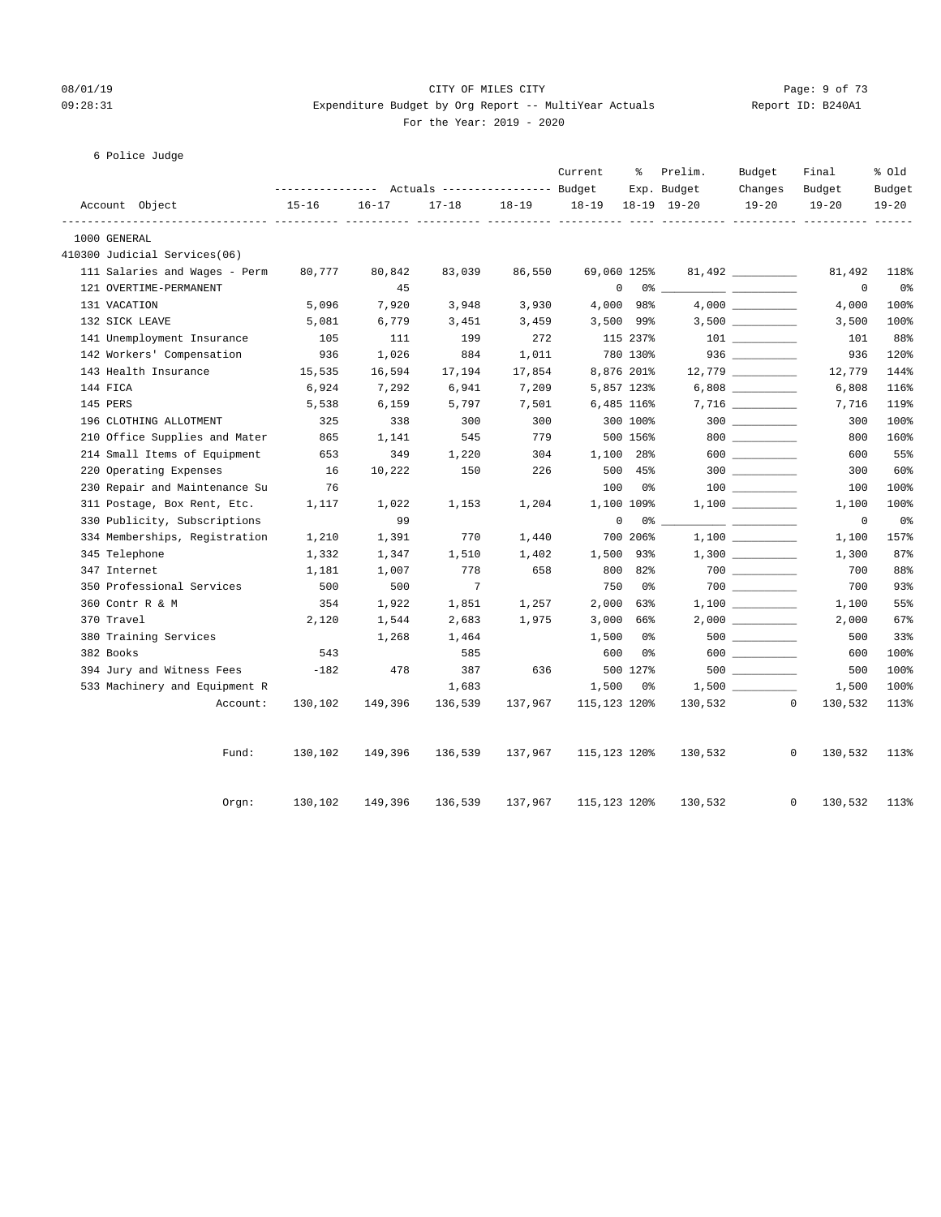#### 08/01/19 Page: 9 of 73 09:28:31 Expenditure Budget by Org Report -- MultiYear Actuals Report ID: B240A1 For the Year: 2019 - 2020

|  | 6 Police Judge |
|--|----------------|
|--|----------------|

|           |                               |                                                                    |           |           |         | Current      | ႜ        | Prelim.                    | Budget                                 | Final                   | % Old               |
|-----------|-------------------------------|--------------------------------------------------------------------|-----------|-----------|---------|--------------|----------|----------------------------|----------------------------------------|-------------------------|---------------------|
|           | Account Object                | ---------------    Actuals ----------------    Budget<br>$15 - 16$ | $16 - 17$ | $17 - 18$ | 18-19   | $18 - 19$    |          | Exp. Budget<br>18-19 19-20 | Changes<br>$19 - 20$                   | Budget<br>$19 - 20$     | Budget<br>$19 - 20$ |
|           | 1000 GENERAL                  |                                                                    |           |           |         |              |          |                            |                                        |                         |                     |
|           | 410300 Judicial Services(06)  |                                                                    |           |           |         |              |          |                            |                                        |                         |                     |
|           | 111 Salaries and Wages - Perm | 80,777                                                             | 80,842    | 83,039    | 86,550  | 69,060 125%  |          |                            | $81,492$ _________                     | 81,492                  | 118%                |
|           | 121 OVERTIME-PERMANENT        |                                                                    | 45        |           |         | 0            |          |                            |                                        | 0                       | 0 <sub>8</sub>      |
|           | 131 VACATION                  | 5,096                                                              | 7,920     | 3,948     | 3,930   | 4,000        | 98%      |                            |                                        | 4,000                   | 100%                |
|           | 132 SICK LEAVE                | 5,081                                                              | 6,779     | 3,451     | 3,459   | 3,500 99%    |          |                            | $3,500$ __________                     | 3,500                   | 100%                |
|           | 141 Unemployment Insurance    | 105                                                                | 111       | 199       | 272     |              | 115 237% |                            |                                        | 101                     | 88%                 |
|           | 142 Workers' Compensation     | 936                                                                | 1,026     | 884       | 1,011   |              | 780 130% |                            |                                        | 936                     | 120%                |
|           | 143 Health Insurance          | 15,535                                                             | 16,594    | 17,194    | 17,854  | 8,876 201%   |          |                            |                                        | 12,779                  | 144%                |
| 144 FICA  |                               | 6,924                                                              | 7,292     | 6,941     | 7,209   | 5,857 123%   |          |                            | $6,808$                                | 6,808                   | 116%                |
| 145 PERS  |                               | 5,538                                                              | 6,159     | 5,797     | 7,501   | 6,485 116%   |          |                            |                                        | 7,716                   | 119%                |
|           | 196 CLOTHING ALLOTMENT        | 325                                                                | 338       | 300       | 300     |              | 300 100% |                            |                                        | 300                     | 100%                |
|           | 210 Office Supplies and Mater | 865                                                                | 1,141     | 545       | 779     |              | 500 156% |                            | $800$                                  | 800                     | 160%                |
|           | 214 Small Items of Equipment  | 653                                                                | 349       | 1,220     | 304     | 1,100 28%    |          |                            |                                        | 600                     | 55%                 |
|           | 220 Operating Expenses        | 16                                                                 | 10,222    | 150       | 226     |              | 500 45%  |                            |                                        | 300                     | 60%                 |
|           | 230 Repair and Maintenance Su | 76                                                                 |           |           |         | 100          | 0%       |                            | $\begin{tabular}{c} 100 \end{tabular}$ | 100                     | 100%                |
|           | 311 Postage, Box Rent, Etc.   | 1,117                                                              | 1,022     | 1,153     | 1,204   | 1,100 109%   |          |                            |                                        | 1,100                   | 100%                |
|           | 330 Publicity, Subscriptions  |                                                                    | 99        |           |         | 0            | 0 %      |                            |                                        | 0                       | 0%                  |
|           | 334 Memberships, Registration | 1,210                                                              | 1,391     | 770       | 1,440   |              | 700 206% |                            |                                        | 1,100                   | 157%                |
|           | 345 Telephone                 | 1,332                                                              | 1,347     | 1,510     | 1,402   | 1,500        | 93%      |                            | $1,300$ _________                      | 1,300                   | 87%                 |
|           | 347 Internet                  | 1,181                                                              | 1,007     | 778       | 658     | 800          | 82%      |                            | $700$ _________                        | 700                     | 88%                 |
|           | 350 Professional Services     | 500                                                                | 500       | 7         |         | 750          | 0 %      |                            | $700$ _________                        | 700                     | 93%                 |
|           | 360 Contr R & M               | 354                                                                | 1,922     | 1,851     | 1,257   | 2,000        | 63%      |                            | $1,100$ ________                       | 1,100                   | 55%                 |
|           | 370 Travel                    | 2,120                                                              | 1,544     | 2,683     | 1,975   | 3,000        | 66%      |                            | $2,000$ __________                     | 2,000                   | 67%                 |
|           | 380 Training Services         |                                                                    | 1,268     | 1,464     |         | 1,500        | 0%       |                            |                                        | 500                     | 33%                 |
| 382 Books |                               | 543                                                                |           | 585       |         | 600          | 0%       |                            | $600$                                  | 600                     | 100%                |
|           | 394 Jury and Witness Fees     | $-182$                                                             | 478       | 387       | 636     |              | 500 127% |                            |                                        | 500                     | 100%                |
|           | 533 Machinery and Equipment R |                                                                    |           | 1,683     |         | 1,500        | 0%       |                            |                                        | 1,500                   | 100%                |
|           | Account:                      | 130,102                                                            | 149,396   | 136,539   | 137,967 | 115,123 120% |          | 130,532                    |                                        | $\mathbf{0}$<br>130,532 | 113%                |
|           | Fund:                         | 130,102                                                            | 149,396   | 136,539   | 137,967 | 115,123 120% |          | 130,532                    |                                        | $\mathbf{0}$<br>130,532 | 113%                |
|           | Orgn:                         | 130,102                                                            | 149,396   | 136,539   | 137,967 | 115,123 120% |          | 130,532                    |                                        | 0<br>130,532            | 113%                |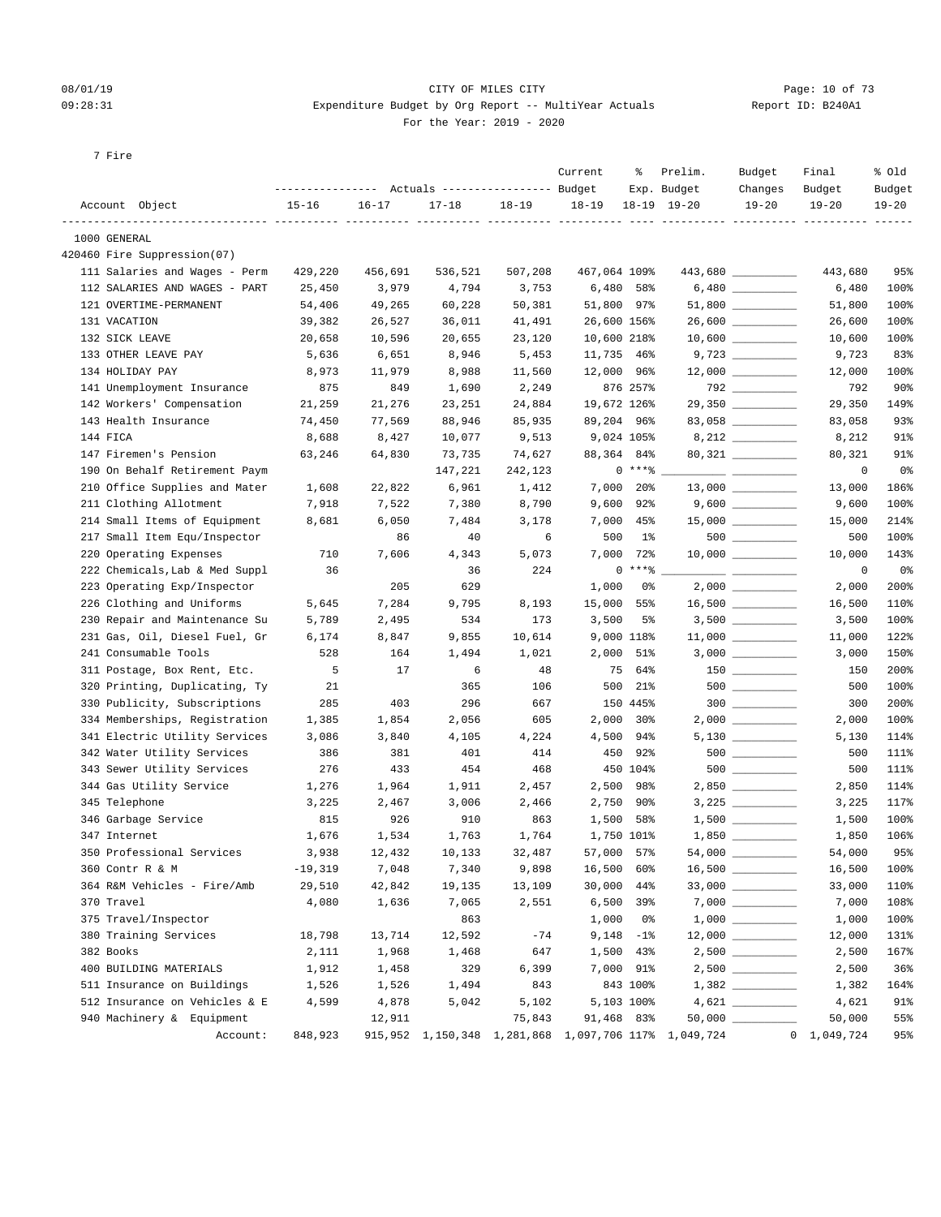#### 08/01/19 Page: 10 of 73  $09:28:31$  Expenditure Budget by Org Report -- MultiYear Actuals For the Year: 2019 - 2020

| Report ID: B240A1 |  |
|-------------------|--|
|                   |  |

7 Fire

|                                                      |                |                 | --------------- Actuals ---------------- Budget |           | Current      | ႜ                        | Prelim.<br>Exp. Budget                                    | Budget<br>Changes                  | Final<br>Budget     | % old<br>Budget |
|------------------------------------------------------|----------------|-----------------|-------------------------------------------------|-----------|--------------|--------------------------|-----------------------------------------------------------|------------------------------------|---------------------|-----------------|
| Account Object                                       | $15 - 16$      | $16 - 17$       | $17 - 18$                                       | $18 - 19$ | $18 - 19$    |                          | $18-19$ $19-20$                                           | $19 - 20$                          | $19 - 20$           | $19 - 20$       |
| ----------------- --------- --------<br>1000 GENERAL |                |                 |                                                 |           |              |                          |                                                           |                                    |                     |                 |
| 420460 Fire Suppression(07)                          |                |                 |                                                 |           |              |                          |                                                           |                                    |                     |                 |
| 111 Salaries and Wages - Perm                        | 429,220        | 456,691         | 536,521                                         | 507,208   | 467,064 109% |                          |                                                           | 443,680                            | 443,680             | 95%             |
| 112 SALARIES AND WAGES - PART                        | 25,450         | 3,979           | 4,794                                           | 3,753     | 6,480        | 58%                      |                                                           |                                    | 6,480               | 100%            |
| 121 OVERTIME-PERMANENT                               | 54,406         | 49,265          | 60,228                                          | 50,381    | 51,800       | 97%                      |                                                           |                                    | 51,800              | 100%            |
| 131 VACATION                                         | 39,382         | 26,527          | 36,011                                          | 41,491    |              | 26,600 156%              |                                                           |                                    | 26,600              | 100%            |
| 132 SICK LEAVE                                       | 20,658         | 10,596          | 20,655                                          | 23,120    |              | 10,600 218%              |                                                           | $10,600$ __________                | 10,600              | 100%            |
| 133 OTHER LEAVE PAY                                  | 5,636          | 6,651           | 8,946                                           | 5,453     |              | 11,735 46%               |                                                           |                                    | 9,723               | 83%             |
| 134 HOLIDAY PAY                                      | 8,973          | 11,979          | 8,988                                           | 11,560    |              | 12,000 96%               |                                                           | $12,000$ _________                 | 12,000              | 100%            |
| 141 Unemployment Insurance                           | 875            | 849             | 1,690                                           | 2,249     |              | 876 257%                 |                                                           | $792$ _________                    | 792                 | $90\%$          |
| 142 Workers' Compensation                            | 21,259         | 21,276          | 23,251                                          | 24,884    |              | 19,672 126%              |                                                           | 29,350 _________                   | 29,350              | 149%            |
| 143 Health Insurance                                 | 74,450         | 77,569          | 88,946                                          | 85,935    |              | 89,204 96%               |                                                           |                                    | 83,058              | 93%             |
| 144 FICA                                             | 8,688          | 8,427           | 10,077                                          | 9,513     |              | 9,024 105%               |                                                           |                                    | 8,212               | 91%             |
| 147 Firemen's Pension                                | 63,246         | 64,830          | 73,735                                          | 74,627    |              | 88,364 84%               |                                                           |                                    | 80,321              | 91%             |
| 190 On Behalf Retirement Paym                        |                |                 | 147,221                                         | 242,123   |              | $0***8$                  |                                                           |                                    | 0                   | 0%              |
| 210 Office Supplies and Mater                        | 1,608          | 22,822          | 6,961                                           | 1,412     | 7,000        | $20\%$                   |                                                           |                                    | 13,000              | 186%            |
| 211 Clothing Allotment                               | 7,918          | 7,522           | 7,380                                           | 8,790     | 9,600        | 92%                      |                                                           | $9,600$ __________                 | 9,600               | 100%            |
| 214 Small Items of Equipment                         | 8,681          | 6,050           | 7,484                                           | 3,178     | 7,000        | 45%                      |                                                           | $15,000$ _________                 | 15,000              | 214%            |
| 217 Small Item Equ/Inspector                         |                | 86              | 40                                              | 6         | 500          | 1%                       |                                                           |                                    | 500                 | 100%            |
| 220 Operating Expenses                               | 710            | 7,606           | 4,343                                           | 5,073     | 7,000        | 72%                      |                                                           | $10,000$ __________                | 10,000              | 143%            |
| 222 Chemicals, Lab & Med Suppl                       | 36             |                 | 36                                              | 224       |              | $0***$ $*$               |                                                           |                                    | 0                   | 0%              |
| 223 Operating Exp/Inspector                          |                | 205             | 629                                             |           | 1,000        | 0%                       |                                                           |                                    | 2,000               | 200%            |
| 226 Clothing and Uniforms                            | 5,645          | 7,284           | 9,795                                           | 8,193     | 15,000       | 55%                      |                                                           |                                    | 16,500              | 110%            |
| 230 Repair and Maintenance Su                        | 5,789          | 2,495           | 534                                             | 173       | 3,500        | 5%                       |                                                           |                                    | 3,500               | 100%            |
| 231 Gas, Oil, Diesel Fuel, Gr                        | 6,174          | 8,847           | 9,855                                           | 10,614    |              | 9,000 118%               |                                                           | $11,000$ _________                 | 11,000              | 122%            |
| 241 Consumable Tools                                 | 528            | 164             | 1,494                                           | 1,021     | 2,000        | 51%                      |                                                           |                                    | 3,000               | 150%            |
| 311 Postage, Box Rent, Etc.                          | 5              | 17              | 6                                               | 48        | 75           | 64%                      |                                                           | $150$ ________                     | 150                 | 200%            |
| 320 Printing, Duplicating, Ty                        | 21             |                 | 365                                             | 106       | 500          | 21%                      |                                                           |                                    | 500                 | 100%            |
| 330 Publicity, Subscriptions                         | 285            | 403             | 296                                             | 667       |              | 150 445%                 |                                                           | $300$                              | 300                 | 200%            |
| 334 Memberships, Registration                        | 1,385          | 1,854           | 2,056                                           | 605       | 2,000        | $30\%$                   |                                                           |                                    | 2,000               | 100%            |
| 341 Electric Utility Services                        | 3,086          | 3,840           | 4,105                                           | 4,224     | 4,500        | 94%                      |                                                           | $5,130$ _________                  | 5,130               | 114%            |
| 342 Water Utility Services                           | 386            | 381             | 401                                             | 414       | 450          | 92%                      |                                                           | $500$ ________                     | 500                 | 111%            |
| 343 Sewer Utility Services                           | 276            | 433             | 454                                             | 468       |              | 450 104%                 |                                                           | $500$ __________                   | 500                 | 111%            |
| 344 Gas Utility Service                              | 1,276          | 1,964           | 1,911                                           | 2,457     | 2,500        | 98%                      |                                                           |                                    | 2,850               | 114%            |
| 345 Telephone                                        | 3,225          | 2,467           | 3,006                                           | 2,466     | 2,750        | 90%                      |                                                           | $3,225$                            | 3,225               | 117%            |
| 346 Garbage Service                                  | 815            | 926             | 910                                             | 863       | 1,500        | 58%                      |                                                           | $1,500$ _________                  | 1,500               | 100%            |
| 347 Internet                                         | 1,676          | 1,534           | 1,763                                           | 1,764     |              | 1,750 101%               |                                                           | $1,850$ __________                 | 1,850               | 106%            |
| 350 Professional Services                            | 3,938          | 12,432          | 10,133                                          | 32,487    |              | 57,000 57%               | 54,000                                                    |                                    | 54,000              | 95%             |
| 360 Contr R & M                                      | $-19,319$      | 7,048           | 7,340                                           | 9,898     |              | 16,500 60%               |                                                           | 16,500 _________                   | 16,500              | 100%            |
| 364 R&M Vehicles - Fire/Amb                          | 29,510         | 42,842          | 19,135                                          | 13,109    |              | 30,000 44%               |                                                           |                                    | 33,000              | 110%            |
| 370 Travel                                           | 4,080          | 1,636           | 7,065                                           | 2,551     |              | $6,500$ 39%              |                                                           |                                    | 7,000               | 108%            |
| 375 Travel/Inspector                                 |                |                 | 863                                             |           | 1,000        | 0 <sup>8</sup>           |                                                           |                                    | 1,000               | 100%            |
|                                                      |                |                 |                                                 | $-74$     |              |                          |                                                           |                                    |                     |                 |
| 380 Training Services<br>382 Books                   | 18,798         | 13,714<br>1,968 | 12,592<br>1,468                                 | 647       |              | $9,148 - 1$<br>1,500 43% |                                                           |                                    | 12,000              | 131%<br>167%    |
| 400 BUILDING MATERIALS                               | 2,111<br>1,912 | 1,458           | 329                                             | 6,399     |              | 7,000 91%                |                                                           | $2,500 \ \underline{\hspace{1cm}}$ | 2,500<br>2,500      | $36\%$          |
| 511 Insurance on Buildings                           | 1,526          | 1,526           | 1,494                                           | 843       |              | 843 100%                 |                                                           |                                    | 1,382               | 164%            |
| 512 Insurance on Vehicles & E                        | 4,599          | 4,878           | 5,042                                           | 5,102     |              | 5,103 100%               |                                                           |                                    | 4,621               | 91%             |
| 940 Machinery & Equipment                            |                | 12,911          |                                                 | 75,843    |              | 91,468 83%               |                                                           |                                    | 50,000              | 55%             |
| Account:                                             | 848,923        |                 |                                                 |           |              |                          | 915,952  1,150,348  1,281,868  1,097,706  117%  1,049,724 |                                    | $0 \quad 1,049,724$ | 95%             |
|                                                      |                |                 |                                                 |           |              |                          |                                                           |                                    |                     |                 |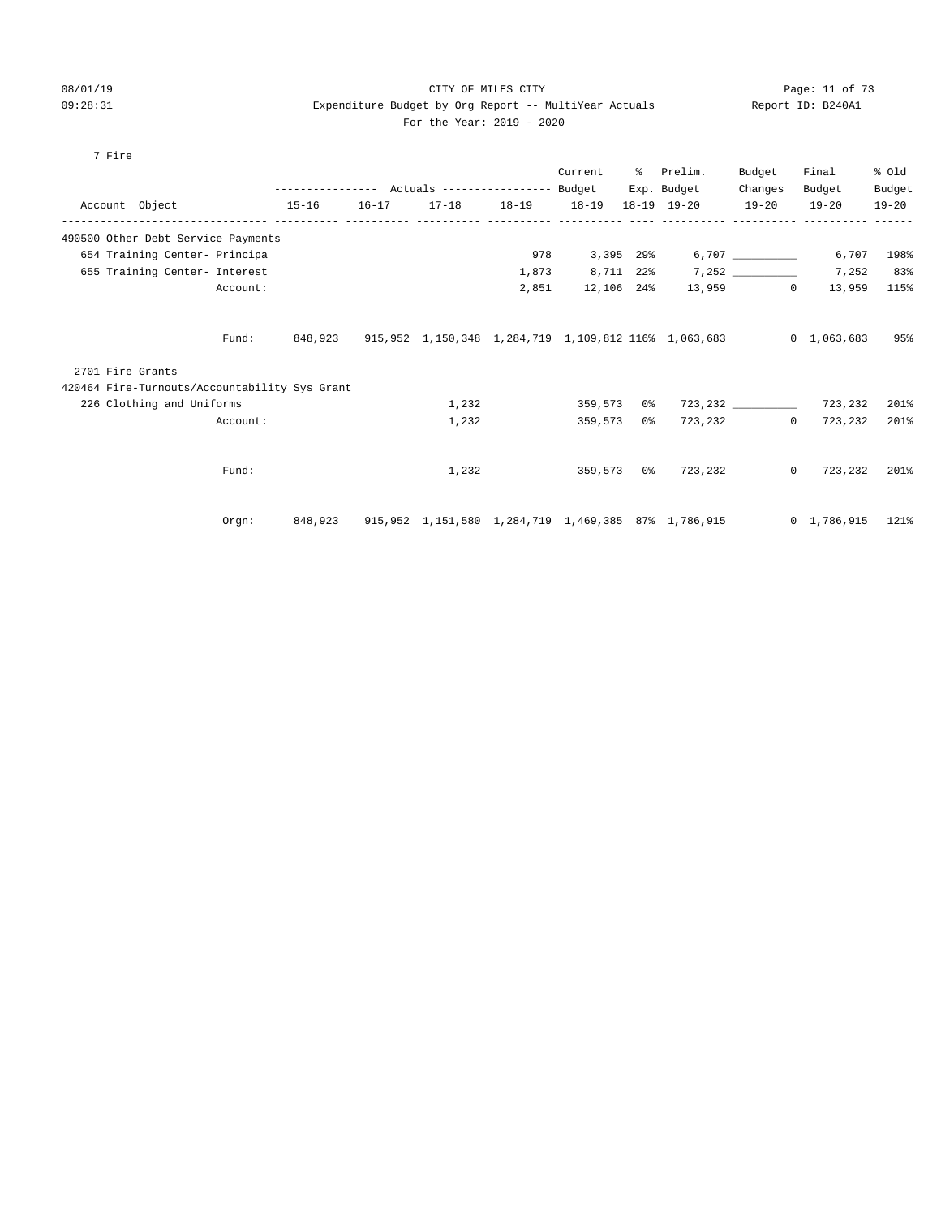#### 08/01/19 Page: 11 of 73 09:28:31 Expenditure Budget by Org Report -- MultiYear Actuals Report ID: B240A1 For the Year: 2019 - 2020

#### 7 Fire

|                                               |          |         |           |       |                                   | Current    | % Prelim.                                                            | Budget    | Final             | % old     |
|-----------------------------------------------|----------|---------|-----------|-------|-----------------------------------|------------|----------------------------------------------------------------------|-----------|-------------------|-----------|
|                                               |          |         |           |       |                                   |            | Exp. Budget                                                          | Changes   | Budget            | Budget    |
| Account Object 15-16                          |          |         | $16 - 17$ |       | 17-18  18-19  18-19  18-19  19-20 |            |                                                                      | $19 - 20$ | $19 - 20$         | $19 - 20$ |
| 490500 Other Debt Service Payments            |          |         |           |       |                                   |            |                                                                      |           |                   |           |
| 654 Training Center- Principa                 |          |         |           |       | 978                               |            |                                                                      |           | 6,707             | 198%      |
| 655 Training Center- Interest                 |          |         |           |       | 1,873                             |            |                                                                      |           | 7,252             | 83%       |
|                                               | Account: |         |           |       | 2,851                             | 12,106 24% |                                                                      | 13,959 0  | 13,959            | 115%      |
|                                               | Fund:    | 848,923 |           |       |                                   |            | 915,952 1,150,348 1,284,719 1,109,812 116% 1,063,683 0 1,063,683     |           |                   | 95%       |
| 2701 Fire Grants                              |          |         |           |       |                                   |            |                                                                      |           |                   |           |
| 420464 Fire-Turnouts/Accountability Sys Grant |          |         |           |       |                                   |            |                                                                      |           |                   |           |
| 226 Clothing and Uniforms                     |          |         |           | 1,232 |                                   | 359,573 0% |                                                                      |           | 723,232 723,232   | 201%      |
|                                               | Account: |         |           | 1,232 |                                   | 359,573 0% |                                                                      |           | 723,232 0 723,232 | 201%      |
|                                               |          |         |           |       |                                   |            |                                                                      |           |                   |           |
|                                               | Fund:    |         |           | 1,232 |                                   |            | 359,573 0% 723,232                                                   |           | $0\quad 723,232$  | 201%      |
|                                               | Orem:    | 848,923 |           |       |                                   |            | 915,952 1,151,580 1,284,719 1,469,385 87% 1,786,915 0 1,786,915 121% |           |                   |           |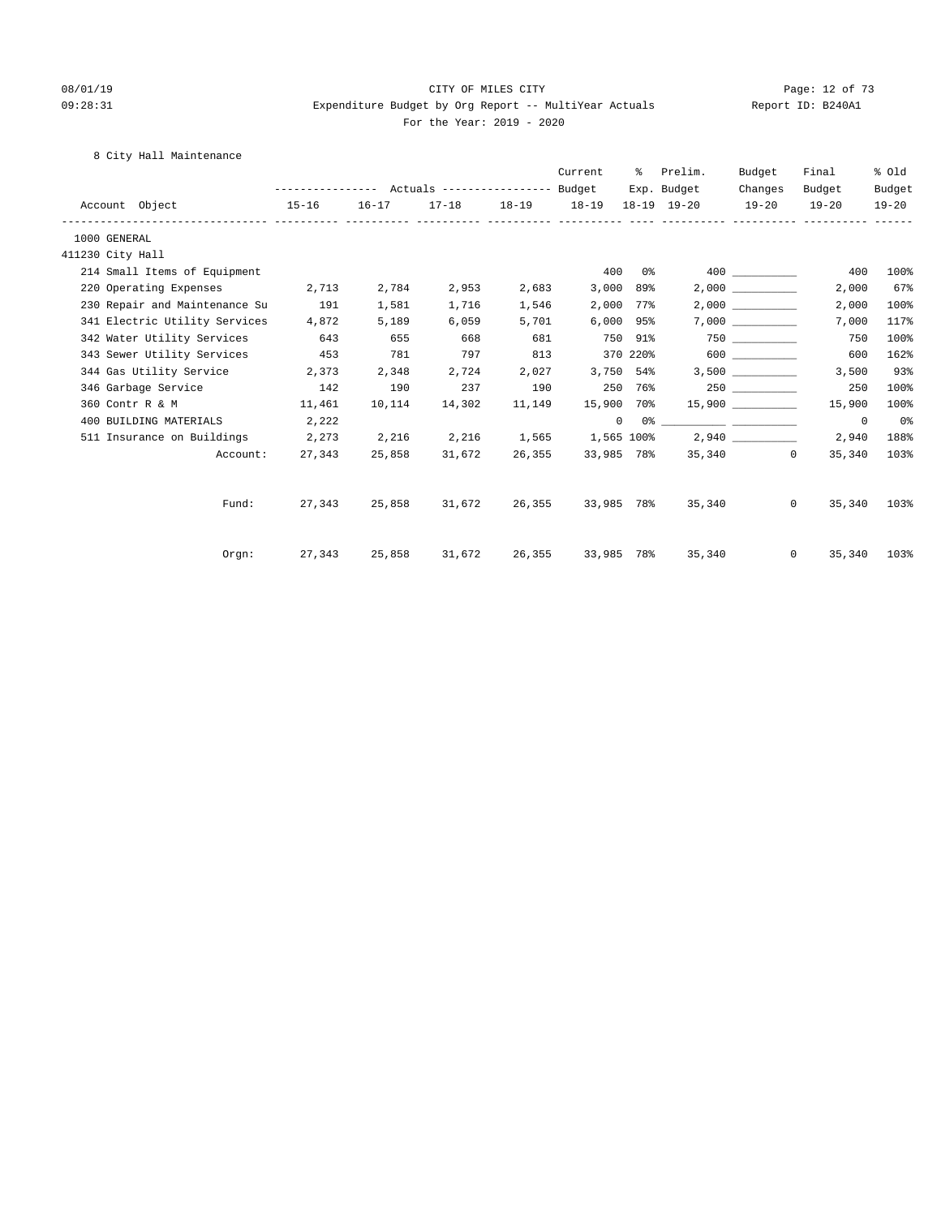#### 08/01/19 Page: 12 of 73 09:28:31 Expenditure Budget by Org Report -- MultiYear Actuals Report ID: B240A1 For the Year: 2019 - 2020

#### 8 City Hall Maintenance

|                  |                                |                                                                 |        |        |        | Current           | ႜႜ          | Prelim.                                                                                                                                                                                                                                                                                                                                                            | Budget  | Final                    | % old       |
|------------------|--------------------------------|-----------------------------------------------------------------|--------|--------|--------|-------------------|-------------|--------------------------------------------------------------------------------------------------------------------------------------------------------------------------------------------------------------------------------------------------------------------------------------------------------------------------------------------------------------------|---------|--------------------------|-------------|
|                  |                                |                                                                 |        |        |        |                   |             | Exp. Budget                                                                                                                                                                                                                                                                                                                                                        | Changes | Budget                   | Budget      |
|                  | Account Object<br>$15 - 16$    |                                                                 |        |        |        |                   |             | 16-17 17-18 18-19 18-19 18-19 19-20 19-20 19-20                                                                                                                                                                                                                                                                                                                    |         |                          | $19 - 20$   |
| 1000 GENERAL     |                                |                                                                 |        |        |        |                   |             |                                                                                                                                                                                                                                                                                                                                                                    |         |                          |             |
| 411230 City Hall |                                |                                                                 |        |        |        |                   |             |                                                                                                                                                                                                                                                                                                                                                                    |         |                          |             |
|                  | 214 Small Items of Equipment   |                                                                 |        |        |        |                   | $400$ $0\%$ |                                                                                                                                                                                                                                                                                                                                                                    | 400 000 | 400                      | 100%        |
|                  | 220 Operating Expenses 2,713   |                                                                 | 2,784  | 2,953  | 2,683  |                   | 3,000 89%   |                                                                                                                                                                                                                                                                                                                                                                    | 2,000   | 2,000                    | 67%         |
|                  | 230 Repair and Maintenance Su  | 191                                                             | 1,581  | 1,716  | 1,546  |                   | 2,000 77%   |                                                                                                                                                                                                                                                                                                                                                                    | 2,000   | 2,000                    | 100%        |
|                  | 341 Electric Utility Services  | 4,872                                                           | 5,189  | 6,059  | 5,701  |                   | 6,000 95%   |                                                                                                                                                                                                                                                                                                                                                                    | 7,000   | 7,000                    | 117%        |
|                  | 342 Water Utility Services 643 |                                                                 | 655    | 668    | 681    | 750 91%           |             |                                                                                                                                                                                                                                                                                                                                                                    | 750 300 | 750                      | 100%        |
|                  | 343 Sewer Utility Services     | 453                                                             | 781    | 797    | 813    |                   |             | 370 220% 600                                                                                                                                                                                                                                                                                                                                                       |         | 600                      | 162%        |
|                  | 344 Gas Utility Service 2,373  |                                                                 | 2,348  | 2,724  | 2,027  | 3,750 54%         |             |                                                                                                                                                                                                                                                                                                                                                                    | 3,500   | 3,500                    | 93%         |
|                  | 346 Garbage Service            | 142                                                             | 190    | 237    | 190    |                   | 250 76%     |                                                                                                                                                                                                                                                                                                                                                                    |         | 250                      | 100%        |
|                  | 360 Contr R & M 11,461         |                                                                 | 10,114 | 14,302 | 11,149 |                   |             | $15,900$ 70% $15,900$ _________                                                                                                                                                                                                                                                                                                                                    |         | 15,900                   | 100%        |
|                  | 400 BUILDING MATERIALS         | 2,222                                                           |        |        |        |                   |             | $\begin{picture}(150,10) \put(0,0){\vector(1,0){100}} \put(15,0){\vector(1,0){100}} \put(15,0){\vector(1,0){100}} \put(15,0){\vector(1,0){100}} \put(15,0){\vector(1,0){100}} \put(15,0){\vector(1,0){100}} \put(15,0){\vector(1,0){100}} \put(15,0){\vector(1,0){100}} \put(15,0){\vector(1,0){100}} \put(15,0){\vector(1,0){100}} \put(15,0){\vector(1,0){100}}$ |         | $^{\circ}$               | 0%          |
|                  | 511 Insurance on Buildings     | $2,273$ $2,216$ $2,216$ $1,565$ $1,565$ $100\%$ $2,940$ $1,565$ |        |        |        |                   |             |                                                                                                                                                                                                                                                                                                                                                                    |         | 2,940                    | 188%        |
|                  |                                | Account: 27,343                                                 | 25,858 | 31,672 | 26,355 |                   |             | 33,985 78% 35,340 0                                                                                                                                                                                                                                                                                                                                                |         | 35,340                   | 103%        |
|                  | Fund:                          | 27,343                                                          | 25,858 | 31,672 |        | 26,355 33,985 78% |             |                                                                                                                                                                                                                                                                                                                                                                    | 35,340  | $\overline{0}$<br>35,340 | 103%        |
|                  | Orgn:                          | 27,343 25,858                                                   |        | 31,672 |        |                   |             | 26,355 33,985 78% 35,340                                                                                                                                                                                                                                                                                                                                           |         | $0 \qquad \qquad$        | 35,340 103% |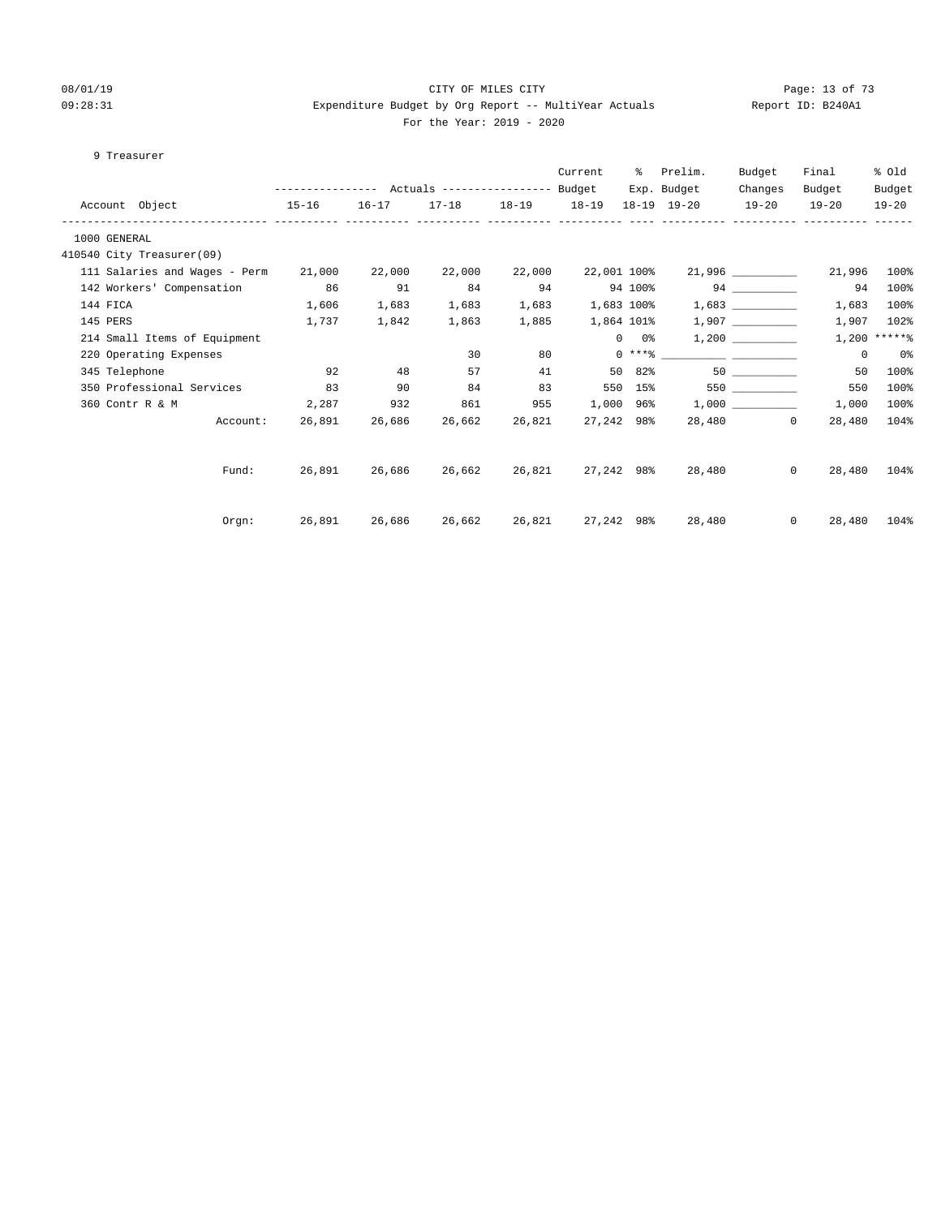#### 08/01/19 Page: 13 of 73 09:28:31 Expenditure Budget by Org Report -- MultiYear Actuals Report ID: B240A1 For the Year: 2019 - 2020

#### 9 Treasurer

|                                      |                                                 |               |                         |        | Current          |               | % Prelim.                              | Budget             | Final                                    | % old          |
|--------------------------------------|-------------------------------------------------|---------------|-------------------------|--------|------------------|---------------|----------------------------------------|--------------------|------------------------------------------|----------------|
|                                      | --------------- Actuals ---------------- Budget |               |                         |        |                  |               | Exp. Budget                            | Changes            | Budget                                   | Budget         |
| Account Object 15-16                 |                                                 |               | 16-17 17-18 18-19 18-19 |        |                  |               | 18-19 19-20 19-20 19-20                |                    |                                          | $19 - 20$      |
| 1000 GENERAL                         |                                                 |               |                         |        |                  |               |                                        |                    |                                          |                |
| 410540 City Treasurer(09)            |                                                 |               |                         |        |                  |               |                                        |                    |                                          |                |
| 111 Salaries and Wages - Perm 21,000 |                                                 | 22,000        | 22,000                  | 22,000 | 22,001 100%      |               |                                        | 21,996 ___________ | 21,996                                   | 100%           |
| 142 Workers' Compensation 86         |                                                 | 91            | 84                      | 94     |                  |               | 94 100%                                | 94                 | 94                                       | 100%           |
| 144 FICA                             | 1,606                                           | 1,683         | 1,683                   |        | 1,683 1,683 100% |               |                                        | 1,683              | 1,683                                    | 100%           |
| 145 PERS                             | 1,737                                           | 1,842         | 1,863                   | 1,885  | 1,864 101%       |               |                                        | 1,907              | 1,907                                    | 102%           |
| 214 Small Items of Equipment         |                                                 |               |                         |        |                  | $0\qquad 0$ % |                                        |                    |                                          | $1,200$ *****% |
| 220 Operating Expenses               |                                                 |               | 30                      | 80     |                  |               | $0***$ $\frac{20}{10}$                 |                    | $^{\circ}$                               | 0 %            |
| 345 Telephone                        | 92                                              | 48            | 57                      | 41     |                  | 50 82%        | 50                                     |                    | 50                                       | 100%           |
| 350 Professional Services 83         |                                                 | 90            | 84                      | 83     |                  | 550 15%       |                                        | 550                | 550                                      | 100%           |
| 2,287 932<br>360 Contr R & M         |                                                 |               | 861                     | 955    |                  |               |                                        |                    | 1,000                                    | 100%           |
| Account:                             |                                                 | 26,891 26,686 | 26,662                  | 26,821 | 27,242 98%       |               |                                        | 28,480 0           | 28,480                                   | 104%           |
|                                      |                                                 |               |                         |        |                  |               |                                        |                    |                                          |                |
|                                      |                                                 |               |                         |        |                  |               |                                        |                    |                                          | 104%           |
|                                      |                                                 |               |                         |        |                  |               |                                        |                    |                                          | 104%           |
| Fund:<br>Orgn:                       | 26,891 26,686 26,662 26,821                     |               |                         |        |                  |               | 27,242 98% 28,480<br>27,242 98% 28,480 |                    | $\Omega$<br>28,480<br>$\Omega$<br>28,480 |                |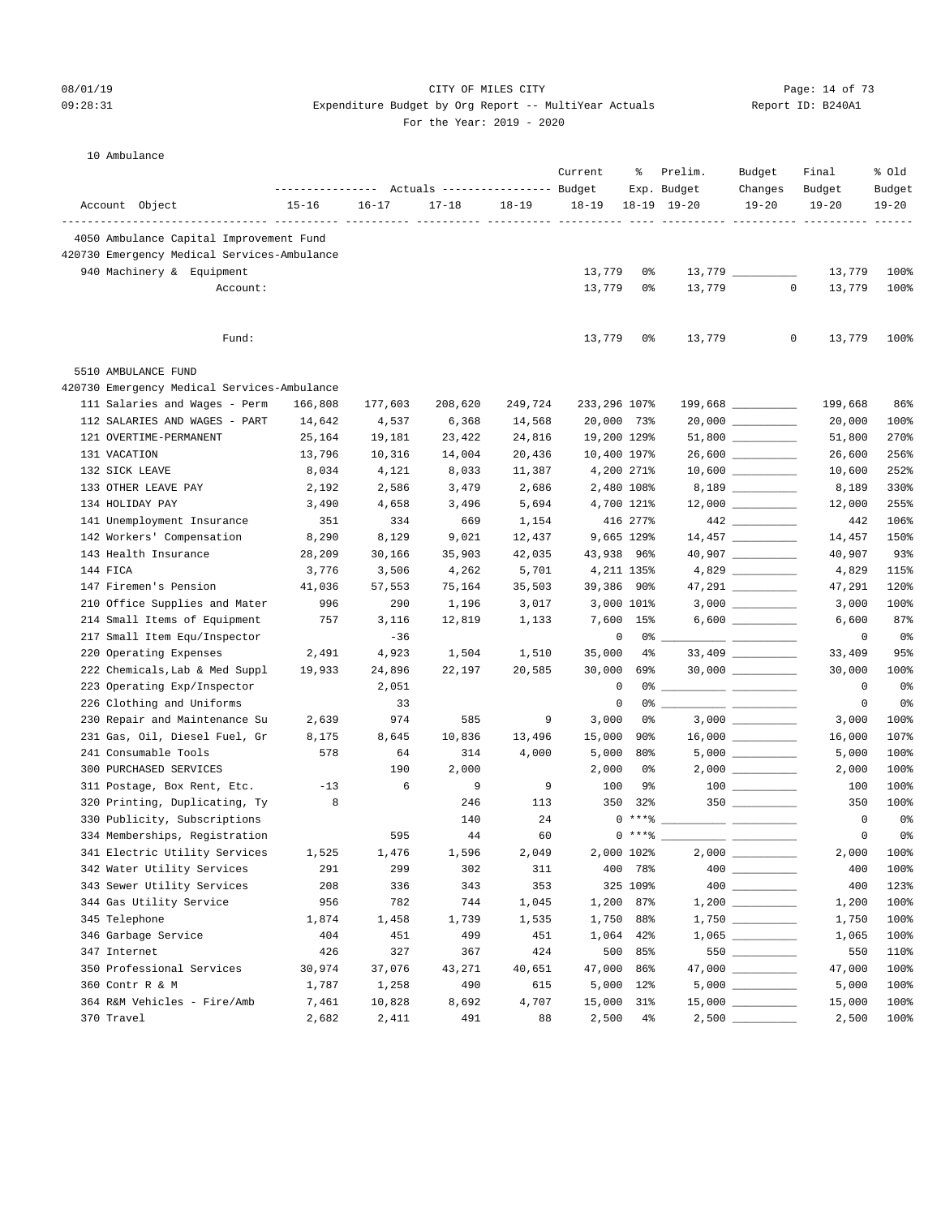#### 08/01/19 Page: 14 of 73  $09:28:31$  Expenditure Budget by Org Report -- MultiYear Actuals For the Year: 2019 - 2020

|  |  | Report ID: B240A1 |
|--|--|-------------------|
|--|--|-------------------|

#### 10 Ambulance

|                                             |           |           | Actuals ----------------- Budget |           | Current      | ႜ              | Prelim.<br>Exp. Budget | Budget<br>Changes   | Final<br>Budget               | % old<br>Budget |
|---------------------------------------------|-----------|-----------|----------------------------------|-----------|--------------|----------------|------------------------|---------------------|-------------------------------|-----------------|
| Account Object                              | $15 - 16$ | $16 - 17$ | $17 - 18$                        | $18 - 19$ | $18 - 19$    |                | $18-19$ $19-20$        | $19 - 20$           | $19 - 20$                     | $19 - 20$       |
| 4050 Ambulance Capital Improvement Fund     |           |           |                                  |           |              |                |                        |                     | ---------- --------- -------- |                 |
| 420730 Emergency Medical Services-Ambulance |           |           |                                  |           |              |                |                        |                     |                               |                 |
| 940 Machinery & Equipment                   |           |           |                                  |           | 13,779       | 0%             |                        |                     | 13,779                        | 100%            |
| Account:                                    |           |           |                                  |           | 13,779       | 0%             | 13,779                 | $\mathbf{0}$        | 13,779                        | 100%            |
|                                             |           |           |                                  |           |              |                |                        |                     |                               |                 |
| Fund:                                       |           |           |                                  |           | 13,779       | 0%             | 13,779                 | 0                   | 13,779                        | 100%            |
| 5510 AMBULANCE FUND                         |           |           |                                  |           |              |                |                        |                     |                               |                 |
| 420730 Emergency Medical Services-Ambulance |           |           |                                  |           |              |                |                        |                     |                               |                 |
| 111 Salaries and Wages - Perm               | 166,808   | 177,603   | 208,620                          | 249,724   | 233,296 107% |                |                        |                     | 199,668                       | 86%             |
| 112 SALARIES AND WAGES - PART               | 14,642    | 4,537     | 6,368                            | 14,568    | 20,000 73%   |                |                        | $20,000$ __________ | 20,000                        | 100%            |
| 121 OVERTIME-PERMANENT                      | 25,164    | 19,181    | 23,422                           | 24,816    | 19,200 129%  |                |                        | $51,800$ __________ | 51,800                        | 270%            |
| 131 VACATION                                | 13,796    | 10,316    | 14,004                           | 20,436    | 10,400 197%  |                |                        | 26,600 _________    | 26,600                        | 256%            |
| 132 SICK LEAVE                              | 8,034     | 4,121     | 8,033                            | 11,387    |              | 4,200 271%     |                        | $10,600$ _________  | 10,600                        | 252%            |
| 133 OTHER LEAVE PAY                         | 2,192     | 2,586     | 3,479                            | 2,686     |              | 2,480 108%     |                        |                     | 8,189                         | 330%            |
| 134 HOLIDAY PAY                             | 3,490     | 4,658     | 3,496                            | 5,694     |              | 4,700 121%     |                        | $12,000$ _________  | 12,000                        | 255%            |
| 141 Unemployment Insurance                  | 351       | 334       | 669                              | 1,154     |              | 416 277%       |                        |                     | 442                           | 106%            |
| 142 Workers' Compensation                   | 8,290     | 8,129     | 9,021                            | 12,437    |              | 9,665 129%     |                        | 14,457 _________    | 14,457                        | 150%            |
| 143 Health Insurance                        | 28,209    | 30,166    | 35,903                           | 42,035    | 43,938 96%   |                |                        |                     | 40,907                        | 93%             |
| 144 FICA                                    | 3,776     | 3,506     | 4,262                            | 5,701     |              | 4,211 135%     |                        |                     | 4,829                         | 115%            |
| 147 Firemen's Pension                       | 41,036    | 57,553    | 75,164                           | 35,503    | 39,386 90%   |                |                        | 47,291 _________    | 47,291                        | 120%            |
| 210 Office Supplies and Mater               | 996       | 290       | 1,196                            | 3,017     |              | 3,000 101%     |                        |                     | 3,000                         | 100%            |
| 214 Small Items of Equipment                | 757       | 3,116     | 12,819                           | 1,133     |              | 7,600 15%      |                        | $6,600$ __________  | 6,600                         | 87%             |
| 217 Small Item Equ/Inspector                |           | $-36$     |                                  |           | 0            | $0\degree$ $-$ |                        |                     | 0                             | 0%              |
| 220 Operating Expenses                      | 2,491     | 4,923     | 1,504                            | 1,510     | 35,000       | $4\%$          |                        | 33,409 _________    | 33,409                        | 95%             |
| 222 Chemicals, Lab & Med Suppl              | 19,933    | 24,896    | 22,197                           | 20,585    | 30,000       | 69%            |                        | $30,000$ _________  | 30,000                        | 100%            |
| 223 Operating Exp/Inspector                 |           | 2,051     |                                  |           | $\mathbf 0$  | 0%             |                        |                     | 0                             | 0%              |
| 226 Clothing and Uniforms                   |           | 33        |                                  |           | 0            | 0%             |                        |                     | 0                             | 0 <sup>o</sup>  |
| 230 Repair and Maintenance Su               | 2,639     | 974       | 585                              | 9         | 3,000        | 0%             |                        |                     | 3,000                         | 100%            |
| 231 Gas, Oil, Diesel Fuel, Gr               | 8,175     | 8,645     | 10,836                           | 13,496    | 15,000       | 90%            |                        | $16,000$ _________  | 16,000                        | 107%            |
| 241 Consumable Tools                        | 578       | 64        | 314                              | 4,000     | 5,000        | 80%            |                        | $5,000$ _________   | 5,000                         | 100%            |
| 300 PURCHASED SERVICES                      |           | 190       | 2,000                            |           | 2,000        | 0%             |                        |                     | 2,000                         | 100%            |
| 311 Postage, Box Rent, Etc.                 | $-13$     | 6         | 9                                | 9         | 100          | 9%             |                        |                     | 100                           | 100%            |
| 320 Printing, Duplicating, Ty               | 8         |           | 246                              | 113       | 350          | 32%            |                        | $350$ _________     | 350                           | 100%            |
| 330 Publicity, Subscriptions                |           |           | 140                              | 24        |              | $0***$ $*$     |                        |                     | $\circ$                       | 0%              |
| 334 Memberships, Registration               |           | 595       | 44                               | 60        |              | $0***$ $*$     |                        |                     | 0                             | 0 <sup>8</sup>  |
| 341 Electric Utility Services               | 1,525     | 1,476     | 1,596                            | 2,049     |              | 2,000 102%     |                        |                     | 2,000                         | 100%            |
| 342 Water Utility Services                  | 291       | 299       | 302                              | 311       |              | 400 78%        |                        |                     | 400                           | 100%            |
| 343 Sewer Utility Services                  | 208       | 336       | 343                              | 353       |              | 325 109%       |                        |                     | 400                           | 123%            |
| 344 Gas Utility Service                     | 956       | 782       | 744                              | 1,045     |              | 1,200 87%      |                        |                     | 1,200                         | 100%            |
| 345 Telephone                               | 1,874     | 1,458     | 1,739                            | 1,535     | 1,750        | 88%            |                        | $1,750$ __________  | 1,750                         | 100%            |
| 346 Garbage Service                         | 404       | 451       | 499                              | 451       |              | 1,064 42%      |                        |                     | 1,065                         | 100%            |
| 347 Internet                                | 426       | 327       | 367                              | 424       |              | 500 85%        |                        |                     | 550                           | 110%            |
| 350 Professional Services                   | 30,974    | 37,076    | 43,271                           | 40,651    | 47,000 86%   |                |                        |                     | 47,000                        | 100%            |
| 360 Contr R & M                             | 1,787     | 1,258     | 490                              | 615       |              | 5,000 12%      |                        |                     | 5,000                         | 100%            |
| 364 R&M Vehicles - Fire/Amb                 | 7,461     | 10,828    | 8,692                            | 4,707     | 15,000 31%   |                |                        | $15,000$ __________ | 15,000                        | 100%            |
| 370 Travel                                  | 2,682     | 2,411     | 491                              | 88        |              | $2,500$ 4%     |                        | $2,500$ ________    | 2,500                         | 100%            |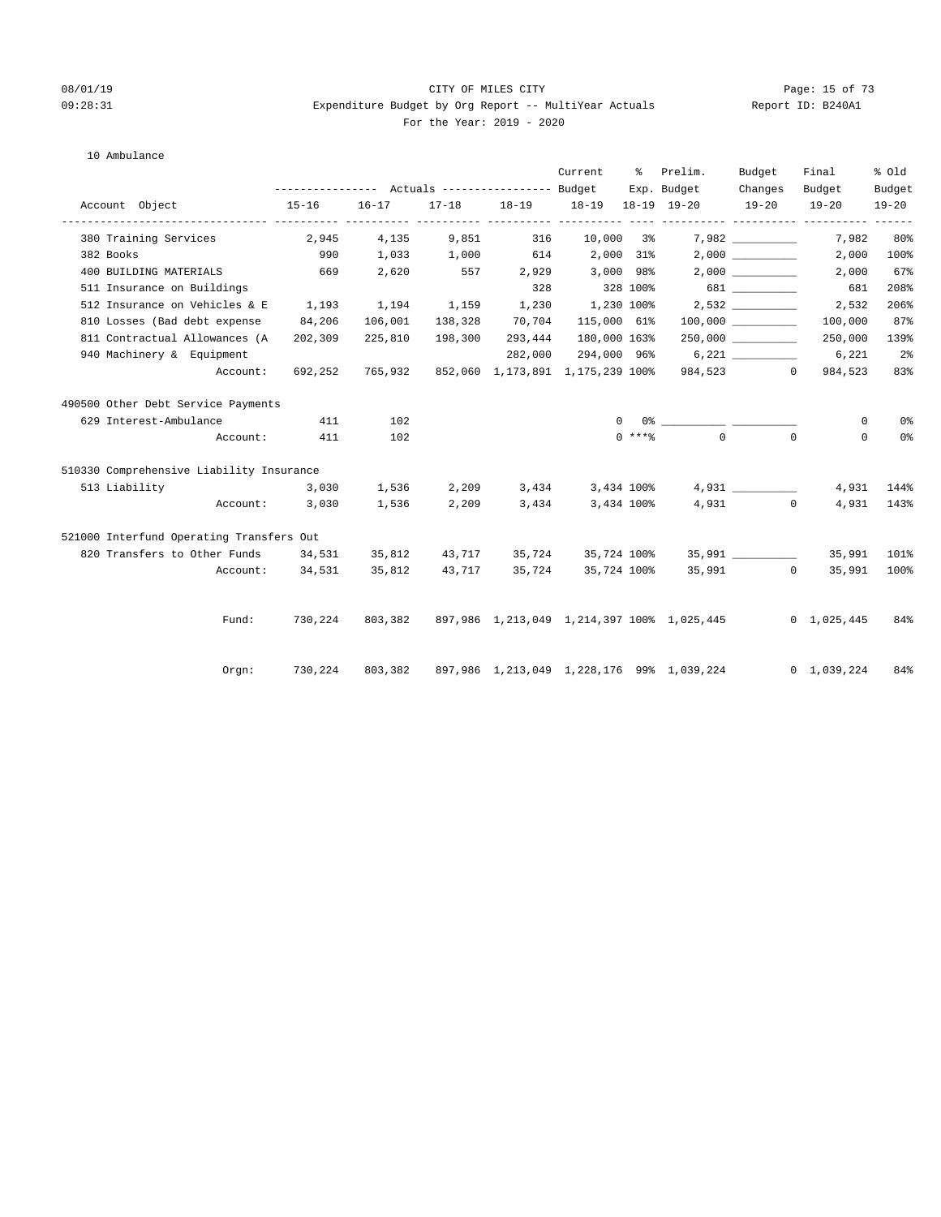#### 08/01/19 Page: 15 of 73 09:28:31 Expenditure Budget by Org Report -- MultiYear Actuals Report ID: B240A1 For the Year: 2019 - 2020

#### 10 Ambulance

|                                          |                 |                                                 |         |                                         | Current          | ိ        | Prelim.                                    | Budget             | Final                   | % old          |
|------------------------------------------|-----------------|-------------------------------------------------|---------|-----------------------------------------|------------------|----------|--------------------------------------------|--------------------|-------------------------|----------------|
|                                          |                 |                                                 |         |                                         |                  |          | Exp. Budget                                | Changes            | Budget                  | Budget         |
| Account Object                           | $15 - 16$       | $16 - 17$                                       |         | 17-18 18-19 18-19 18-19 19-20           |                  |          |                                            | $19 - 20$          | $19 - 20$               | $19 - 20$      |
| 380 Training Services                    | 2,945           |                                                 |         | 4,135 9,851 316                         | 10,000 3%        |          |                                            |                    | 7,982                   | 80%            |
| 382 Books                                | 990             |                                                 |         | $1,033$ $1,000$ $614$ $2,000$ $31\%$    |                  |          |                                            |                    | 2,000                   | 100%           |
| 400 BUILDING MATERIALS                   | 669             | 2,620                                           |         | 557 2,929 3,000 98%                     |                  |          |                                            | 2,000              | 2,000                   | 67%            |
| 511 Insurance on Buildings               |                 |                                                 |         | 328                                     |                  |          | 328 100% 681                               |                    | 681                     | 208%           |
| 512 Insurance on Vehicles & E            |                 | $1,193$ $1,194$ $1,159$ $1,230$ $1,230$ $100\%$ |         |                                         |                  |          |                                            |                    | 2,532                   | 206%           |
| 810 Losses (Bad debt expense             | 84,206          | 106,001                                         | 138,328 | 70,704                                  | 115,000 61%      |          |                                            |                    | 100,000                 | 87%            |
| 811 Contractual Allowances (A            | 202,309         | 225,810                                         | 198,300 | 293,444                                 | 180,000 163%     |          |                                            |                    | 250,000                 | 139%           |
| 940 Machinery & Equipment                |                 |                                                 |         | 282,000                                 | 294,000 96%      |          |                                            | 6,221              | 6,221                   | 2 <sup>8</sup> |
| Account:                                 | 692,252         | 765,932                                         |         | 852,060 1,173,891 1,175,239 100%        |                  |          |                                            | 984,523<br>$\circ$ | 984,523                 | 83%            |
| 490500 Other Debt Service Payments       |                 |                                                 |         |                                         |                  |          |                                            |                    |                         |                |
| 629 Interest-Ambulance                   | 411             | 102                                             |         |                                         |                  | $\Omega$ |                                            |                    | $^{\circ}$              | 0 <sup>°</sup> |
|                                          | Account: 411    | 102                                             |         |                                         |                  |          | $0 \star \star \star$ $\uparrow$ 0         | $\Omega$           | $\Omega$                | 0 <sup>8</sup> |
| 510330 Comprehensive Liability Insurance |                 |                                                 |         |                                         |                  |          |                                            |                    |                         |                |
| 513 Liability                            | 3,030           |                                                 |         | $1,536$ $2,209$ $3,434$ $3,434$ $100\%$ |                  |          |                                            |                    | 4,931                   | 144%           |
| Account:                                 | 3,030           | 1,536                                           | 2,209   |                                         | 3,434 3,434 100% |          |                                            | 4,931              | $\overline{0}$<br>4,931 | 143%           |
| 521000 Interfund Operating Transfers Out |                 |                                                 |         |                                         |                  |          |                                            |                    |                         |                |
| 820 Transfers to Other Funds 34,531      |                 | 35,812 43,717                                   |         | 35,724                                  |                  |          |                                            |                    | 35,991                  | 101%           |
|                                          | Account: 34,531 | 35,812                                          |         | 43,717 35,724                           |                  |          | 35,724 100% 35,991 0                       |                    | 35,991                  | 100%           |
|                                          |                 |                                                 |         |                                         |                  |          |                                            |                    |                         |                |
| Fund:                                    | 730,224         | 803,382                                         |         |                                         |                  |          | 897,986 1,213,049 1,214,397 100% 1,025,445 |                    | $0 \quad 1,025,445$     | 84%            |
| Orgn:                                    | 730,224 803,382 |                                                 |         |                                         |                  |          | 897,986 1,213,049 1,228,176 99% 1,039,224  |                    | $0\quad 1,039,224$      | 84%            |
|                                          |                 |                                                 |         |                                         |                  |          |                                            |                    |                         |                |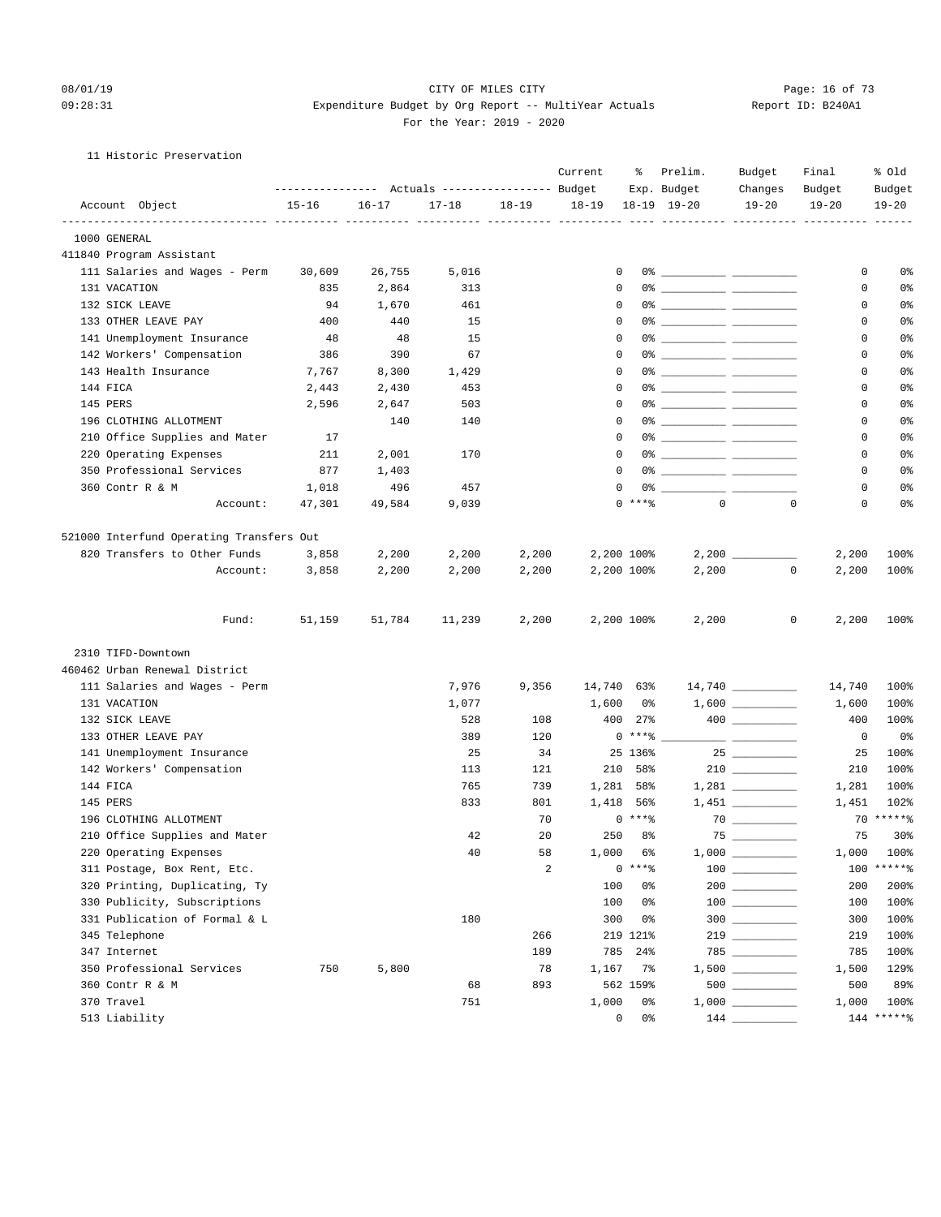#### 11 Historic Preservation

| Account Object<br>$15 - 16$<br>$16 - 17$<br>$17 - 18$<br>$18 - 19$<br>$18 - 19$<br>$18-19$ $19-20$<br>$19 - 20$<br>$19 - 20$<br>$19 - 20$<br>1000 GENERAL<br>411840 Program Assistant<br>111 Salaries and Wages - Perm<br>30,609<br>26,755<br>5,016<br>0<br>0<br>0%<br>131 VACATION<br>2,864<br>$\Omega$<br>0<br>0 <sup>°</sup><br>835<br>313<br>132 SICK LEAVE<br>$\mathbf 0$<br>0 <sup>°</sup><br>94<br>1,670<br>461<br>0<br>133 OTHER LEAVE PAY<br>400<br>440<br>15<br>$\mathbf 0$<br>0 <sup>°</sup><br>0<br>141 Unemployment Insurance<br>48<br>48<br>15<br>$\mathbf 0$<br>0<br>0 <sup>°</sup><br>142 Workers' Compensation<br>$\mathbf 0$<br>0%<br>386<br>390<br>67<br>0<br>143 Health Insurance<br>7,767<br>8,300<br>1,429<br>$\Omega$<br>0% _____________ _____________<br>0<br>0 <sup>°</sup><br>144 FICA<br>$\mathbf 0$<br>0 <sup>°</sup><br>2,443<br>2,430<br>453<br>0<br>145 PERS<br>2,596<br>2,647<br>503<br>$\mathbf 0$<br>0<br>0 <sup>°</sup><br>196 CLOTHING ALLOTMENT<br>$\mathbf 0$<br>0<br>0 <sup>°</sup><br>140<br>140<br>210 Office Supplies and Mater<br>17<br>0<br>0<br>0%<br>220 Operating Expenses<br>2,001<br>170<br>$\Omega$<br>0<br>0 <sup>°</sup><br>211<br>350 Professional Services<br>$\Omega$<br>0 <sup>°</sup><br>877<br>1,403<br>0<br>0 <sup>°</sup><br>360 Contr R & M<br>496<br>457<br>$\mathbf 0$<br>0<br>1,018<br>$0$ ****<br>$\Omega$<br>$\mathbf 0$<br>0<br>0 <sup>°</sup><br>47,301<br>49,584<br>9,039<br>Account:<br>521000 Interfund Operating Transfers Out<br>820 Transfers to Other Funds<br>2,200<br>2,200<br>2,200<br>2,200 100%<br>100%<br>3,858<br>2,200<br>Account:<br>2,200<br>2,200<br>2,200<br>2,200 100%<br>2,200<br>0<br>100%<br>3,858<br>2,200<br>51,159<br>2,200<br>2,200 100%<br>2,200<br>0<br>2,200<br>100%<br>Fund:<br>51,784<br>11,239<br>2310 TIFD-Downtown<br>460462 Urban Renewal District<br>14,740 __________<br>111 Salaries and Wages - Perm<br>7,976<br>9,356<br>14,740 63%<br>14,740<br>100%<br>131 VACATION<br>1,077<br>1,600<br>100%<br>0%<br>1,600<br>132 SICK LEAVE<br>528<br>108<br>400<br>27%<br>100%<br>400<br>$0***$ $*$<br>133 OTHER LEAVE PAY<br>389<br>120<br>0%<br>0<br>141 Unemployment Insurance<br>25<br>34<br>25 136%<br>100%<br>25<br>$210$ ________<br>142 Workers' Compensation<br>100%<br>113<br>121<br>210 58%<br>210<br>$1,281$ __________<br>144 FICA<br>765<br>739<br>1,281 58%<br>100%<br>1,281<br>145 PERS<br>833<br>801<br>1,418 56%<br>102%<br>1,451<br>$70****$<br>$0***8$<br>196 CLOTHING ALLOTMENT<br>70<br>75<br>210 Office Supplies and Mater<br>20<br>250<br>8 <sup>°</sup><br>75<br>30%<br>42<br>1,000 100%<br>220 Operating Expenses<br>40<br>58<br>1,000 6%<br>$\begin{array}{c} 100 \\ - \end{array}$<br>100 ******<br>$0***8$<br>311 Postage, Box Rent, Etc.<br>2<br>320 Printing, Duplicating, Ty<br>100<br>$200$<br>200%<br>0%<br>200<br>100%<br>330 Publicity, Subscriptions<br>100<br>0%<br>100<br>$300$<br>331 Publication of Formal & L<br>180<br>300<br>0%<br>100%<br>300<br>345 Telephone<br>100%<br>266<br>219 121%<br>219<br>347 Internet<br>189<br>100%<br>785<br>$24\%$<br>785<br>350 Professional Services<br>750<br>5,800<br>78<br>129%<br>1,167<br>7%<br>1,500<br>360 Contr R & M<br>893<br>$500$<br>89%<br>68<br>562 159%<br>500<br>370 Travel<br>751<br>1,000<br>100%<br>0%<br>1,000<br>$144$ ******<br>513 Liability<br>0<br>0% | ---------------    Actuals ----------------    Budget |  | Current | ႜ | Prelim.<br>Exp. Budget | Budget<br>Changes | Final<br>Budget | % old<br>Budget |
|-----------------------------------------------------------------------------------------------------------------------------------------------------------------------------------------------------------------------------------------------------------------------------------------------------------------------------------------------------------------------------------------------------------------------------------------------------------------------------------------------------------------------------------------------------------------------------------------------------------------------------------------------------------------------------------------------------------------------------------------------------------------------------------------------------------------------------------------------------------------------------------------------------------------------------------------------------------------------------------------------------------------------------------------------------------------------------------------------------------------------------------------------------------------------------------------------------------------------------------------------------------------------------------------------------------------------------------------------------------------------------------------------------------------------------------------------------------------------------------------------------------------------------------------------------------------------------------------------------------------------------------------------------------------------------------------------------------------------------------------------------------------------------------------------------------------------------------------------------------------------------------------------------------------------------------------------------------------------------------------------------------------------------------------------------------------------------------------------------------------------------------------------------------------------------------------------------------------------------------------------------------------------------------------------------------------------------------------------------------------------------------------------------------------------------------------------------------------------------------------------------------------------------------------------------------------------------------------------------------------------------------------------------------------------------------------------------------------------------------------------------------------------------------------------------------------------------------------------------------------------------------------------------------------------------------------------------------------------------------------------------------------------------------------------------------------------------------------------------------------------------------------------------------------------------------------------------------------------------------------------------------------------------------------------------------------------------------------------------------------|-------------------------------------------------------|--|---------|---|------------------------|-------------------|-----------------|-----------------|
|                                                                                                                                                                                                                                                                                                                                                                                                                                                                                                                                                                                                                                                                                                                                                                                                                                                                                                                                                                                                                                                                                                                                                                                                                                                                                                                                                                                                                                                                                                                                                                                                                                                                                                                                                                                                                                                                                                                                                                                                                                                                                                                                                                                                                                                                                                                                                                                                                                                                                                                                                                                                                                                                                                                                                                                                                                                                                                                                                                                                                                                                                                                                                                                                                                                                                                                                                                 |                                                       |  |         |   |                        |                   |                 |                 |
|                                                                                                                                                                                                                                                                                                                                                                                                                                                                                                                                                                                                                                                                                                                                                                                                                                                                                                                                                                                                                                                                                                                                                                                                                                                                                                                                                                                                                                                                                                                                                                                                                                                                                                                                                                                                                                                                                                                                                                                                                                                                                                                                                                                                                                                                                                                                                                                                                                                                                                                                                                                                                                                                                                                                                                                                                                                                                                                                                                                                                                                                                                                                                                                                                                                                                                                                                                 |                                                       |  |         |   |                        |                   |                 |                 |
|                                                                                                                                                                                                                                                                                                                                                                                                                                                                                                                                                                                                                                                                                                                                                                                                                                                                                                                                                                                                                                                                                                                                                                                                                                                                                                                                                                                                                                                                                                                                                                                                                                                                                                                                                                                                                                                                                                                                                                                                                                                                                                                                                                                                                                                                                                                                                                                                                                                                                                                                                                                                                                                                                                                                                                                                                                                                                                                                                                                                                                                                                                                                                                                                                                                                                                                                                                 |                                                       |  |         |   |                        |                   |                 |                 |
|                                                                                                                                                                                                                                                                                                                                                                                                                                                                                                                                                                                                                                                                                                                                                                                                                                                                                                                                                                                                                                                                                                                                                                                                                                                                                                                                                                                                                                                                                                                                                                                                                                                                                                                                                                                                                                                                                                                                                                                                                                                                                                                                                                                                                                                                                                                                                                                                                                                                                                                                                                                                                                                                                                                                                                                                                                                                                                                                                                                                                                                                                                                                                                                                                                                                                                                                                                 |                                                       |  |         |   |                        |                   |                 |                 |
|                                                                                                                                                                                                                                                                                                                                                                                                                                                                                                                                                                                                                                                                                                                                                                                                                                                                                                                                                                                                                                                                                                                                                                                                                                                                                                                                                                                                                                                                                                                                                                                                                                                                                                                                                                                                                                                                                                                                                                                                                                                                                                                                                                                                                                                                                                                                                                                                                                                                                                                                                                                                                                                                                                                                                                                                                                                                                                                                                                                                                                                                                                                                                                                                                                                                                                                                                                 |                                                       |  |         |   |                        |                   |                 |                 |
|                                                                                                                                                                                                                                                                                                                                                                                                                                                                                                                                                                                                                                                                                                                                                                                                                                                                                                                                                                                                                                                                                                                                                                                                                                                                                                                                                                                                                                                                                                                                                                                                                                                                                                                                                                                                                                                                                                                                                                                                                                                                                                                                                                                                                                                                                                                                                                                                                                                                                                                                                                                                                                                                                                                                                                                                                                                                                                                                                                                                                                                                                                                                                                                                                                                                                                                                                                 |                                                       |  |         |   |                        |                   |                 |                 |
|                                                                                                                                                                                                                                                                                                                                                                                                                                                                                                                                                                                                                                                                                                                                                                                                                                                                                                                                                                                                                                                                                                                                                                                                                                                                                                                                                                                                                                                                                                                                                                                                                                                                                                                                                                                                                                                                                                                                                                                                                                                                                                                                                                                                                                                                                                                                                                                                                                                                                                                                                                                                                                                                                                                                                                                                                                                                                                                                                                                                                                                                                                                                                                                                                                                                                                                                                                 |                                                       |  |         |   |                        |                   |                 |                 |
|                                                                                                                                                                                                                                                                                                                                                                                                                                                                                                                                                                                                                                                                                                                                                                                                                                                                                                                                                                                                                                                                                                                                                                                                                                                                                                                                                                                                                                                                                                                                                                                                                                                                                                                                                                                                                                                                                                                                                                                                                                                                                                                                                                                                                                                                                                                                                                                                                                                                                                                                                                                                                                                                                                                                                                                                                                                                                                                                                                                                                                                                                                                                                                                                                                                                                                                                                                 |                                                       |  |         |   |                        |                   |                 |                 |
|                                                                                                                                                                                                                                                                                                                                                                                                                                                                                                                                                                                                                                                                                                                                                                                                                                                                                                                                                                                                                                                                                                                                                                                                                                                                                                                                                                                                                                                                                                                                                                                                                                                                                                                                                                                                                                                                                                                                                                                                                                                                                                                                                                                                                                                                                                                                                                                                                                                                                                                                                                                                                                                                                                                                                                                                                                                                                                                                                                                                                                                                                                                                                                                                                                                                                                                                                                 |                                                       |  |         |   |                        |                   |                 |                 |
|                                                                                                                                                                                                                                                                                                                                                                                                                                                                                                                                                                                                                                                                                                                                                                                                                                                                                                                                                                                                                                                                                                                                                                                                                                                                                                                                                                                                                                                                                                                                                                                                                                                                                                                                                                                                                                                                                                                                                                                                                                                                                                                                                                                                                                                                                                                                                                                                                                                                                                                                                                                                                                                                                                                                                                                                                                                                                                                                                                                                                                                                                                                                                                                                                                                                                                                                                                 |                                                       |  |         |   |                        |                   |                 |                 |
|                                                                                                                                                                                                                                                                                                                                                                                                                                                                                                                                                                                                                                                                                                                                                                                                                                                                                                                                                                                                                                                                                                                                                                                                                                                                                                                                                                                                                                                                                                                                                                                                                                                                                                                                                                                                                                                                                                                                                                                                                                                                                                                                                                                                                                                                                                                                                                                                                                                                                                                                                                                                                                                                                                                                                                                                                                                                                                                                                                                                                                                                                                                                                                                                                                                                                                                                                                 |                                                       |  |         |   |                        |                   |                 |                 |
|                                                                                                                                                                                                                                                                                                                                                                                                                                                                                                                                                                                                                                                                                                                                                                                                                                                                                                                                                                                                                                                                                                                                                                                                                                                                                                                                                                                                                                                                                                                                                                                                                                                                                                                                                                                                                                                                                                                                                                                                                                                                                                                                                                                                                                                                                                                                                                                                                                                                                                                                                                                                                                                                                                                                                                                                                                                                                                                                                                                                                                                                                                                                                                                                                                                                                                                                                                 |                                                       |  |         |   |                        |                   |                 |                 |
|                                                                                                                                                                                                                                                                                                                                                                                                                                                                                                                                                                                                                                                                                                                                                                                                                                                                                                                                                                                                                                                                                                                                                                                                                                                                                                                                                                                                                                                                                                                                                                                                                                                                                                                                                                                                                                                                                                                                                                                                                                                                                                                                                                                                                                                                                                                                                                                                                                                                                                                                                                                                                                                                                                                                                                                                                                                                                                                                                                                                                                                                                                                                                                                                                                                                                                                                                                 |                                                       |  |         |   |                        |                   |                 |                 |
|                                                                                                                                                                                                                                                                                                                                                                                                                                                                                                                                                                                                                                                                                                                                                                                                                                                                                                                                                                                                                                                                                                                                                                                                                                                                                                                                                                                                                                                                                                                                                                                                                                                                                                                                                                                                                                                                                                                                                                                                                                                                                                                                                                                                                                                                                                                                                                                                                                                                                                                                                                                                                                                                                                                                                                                                                                                                                                                                                                                                                                                                                                                                                                                                                                                                                                                                                                 |                                                       |  |         |   |                        |                   |                 |                 |
|                                                                                                                                                                                                                                                                                                                                                                                                                                                                                                                                                                                                                                                                                                                                                                                                                                                                                                                                                                                                                                                                                                                                                                                                                                                                                                                                                                                                                                                                                                                                                                                                                                                                                                                                                                                                                                                                                                                                                                                                                                                                                                                                                                                                                                                                                                                                                                                                                                                                                                                                                                                                                                                                                                                                                                                                                                                                                                                                                                                                                                                                                                                                                                                                                                                                                                                                                                 |                                                       |  |         |   |                        |                   |                 |                 |
|                                                                                                                                                                                                                                                                                                                                                                                                                                                                                                                                                                                                                                                                                                                                                                                                                                                                                                                                                                                                                                                                                                                                                                                                                                                                                                                                                                                                                                                                                                                                                                                                                                                                                                                                                                                                                                                                                                                                                                                                                                                                                                                                                                                                                                                                                                                                                                                                                                                                                                                                                                                                                                                                                                                                                                                                                                                                                                                                                                                                                                                                                                                                                                                                                                                                                                                                                                 |                                                       |  |         |   |                        |                   |                 |                 |
|                                                                                                                                                                                                                                                                                                                                                                                                                                                                                                                                                                                                                                                                                                                                                                                                                                                                                                                                                                                                                                                                                                                                                                                                                                                                                                                                                                                                                                                                                                                                                                                                                                                                                                                                                                                                                                                                                                                                                                                                                                                                                                                                                                                                                                                                                                                                                                                                                                                                                                                                                                                                                                                                                                                                                                                                                                                                                                                                                                                                                                                                                                                                                                                                                                                                                                                                                                 |                                                       |  |         |   |                        |                   |                 |                 |
|                                                                                                                                                                                                                                                                                                                                                                                                                                                                                                                                                                                                                                                                                                                                                                                                                                                                                                                                                                                                                                                                                                                                                                                                                                                                                                                                                                                                                                                                                                                                                                                                                                                                                                                                                                                                                                                                                                                                                                                                                                                                                                                                                                                                                                                                                                                                                                                                                                                                                                                                                                                                                                                                                                                                                                                                                                                                                                                                                                                                                                                                                                                                                                                                                                                                                                                                                                 |                                                       |  |         |   |                        |                   |                 |                 |
|                                                                                                                                                                                                                                                                                                                                                                                                                                                                                                                                                                                                                                                                                                                                                                                                                                                                                                                                                                                                                                                                                                                                                                                                                                                                                                                                                                                                                                                                                                                                                                                                                                                                                                                                                                                                                                                                                                                                                                                                                                                                                                                                                                                                                                                                                                                                                                                                                                                                                                                                                                                                                                                                                                                                                                                                                                                                                                                                                                                                                                                                                                                                                                                                                                                                                                                                                                 |                                                       |  |         |   |                        |                   |                 |                 |
|                                                                                                                                                                                                                                                                                                                                                                                                                                                                                                                                                                                                                                                                                                                                                                                                                                                                                                                                                                                                                                                                                                                                                                                                                                                                                                                                                                                                                                                                                                                                                                                                                                                                                                                                                                                                                                                                                                                                                                                                                                                                                                                                                                                                                                                                                                                                                                                                                                                                                                                                                                                                                                                                                                                                                                                                                                                                                                                                                                                                                                                                                                                                                                                                                                                                                                                                                                 |                                                       |  |         |   |                        |                   |                 |                 |
|                                                                                                                                                                                                                                                                                                                                                                                                                                                                                                                                                                                                                                                                                                                                                                                                                                                                                                                                                                                                                                                                                                                                                                                                                                                                                                                                                                                                                                                                                                                                                                                                                                                                                                                                                                                                                                                                                                                                                                                                                                                                                                                                                                                                                                                                                                                                                                                                                                                                                                                                                                                                                                                                                                                                                                                                                                                                                                                                                                                                                                                                                                                                                                                                                                                                                                                                                                 |                                                       |  |         |   |                        |                   |                 |                 |
|                                                                                                                                                                                                                                                                                                                                                                                                                                                                                                                                                                                                                                                                                                                                                                                                                                                                                                                                                                                                                                                                                                                                                                                                                                                                                                                                                                                                                                                                                                                                                                                                                                                                                                                                                                                                                                                                                                                                                                                                                                                                                                                                                                                                                                                                                                                                                                                                                                                                                                                                                                                                                                                                                                                                                                                                                                                                                                                                                                                                                                                                                                                                                                                                                                                                                                                                                                 |                                                       |  |         |   |                        |                   |                 |                 |
|                                                                                                                                                                                                                                                                                                                                                                                                                                                                                                                                                                                                                                                                                                                                                                                                                                                                                                                                                                                                                                                                                                                                                                                                                                                                                                                                                                                                                                                                                                                                                                                                                                                                                                                                                                                                                                                                                                                                                                                                                                                                                                                                                                                                                                                                                                                                                                                                                                                                                                                                                                                                                                                                                                                                                                                                                                                                                                                                                                                                                                                                                                                                                                                                                                                                                                                                                                 |                                                       |  |         |   |                        |                   |                 |                 |
|                                                                                                                                                                                                                                                                                                                                                                                                                                                                                                                                                                                                                                                                                                                                                                                                                                                                                                                                                                                                                                                                                                                                                                                                                                                                                                                                                                                                                                                                                                                                                                                                                                                                                                                                                                                                                                                                                                                                                                                                                                                                                                                                                                                                                                                                                                                                                                                                                                                                                                                                                                                                                                                                                                                                                                                                                                                                                                                                                                                                                                                                                                                                                                                                                                                                                                                                                                 |                                                       |  |         |   |                        |                   |                 |                 |
|                                                                                                                                                                                                                                                                                                                                                                                                                                                                                                                                                                                                                                                                                                                                                                                                                                                                                                                                                                                                                                                                                                                                                                                                                                                                                                                                                                                                                                                                                                                                                                                                                                                                                                                                                                                                                                                                                                                                                                                                                                                                                                                                                                                                                                                                                                                                                                                                                                                                                                                                                                                                                                                                                                                                                                                                                                                                                                                                                                                                                                                                                                                                                                                                                                                                                                                                                                 |                                                       |  |         |   |                        |                   |                 |                 |
|                                                                                                                                                                                                                                                                                                                                                                                                                                                                                                                                                                                                                                                                                                                                                                                                                                                                                                                                                                                                                                                                                                                                                                                                                                                                                                                                                                                                                                                                                                                                                                                                                                                                                                                                                                                                                                                                                                                                                                                                                                                                                                                                                                                                                                                                                                                                                                                                                                                                                                                                                                                                                                                                                                                                                                                                                                                                                                                                                                                                                                                                                                                                                                                                                                                                                                                                                                 |                                                       |  |         |   |                        |                   |                 |                 |
|                                                                                                                                                                                                                                                                                                                                                                                                                                                                                                                                                                                                                                                                                                                                                                                                                                                                                                                                                                                                                                                                                                                                                                                                                                                                                                                                                                                                                                                                                                                                                                                                                                                                                                                                                                                                                                                                                                                                                                                                                                                                                                                                                                                                                                                                                                                                                                                                                                                                                                                                                                                                                                                                                                                                                                                                                                                                                                                                                                                                                                                                                                                                                                                                                                                                                                                                                                 |                                                       |  |         |   |                        |                   |                 |                 |
|                                                                                                                                                                                                                                                                                                                                                                                                                                                                                                                                                                                                                                                                                                                                                                                                                                                                                                                                                                                                                                                                                                                                                                                                                                                                                                                                                                                                                                                                                                                                                                                                                                                                                                                                                                                                                                                                                                                                                                                                                                                                                                                                                                                                                                                                                                                                                                                                                                                                                                                                                                                                                                                                                                                                                                                                                                                                                                                                                                                                                                                                                                                                                                                                                                                                                                                                                                 |                                                       |  |         |   |                        |                   |                 |                 |
|                                                                                                                                                                                                                                                                                                                                                                                                                                                                                                                                                                                                                                                                                                                                                                                                                                                                                                                                                                                                                                                                                                                                                                                                                                                                                                                                                                                                                                                                                                                                                                                                                                                                                                                                                                                                                                                                                                                                                                                                                                                                                                                                                                                                                                                                                                                                                                                                                                                                                                                                                                                                                                                                                                                                                                                                                                                                                                                                                                                                                                                                                                                                                                                                                                                                                                                                                                 |                                                       |  |         |   |                        |                   |                 |                 |
|                                                                                                                                                                                                                                                                                                                                                                                                                                                                                                                                                                                                                                                                                                                                                                                                                                                                                                                                                                                                                                                                                                                                                                                                                                                                                                                                                                                                                                                                                                                                                                                                                                                                                                                                                                                                                                                                                                                                                                                                                                                                                                                                                                                                                                                                                                                                                                                                                                                                                                                                                                                                                                                                                                                                                                                                                                                                                                                                                                                                                                                                                                                                                                                                                                                                                                                                                                 |                                                       |  |         |   |                        |                   |                 |                 |
|                                                                                                                                                                                                                                                                                                                                                                                                                                                                                                                                                                                                                                                                                                                                                                                                                                                                                                                                                                                                                                                                                                                                                                                                                                                                                                                                                                                                                                                                                                                                                                                                                                                                                                                                                                                                                                                                                                                                                                                                                                                                                                                                                                                                                                                                                                                                                                                                                                                                                                                                                                                                                                                                                                                                                                                                                                                                                                                                                                                                                                                                                                                                                                                                                                                                                                                                                                 |                                                       |  |         |   |                        |                   |                 |                 |
|                                                                                                                                                                                                                                                                                                                                                                                                                                                                                                                                                                                                                                                                                                                                                                                                                                                                                                                                                                                                                                                                                                                                                                                                                                                                                                                                                                                                                                                                                                                                                                                                                                                                                                                                                                                                                                                                                                                                                                                                                                                                                                                                                                                                                                                                                                                                                                                                                                                                                                                                                                                                                                                                                                                                                                                                                                                                                                                                                                                                                                                                                                                                                                                                                                                                                                                                                                 |                                                       |  |         |   |                        |                   |                 |                 |
|                                                                                                                                                                                                                                                                                                                                                                                                                                                                                                                                                                                                                                                                                                                                                                                                                                                                                                                                                                                                                                                                                                                                                                                                                                                                                                                                                                                                                                                                                                                                                                                                                                                                                                                                                                                                                                                                                                                                                                                                                                                                                                                                                                                                                                                                                                                                                                                                                                                                                                                                                                                                                                                                                                                                                                                                                                                                                                                                                                                                                                                                                                                                                                                                                                                                                                                                                                 |                                                       |  |         |   |                        |                   |                 |                 |
|                                                                                                                                                                                                                                                                                                                                                                                                                                                                                                                                                                                                                                                                                                                                                                                                                                                                                                                                                                                                                                                                                                                                                                                                                                                                                                                                                                                                                                                                                                                                                                                                                                                                                                                                                                                                                                                                                                                                                                                                                                                                                                                                                                                                                                                                                                                                                                                                                                                                                                                                                                                                                                                                                                                                                                                                                                                                                                                                                                                                                                                                                                                                                                                                                                                                                                                                                                 |                                                       |  |         |   |                        |                   |                 |                 |
|                                                                                                                                                                                                                                                                                                                                                                                                                                                                                                                                                                                                                                                                                                                                                                                                                                                                                                                                                                                                                                                                                                                                                                                                                                                                                                                                                                                                                                                                                                                                                                                                                                                                                                                                                                                                                                                                                                                                                                                                                                                                                                                                                                                                                                                                                                                                                                                                                                                                                                                                                                                                                                                                                                                                                                                                                                                                                                                                                                                                                                                                                                                                                                                                                                                                                                                                                                 |                                                       |  |         |   |                        |                   |                 |                 |
|                                                                                                                                                                                                                                                                                                                                                                                                                                                                                                                                                                                                                                                                                                                                                                                                                                                                                                                                                                                                                                                                                                                                                                                                                                                                                                                                                                                                                                                                                                                                                                                                                                                                                                                                                                                                                                                                                                                                                                                                                                                                                                                                                                                                                                                                                                                                                                                                                                                                                                                                                                                                                                                                                                                                                                                                                                                                                                                                                                                                                                                                                                                                                                                                                                                                                                                                                                 |                                                       |  |         |   |                        |                   |                 |                 |
|                                                                                                                                                                                                                                                                                                                                                                                                                                                                                                                                                                                                                                                                                                                                                                                                                                                                                                                                                                                                                                                                                                                                                                                                                                                                                                                                                                                                                                                                                                                                                                                                                                                                                                                                                                                                                                                                                                                                                                                                                                                                                                                                                                                                                                                                                                                                                                                                                                                                                                                                                                                                                                                                                                                                                                                                                                                                                                                                                                                                                                                                                                                                                                                                                                                                                                                                                                 |                                                       |  |         |   |                        |                   |                 |                 |
|                                                                                                                                                                                                                                                                                                                                                                                                                                                                                                                                                                                                                                                                                                                                                                                                                                                                                                                                                                                                                                                                                                                                                                                                                                                                                                                                                                                                                                                                                                                                                                                                                                                                                                                                                                                                                                                                                                                                                                                                                                                                                                                                                                                                                                                                                                                                                                                                                                                                                                                                                                                                                                                                                                                                                                                                                                                                                                                                                                                                                                                                                                                                                                                                                                                                                                                                                                 |                                                       |  |         |   |                        |                   |                 |                 |
|                                                                                                                                                                                                                                                                                                                                                                                                                                                                                                                                                                                                                                                                                                                                                                                                                                                                                                                                                                                                                                                                                                                                                                                                                                                                                                                                                                                                                                                                                                                                                                                                                                                                                                                                                                                                                                                                                                                                                                                                                                                                                                                                                                                                                                                                                                                                                                                                                                                                                                                                                                                                                                                                                                                                                                                                                                                                                                                                                                                                                                                                                                                                                                                                                                                                                                                                                                 |                                                       |  |         |   |                        |                   |                 |                 |
|                                                                                                                                                                                                                                                                                                                                                                                                                                                                                                                                                                                                                                                                                                                                                                                                                                                                                                                                                                                                                                                                                                                                                                                                                                                                                                                                                                                                                                                                                                                                                                                                                                                                                                                                                                                                                                                                                                                                                                                                                                                                                                                                                                                                                                                                                                                                                                                                                                                                                                                                                                                                                                                                                                                                                                                                                                                                                                                                                                                                                                                                                                                                                                                                                                                                                                                                                                 |                                                       |  |         |   |                        |                   |                 |                 |
|                                                                                                                                                                                                                                                                                                                                                                                                                                                                                                                                                                                                                                                                                                                                                                                                                                                                                                                                                                                                                                                                                                                                                                                                                                                                                                                                                                                                                                                                                                                                                                                                                                                                                                                                                                                                                                                                                                                                                                                                                                                                                                                                                                                                                                                                                                                                                                                                                                                                                                                                                                                                                                                                                                                                                                                                                                                                                                                                                                                                                                                                                                                                                                                                                                                                                                                                                                 |                                                       |  |         |   |                        |                   |                 |                 |
|                                                                                                                                                                                                                                                                                                                                                                                                                                                                                                                                                                                                                                                                                                                                                                                                                                                                                                                                                                                                                                                                                                                                                                                                                                                                                                                                                                                                                                                                                                                                                                                                                                                                                                                                                                                                                                                                                                                                                                                                                                                                                                                                                                                                                                                                                                                                                                                                                                                                                                                                                                                                                                                                                                                                                                                                                                                                                                                                                                                                                                                                                                                                                                                                                                                                                                                                                                 |                                                       |  |         |   |                        |                   |                 |                 |
|                                                                                                                                                                                                                                                                                                                                                                                                                                                                                                                                                                                                                                                                                                                                                                                                                                                                                                                                                                                                                                                                                                                                                                                                                                                                                                                                                                                                                                                                                                                                                                                                                                                                                                                                                                                                                                                                                                                                                                                                                                                                                                                                                                                                                                                                                                                                                                                                                                                                                                                                                                                                                                                                                                                                                                                                                                                                                                                                                                                                                                                                                                                                                                                                                                                                                                                                                                 |                                                       |  |         |   |                        |                   |                 |                 |
|                                                                                                                                                                                                                                                                                                                                                                                                                                                                                                                                                                                                                                                                                                                                                                                                                                                                                                                                                                                                                                                                                                                                                                                                                                                                                                                                                                                                                                                                                                                                                                                                                                                                                                                                                                                                                                                                                                                                                                                                                                                                                                                                                                                                                                                                                                                                                                                                                                                                                                                                                                                                                                                                                                                                                                                                                                                                                                                                                                                                                                                                                                                                                                                                                                                                                                                                                                 |                                                       |  |         |   |                        |                   |                 |                 |
|                                                                                                                                                                                                                                                                                                                                                                                                                                                                                                                                                                                                                                                                                                                                                                                                                                                                                                                                                                                                                                                                                                                                                                                                                                                                                                                                                                                                                                                                                                                                                                                                                                                                                                                                                                                                                                                                                                                                                                                                                                                                                                                                                                                                                                                                                                                                                                                                                                                                                                                                                                                                                                                                                                                                                                                                                                                                                                                                                                                                                                                                                                                                                                                                                                                                                                                                                                 |                                                       |  |         |   |                        |                   |                 |                 |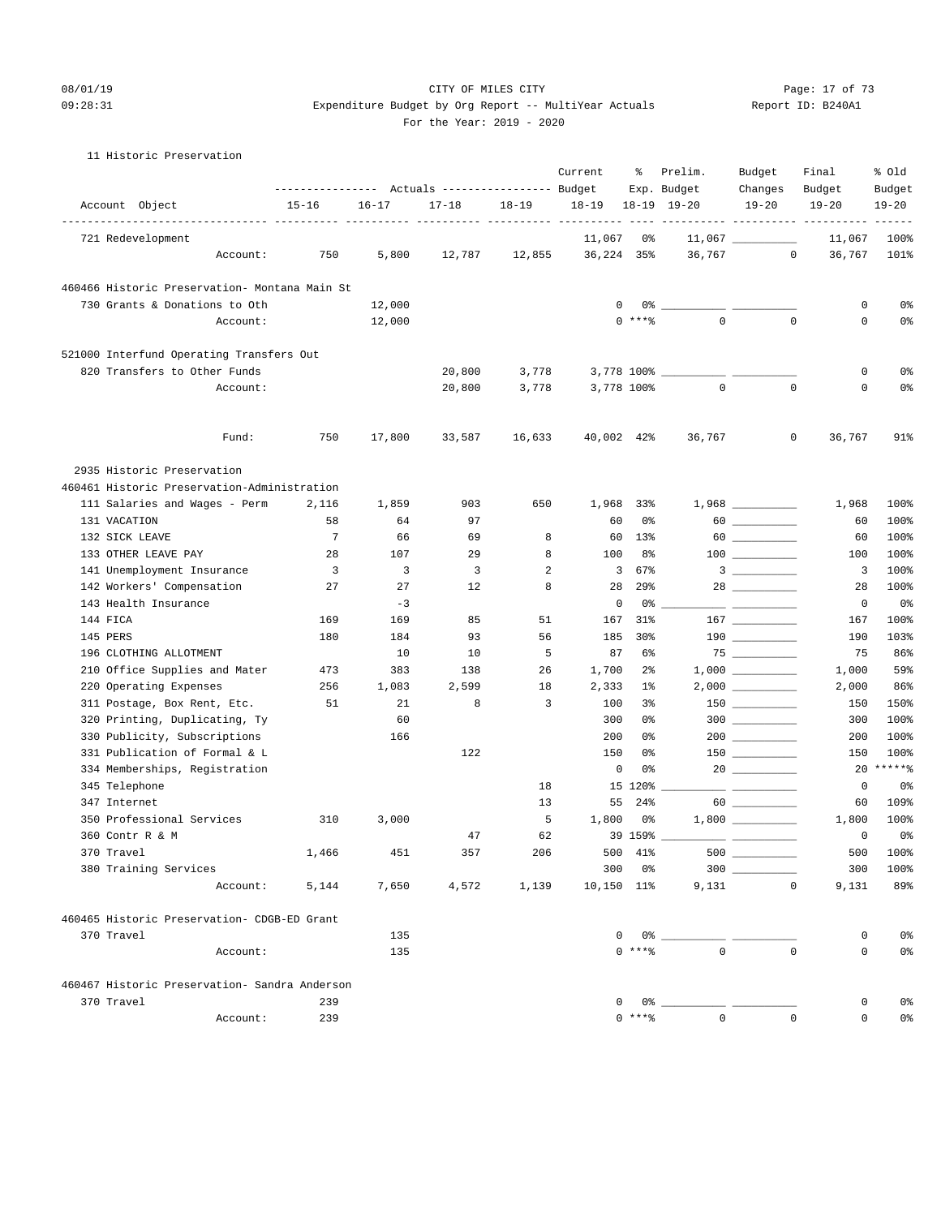#### 08/01/19 Page: 17 of 73 09:28:31 Expenditure Budget by Org Report -- MultiYear Actuals Report ID: B240A1 For the Year: 2019 - 2020

#### 11 Historic Preservation

|                                                               | ---------------- |           | Actuals ----------------- Budget |           | Current                     | ႜ                    | Prelim.<br>Exp. Budget     | Budget<br>Changes  | Final<br>Budget                            | % old<br>Budget             |
|---------------------------------------------------------------|------------------|-----------|----------------------------------|-----------|-----------------------------|----------------------|----------------------------|--------------------|--------------------------------------------|-----------------------------|
| Account Object                                                | $15 - 16$        | $16 - 17$ | $17 - 18$                        | $18 - 19$ | $18 - 19$                   |                      | $18-19$ $19-20$            | $19 - 20$          | $19 - 20$                                  | $19 - 20$                   |
| 721 Redevelopment                                             |                  |           |                                  |           | ------ ----------<br>11,067 | 0%                   |                            | $11,067$ _________ | ----------- ---------- ---------<br>11,067 | 100%                        |
| Account:                                                      | 750              | 5,800     | 12,787                           | 12,855    | 36,224 35%                  |                      | 36,767                     | $\circ$            | 36,767                                     | 101%                        |
| 460466 Historic Preservation- Montana Main St                 |                  |           |                                  |           |                             |                      |                            |                    |                                            |                             |
| 730 Grants & Donations to Oth                                 |                  | 12,000    |                                  |           |                             | 0<br>0%              |                            |                    | 0                                          | 0%                          |
| Account:                                                      |                  | 12,000    |                                  |           |                             | $0$ ****             | $\mathbf{0}$               | $\mathbf{0}$       | 0                                          | 0%                          |
| 521000 Interfund Operating Transfers Out                      |                  |           |                                  |           |                             |                      |                            |                    |                                            |                             |
| 820 Transfers to Other Funds                                  |                  |           | 20,800                           | 3,778     |                             |                      | 3,778 100% _______________ |                    | 0                                          | 0%                          |
| Account:                                                      |                  |           | 20,800                           | 3,778     |                             | 3,778 100%           | $\mathbf 0$                | $\mathbf 0$        | $\mathbf 0$                                | 0%                          |
| Fund:                                                         | 750              | 17,800    | 33,587                           | 16,633    |                             | 40,002 42%           | 36,767                     | 0                  | 36,767                                     | 91%                         |
| 2935 Historic Preservation                                    |                  |           |                                  |           |                             |                      |                            |                    |                                            |                             |
| 460461 Historic Preservation-Administration                   |                  |           |                                  |           |                             |                      |                            |                    |                                            |                             |
| 111 Salaries and Wages - Perm                                 | 2,116            | 1,859     | 903                              | 650       | 1,968                       | 33%                  |                            |                    | 1,968                                      | 100%                        |
| 131 VACATION                                                  | 58               | 64        | 97                               |           | 60                          | 0%                   |                            |                    | 60                                         | 100%                        |
| 132 SICK LEAVE                                                | 7                | 66        | 69                               | 8         | 60                          | $13\%$               |                            |                    | 60                                         | 100%                        |
| 133 OTHER LEAVE PAY                                           | 28               | 107       | 29                               | 8         | 100                         | 8%                   |                            |                    | 100                                        | 100%                        |
| 141 Unemployment Insurance                                    | 3                | 3         | 3                                | 2         | $\overline{\mathbf{3}}$     | 67%                  |                            |                    | 3                                          | 100%                        |
| 142 Workers' Compensation                                     | 27               | 27        | 12                               | 8         | 28                          | 29 <sub>8</sub>      |                            |                    | 28                                         | 100%                        |
| 143 Health Insurance                                          |                  | $-3$      |                                  |           |                             | 0<br>0%              |                            |                    | $\circ$                                    | 0%                          |
| 144 FICA                                                      | 169              | 169       | 85                               | 51        | 167                         | 31%                  |                            |                    | 167                                        | 100%                        |
| 145 PERS                                                      | 180              | 184       | 93                               | 56        | 185                         | 30 <sub>8</sub>      |                            | $190$              | 190                                        | 103%                        |
| 196 CLOTHING ALLOTMENT                                        |                  | 10        | 10                               | 5         | 87                          | 6%                   |                            |                    | 75                                         | 86%                         |
| 210 Office Supplies and Mater                                 | 473              | 383       | 138                              | 26        | 1,700                       | $2\frac{6}{9}$       |                            |                    | 1,000                                      | 59%                         |
| 220 Operating Expenses                                        | 256              | 1,083     | 2,599                            | 18        | 2,333                       | $1\%$                |                            |                    | 2,000                                      | 86%                         |
| 311 Postage, Box Rent, Etc.                                   | 51               | 21        | 8                                | 3         | 100                         | 3%                   |                            | $150$ ________     | 150                                        | 150%                        |
| 320 Printing, Duplicating, Ty                                 |                  | 60<br>166 |                                  |           | 300<br>200                  | 0%<br>0%             |                            | $300$              | 300                                        | 100%<br>100%                |
| 330 Publicity, Subscriptions<br>331 Publication of Formal & L |                  |           | 122                              |           | 150                         | 0%                   |                            |                    | 200<br>150                                 | 100%                        |
| 334 Memberships, Registration                                 |                  |           |                                  |           |                             | 0<br>0%              |                            |                    | 20                                         | $***$ * * * * $\frac{6}{5}$ |
| 345 Telephone                                                 |                  |           |                                  | 18        |                             | 15 120%              |                            |                    | 0                                          | 0%                          |
| 347 Internet                                                  |                  |           |                                  | 13        | 55                          | 24%                  |                            |                    | 60                                         | 109%                        |
| 350 Professional Services                                     | 310              | 3,000     |                                  | 5         | 1,800                       | 0%                   |                            |                    | 1,800                                      | 100%                        |
| 360 Contr R & M                                               |                  |           | 47                               | 62        |                             | 39 159%              |                            |                    | $\mathbf 0$                                | 0%                          |
| 370 Travel                                                    | 1,466            | 451       | 357                              | 206       |                             | 500 41%              | $500$ $\_\_$               |                    | 500                                        | 100%                        |
| 380 Training Services                                         |                  |           |                                  |           |                             | $300$ $0\frac{6}{3}$ |                            | $300$              | 300                                        | 100%                        |
| Account:                                                      | 5,144            | 7,650     | 4,572                            | 1,139     | $10,150$ $11\%$             |                      |                            | 9,131<br>$\circ$   | 9,131                                      | 89%                         |
| 460465 Historic Preservation- CDGB-ED Grant                   |                  |           |                                  |           |                             |                      |                            |                    |                                            |                             |
| 370 Travel                                                    |                  | 135       |                                  |           |                             |                      |                            |                    | 0                                          | 0%                          |
| Account:                                                      |                  | 135       |                                  |           |                             | $0***$ $*$           | $\mathbf{0}$               | $\mathbf 0$        | $\mathsf{O}$                               | 0%                          |
| 460467 Historic Preservation- Sandra Anderson                 |                  |           |                                  |           |                             |                      |                            |                    |                                            |                             |
| 370 Travel                                                    | 239              |           |                                  |           |                             |                      |                            |                    | 0                                          | 0%                          |
| Account:                                                      | 239              |           |                                  |           |                             | $0***8$              | $\mathsf{O}$               | $\mathbf 0$        | $\mathsf{O}$                               | 0%                          |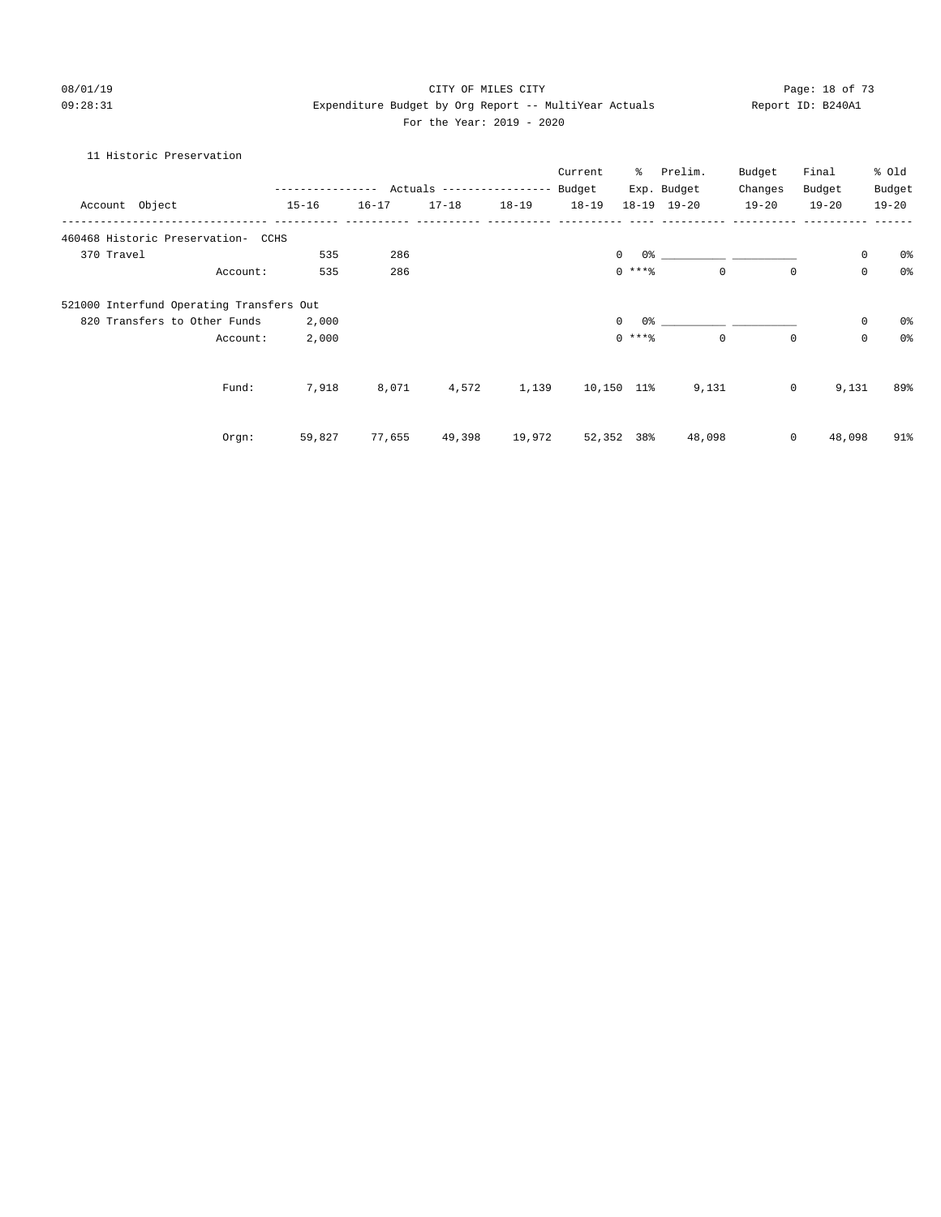#### 08/01/19 Page: 18 of 73 09:28:31 Expenditure Budget by Org Report -- MultiYear Actuals Report ID: B240A1 For the Year: 2019 - 2020

#### 11 Historic Preservation

|                                          |                                            |           |           |           | Current   | ႜႜ         | Prelim.     | Budget    | Final        |                     | % old          |
|------------------------------------------|--------------------------------------------|-----------|-----------|-----------|-----------|------------|-------------|-----------|--------------|---------------------|----------------|
|                                          | ---------------- Actuals ----------------- |           |           |           | Budget    |            | Exp. Budget | Changes   | Budget       |                     | Budget         |
| Account Object                           | $15 - 16$                                  | $16 - 17$ | $17 - 18$ | $18 - 19$ | $18 - 19$ |            | 18-19 19-20 | $19 - 20$ | $19 - 20$    |                     | $19 - 20$      |
| 460468 Historic Preservation- CCHS       |                                            |           |           |           |           |            |             |           |              |                     |                |
| 370 Travel                               | 535                                        | 286       |           |           |           | $\circ$    |             |           |              | $\mathsf{O}\xspace$ | 0%             |
| Account:                                 | 535                                        | 286       |           |           |           | $0$ ****   | $\mathbf 0$ |           | $\mathbf 0$  | $\mathbf 0$         | 0 <sup>°</sup> |
| 521000 Interfund Operating Transfers Out |                                            |           |           |           |           |            |             |           |              |                     |                |
| 820 Transfers to Other Funds             | 2,000                                      |           |           |           |           | $\Omega$   |             |           |              | $\mathbf 0$         | 0%             |
| Account:                                 | 2,000                                      |           |           |           |           | $0$ ****   | $\mathbf 0$ |           | $\mathbf 0$  | $\mathbf 0$         | 0 <sup>°</sup> |
| Fund:                                    | 7,918                                      | 8,071     | 4,572     | 1,139     |           | 10,150 11% | 9,131       |           | $\mathsf{O}$ | 9,131               | 89%            |
|                                          |                                            |           |           |           |           |            |             |           |              |                     |                |
| Orgn:                                    | 59,827                                     | 77,655    | 49,398    | 19,972    |           | 52,352 38% | 48,098      |           | 0            | 48,098              | 91%            |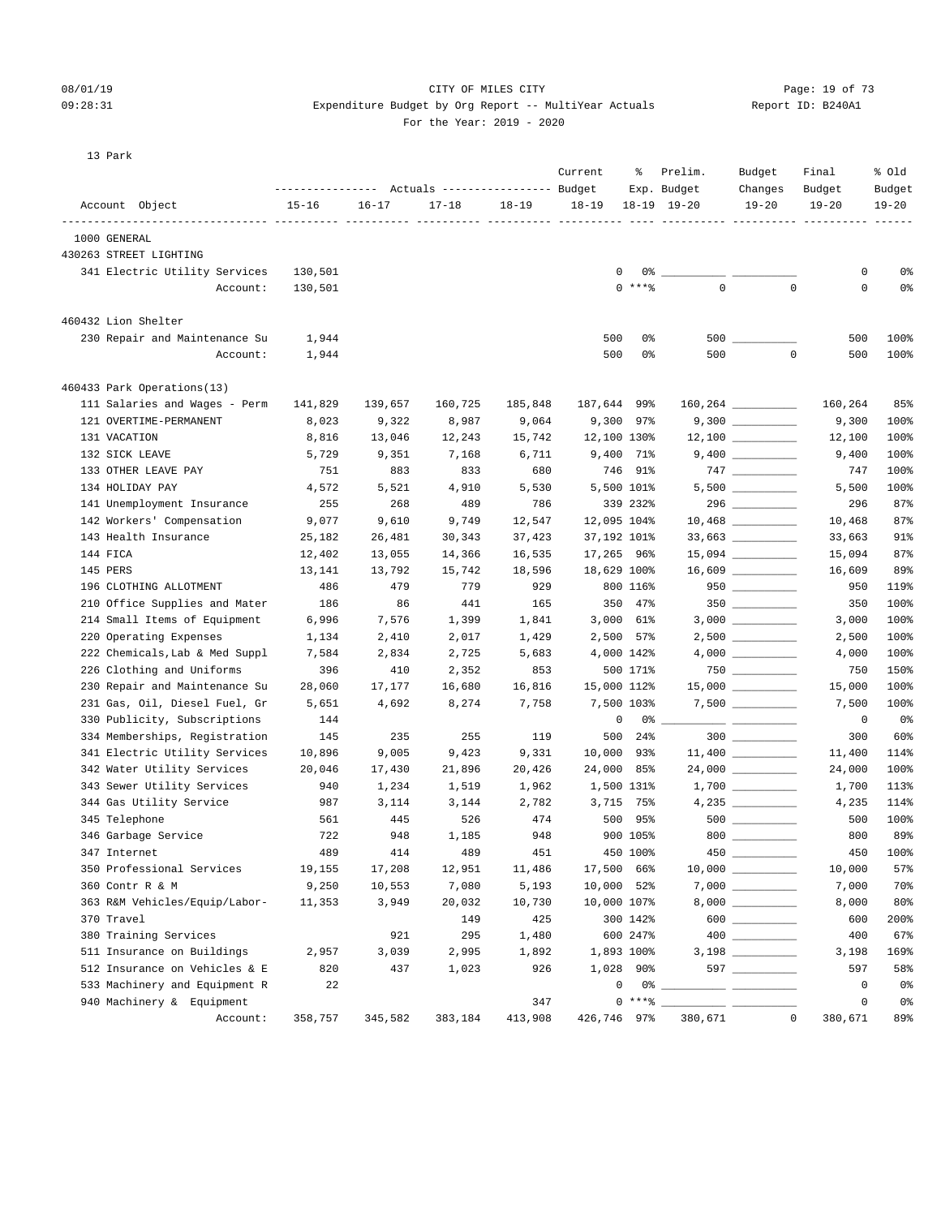## 08/01/19 Page: 19 of 73  $09:28:31$  Expenditure Budget by Org Report -- MultiYear Actuals

For the Year: 2019 - 2020

| Report ID: B240A1 |  |
|-------------------|--|
|                   |  |

13 Park

|                        |                                | ---------------- |           | Actuals ----------------- Budget |           | Current     | ႜ          | Prelim.<br>Exp. Budget                            | Budget<br>Changes     | Final<br>Budget | % old<br>Budget |
|------------------------|--------------------------------|------------------|-----------|----------------------------------|-----------|-------------|------------|---------------------------------------------------|-----------------------|-----------------|-----------------|
| Account Object         |                                | $15 - 16$        | $16 - 17$ | $17 - 18$                        | $18 - 19$ | $18 - 19$   |            | $18-19$ $19-20$                                   | $19 - 20$             | $19 - 20$       | $19 - 20$       |
| 1000 GENERAL           |                                |                  |           |                                  |           |             |            |                                                   |                       |                 |                 |
| 430263 STREET LIGHTING |                                |                  |           |                                  |           |             |            |                                                   |                       |                 |                 |
|                        | 341 Electric Utility Services  | 130,501          |           |                                  |           | 0           | 0%         |                                                   |                       | 0               | 0 <sup>8</sup>  |
|                        | Account:                       | 130,501          |           |                                  |           |             | $0$ ****   | $\mathbf 0$                                       | $\mathbf 0$           | 0               | 0 <sup>°</sup>  |
|                        |                                |                  |           |                                  |           |             |            |                                                   |                       |                 |                 |
| 460432 Lion Shelter    |                                |                  |           |                                  |           |             |            |                                                   |                       |                 |                 |
|                        | 230 Repair and Maintenance Su  | 1,944            |           |                                  |           | 500         | 0%         |                                                   |                       | 500             | 100%            |
|                        | Account:                       | 1,944            |           |                                  |           | 500         | 0%         | 500                                               | $\mathbf 0$           | 500             | 100%            |
|                        | 460433 Park Operations(13)     |                  |           |                                  |           |             |            |                                                   |                       |                 |                 |
|                        | 111 Salaries and Wages - Perm  | 141,829          | 139,657   | 160,725                          | 185,848   | 187,644 99% |            |                                                   | $160, 264$ __________ | 160,264         | 85%             |
|                        | 121 OVERTIME-PERMANENT         | 8,023            | 9,322     | 8,987                            | 9,064     |             | 9,300 97%  |                                                   |                       | 9,300           | 100%            |
| 131 VACATION           |                                | 8,816            | 13,046    | 12,243                           | 15,742    | 12,100 130% |            |                                                   | $12,100$ _________    | 12,100          | 100%            |
| 132 SICK LEAVE         |                                | 5,729            | 9,351     | 7,168                            | 6,711     |             | 9,400 71%  |                                                   |                       | 9,400           | 100%            |
|                        | 133 OTHER LEAVE PAY            | 751              | 883       | 833                              | 680       |             | 746 91%    |                                                   | $747$ _________       | 747             | 100%            |
| 134 HOLIDAY PAY        |                                | 4,572            | 5,521     | 4,910                            | 5,530     | 5,500 101%  |            |                                                   | $5,500$ __________    | 5,500           | 100%            |
|                        | 141 Unemployment Insurance     | 255              | 268       | 489                              | 786       |             | 339 232%   |                                                   |                       | 296             | 87%             |
|                        | 142 Workers' Compensation      | 9,077            | 9,610     | 9,749                            | 12,547    | 12,095 104% |            |                                                   | $10,468$ __________   | 10,468          | 87%             |
|                        | 143 Health Insurance           | 25,182           | 26,481    | 30,343                           | 37,423    | 37,192 101% |            |                                                   | 33,663                | 33,663          | 91%             |
| 144 FICA               |                                | 12,402           | 13,055    | 14,366                           | 16,535    | 17,265 96%  |            |                                                   | 15,094 ___________    | 15,094          | 87%             |
| 145 PERS               |                                | 13,141           | 13,792    | 15,742                           | 18,596    | 18,629 100% |            |                                                   |                       | 16,609          | 89%             |
|                        | 196 CLOTHING ALLOTMENT         | 486              | 479       | 779                              | 929       |             | 800 116%   |                                                   |                       | 950             | 119%            |
|                        | 210 Office Supplies and Mater  | 186              | 86        | 441                              | 165       |             | 350 47%    |                                                   |                       | 350             | 100%            |
|                        | 214 Small Items of Equipment   | 6,996            | 7,576     | 1,399                            | 1,841     | 3,000 61%   |            |                                                   |                       | 3,000           | 100%            |
|                        | 220 Operating Expenses         | 1,134            | 2,410     | 2,017                            | 1,429     | 2,500 57%   |            |                                                   | $2,500$ __________    | 2,500           | 100%            |
|                        | 222 Chemicals, Lab & Med Suppl | 7,584            | 2,834     | 2,725                            | 5,683     | 4,000 142%  |            |                                                   |                       | 4,000           | 100%            |
|                        | 226 Clothing and Uniforms      | 396              | 410       | 2,352                            | 853       |             | 500 171%   |                                                   |                       | 750             | 150%            |
|                        | 230 Repair and Maintenance Su  | 28,060           | 17,177    | 16,680                           | 16,816    | 15,000 112% |            |                                                   | $15,000$ _________    | 15,000          | 100%            |
|                        | 231 Gas, Oil, Diesel Fuel, Gr  | 5,651            | 4,692     | 8,274                            | 7,758     | 7,500 103%  |            |                                                   | $7,500$ _________     | 7,500           | 100%            |
|                        | 330 Publicity, Subscriptions   | 144              |           |                                  |           | 0           | 0%         | <u> The Communication of the Communication of</u> |                       | 0               | 0 <sup>°</sup>  |
|                        | 334 Memberships, Registration  | 145              | 235       | 255                              | 119       | 500         | $24\%$     |                                                   | $300$                 | 300             | 60%             |
|                        | 341 Electric Utility Services  | 10,896           | 9,005     | 9,423                            | 9,331     | 10,000 93%  |            |                                                   | $11,400$ _________    | 11,400          | 114%            |
|                        | 342 Water Utility Services     | 20,046           | 17,430    | 21,896                           | 20,426    | 24,000 85%  |            |                                                   |                       | 24,000          | 100%            |
|                        | 343 Sewer Utility Services     | 940              | 1,234     | 1,519                            | 1,962     | 1,500 131%  |            |                                                   |                       | 1,700           | 113%            |
|                        | 344 Gas Utility Service        | 987              | 3,114     | 3,144                            | 2,782     |             | 3,715 75%  |                                                   |                       | 4,235           | 114%            |
| 345 Telephone          |                                | 561              | 445       | 526                              | 474       | 500         | 95%        |                                                   | $500$ __________      | 500             | 100%            |
|                        | 346 Garbage Service            | 722              | 948       | 1,185                            | 948       |             | 900 105%   |                                                   | $800$                 | 800             | 89%             |
| 347 Internet           |                                | 489              | 414       | 489                              | 451       |             | 450 100%   | 450                                               |                       |                 | 450 100%        |
|                        | 350 Professional Services      | 19,155           | 17,208    | 12,951                           | 11,486    | 17,500 66%  |            |                                                   | $10,000$ __________   | 10,000          | 57%             |
| 360 Contr R & M        |                                | 9,250            | 10,553    | 7,080                            | 5,193     | 10,000 52%  |            |                                                   |                       | 7,000           | 70%             |
|                        | 363 R&M Vehicles/Equip/Labor-  | 11,353           | 3,949     | 20,032                           | 10,730    | 10,000 107% |            |                                                   |                       | 8,000           | 80%             |
| 370 Travel             |                                |                  |           | 149                              | 425       |             | 300 142%   |                                                   | $600$                 | 600             | 200%            |
|                        | 380 Training Services          |                  | 921       | 295                              | 1,480     |             | 600 247%   |                                                   |                       | 400             | 67%             |
|                        | 511 Insurance on Buildings     | 2,957            | 3,039     | 2,995                            | 1,892     |             | 1,893 100% |                                                   |                       | 3,198           | 169%            |
|                        | 512 Insurance on Vehicles & E  | 820              | 437       | 1,023                            | 926       | 1,028 90%   |            |                                                   | 597 ___________       | 597             | 58%             |
|                        | 533 Machinery and Equipment R  | 22               |           |                                  |           | 0           | 0 응        |                                                   |                       | 0               | 0 <sup>°</sup>  |
|                        | 940 Machinery & Equipment      |                  |           |                                  | 347       |             | $0***8$    |                                                   |                       | $\mathsf 0$     | 0%              |
|                        | Account:                       | 358,757          | 345,582   | 383,184                          | 413,908   | 426,746 97% |            | 380,671                                           | $\mathbb O$           | 380,671         | 89%             |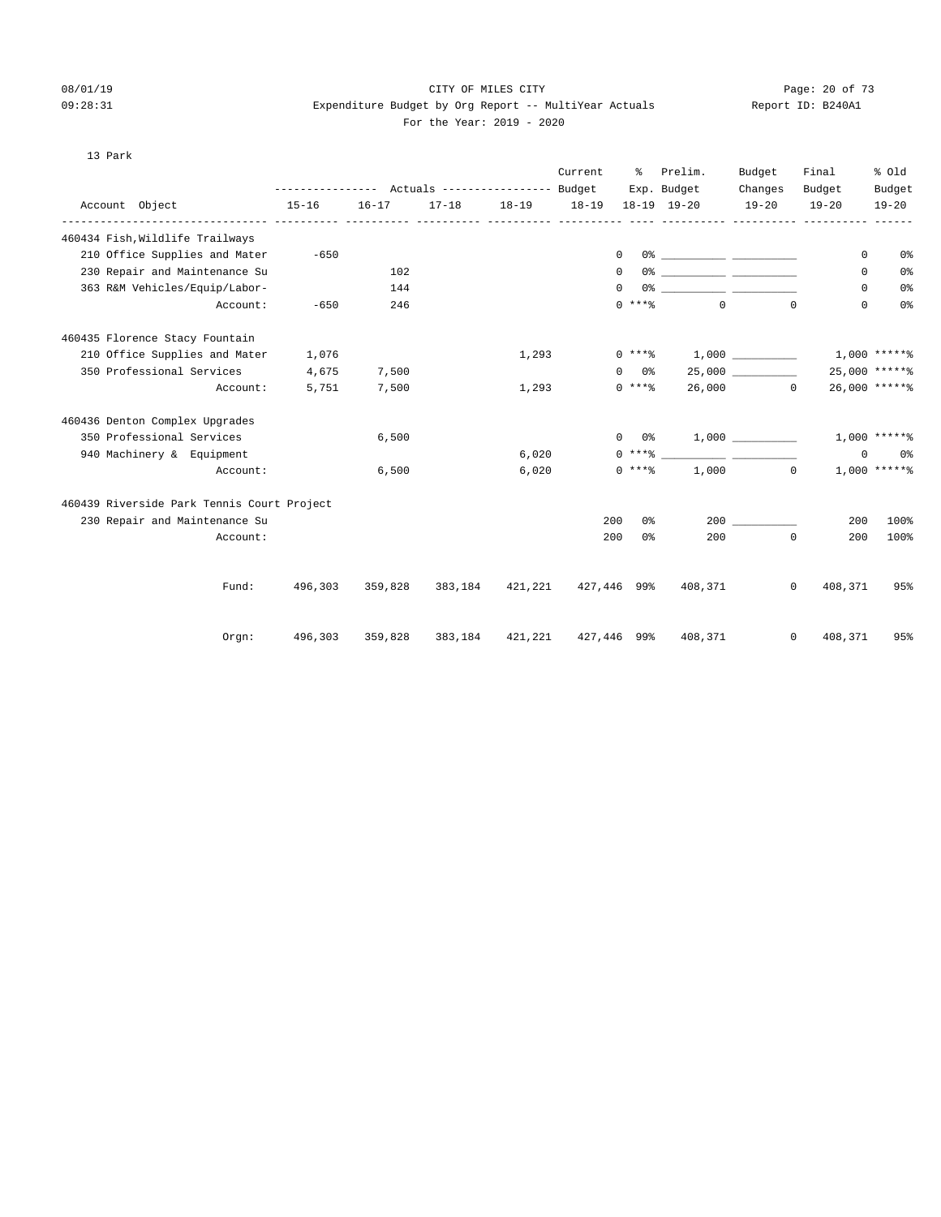#### 08/01/19 Page: 20 of 73  $09:28:31$  Expenditure Budget by Org Report -- MultiYear Actuals For the Year: 2019 - 2020

| Report ID: B240A1 |  |
|-------------------|--|
|                   |  |

#### 13 Park

|                                            |                                                 |           |                                     |           | Current   | ႜႜၟ            | Prelim.                                 | Budget    | Final                   | % old           |
|--------------------------------------------|-------------------------------------------------|-----------|-------------------------------------|-----------|-----------|----------------|-----------------------------------------|-----------|-------------------------|-----------------|
|                                            | --------------- Actuals ---------------- Budget |           |                                     |           |           |                | Exp. Budget                             | Changes   | Budget                  | Budget          |
| Account Object                             | $15 - 16$                                       | $16 - 17$ | $17 - 18$                           | $18 - 19$ | $18 - 19$ |                | $18-19$ $19-20$                         | $19 - 20$ | $19 - 20$               | $19 - 20$       |
| 460434 Fish, Wildlife Trailways            |                                                 |           |                                     |           |           |                |                                         |           |                         |                 |
| 210 Office Supplies and Mater              | $-650$                                          |           |                                     |           |           | $\circ$        |                                         |           | 0                       | 0 <sup>o</sup>  |
| 230 Repair and Maintenance Su              |                                                 | 102       |                                     |           |           | 0              |                                         |           | 0                       | 0 <sup>o</sup>  |
| 363 R&M Vehicles/Equip/Labor-              |                                                 | 144       |                                     |           |           | $\Omega$       |                                         |           | 0                       | 0 <sup>o</sup>  |
| Account:                                   | $-650$                                          | 246       |                                     |           |           | $0$ ****       | $\overline{0}$                          |           | 0<br>$\Omega$           | 0 <sup>°</sup>  |
| 460435 Florence Stacy Fountain             |                                                 |           |                                     |           |           |                |                                         |           |                         |                 |
| 210 Office Supplies and Mater              | 1,076                                           |           |                                     | 1,293     |           |                | $0***$ $1,000$                          |           |                         | $1,000$ *****%  |
| 350 Professional Services                  | 4,675                                           | 7,500     |                                     |           |           | $0\qquad 0\%$  |                                         | 25,000    |                         | $25,000$ *****% |
| Account:                                   | 5,751                                           | 7,500     |                                     | 1,293     |           | $0***8$        |                                         | 26,000 0  |                         | 26,000 ******   |
| 460436 Denton Complex Upgrades             |                                                 |           |                                     |           |           |                |                                         |           |                         |                 |
| 350 Professional Services                  |                                                 | 6,500     |                                     |           |           |                | $0 \t 0$ % 1,000                        |           |                         | $1,000$ *****%  |
| 940 Machinery & Equipment                  |                                                 |           |                                     | 6,020     |           |                | $0***$ $\qquad \qquad \qquad$           |           | 0                       | 0 %             |
| Account:                                   |                                                 | 6,500     |                                     | 6,020     |           | $0***8$        |                                         | 1,000     | $\Omega$                | $1,000$ *****%  |
| 460439 Riverside Park Tennis Court Project |                                                 |           |                                     |           |           |                |                                         |           |                         |                 |
| 230 Repair and Maintenance Su              |                                                 |           |                                     |           | 200       | 0 <sup>°</sup> |                                         | 200       | 200                     | 100%            |
| Account:                                   |                                                 |           |                                     |           | 200       | 0 <sup>o</sup> | 200                                     |           | $\mathbf 0$<br>200      | 100%            |
|                                            |                                                 |           |                                     |           |           |                |                                         |           |                         |                 |
| Fund:                                      | 496,303                                         |           | 359,828 383,184 421,221 427,446 99% |           |           |                | 408,371                                 |           | 408,371<br>$\mathbf{0}$ | 95%             |
| Orgn:                                      | 496,303                                         | 359,828   |                                     |           |           |                | 383, 184 421, 221 427, 446 99% 408, 371 |           | $\mathbf{0}$<br>408,371 | 95%             |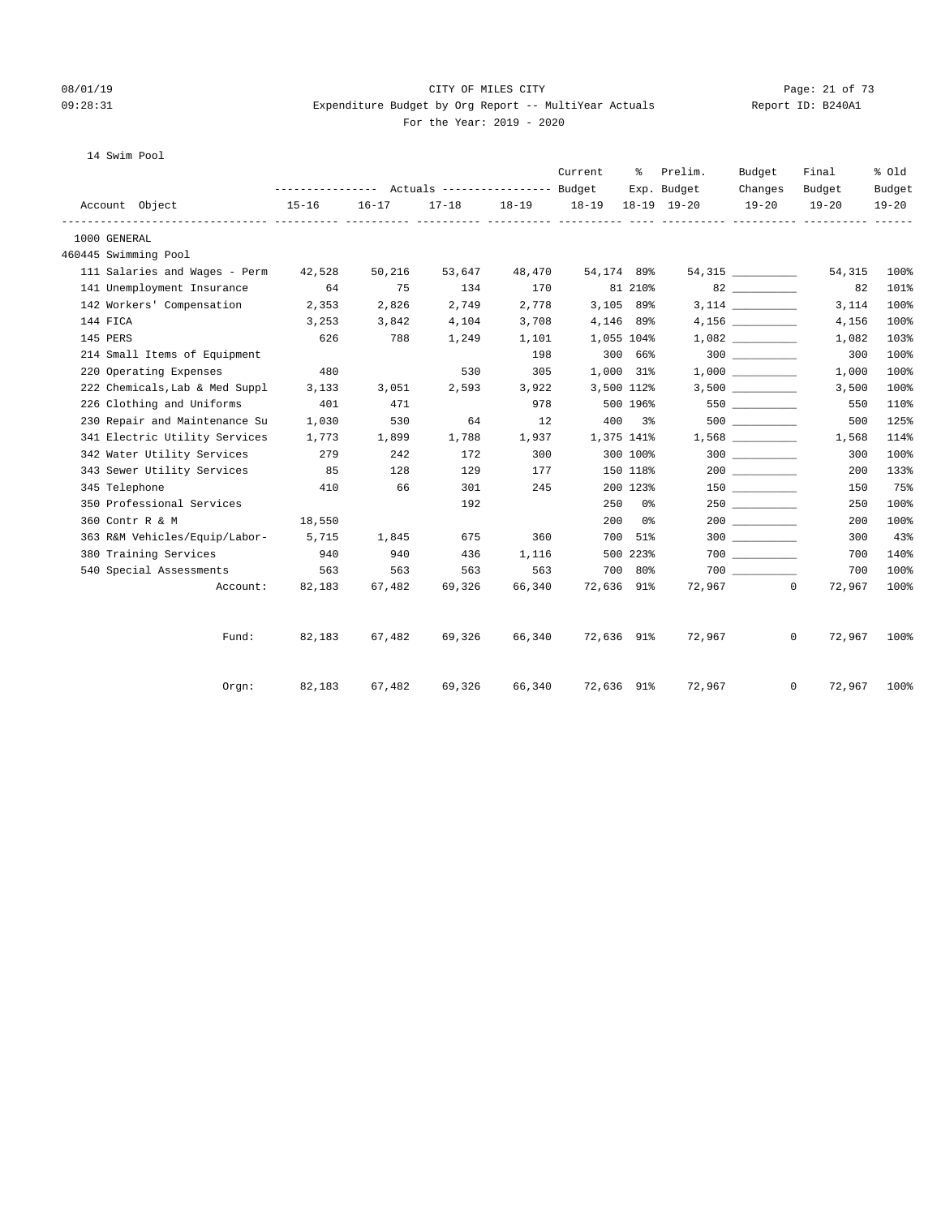#### 08/01/19 Page: 21 of 73 09:28:31 Expenditure Budget by Org Report -- MultiYear Actuals Report ID: B240A1 For the Year: 2019 - 2020

# 14 Swim Pool

|                                      |           |           | --------------- Actuals ---------------- Budget |           | Current    |             | % Prelim.<br>Exp. Budget | Budget               | Final                  | % Old               |
|--------------------------------------|-----------|-----------|-------------------------------------------------|-----------|------------|-------------|--------------------------|----------------------|------------------------|---------------------|
| Account Object                       | $15 - 16$ | $16 - 17$ | $17 - 18$                                       | $18 - 19$ | $18 - 19$  |             | $18 - 19$ $19 - 20$      | Changes<br>$19 - 20$ | Budget<br>$19 - 20$    | Budget<br>$19 - 20$ |
| 1000 GENERAL                         |           |           |                                                 |           |            |             |                          |                      |                        |                     |
| 460445 Swimming Pool                 |           |           |                                                 |           |            |             |                          |                      |                        |                     |
| 111 Salaries and Wages - Perm 42,528 |           | 50,216    | 53,647                                          | 48,470    | 54,174 89% |             |                          | 54,315 ___________   | 54,315                 | 100%                |
| 141 Unemployment Insurance           | 64        | 75        | 134                                             | 170       |            | 81 210%     |                          | 82 and $\sim$        | 82                     | 101%                |
| 142 Workers' Compensation 2,353      |           | 2,826     | 2,749                                           | 2,778     |            | $3,105$ 89% |                          |                      | 3,114                  | 100%                |
| 144 FICA                             | 3,253     | 3,842     | 4,104                                           | 3,708     |            | 4,146 89%   |                          | 4,156                | 4,156                  | 100%                |
| 145 PERS                             | 626       | 788       | 1,249                                           | 1,101     |            | 1,055 104%  |                          | 1,082                | 1,082                  | 103%                |
| 214 Small Items of Equipment         |           |           |                                                 | 198       |            | 300 66%     |                          |                      | 300                    | 100%                |
| 220 Operating Expenses               | 480       |           | 530                                             | 305       |            | 1,000 31%   |                          | 1,000                | 1,000                  | 100%                |
| 222 Chemicals, Lab & Med Suppl       | 3,133     | 3,051     | 2,593                                           | 3,922     |            | 3,500 112%  |                          | 3,500                | 3,500                  | 100%                |
| 226 Clothing and Uniforms            | 401       | 471       |                                                 | 978       |            | 500 196%    |                          | 550                  | 550                    | 110%                |
| 230 Repair and Maintenance Su        | 1,030     | 530       | 64                                              | 12        |            | 400 3%      |                          |                      | 500                    | 125%                |
| 341 Electric Utility Services        | 1,773     | 1,899     | 1,788                                           | 1,937     |            | 1,375 141%  |                          |                      | 1,568                  | 114%                |
| 342 Water Utility Services           | 279       | 242       | 172                                             | 300       |            | 300 100%    |                          | $300$                | 300                    | 100%                |
| 343 Sewer Utility Services           | 85        | 128       | 129                                             | 177       |            | 150 118%    |                          |                      | 200                    | 133%                |
| 345 Telephone                        | 410       | 66        | 301                                             | 245       |            | 200 123%    |                          | 150 30               | 150                    | 75%                 |
| 350 Professional Services            |           |           | 192                                             |           |            | 250 0%      |                          | 250                  | 250                    | 100%                |
| 360 Contr R & M                      | 18,550    |           |                                                 |           |            | $200$ $0\%$ |                          |                      | 200                    | 100%                |
| 363 R&M Vehicles/Equip/Labor-        | 5,715     | 1,845     | 675                                             | 360       |            | 700 51%     |                          | 300                  | 300                    | 43%                 |
| 380 Training Services                | 940       | 940       | 436                                             | 1,116     |            | 500 223%    |                          | 700 000              | 700                    | 140%                |
| 540 Special Assessments              | 563       | 563       | 563                                             | 563       |            | 700 80%     |                          | 700 000              | 700                    | 100%                |
| Account:                             | 82,183    | 67,482    | 69,326                                          | 66,340    | 72,636 91% |             |                          | 72,967               | $\mathbf{0}$<br>72,967 | 100%                |
| Fund:                                | 82,183    | 67,482    | 69,326                                          | 66,340    | 72,636 91% |             | 72,967                   |                      | 72,967<br>$\mathbf{0}$ | 100%                |
| Orem:                                | 82,183    | 67,482    | 69,326                                          | 66,340    |            |             | 72,636 91% 72,967        |                      | 72,967<br>$^{\circ}$   | 100%                |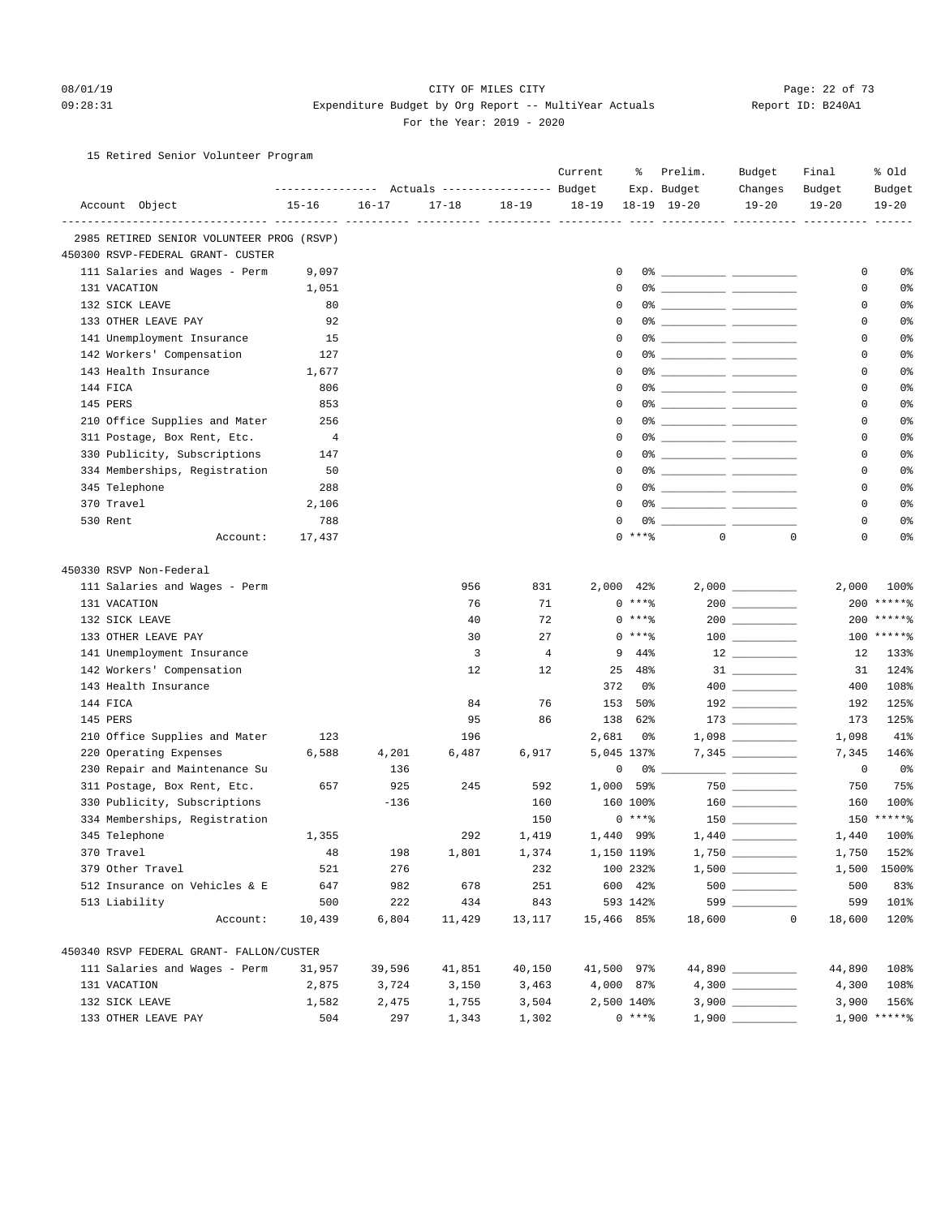#### 08/01/19 Page: 22 of 73 09:28:31 Expenditure Budget by Org Report -- MultiYear Actuals Report ID: B240A1 For the Year: 2019 - 2020

#### 15 Retired Senior Volunteer Program

|                                                                           |           |           |           |                | Current     | န့         | Prelim.                      | Budget          | Final       | % old          |
|---------------------------------------------------------------------------|-----------|-----------|-----------|----------------|-------------|------------|------------------------------|-----------------|-------------|----------------|
|                                                                           |           |           |           |                |             |            | Exp. Budget                  | Changes         | Budget      | Budget         |
| Account Object                                                            | $15 - 16$ | $16 - 17$ | $17 - 18$ | $18 - 19$      | $18 - 19$   |            | $18-19$ $19-20$              | $19 - 20$       | $19 - 20$   | $19 - 20$      |
| -------------------------- ----                                           |           |           |           |                |             |            |                              |                 |             |                |
| 2985 RETIRED SENIOR VOLUNTEER PROG (RSVP)                                 |           |           |           |                |             |            |                              |                 |             |                |
| 450300 RSVP-FEDERAL GRANT- CUSTER                                         |           |           |           |                |             |            |                              |                 |             |                |
| 111 Salaries and Wages - Perm                                             | 9,097     |           |           |                | 0           |            |                              |                 | 0           | 0%             |
| 131 VACATION                                                              | 1,051     |           |           |                | $\mathbf 0$ |            |                              |                 | 0           | 0%             |
| 132 SICK LEAVE                                                            | 80        |           |           |                | 0           |            |                              |                 | 0           | 0%             |
| 133 OTHER LEAVE PAY                                                       | 92        |           |           |                | 0           |            |                              |                 | 0           | 0%             |
| 141 Unemployment Insurance                                                | 15        |           |           |                | $\Omega$    |            |                              |                 | $\mathbf 0$ | 0%             |
| 142 Workers' Compensation                                                 | 127       |           |           |                | 0           |            |                              |                 | 0           | 0%             |
| 143 Health Insurance                                                      | 1,677     |           |           |                | $\mathbf 0$ |            |                              |                 | 0           | 0 <sup>°</sup> |
| 144 FICA                                                                  | 806       |           |           |                | 0           |            |                              |                 | 0           | 0 <sup>°</sup> |
| 145 PERS                                                                  | 853       |           |           |                | 0           |            | 0% ____________ ____________ |                 | 0           | 0%             |
| 210 Office Supplies and Mater                                             | 256       |           |           |                | $\Omega$    |            |                              |                 | 0           | 0%             |
| 311 Postage, Box Rent, Etc.                                               | 4         |           |           |                | $\Omega$    |            |                              |                 | 0           | 0%             |
| 330 Publicity, Subscriptions                                              | 147       |           |           |                | $\mathbf 0$ |            |                              |                 | 0           | 0 <sup>°</sup> |
| 334 Memberships, Registration                                             | 50        |           |           |                | 0           |            |                              |                 | 0           | 0 <sup>°</sup> |
| 345 Telephone                                                             | 288       |           |           |                | 0           |            | 0% ____________ ___________  |                 | 0           | 0%             |
| 370 Travel                                                                | 2,106     |           |           |                | $\Omega$    |            |                              |                 | 0           | 0%             |
| 530 Rent                                                                  | 788       |           |           |                | 0           |            |                              |                 | 0           | 0%             |
| Account:                                                                  | 17,437    |           |           |                |             | $0$ ****   | $\mathbf{0}$                 | $\mathbf 0$     | 0           | 0%             |
| 450330 RSVP Non-Federal                                                   |           |           |           |                |             |            |                              |                 |             |                |
| 111 Salaries and Wages - Perm                                             |           |           | 956       | 831            |             | 2,000 42%  |                              |                 | 2,000       | 100%           |
| 131 VACATION                                                              |           |           | 76        | 71             |             | $0***8$    |                              | $200$ _________ |             | 200 ******     |
| 132 SICK LEAVE                                                            |           |           | 40        | 72             |             | $0***8$    |                              |                 |             | 200 ******     |
| 133 OTHER LEAVE PAY                                                       |           |           | 30        | 27             |             | $0***8$    |                              |                 |             | 100 ******     |
| 141 Unemployment Insurance                                                |           |           | 3         | $\overline{4}$ | 9           | 44%        |                              |                 | 12          | 133%           |
| 142 Workers' Compensation                                                 |           |           | 12        | $12 \,$        | 25          | 48%        |                              |                 | 31          | 124%           |
| 143 Health Insurance                                                      |           |           |           |                | 372         | 0%         |                              |                 | 400         | 108%           |
| 144 FICA                                                                  |           |           | 84        | 76             | 153         | 50%        |                              |                 | 192         | 125%           |
| 145 PERS                                                                  |           |           | 95        | 86             | 138         | 62%        |                              |                 | 173         | 125%           |
| 210 Office Supplies and Mater                                             | 123       |           | 196       |                | 2,681       | 0%         |                              |                 | 1,098       | 41%            |
| 220 Operating Expenses                                                    | 6,588     | 4,201     | 6,487     | 6,917          |             | 5,045 137% |                              |                 | 7,345       | 146%           |
| 230 Repair and Maintenance Su                                             |           | 136       |           |                | 0           | 0%         |                              |                 | 0           | 0%             |
| 311 Postage, Box Rent, Etc.                                               | 657       | 925       | 245       | 592            | 1,000       | 59%        |                              | 750             | 750         | 75%            |
| 330 Publicity, Subscriptions                                              |           | $-136$    |           | 160            |             | 160 100%   |                              |                 | 160         | 100%           |
| 334 Memberships, Registration                                             |           |           |           | 150            |             | $0***$ $*$ |                              |                 |             | 150 ******     |
| 345 Telephone                                                             | 1,355     |           | 292       | 1,419          |             | 1,440 99%  |                              |                 | 1,440       | 100%           |
| 370 Travel                                                                | 48        | 198       | 1,801     | 1,374          |             | 1,150 119% |                              |                 | 1,750       | 152%           |
| 379 Other Travel                                                          | 521       | 276       |           | 232            |             | 100 232%   |                              |                 |             | 1,500 1500%    |
| 512 Insurance on Vehicles & E                                             | 647       | 982       | 678       | 251            |             | 600 42%    |                              |                 | 500         | 83%            |
| 513 Liability                                                             | 500       | 222       | 434       | 843            |             | 593 142%   |                              | 599             | 599         | 101%           |
| Account:                                                                  | 10,439    | 6,804     | 11,429    | 13,117         | 15,466 85%  |            | 18,600                       | $\mathbf 0$     | 18,600      | 120%           |
|                                                                           |           |           |           |                |             |            |                              |                 |             |                |
| 450340 RSVP FEDERAL GRANT- FALLON/CUSTER<br>111 Salaries and Wages - Perm | 31,957    | 39,596    | 41,851    | 40,150         | 41,500 97%  |            |                              | 44,890          | 44,890      | 108%           |
| 131 VACATION                                                              | 2,875     | 3,724     | 3,150     | 3,463          |             | 4,000 87%  |                              |                 | 4,300       | 108%           |
| 132 SICK LEAVE                                                            | 1,582     | 2,475     | 1,755     | 3,504          |             | 2,500 140% |                              |                 | 3,900       | 156%           |
|                                                                           | 504       | 297       |           | 1,302          |             | $0***8$    |                              |                 |             | $1,900$ *****% |
| 133 OTHER LEAVE PAY                                                       |           |           | 1,343     |                |             |            |                              |                 |             |                |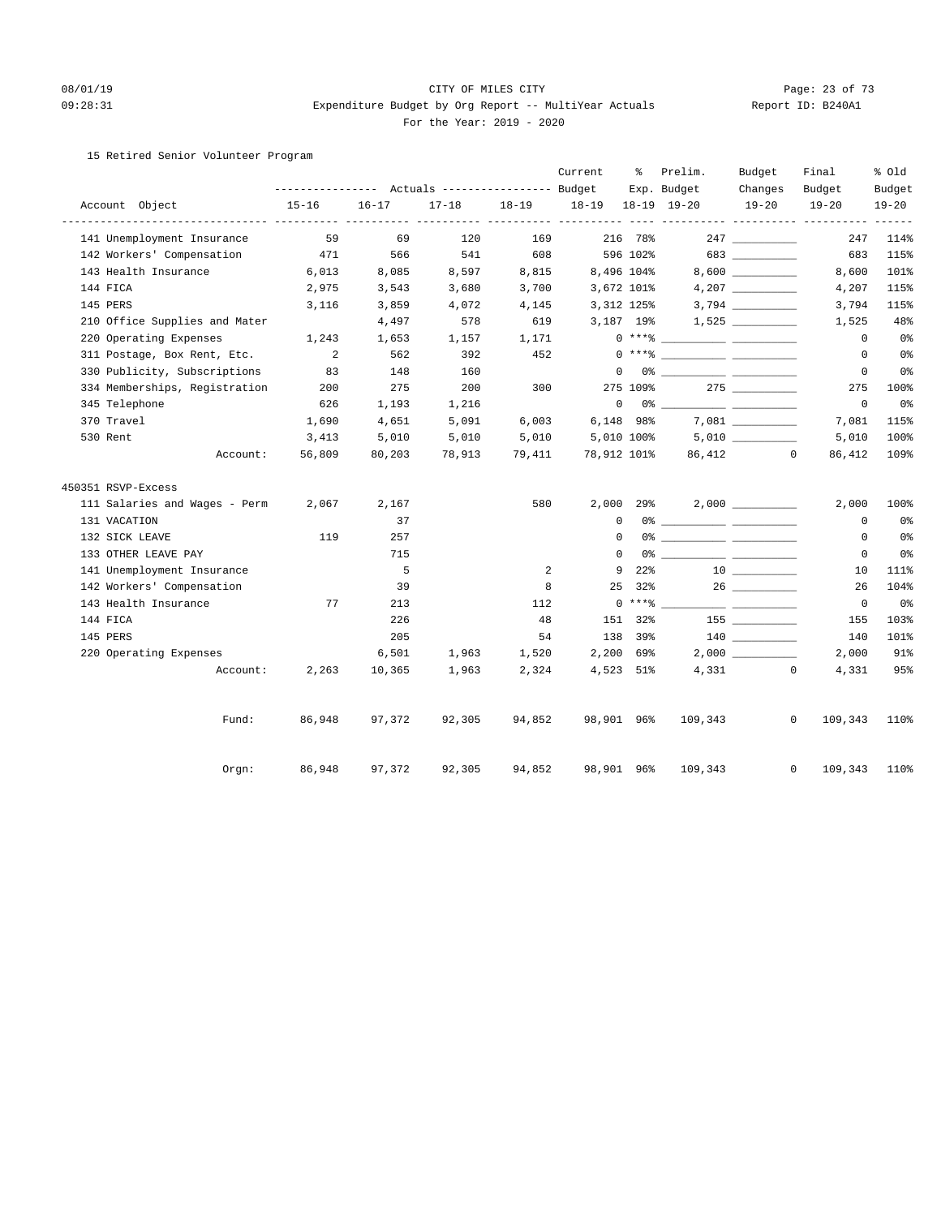#### 08/01/19 Page: 23 of 73 09:28:31 Expenditure Budget by Org Report -- MultiYear Actuals Report ID: B240A1 For the Year: 2019 - 2020

#### 15 Retired Senior Volunteer Program

|                               |                                                 |           |           |           | Current           | ႜ               | Prelim.                                                                                                                                                                                                                                                                                                                                                            | Budget    | Final              | % old          |
|-------------------------------|-------------------------------------------------|-----------|-----------|-----------|-------------------|-----------------|--------------------------------------------------------------------------------------------------------------------------------------------------------------------------------------------------------------------------------------------------------------------------------------------------------------------------------------------------------------------|-----------|--------------------|----------------|
|                               | --------------- Actuals ---------------- Budget |           |           |           |                   |                 | Exp. Budget                                                                                                                                                                                                                                                                                                                                                        | Changes   | Budget             | Budget         |
| Account Object                | $15 - 16$                                       | $16 - 17$ | $17 - 18$ | $18 - 19$ | 18-19 18-19 19-20 |                 |                                                                                                                                                                                                                                                                                                                                                                    | $19 - 20$ | $19 - 20$          | $19 - 20$      |
| 141 Unemployment Insurance    | 59                                              | 69        | 120       | 169       |                   | 216 78%         |                                                                                                                                                                                                                                                                                                                                                                    |           | 247                | 114%           |
| 142 Workers' Compensation     | 471                                             | 566       | 541       | 608       |                   | 596 102%        |                                                                                                                                                                                                                                                                                                                                                                    | 683       | 683                | 115%           |
| 143 Health Insurance          | 6,013                                           | 8,085     | 8,597     | 8,815     | 8,496 104%        |                 |                                                                                                                                                                                                                                                                                                                                                                    |           | 8,600              | 101%           |
| 144 FICA                      | 2,975                                           | 3,543     | 3,680     | 3,700     | 3,672 101%        |                 |                                                                                                                                                                                                                                                                                                                                                                    |           | 4,207              | 115%           |
| 145 PERS                      | 3,116                                           | 3,859     | 4,072     | 4,145     | 3,312 125%        |                 |                                                                                                                                                                                                                                                                                                                                                                    |           | 3,794              | 115%           |
| 210 Office Supplies and Mater |                                                 | 4,497     | 578       | 619       | 3,187 19%         |                 |                                                                                                                                                                                                                                                                                                                                                                    |           | 1,525              | 48%            |
| 220 Operating Expenses        | 1,243                                           | 1,653     | 1,157     | 1,171     |                   |                 | $0***$ $\frac{20}{10}$                                                                                                                                                                                                                                                                                                                                             |           | $^{\circ}$         | 0 <sub>8</sub> |
| 311 Postage, Box Rent, Etc.   | $\overline{2}$                                  | 562       | 392       | 452       |                   |                 | $0***$ $\frac{20}{10}$                                                                                                                                                                                                                                                                                                                                             |           | $^{\circ}$         | 0 <sup>°</sup> |
| 330 Publicity, Subscriptions  | 83                                              | 148       | 160       |           |                   |                 | $\begin{picture}(150,10) \put(0,0){\vector(1,0){100}} \put(15,0){\vector(1,0){100}} \put(15,0){\vector(1,0){100}} \put(15,0){\vector(1,0){100}} \put(15,0){\vector(1,0){100}} \put(15,0){\vector(1,0){100}} \put(15,0){\vector(1,0){100}} \put(15,0){\vector(1,0){100}} \put(15,0){\vector(1,0){100}} \put(15,0){\vector(1,0){100}} \put(15,0){\vector(1,0){100}}$ |           | $\circ$            | 0%             |
| 334 Memberships, Registration | 200                                             | 275       | 200       | 300       |                   | 275 109%        |                                                                                                                                                                                                                                                                                                                                                                    |           | 275                | 100%           |
| 345 Telephone                 | 626                                             | 1,193     | 1,216     |           |                   |                 | $\begin{picture}(150,10) \put(0,0){\vector(1,0){100}} \put(15,0){\vector(1,0){100}} \put(15,0){\vector(1,0){100}} \put(15,0){\vector(1,0){100}} \put(15,0){\vector(1,0){100}} \put(15,0){\vector(1,0){100}} \put(15,0){\vector(1,0){100}} \put(15,0){\vector(1,0){100}} \put(15,0){\vector(1,0){100}} \put(15,0){\vector(1,0){100}} \put(15,0){\vector(1,0){100}}$ |           | $\mathbf 0$        | 0%             |
| 370 Travel                    | 1,690                                           | 4,651     | 5,091     | 6,003     | 6,148 98%         |                 |                                                                                                                                                                                                                                                                                                                                                                    |           | 7,081              | 115%           |
| 530 Rent                      | 3,413                                           | 5,010     | 5,010     | 5,010     |                   |                 | $5,010$ $100$ <sup>2</sup> $5,010$ $\qquad \qquad$                                                                                                                                                                                                                                                                                                                 |           | 5,010              | 100%           |
| Account:                      | 56,809                                          | 80,203    | 78,913    | 79,411    | 78,912 101%       |                 |                                                                                                                                                                                                                                                                                                                                                                    | 86,412 0  | 86,412             | 109%           |
| 450351 RSVP-Excess            |                                                 |           |           |           |                   |                 |                                                                                                                                                                                                                                                                                                                                                                    |           |                    |                |
| 111 Salaries and Wages - Perm | 2,067                                           | 2,167     |           | 580       |                   | 2,000 29%       |                                                                                                                                                                                                                                                                                                                                                                    |           | 2,000              | 100%           |
| 131 VACATION                  |                                                 | 37        |           |           | $\Omega$          |                 |                                                                                                                                                                                                                                                                                                                                                                    |           | $^{\circ}$         | 0%             |
| 132 SICK LEAVE                | 119                                             | 257       |           |           | $\Omega$          |                 |                                                                                                                                                                                                                                                                                                                                                                    |           | $\Omega$           | 0%             |
| 133 OTHER LEAVE PAY           |                                                 | 715       |           |           | $\Omega$          |                 |                                                                                                                                                                                                                                                                                                                                                                    |           | $\Omega$           | 0%             |
| 141 Unemployment Insurance    |                                                 | 5         |           | 2         | 9                 | 22 <sup>8</sup> |                                                                                                                                                                                                                                                                                                                                                                    |           | 10                 | 111%           |
| 142 Workers' Compensation     |                                                 | 39        |           | 8         | 25                | 32%             |                                                                                                                                                                                                                                                                                                                                                                    |           | 26                 | 104%           |
| 143 Health Insurance          | 77                                              | 213       |           | 112       |                   |                 | $0***$ $\frac{20}{10}$                                                                                                                                                                                                                                                                                                                                             |           | $\circ$            | $0\,$ s        |
| 144 FICA                      |                                                 | 226       |           | 48        |                   | 151 32%         |                                                                                                                                                                                                                                                                                                                                                                    |           | 155                | 103%           |
| 145 PERS                      |                                                 | 205       |           | 54        |                   | 138 39%         |                                                                                                                                                                                                                                                                                                                                                                    |           | 140                | 101%           |
| 220 Operating Expenses        |                                                 | 6,501     | 1,963     | 1,520     | 2,200 69%         |                 |                                                                                                                                                                                                                                                                                                                                                                    |           | 2,000              | 91%            |
| Account:                      | 2,263                                           | 10,365    | 1,963     | 2,324     | 4,523 51%         |                 |                                                                                                                                                                                                                                                                                                                                                                    | 4,331     | $\circ$<br>4,331   | 95%            |
| Fund:                         | 86,948                                          | 97,372    | 92,305    | 94,852    | 98,901 96%        |                 | 109,343                                                                                                                                                                                                                                                                                                                                                            |           | $\circ$<br>109,343 | 110%           |
| Orgn:                         | 86,948                                          | 97,372    | 92,305    | 94,852    | 98,901 96%        |                 | 109,343                                                                                                                                                                                                                                                                                                                                                            |           | $\circ$<br>109,343 | 110%           |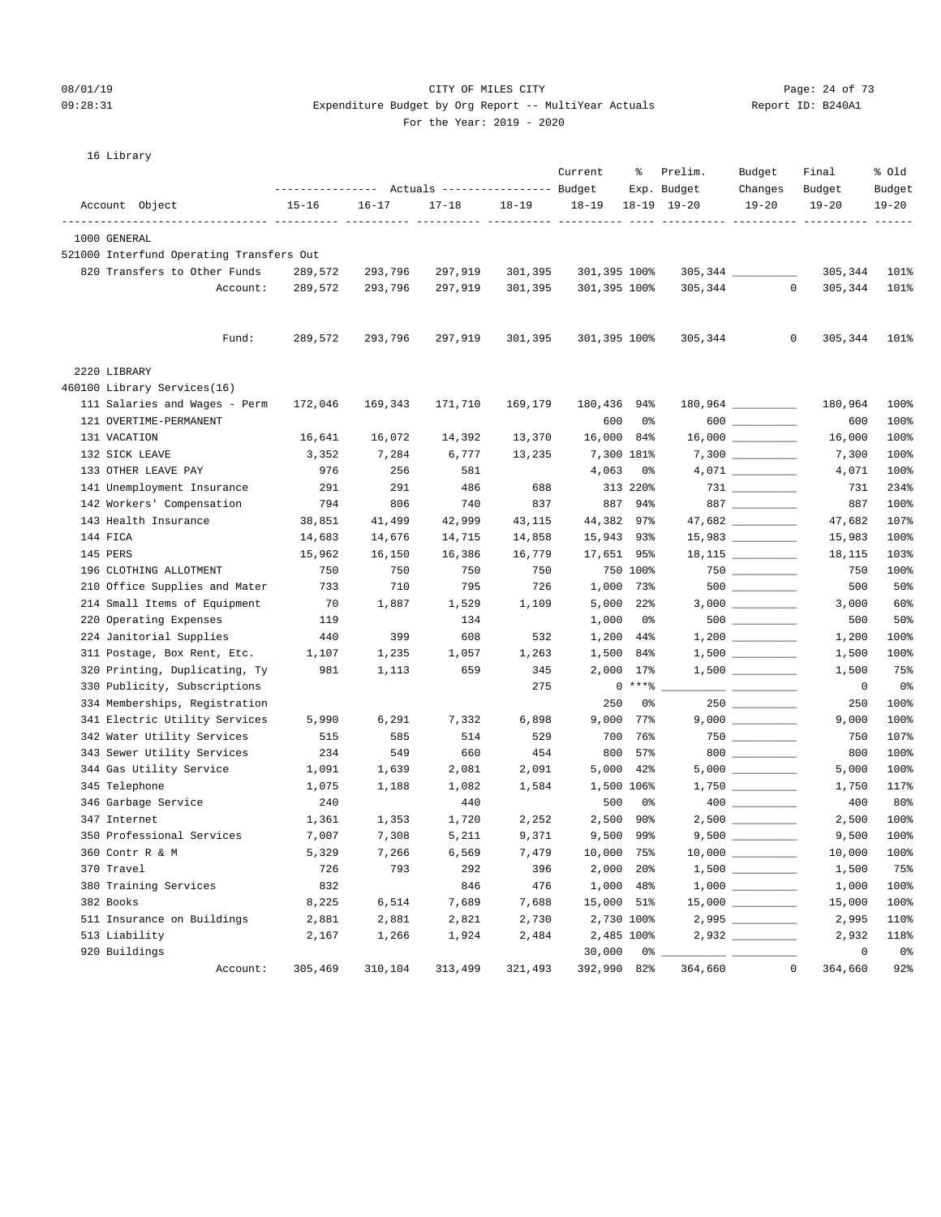#### 08/01/19 Page: 24 of 73

## 09:28:31 Expenditure Budget by Org Report -- MultiYear Actuals Report ID: B240A1 For the Year: 2019 - 2020

| 16 Library                               |                  |           |                                  |           |              |            |                 |                     |                         |           |
|------------------------------------------|------------------|-----------|----------------------------------|-----------|--------------|------------|-----------------|---------------------|-------------------------|-----------|
|                                          |                  |           |                                  |           | Current      | ႜ          | Prelim.         | Budget              | Final                   | % Old     |
|                                          | ---------------- |           | Actuals ----------------- Budget |           |              |            | Exp. Budget     | Changes             | Budget                  | Budget    |
| Account Object                           | $15 - 16$        | $16 - 17$ | $17 - 18$                        | $18 - 19$ | $18 - 19$    |            | $18-19$ $19-20$ | $19 - 20$           | $19 - 20$               | $19 - 20$ |
| 1000 GENERAL                             |                  |           |                                  |           |              |            |                 |                     |                         |           |
| 521000 Interfund Operating Transfers Out |                  |           |                                  |           |              |            |                 |                     |                         |           |
| 820 Transfers to Other Funds             | 289,572          | 293,796   | 297,919                          | 301,395   | 301,395 100% |            |                 |                     | 305,344                 | 101%      |
| Account:                                 | 289,572          | 293,796   | 297,919                          | 301,395   | 301,395 100% |            | 305,344         |                     | $\mathbf{0}$<br>305,344 | 101%      |
| Fund:                                    | 289,572          | 293,796   | 297,919                          | 301,395   | 301,395 100% |            | 305,344         | 0                   | 305,344                 | 101%      |
| 2220 LIBRARY                             |                  |           |                                  |           |              |            |                 |                     |                         |           |
| 460100 Library Services(16)              |                  |           |                                  |           |              |            |                 |                     |                         |           |
| 111 Salaries and Wages - Perm            | 172,046          | 169,343   | 171,710                          | 169,179   | 180,436 94%  |            |                 |                     | 180,964                 | 100%      |
| 121 OVERTIME-PERMANENT                   |                  |           |                                  |           | 600          | 0%         |                 | 600                 | 600                     | 100%      |
| 131 VACATION                             | 16,641           | 16,072    | 14,392                           | 13,370    | 16,000       | 84%        |                 | $16,000$ _________  | 16,000                  | 100%      |
| 132 SICK LEAVE                           | 3,352            | 7,284     | 6,777                            | 13,235    |              | 7,300 181% |                 |                     | 7,300                   | 100%      |
| 133 OTHER LEAVE PAY                      | 976              | 256       | 581                              |           | 4,063        | 0%         |                 |                     | 4,071                   | 100%      |
| 141 Unemployment Insurance               | 291              | 291       | 486                              | 688       |              | 313 220%   |                 |                     | 731                     | 234%      |
| 142 Workers' Compensation                | 794              | 806       | 740                              | 837       | 887          | 94%        |                 | 887 $\qquad$        | 887                     | 100%      |
| 143 Health Insurance                     | 38,851           | 41,499    | 42,999                           | 43,115    | 44,382       | 97%        |                 | 47,682              | 47,682                  | 107%      |
| 144 FICA                                 | 14,683           | 14,676    | 14,715                           | 14,858    | 15,943 93%   |            |                 | $15,983$ __________ | 15,983                  | 100%      |
| 145 PERS                                 | 15,962           | 16,150    | 16,386                           | 16,779    | 17,651 95%   |            |                 |                     | 18,115                  | 103%      |
| 196 CLOTHING ALLOTMENT                   | 750              | 750       | 750                              | 750       |              | 750 100%   |                 |                     | 750                     | 100%      |
| 210 Office Supplies and Mater            | 733              | 710       | 795                              | 726       |              | 1,000 73%  |                 |                     | 500                     | 50%       |
| 214 Small Items of Equipment             | 70               | 1,887     | 1,529                            | 1,109     | 5,000        | $22\%$     |                 |                     | 3,000                   | 60%       |
| 220 Operating Expenses                   | 119              |           | 134                              |           | 1,000        | 0%         |                 |                     | 500                     | 50%       |
| 224 Janitorial Supplies                  | 440              | 399       | 608                              | 532       | 1,200        | 44%        |                 |                     | 1,200                   | 100%      |
| 311 Postage, Box Rent, Etc.              | 1,107            | 1,235     | 1,057                            | 1,263     | 1,500        | 84%        |                 |                     | 1,500                   | 100%      |
| 320 Printing, Duplicating, Ty            | 981              | 1,113     | 659                              | 345       |              | 2,000 17%  |                 |                     | 1,500                   | 75%       |
| 330 Publicity, Subscriptions             |                  |           |                                  | 275       |              | $0***8$    |                 |                     | 0                       | 0%        |
| 334 Memberships, Registration            |                  |           |                                  |           | 250          | 0%         |                 | $250$ _________     | 250                     | 100%      |
| 341 Electric Utility Services            | 5,990            | 6,291     | 7,332                            | 6,898     | 9,000        | 77%        |                 |                     | 9,000                   | 100%      |
| 342 Water Utility Services               | 515              | 585       | 514                              | 529       |              | 700 76%    |                 | 750                 | 750                     | 107%      |
| 343 Sewer Utility Services               | 234              | 549       | 660                              | 454       | 800          | 57%        |                 | $800$               | 800                     | 100%      |
| 344 Gas Utility Service                  | 1,091            | 1,639     | 2,081                            | 2,091     | 5,000        | 42%        |                 | $5,000$ __________  | 5,000                   | 100%      |
| 345 Telephone                            | 1,075            | 1,188     | 1,082                            | 1,584     |              | 1,500 106% |                 |                     | 1,750                   | 117%      |
| 346 Garbage Service                      | 240              |           | 440                              |           | 500          | 0%         |                 |                     | 400                     | 80%       |
| 347 Internet                             | 1,361            | 1,353     | 1,720                            | 2,252     |              | 2,500 90%  |                 | 2,500               | 2,500                   | 100%      |
| 350 Professional Services                | 7,007            | 7,308     | 5,211                            | 9,371     |              | 9,500 99%  | $9,500$ $\_\_$  |                     | 9,500                   | 100%      |
| 360 Contr R & M                          | 5,329            | 7,266     | 6,569                            | 7,479     | 10,000 75%   |            |                 |                     | 10,000                  | 100%      |
| 370 Travel                               | 726              | 793       | 292                              | 396       |              | 2,000 20%  |                 |                     | 1,500                   | 75%       |
| 380 Training Services                    | 832              |           | 846                              | 476       | 1,000 48%    |            |                 |                     | 1,000                   | 100%      |
| 382 Books                                | 8,225            | 6,514     | 7,689                            | 7,688     | 15,000 51%   |            |                 | $15,000$ _________  | 15,000                  | 100%      |
| 511 Insurance on Buildings               | 2,881            | 2,881     | 2,821                            | 2,730     |              | 2,730 100% |                 |                     | 2,995                   | 110%      |
| 513 Liability                            | 2,167            | 1,266     | 1,924                            | 2,484     | 2,485 100%   |            |                 |                     | 2,932                   | 118%      |
| 920 Buildings                            |                  |           |                                  |           | 30,000       | 0% _       |                 |                     | 0                       | 0%        |
| Account:                                 | 305,469          | 310,104   | 313,499                          | 321,493   | 392,990 82%  |            | 364,660         |                     | 0<br>364,660            | 92%       |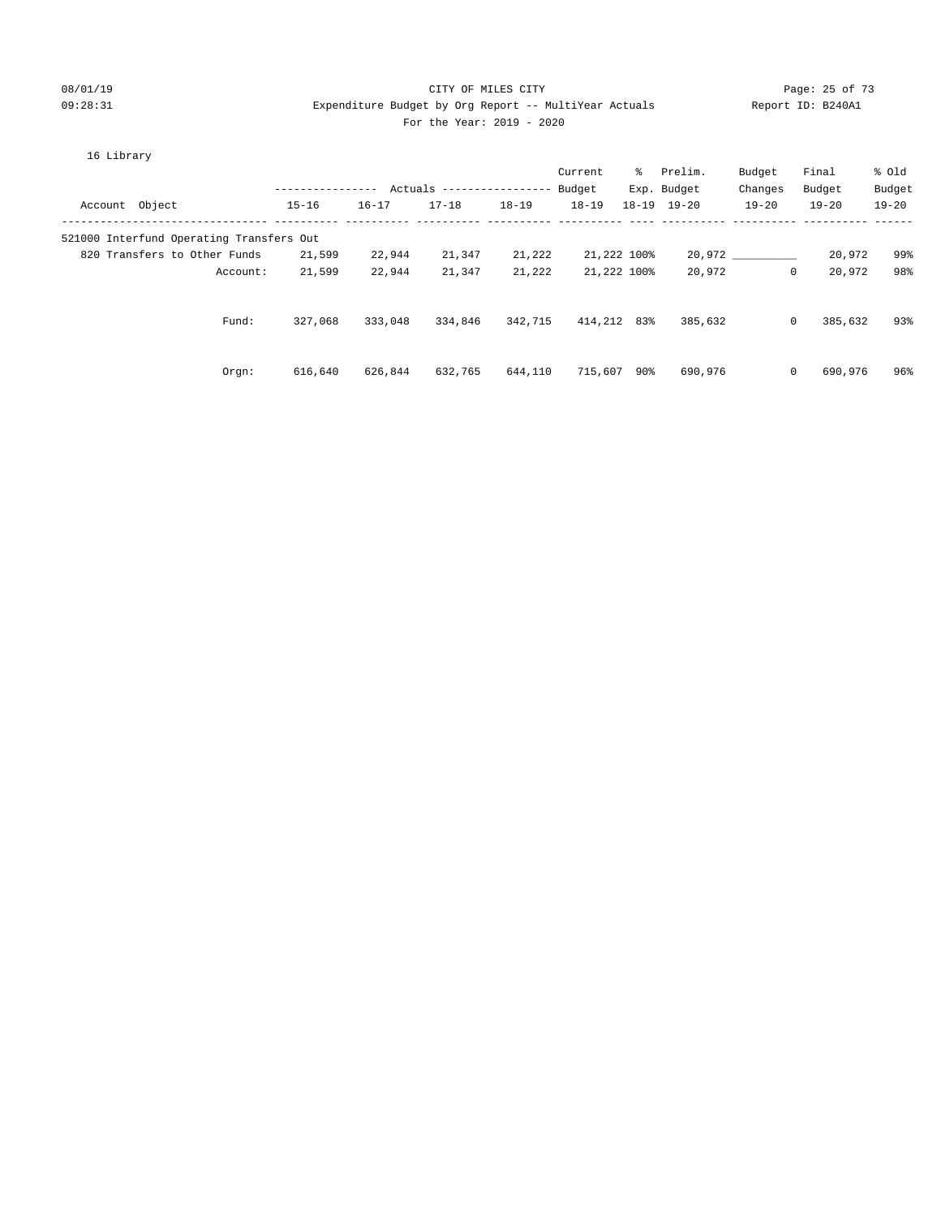#### 08/01/19 Page: 25 of 73 09:28:31 Expenditure Budget by Org Report -- MultiYear Actuals Report ID: B240A1 For the Year: 2019 - 2020

#### 16 Library

|                |                                          |                  |           |                            |           | Current     | ွေ          | Prelim.             | Budget       | Final     | % old     |
|----------------|------------------------------------------|------------------|-----------|----------------------------|-----------|-------------|-------------|---------------------|--------------|-----------|-----------|
|                |                                          | ---------------- |           | Actuals ------------------ |           | Budget      |             | Exp. Budget         | Changes      | Budget    | Budget    |
| Account Object |                                          | $15 - 16$        | $16 - 17$ | $17 - 18$                  | $18 - 19$ | $18 - 19$   |             | $18 - 19$ $19 - 20$ | $19 - 20$    | $19 - 20$ | $19 - 20$ |
|                | 521000 Interfund Operating Transfers Out |                  |           |                            |           |             |             |                     |              |           |           |
|                | 820 Transfers to Other Funds             | 21,599           | 22,944    | 21,347                     | 21,222    |             | 21,222 100% |                     | 20,972       | 20,972    | 99%       |
|                | Account:                                 | 21,599           | 22,944    | 21,347                     | 21,222    |             | 21,222 100% | 20,972              | $\mathbf{0}$ | 20,972    | 98%       |
|                | Fund:                                    | 327,068          | 333,048   | 334,846                    | 342,715   | 414,212 83% |             | 385,632             | $\mathbf{0}$ | 385,632   | 93%       |
|                | Orgn:                                    | 616,640          | 626,844   | 632,765                    | 644,110   | 715,607 90% |             | 690,976             | $\mathbf{0}$ | 690,976   | 96%       |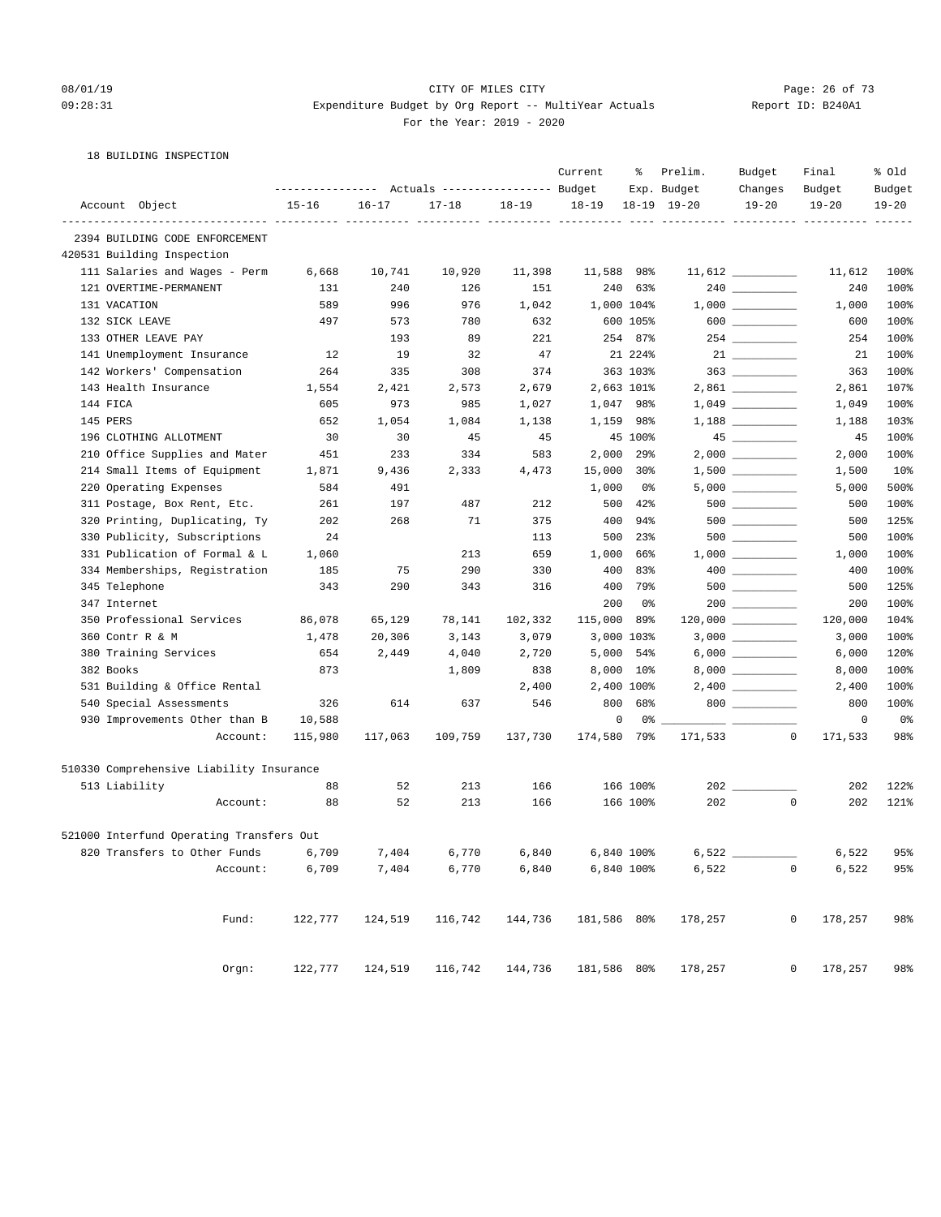#### 08/01/19 Page: 26 of 73 09:28:31 Expenditure Budget by Org Report -- MultiYear Actuals Report ID: B240A1 For the Year: 2019 - 2020

18 BUILDING INSPECTION

|                                          | ---------------- |           | Actuals ----------------- Budget    |           | Current     | ៖          | Prelim.<br>Exp. Budget   | Budget<br>Changes                                                                           | Final<br>Budget        | % old<br>Budget |
|------------------------------------------|------------------|-----------|-------------------------------------|-----------|-------------|------------|--------------------------|---------------------------------------------------------------------------------------------|------------------------|-----------------|
| Account Object                           | $15 - 16$        | $16 - 17$ | $17 - 18$                           | $18 - 19$ | $18 - 19$   |            | $18 - 19$ $19 - 20$      | $19 - 20$                                                                                   | $19 - 20$              | $19 - 20$       |
| 2394 BUILDING CODE ENFORCEMENT           |                  |           |                                     |           |             |            | ----------- ----------   |                                                                                             |                        |                 |
| 420531 Building Inspection               |                  |           |                                     |           |             |            |                          |                                                                                             |                        |                 |
| 111 Salaries and Wages - Perm            | 6,668            | 10,741    | 10,920                              | 11,398    | 11,588      | 98%        |                          |                                                                                             | 11,612                 | 100%            |
| 121 OVERTIME-PERMANENT                   | 131              | 240       | 126                                 | 151       | 240         | 63%        |                          |                                                                                             | 240                    | 100%            |
| 131 VACATION                             | 589              | 996       | 976                                 | 1,042     |             | 1,000 104% |                          | $1\, , \, 0\, 0\, 0 \quad \underline{\hspace{1cm}} \rule{2.5cm}{0.4cm} \rule{2.5cm}{0.4cm}$ | 1,000                  | 100%            |
| 132 SICK LEAVE                           | 497              | 573       | 780                                 | 632       |             | 600 105%   |                          | $600$                                                                                       | 600                    | 100%            |
| 133 OTHER LEAVE PAY                      |                  | 193       | 89                                  | 221       |             | 254 87%    |                          |                                                                                             | 254                    | 100%            |
| 141 Unemployment Insurance               | 12               | 19        | 32                                  | 47        |             | 21 224%    |                          |                                                                                             | 21                     | 100%            |
| 142 Workers' Compensation                | 264              | 335       | 308                                 | 374       |             | 363 103%   |                          |                                                                                             | 363                    | 100%            |
| 143 Health Insurance                     | 1,554            | 2,421     | 2,573                               | 2,679     |             | 2,663 101% |                          |                                                                                             | 2,861                  | 107%            |
| 144 FICA                                 | 605              | 973       | 985                                 | 1,027     |             | 1,047 98%  |                          |                                                                                             | 1,049                  | 100%            |
| 145 PERS                                 | 652              | 1,054     | 1,084                               | 1,138     | 1,159       | 98%        |                          |                                                                                             | 1,188                  | 103%            |
| 196 CLOTHING ALLOTMENT                   | 30               | 30        | 45                                  | 45        |             | 45 100%    |                          | $45$ ___________                                                                            | 45                     | 100%            |
| 210 Office Supplies and Mater            | 451              | 233       | 334                                 | 583       | 2,000       | 29%        |                          |                                                                                             | 2,000                  | 100%            |
| 214 Small Items of Equipment             | 1,871            | 9,436     | 2,333                               | 4,473     | 15,000      | 30%        |                          |                                                                                             | 1,500                  | 10 <sub>8</sub> |
| 220 Operating Expenses                   | 584              | 491       |                                     |           | 1,000       | 0%         |                          |                                                                                             | 5,000                  | 500%            |
| 311 Postage, Box Rent, Etc.              | 261              | 197       | 487                                 | 212       | 500         | 42%        |                          |                                                                                             | 500                    | 100%            |
| 320 Printing, Duplicating, Ty            | 202              | 268       | 71                                  | 375       | 400         | 94%        |                          |                                                                                             | 500                    | 125%            |
| 330 Publicity, Subscriptions             | 24               |           |                                     | 113       | 500         | 23%        |                          |                                                                                             | 500                    | 100%            |
| 331 Publication of Formal & L            | 1,060            |           | 213                                 | 659       | 1,000       | 66%        |                          |                                                                                             | 1,000                  | 100%            |
| 334 Memberships, Registration            | 185              | 75        | 290                                 | 330       | 400         | 83%        |                          |                                                                                             | 400                    | 100%            |
| 345 Telephone                            | 343              | 290       | 343                                 | 316       | 400         | 79%        |                          |                                                                                             | 500                    | 125%            |
| 347 Internet                             |                  |           |                                     |           | 200         | 0%         |                          |                                                                                             | 200                    | 100%            |
| 350 Professional Services                | 86,078           | 65,129    | 78,141                              | 102,332   | 115,000     | 89%        |                          |                                                                                             | 120,000                | 104%            |
| 360 Contr R & M                          | 1,478            | 20,306    | 3,143                               | 3,079     |             | 3,000 103% |                          |                                                                                             | 3,000                  | 100%            |
| 380 Training Services                    | 654              | 2,449     | 4,040                               | 2,720     | 5,000       | 54%        |                          |                                                                                             | 6,000                  | 120%            |
| 382 Books                                | 873              |           | 1,809                               | 838       | 8,000       | $10\%$     |                          |                                                                                             | 8,000                  | 100%            |
| 531 Building & Office Rental             |                  |           |                                     | 2,400     |             | 2,400 100% |                          |                                                                                             | 2,400                  | 100%            |
| 540 Special Assessments                  | 326              | 614       | 637                                 | 546       | 800         | 68%        |                          | 800                                                                                         | 800                    | 100%            |
| 930 Improvements Other than B            | 10,588           |           |                                     |           | 0           | 0%         | $\overline{\phantom{a}}$ |                                                                                             | 0                      | 0%              |
| Account:                                 | 115,980          | 117,063   | 109,759                             | 137,730   | 174,580     | 79%        | 171,533                  |                                                                                             | 0<br>171,533           | 98%             |
| 510330 Comprehensive Liability Insurance |                  |           |                                     |           |             |            |                          |                                                                                             |                        |                 |
| 513 Liability                            | 88               | 52        | 213                                 | 166       |             | 166 100%   | $202$ $-$                |                                                                                             | 202                    | 122%            |
| Account:                                 | 88               | 52        | 213                                 | 166       |             | 166 100%   | 202                      |                                                                                             | 0<br>202               | 121%            |
| 521000 Interfund Operating Transfers Out |                  |           |                                     |           |             |            |                          |                                                                                             |                        |                 |
| 820 Transfers to Other Funds             | 6,709            | 7,404     | 6,770                               | 6,840     |             | 6,840 100% | 6,522                    |                                                                                             | 6,522                  | 95%             |
| Account:                                 | 6,709            | 7,404     | 6,770                               | 6,840     | 6,840 100%  |            | 6,522                    |                                                                                             | 6,522<br>$\mathsf{O}$  | 95%             |
| Fund:                                    | 122,777          | 124,519   | 116,742                             | 144,736   | 181,586 80% |            | 178,257                  |                                                                                             | $\circ$<br>178,257     | 98%             |
|                                          |                  |           |                                     |           |             |            |                          |                                                                                             |                        |                 |
| Orgn:                                    | 122,777          |           | 124,519 116,742 144,736 181,586 80% |           |             |            | 178,257                  |                                                                                             | 178,257<br>$\mathbf 0$ | 98%             |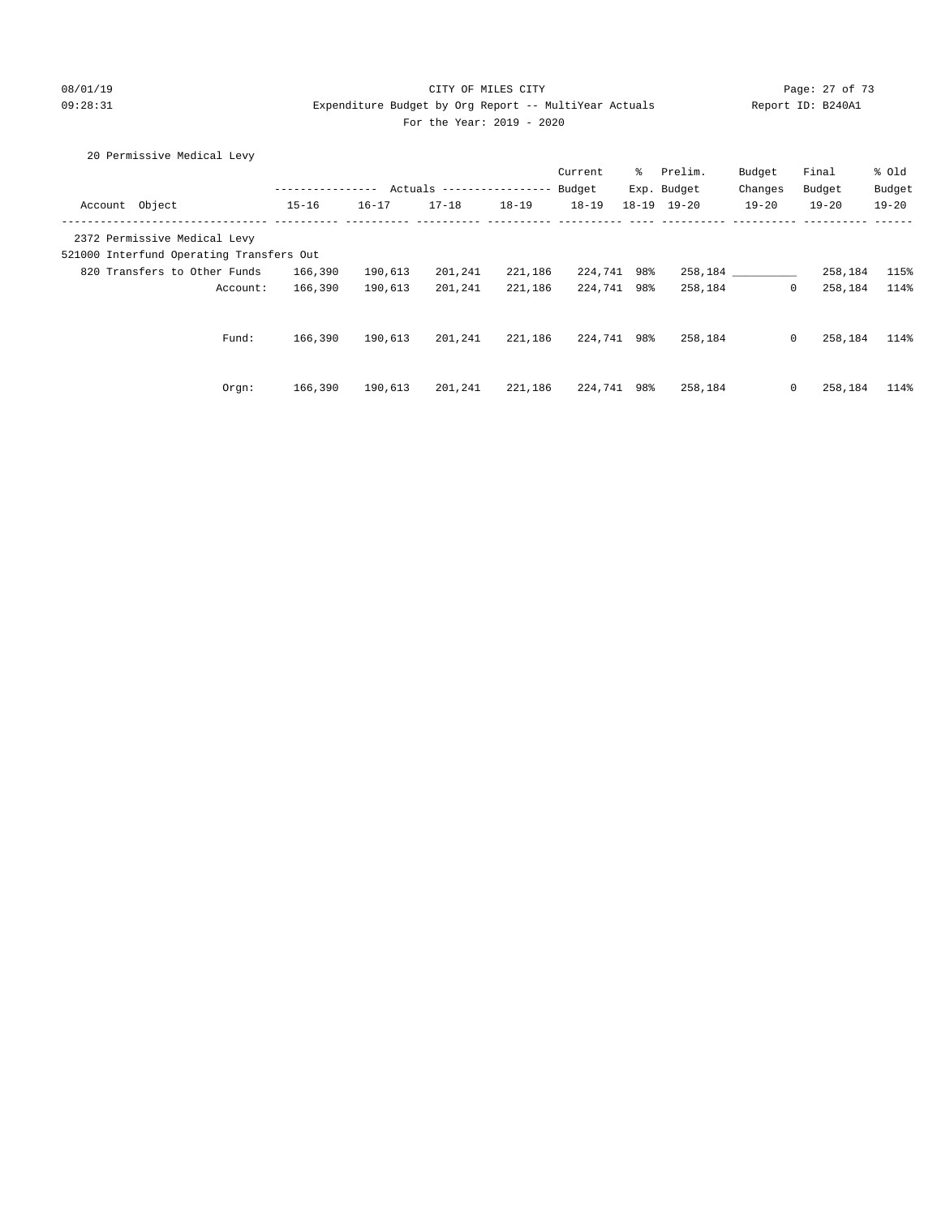#### 08/01/19 Page: 27 of 73 09:28:31 Expenditure Budget by Org Report -- MultiYear Actuals Report ID: B240A1 For the Year: 2019 - 2020

#### 20 Permissive Medical Levy

|                                          |           |           |                            |           | Current     | ႜႜၟ | Prelim.             | Budget       | Final     | % old     |
|------------------------------------------|-----------|-----------|----------------------------|-----------|-------------|-----|---------------------|--------------|-----------|-----------|
|                                          |           |           | Actuals ------------------ |           | Budget      |     | Exp. Budget         | Changes      | Budget    | Budget    |
| Account Object                           | $15 - 16$ | $16 - 17$ | $17 - 18$                  | $18 - 19$ | $18 - 19$   |     | $18 - 19$ $19 - 20$ | $19 - 20$    | $19 - 20$ | $19 - 20$ |
| 2372 Permissive Medical Levy             |           |           |                            |           |             |     |                     |              |           |           |
| 521000 Interfund Operating Transfers Out |           |           |                            |           |             |     |                     |              |           |           |
| 820 Transfers to Other Funds             | 166,390   | 190,613   | 201,241                    | 221,186   | 224,741 98% |     | 258,184             |              | 258,184   | 115%      |
| Account:                                 | 166,390   | 190,613   | 201,241                    | 221,186   | 224,741 98% |     | 258,184             | $\mathbf{0}$ | 258,184   | 114%      |
|                                          |           |           |                            |           |             |     |                     |              |           |           |
| Fund:                                    | 166,390   | 190,613   | 201,241                    | 221,186   | 224,741 98% |     | 258,184             | $\mathbf{0}$ | 258,184   | 114%      |
|                                          |           |           |                            |           |             |     |                     |              |           |           |
| Orgn:                                    | 166,390   | 190,613   | 201,241                    | 221,186   | 224,741 98% |     | 258,184             | $\mathbf{0}$ | 258,184   | 114%      |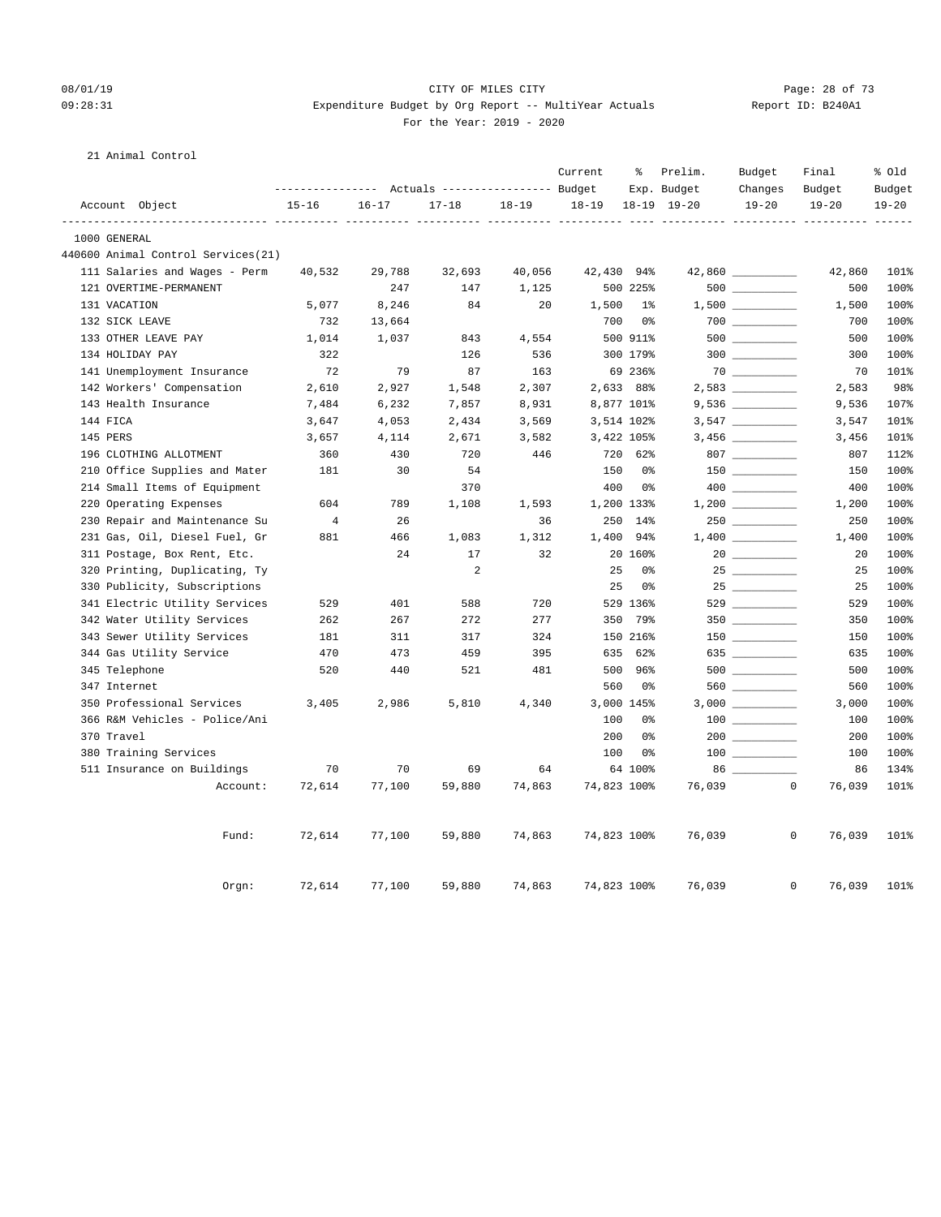#### 08/01/19 Page: 28 of 73 09:28:31 Expenditure Budget by Org Report -- MultiYear Actuals Report ID: B240A1 For the Year: 2019 - 2020

#### 21 Animal Control

|          |                                     |                |           | Actuals ----------------- Budget |           | Current     | ៖              | Prelim.<br>Exp. Budget | Budget<br>Changes | Final<br>Budget | % old<br>Budget |
|----------|-------------------------------------|----------------|-----------|----------------------------------|-----------|-------------|----------------|------------------------|-------------------|-----------------|-----------------|
|          | Account Object                      | $15 - 16$      | $16 - 17$ | $17 - 18$                        | $18 - 19$ | $18 - 19$   |                | $18-19$ $19-20$        | $19 - 20$         | $19 - 20$       | $19 - 20$       |
|          |                                     |                |           |                                  |           |             |                |                        |                   |                 |                 |
|          | 1000 GENERAL                        |                |           |                                  |           |             |                |                        |                   |                 |                 |
|          | 440600 Animal Control Services (21) |                |           |                                  |           |             |                |                        |                   |                 |                 |
|          | 111 Salaries and Wages - Perm       | 40,532         | 29,788    | 32,693                           | 40,056    | 42,430 94%  |                |                        |                   | 42,860          | 101%            |
|          | 121 OVERTIME-PERMANENT              |                | 247       | 147                              | 1,125     |             | 500 225%       |                        |                   | 500             | 100%            |
|          | 131 VACATION                        | 5,077          | 8,246     | 84                               | 20        | 1,500       | $1\%$          |                        |                   | 1,500           | 100%            |
|          | 132 SICK LEAVE                      | 732            | 13,664    |                                  |           | 700         | 0%             |                        |                   | 700             | 100%            |
|          | 133 OTHER LEAVE PAY                 | 1,014          | 1,037     | 843                              | 4,554     |             | 500 911%       |                        | $500$             | 500             | 100%            |
|          | 134 HOLIDAY PAY                     | 322            |           | 126                              | 536       |             | 300 179%       |                        | $300$             | 300             | 100%            |
|          | 141 Unemployment Insurance          | 72             | 79        | 87                               | 163       |             | 69 236%        |                        |                   | 70              | 101%            |
|          | 142 Workers' Compensation           | 2,610          | 2,927     | 1,548                            | 2,307     |             | 2,633 88%      |                        |                   | 2,583           | 98%             |
|          | 143 Health Insurance                | 7,484          | 6,232     | 7,857                            | 8,931     |             | 8,877 101%     |                        |                   | 9,536           | 107%            |
| 144 FICA |                                     | 3,647          | 4,053     | 2,434                            | 3,569     |             | 3,514 102%     |                        |                   | 3,547           | 101%            |
| 145 PERS |                                     | 3,657          | 4,114     | 2,671                            | 3,582     |             | 3,422 105%     |                        |                   | 3,456           | 101%            |
|          | 196 CLOTHING ALLOTMENT              | 360            | 430       | 720                              | 446       | 720         | 62%            |                        |                   | 807             | 112%            |
|          | 210 Office Supplies and Mater       | 181            | 30        | 54                               |           | 150         | 0%             |                        |                   | 150             | 100%            |
|          | 214 Small Items of Equipment        |                |           | 370                              |           | 400         | 0%             |                        |                   | 400             | 100%            |
|          | 220 Operating Expenses              | 604            | 789       | 1,108                            | 1,593     |             | 1,200 133%     |                        |                   | 1,200           | 100%            |
|          | 230 Repair and Maintenance Su       | $\overline{4}$ | 26        |                                  | 36        | 250         | $14\%$         |                        | 250 000           | 250             | 100%            |
|          | 231 Gas, Oil, Diesel Fuel, Gr       | 881            | 466       | 1,083                            | 1,312     | 1,400       | 94%            |                        |                   | 1,400           | 100%            |
|          | 311 Postage, Box Rent, Etc.         |                | 24        | 17                               | 32        |             | 20 160%        |                        |                   | 20              | 100%            |
|          | 320 Printing, Duplicating, Ty       |                |           | 2                                |           | 25          | 0%             |                        |                   | 25              | 100%            |
|          | 330 Publicity, Subscriptions        |                |           |                                  |           | 25          | 0%             |                        | $25 \ \_$         | 25              | 100%            |
|          | 341 Electric Utility Services       | 529            | 401       | 588                              | 720       |             | 529 136%       |                        | 529               | 529             | 100%            |
|          | 342 Water Utility Services          | 262            | 267       | 272                              | 277       | 350         | 79%            |                        |                   | 350             | 100%            |
|          | 343 Sewer Utility Services          | 181            | 311       | 317                              | 324       |             | 150 216%       |                        |                   | 150             | 100%            |
|          | 344 Gas Utility Service             | 470            | 473       | 459                              | 395       | 635         | 62%            |                        | 635               | 635             | 100%            |
|          | 345 Telephone                       | 520            | 440       | 521                              | 481       | 500         | 96%            |                        |                   | 500             | 100%            |
|          | 347 Internet                        |                |           |                                  |           | 560         | 0 <sup>o</sup> |                        | 560               | 560             | 100%            |
|          | 350 Professional Services           | 3,405          | 2,986     | 5,810                            | 4,340     |             | 3,000 145%     |                        |                   | 3,000           | 100%            |
|          | 366 R&M Vehicles - Police/Ani       |                |           |                                  |           | 100         | 0%             |                        |                   | 100             | 100%            |
|          | 370 Travel                          |                |           |                                  |           | 200         | 0%             |                        |                   | 200             | 100%            |
|          | 380 Training Services               |                |           |                                  |           | 100         | 0%             |                        |                   | 100             | 100%            |
|          | 511 Insurance on Buildings          | 70             | 70        | 69                               | 64        |             | 64 100%        |                        |                   | 86              | 134%            |
|          | Account:                            | 72,614         | 77,100    | 59,880                           | 74,863    | 74,823 100% |                | 76,039                 | $\circ$           | 76,039          | 101%            |
|          | Fund:                               | 72,614         | 77,100    | 59,880                           | 74,863    | 74,823 100% |                | 76,039                 | $\mathbf 0$       | 76,039          | 101%            |
|          | Orgn:                               | 72,614         | 77,100    | 59,880                           | 74,863    | 74,823 100% |                | 76,039                 | 0                 | 76,039          | 101%            |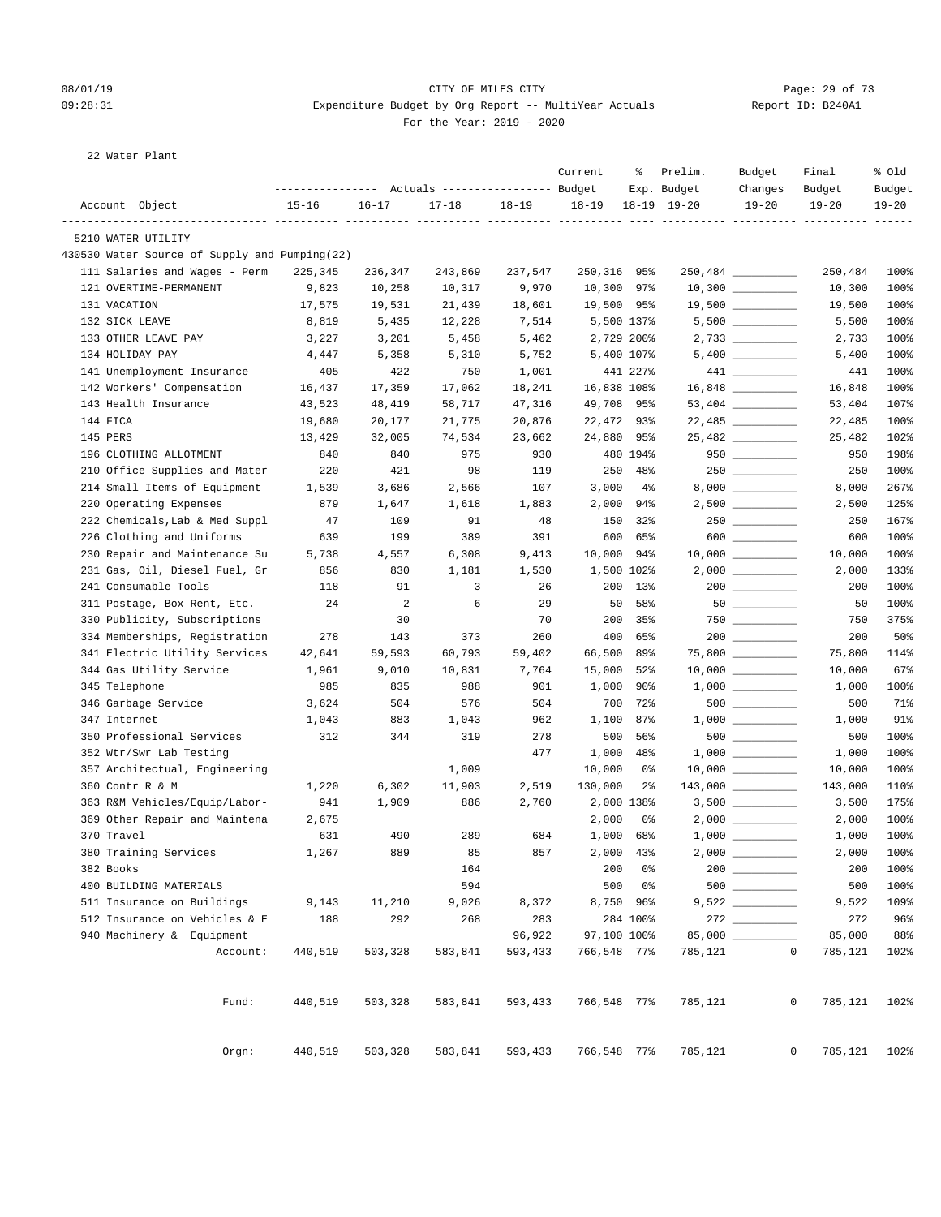#### 08/01/19 Page: 29 of 73 09:28:31 Expenditure Budget by Org Report -- MultiYear Actuals Report ID: B240A1 For the Year: 2019 - 2020

22 Water Plant

|                                               | ---------------- |           | Actuals ----------------- Budget |           | Current               | ႜ              | Prelim.<br>Exp. Budget | Budget<br>Changes    | Final<br>Budget             | % Old<br>Budget |
|-----------------------------------------------|------------------|-----------|----------------------------------|-----------|-----------------------|----------------|------------------------|----------------------|-----------------------------|-----------------|
| Account Object                                | $15 - 16$        | $16 - 17$ | $17 - 18$                        | $18 - 19$ | $18 - 19$             |                | $18-19$ $19-20$        | $19 - 20$            | $19 - 20$                   | $19 - 20$       |
| 5210 WATER UTILITY                            |                  |           |                                  |           | ----- ---------- ---- |                |                        |                      |                             |                 |
| 430530 Water Source of Supply and Pumping(22) |                  |           |                                  |           |                       |                |                        |                      |                             |                 |
| 111 Salaries and Wages - Perm                 | 225,345          | 236,347   | 243,869                          | 237,547   | 250,316 95%           |                |                        |                      | 250,484                     | 100%            |
| 121 OVERTIME-PERMANENT                        | 9,823            | 10,258    | 10,317                           | 9,970     | 10,300 97%            |                |                        | $10,300$ ___________ | 10,300                      | 100%            |
| 131 VACATION                                  | 17,575           | 19,531    | 21,439                           | 18,601    | 19,500 95%            |                |                        | 19,500 _________     | 19,500                      | 100%            |
| 132 SICK LEAVE                                | 8,819            | 5,435     | 12,228                           | 7,514     |                       | 5,500 137%     |                        | $5,500$ __________   | 5,500                       | 100%            |
| 133 OTHER LEAVE PAY                           | 3,227            | 3,201     | 5,458                            | 5,462     |                       | 2,729 200%     |                        |                      | 2,733                       | 100%            |
| 134 HOLIDAY PAY                               | 4,447            | 5,358     | 5,310                            | 5,752     |                       | 5,400 107%     |                        | $5,400$ _________    | 5,400                       | 100%            |
| 141 Unemployment Insurance                    | 405              | 422       | 750                              | 1,001     |                       | 441 227%       |                        |                      | 441                         | 100%            |
| 142 Workers' Compensation                     | 16,437           | 17,359    | 17,062                           | 18,241    | 16,838 108%           |                |                        | 16,848 _________     | 16,848                      | 100%            |
| 143 Health Insurance                          | 43,523           | 48,419    | 58,717                           | 47,316    | 49,708 95%            |                |                        |                      | 53,404                      | 107%            |
| 144 FICA                                      | 19,680           | 20,177    | 21,775                           | 20,876    | 22,472 93%            |                |                        | 22,485               | 22,485                      | 100%            |
| 145 PERS                                      | 13,429           | 32,005    | 74,534                           | 23,662    | 24,880 95%            |                |                        | $25,482$ __________  | 25,482                      | 102%            |
| 196 CLOTHING ALLOTMENT                        | 840              | 840       | 975                              | 930       |                       | 480 194%       |                        |                      | 950                         | 198%            |
| 210 Office Supplies and Mater                 | 220              | 421       | 98                               | 119       |                       | 250 48%        |                        | $250$ _________      | 250                         | 100%            |
| 214 Small Items of Equipment                  | 1,539            | 3,686     | 2,566                            | 107       | 3,000                 | $4\%$          |                        |                      | 8,000                       | 267%            |
| 220 Operating Expenses                        | 879              | 1,647     | 1,618                            | 1,883     |                       | 2,000 94%      |                        | $2,500$ _________    | 2,500                       | 125%            |
| 222 Chemicals, Lab & Med Suppl                | 47               | 109       | 91                               | 48        | 150                   | 32%            |                        | $250$ ________       | 250                         | 167%            |
| 226 Clothing and Uniforms                     | 639              | 199       | 389                              | 391       | 600                   | 65%            |                        |                      | 600                         | 100%            |
| 230 Repair and Maintenance Su                 | 5,738            | 4,557     | 6,308                            | 9,413     | 10,000                | 94%            |                        | $10,000$ __________  | 10,000                      | 100%            |
| 231 Gas, Oil, Diesel Fuel, Gr                 | 856              | 830       | 1,181                            | 1,530     |                       | 1,500 102%     |                        | $2,000$ __________   | 2,000                       | 133%            |
| 241 Consumable Tools                          | 118              | 91        | 3                                | 26        |                       | 200 13%        |                        | $200$ ________       | 200                         | 100%            |
| 311 Postage, Box Rent, Etc.                   | 24               | 2         | 6                                | 29        | 50                    | 58%            |                        |                      | 50                          | 100%            |
| 330 Publicity, Subscriptions                  |                  | 30        |                                  | 70        | 200                   | 35%            |                        |                      | 750                         | 375%            |
| 334 Memberships, Registration                 | 278              | 143       | 373                              | 260       | 400                   | 65%            |                        |                      | 200                         | 50%             |
| 341 Electric Utility Services                 | 42,641           | 59,593    | 60,793                           | 59,402    | 66,500                | 89%            |                        | $75,800$ ___________ | 75,800                      | 114%            |
| 344 Gas Utility Service                       | 1,961            | 9,010     | 10,831                           | 7,764     | 15,000                | 52%            |                        | $10,000$ _________   | 10,000                      | 67%             |
| 345 Telephone                                 | 985              | 835       | 988                              | 901       | 1,000                 | 90%            |                        |                      | 1,000                       | 100%            |
| 346 Garbage Service                           | 3,624            | 504       | 576                              | 504       | 700                   | 72%            |                        |                      | 500                         | 71%             |
| 347 Internet                                  | 1,043            | 883       | 1,043                            | 962       | 1,100                 | 87%            |                        |                      | 1,000                       | 91%             |
| 350 Professional Services                     | 312              | 344       | 319                              | 278       | 500                   | 56%            |                        | $500$                | 500                         | 100%            |
| 352 Wtr/Swr Lab Testing                       |                  |           |                                  | 477       | 1,000                 | 48%            |                        |                      | 1,000                       | 100%            |
| 357 Architectual, Engineering                 |                  |           | 1,009                            |           | 10,000                | 0%             |                        |                      | 10,000                      | 100%            |
| 360 Contr R & M                               | 1,220            | 6,302     | 11,903                           | 2,519     | 130,000               | $2\frac{6}{9}$ |                        |                      | 143,000                     | 110%            |
| 363 R&M Vehicles/Equip/Labor-                 | 941              | 1,909     | 886                              | 2,760     |                       | 2,000 138%     |                        | $3,500$              | 3,500                       | 175%            |
| 369 Other Repair and Maintena                 | 2,675            |           |                                  |           | 2,000                 | 0%             |                        |                      | 2,000                       | 100%            |
| 370 Travel                                    | 631              | 490       | 289                              | 684       |                       | 1,000 68%      |                        | $1,000$ _________    | 1,000                       | 100%            |
| 380 Training Services                         | 1,267            | 889       | 85                               | 857       |                       | 2,000 43%      |                        |                      | 2,000                       | 100%            |
| 382 Books                                     |                  |           | 164                              |           | 200                   | 0%             |                        |                      | 200                         | 100%            |
| 400 BUILDING MATERIALS                        |                  |           | 594                              |           | 500                   | 0%             |                        | $500$ _________      | 500                         | 100%            |
| 511 Insurance on Buildings                    | 9,143            | 11,210    | 9,026                            | 8,372     |                       | 8,750 96%      |                        |                      | 9,522                       | 109%            |
| 512 Insurance on Vehicles & E                 | 188              | 292       | 268                              | 283       |                       | 284 100%       |                        |                      | 272                         | 96%             |
| 940 Machinery & Equipment                     |                  |           |                                  | 96,922    | 97,100 100%           |                |                        |                      | 85,000                      | 88%             |
| Account:                                      | 440,519          | 503,328   | 583,841                          | 593,433   | 766,548 77%           |                | 785,121                | $\mathbf 0$          | 785,121                     | 102%            |
|                                               |                  |           |                                  |           |                       |                |                        |                      |                             |                 |
| Fund:                                         | 440,519          | 503,328   | 583,841                          | 593,433   | 766,548 77%           |                | 785,121                |                      | 0<br>785,121                | 102%            |
| Orgn:                                         | 440,519          | 503,328   | 583,841                          | 593,433   | 766,548 77%           |                | 785,121                |                      | $\mathbf 0$<br>785,121 102% |                 |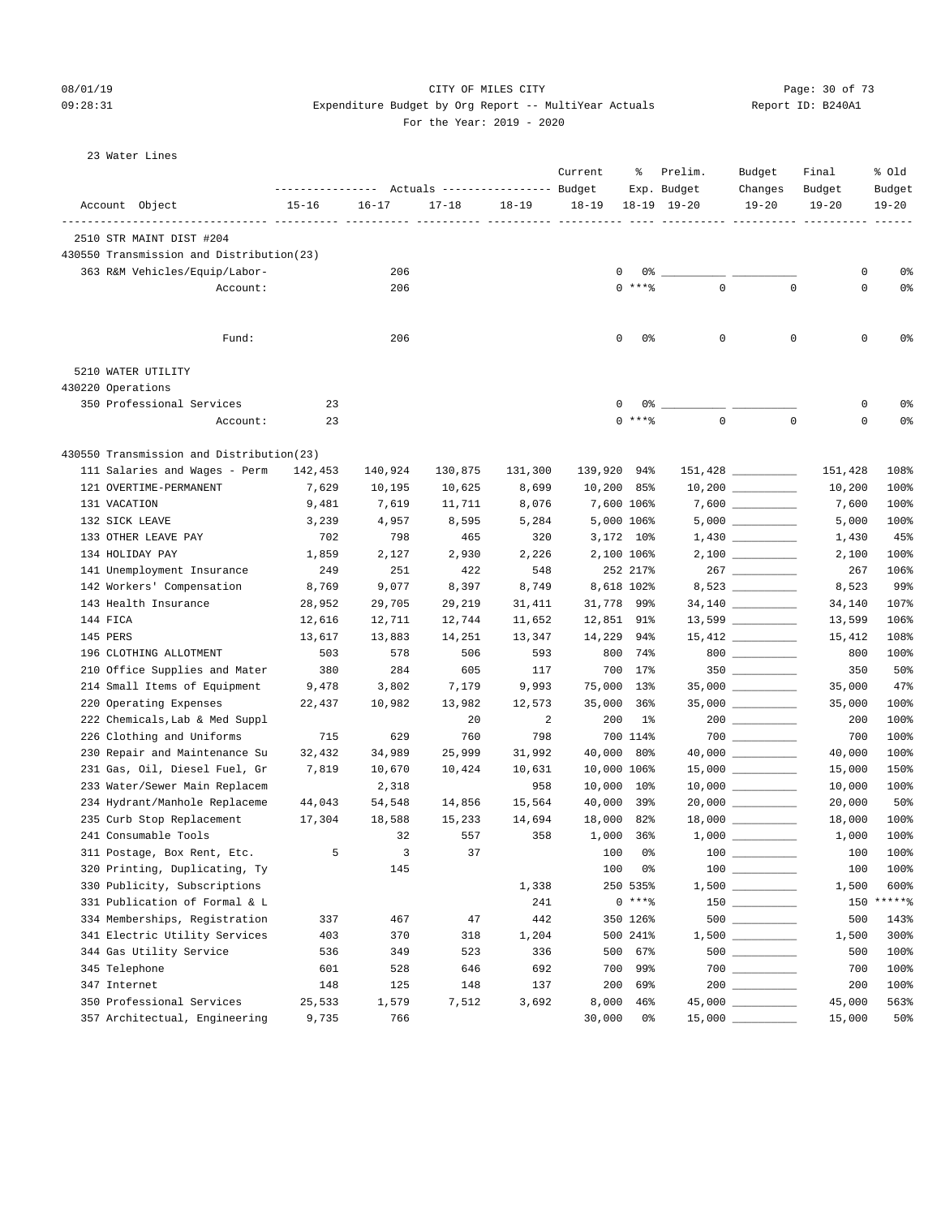23 Water Lines

# 08/01/19 Page: 30 of 73

#### 09:28:31 Expenditure Budget by Org Report -- MultiYear Actuals Report ID: B240A1 For the Year: 2019 - 2020

|                                          | --------------- Actuals ---------------- Budget |                      |                         |           | Current                      | ႜ                 | Prelim.<br>Exp. Budget | Budget<br>Changes   | Final<br>Budget | % old<br>Budget |
|------------------------------------------|-------------------------------------------------|----------------------|-------------------------|-----------|------------------------------|-------------------|------------------------|---------------------|-----------------|-----------------|
| Account Object<br>------------ ---       | $15 - 16$                                       | $16 - 17$<br>--- --- | $17 - 18$<br>2222 (222) | $18 - 19$ | $18 - 19$<br>____ __________ |                   | $18 - 19$ $19 - 20$    | $19 - 20$           | $19 - 20$       | $19 - 20$       |
| 2510 STR MAINT DIST #204                 |                                                 |                      |                         |           |                              |                   |                        |                     |                 |                 |
| 430550 Transmission and Distribution(23) |                                                 |                      |                         |           |                              |                   |                        |                     |                 |                 |
| 363 R&M Vehicles/Equip/Labor-            |                                                 | 206                  |                         |           |                              | 0<br>0%           |                        |                     | 0               | 0%              |
| Account:                                 |                                                 | 206                  |                         |           |                              | $0$ ****          | $\Omega$               | $\Omega$            | $\Omega$        | 0%              |
| Fund:                                    |                                                 | 206                  |                         |           |                              | $\mathbf 0$<br>0% | $\mathbf 0$            | $\mathbf 0$         | 0               | 0%              |
| 5210 WATER UTILITY                       |                                                 |                      |                         |           |                              |                   |                        |                     |                 |                 |
| 430220 Operations                        |                                                 |                      |                         |           |                              |                   |                        |                     |                 |                 |
| 350 Professional Services                | 23                                              |                      |                         |           |                              | 0                 | 0% -                   |                     | 0               | 0%              |
| Account:                                 | 23                                              |                      |                         |           |                              | $0$ ****          | $\mathbf 0$            | $\mathbf 0$         | $\mathbf 0$     | 0%              |
| 430550 Transmission and Distribution(23) |                                                 |                      |                         |           |                              |                   |                        |                     |                 |                 |
| 111 Salaries and Wages - Perm            | 142,453                                         | 140,924              | 130,875                 | 131,300   | 139,920                      | 94%               |                        | $151,428$ _________ | 151,428         | 108%            |
| 121 OVERTIME-PERMANENT                   | 7,629                                           | 10,195               | 10,625                  | 8,699     | 10,200                       | 85%               |                        |                     | 10,200          | 100%            |
| 131 VACATION                             | 9,481                                           | 7,619                | 11,711                  | 8,076     |                              | 7,600 106%        |                        |                     | 7,600           | 100%            |
| 132 SICK LEAVE                           | 3,239                                           | 4,957                | 8,595                   | 5,284     |                              | 5,000 106%        |                        |                     | 5,000           | 100%            |
| 133 OTHER LEAVE PAY                      | 702                                             | 798                  | 465                     | 320       |                              | 3,172 10%         |                        |                     | 1,430           | 45%             |
| 134 HOLIDAY PAY                          | 1,859                                           | 2,127                | 2,930                   | 2,226     |                              | 2,100 106%        |                        |                     | 2,100           | 100%            |
| 141 Unemployment Insurance               | 249                                             | 251                  | 422                     | 548       |                              | 252 217%          |                        |                     | 267             | 106%            |
| 142 Workers' Compensation                | 8,769                                           | 9,077                | 8,397                   | 8,749     |                              | 8,618 102%        |                        | 8,523 __________    | 8,523           | 99%             |
| 143 Health Insurance                     | 28,952                                          | 29,705               | 29,219                  | 31,411    |                              | 31,778 99%        |                        |                     | 34,140          | 107%            |
| 144 FICA                                 | 12,616                                          | 12,711               | 12,744                  | 11,652    |                              | 12,851 91%        |                        |                     | 13,599          | 106%            |
| 145 PERS                                 | 13,617                                          | 13,883               | 14,251                  | 13,347    | 14,229                       | 94%               |                        | $15,412$ _________  | 15,412          | 108%            |
| 196 CLOTHING ALLOTMENT                   | 503                                             | 578                  | 506                     | 593       | 800                          | 74%               |                        | 800                 | 800             | 100%            |
| 210 Office Supplies and Mater            | 380                                             | 284                  | 605                     | 117       | 700                          | 17%               |                        |                     | 350             | 50%             |
| 214 Small Items of Equipment             | 9,478                                           | 3,802                | 7,179                   | 9,993     | 75,000                       | $13\%$            |                        | $35,000$ __________ | 35,000          | 47%             |
| 220 Operating Expenses                   | 22,437                                          | 10,982               | 13,982                  | 12,573    | 35,000                       | $36\%$            |                        |                     | 35,000          | 100%            |
| 222 Chemicals, Lab & Med Suppl           |                                                 |                      | 20                      | 2         | 200                          | $1\%$             |                        | $200$ _________     | 200             | 100%            |
| 226 Clothing and Uniforms                | 715                                             | 629                  | 760                     | 798       |                              | 700 114%          |                        |                     | 700             | 100%            |
| 230 Repair and Maintenance Su            | 32,432                                          | 34,989               | 25,999                  | 31,992    | 40,000                       | 80%               |                        |                     | 40,000          | 100%            |
| 231 Gas, Oil, Diesel Fuel, Gr            | 7,819                                           | 10,670               | 10,424                  | 10,631    |                              | 10,000 106%       |                        |                     | 15,000          | 150%            |
| 233 Water/Sewer Main Replacem            |                                                 | 2,318                |                         | 958       | 10,000                       | $10\%$            |                        |                     | 10,000          | 100%            |
| 234 Hydrant/Manhole Replaceme            | 44,043                                          | 54,548               | 14,856                  | 15,564    | 40,000                       | 39%               |                        | $20,000$ __________ | 20,000          | 50%             |
| 235 Curb Stop Replacement                | 17,304                                          | 18,588               | 15,233                  | 14,694    | 18,000                       | 82%               |                        |                     | 18,000          | 100%            |
| 241 Consumable Tools                     |                                                 | 32                   | 557                     | 358       |                              | 1,000 36%         |                        |                     | 1,000           | 100%            |
| 311 Postage, Box Rent, Etc.              | 5                                               | 3                    | 37                      |           | 100                          | 0%                |                        | 100 ____________    | 100             | 100%            |
| 320 Printing, Duplicating, Ty            |                                                 | 145                  |                         |           | 100                          | 0%                |                        |                     | 100             | 100%            |
| 330 Publicity, Subscriptions             |                                                 |                      |                         | 1,338     |                              | 250 535%          |                        |                     | 1,500           | 600%            |
| 331 Publication of Formal & L            |                                                 |                      |                         | 241       |                              | $0***8$           |                        |                     | 150             | ******          |
| 334 Memberships, Registration            | 337                                             | 467                  | 47                      | 442       |                              | 350 126%          |                        |                     | 500             | 143%            |
| 341 Electric Utility Services            | 403                                             | 370                  | 318                     | 1,204     |                              | 500 241%          |                        |                     | 1,500           | 300%            |
| 344 Gas Utility Service                  | 536                                             | 349                  | 523                     | 336       | 500                          | 67%               |                        | 500                 | 500             | 100%            |
| 345 Telephone                            | 601                                             | 528                  | 646                     | 692       | 700                          | 99%               |                        |                     | 700             | 100%            |
| 347 Internet                             | 148                                             | 125                  | 148                     | 137       | 200                          | 69%               |                        |                     | 200             | 100%            |
| 350 Professional Services                | 25,533                                          | 1,579                | 7,512                   | 3,692     | 8,000                        | 46%               |                        |                     | 45,000          | 563%            |
| 357 Architectual, Engineering            | 9,735                                           | 766                  |                         |           | 30,000                       | 0%                |                        |                     | 15,000          | 50%             |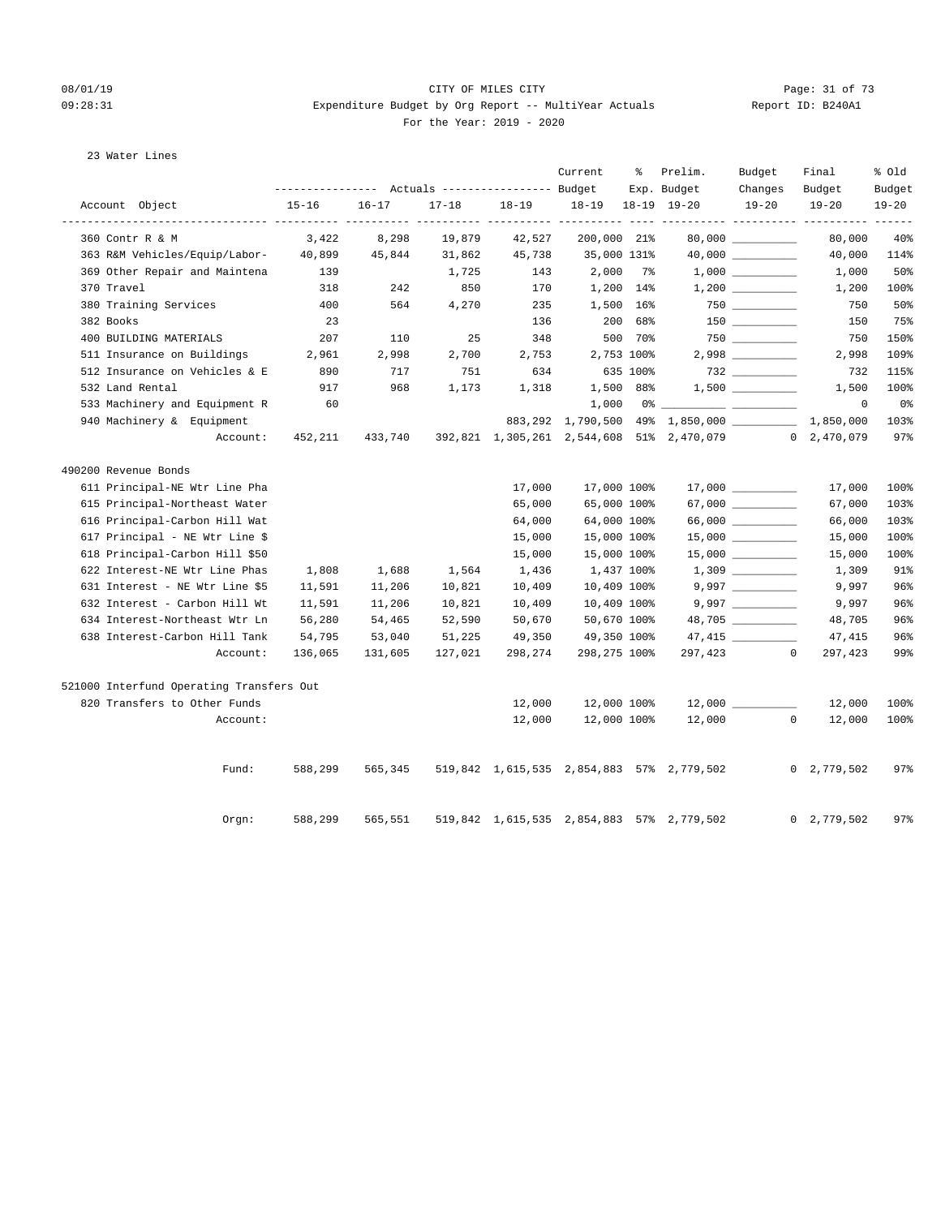#### 08/01/19 Page: 31 of 73 09:28:31 Expenditure Budget by Org Report -- MultiYear Actuals Report ID: B240A1 For the Year: 2019 - 2020

| For the Year: 2019 |  |
|--------------------|--|
|--------------------|--|

| 23 Water Lines |
|----------------|
|----------------|

|                                          |           |           |           |         | Current      | ႜ         | Prelim.                                               | Budget                         | Final          | % Old                      |
|------------------------------------------|-----------|-----------|-----------|---------|--------------|-----------|-------------------------------------------------------|--------------------------------|----------------|----------------------------|
|                                          |           |           |           |         |              |           | Exp. Budget                                           | Changes                        | Budget         | Budget                     |
| Account Object                           | $15 - 16$ | $16 - 17$ | $17 - 18$ | 18-19   | $18 - 19$    |           | 18-19 19-20                                           | $19 - 20$                      | $19 - 20$      | $19 - 20$<br>$- - - - - -$ |
| 360 Contr R & M                          | 3,422     | 8,298     | 19,879    | 42,527  | 200,000 21%  |           |                                                       |                                | 80,000         | 40%                        |
| 363 R&M Vehicles/Equip/Labor-            | 40,899    | 45,844    | 31,862    | 45,738  | 35,000 131%  |           |                                                       |                                | 40,000         | 114%                       |
| 369 Other Repair and Maintena            | 139       |           | 1,725     | 143     | $2,000$ 7%   |           |                                                       |                                | 1,000          | 50%                        |
| 370 Travel                               | 318       | 242       | 850       | 170     | 1,200 14%    |           |                                                       | $1,200$ $\qquad \qquad \qquad$ | 1,200          | 100%                       |
| 380 Training Services                    | 400       | 564       | 4,270     | 235     | 1,500 16%    |           |                                                       |                                | 750            | 50%                        |
| 382 Books                                | 23        |           |           | 136     |              | 200 68%   |                                                       |                                | 150            | 75%                        |
| 400 BUILDING MATERIALS                   | 207       | 110       | 25        | 348     |              | 500 70%   |                                                       | $750$                          | 750            | 150%                       |
| 511 Insurance on Buildings               | 2,961     | 2,998     | 2,700     | 2,753   | 2,753 100%   |           |                                                       | $2,998$                        | 2,998          | 109%                       |
| 512 Insurance on Vehicles & E            | 890       | 717       | 751       | 634     | 635 100%     |           |                                                       |                                | 732            | 115%                       |
| 532 Land Rental                          | 917       | 968       | 1,173     | 1,318   |              | 1,500 88% |                                                       |                                | 1,500          | 100%                       |
| 533 Machinery and Equipment R            | 60        |           |           |         | 1,000        |           |                                                       |                                | $\mathbf{0}$   | 0 <sub>8</sub>             |
| 940 Machinery & Equipment                |           |           |           |         |              |           | 883,292 1,790,500 49% 1,850,000 ________              |                                | 1,850,000      | 103%                       |
| Account:                                 | 452,211   | 433,740   |           |         |              |           | 392,821 1,305,261 2,544,608 51% 2,470,079 0 2,470,079 |                                |                | 97%                        |
| 490200 Revenue Bonds                     |           |           |           |         |              |           |                                                       |                                |                |                            |
| 611 Principal-NE Wtr Line Pha            |           |           |           | 17,000  | 17,000 100%  |           |                                                       | $17,000$ _________             | 17,000         | 100%                       |
| 615 Principal-Northeast Water            |           |           |           | 65,000  | 65,000 100%  |           |                                                       |                                | 67,000         | 103%                       |
| 616 Principal-Carbon Hill Wat            |           |           |           | 64,000  | 64,000 100%  |           |                                                       |                                | 66,000         | 103%                       |
| 617 Principal - NE Wtr Line \$           |           |           |           | 15,000  | 15,000 100%  |           |                                                       |                                | 15,000         | 100%                       |
| 618 Principal-Carbon Hill \$50           |           |           |           | 15,000  | 15,000 100%  |           |                                                       |                                | 15,000         | 100%                       |
| 622 Interest-NE Wtr Line Phas            | 1,808     | 1,688     | 1,564     | 1,436   | 1,437 100%   |           |                                                       |                                | 1,309          | 91%                        |
| 631 Interest - NE Wtr Line \$5           | 11,591    | 11,206    | 10,821    | 10,409  | 10,409 100%  |           |                                                       | 9,997                          | 9,997          | 96%                        |
| 632 Interest - Carbon Hill Wt            | 11,591    | 11,206    | 10,821    | 10,409  | 10,409 100%  |           |                                                       |                                | 9,997          | 96%                        |
| 634 Interest-Northeast Wtr Ln            | 56,280    | 54,465    | 52,590    | 50,670  | 50,670 100%  |           |                                                       | 48,705 _________               | 48,705         | 96%                        |
| 638 Interest-Carbon Hill Tank            | 54,795    | 53,040    | 51,225    | 49,350  | 49,350 100%  |           |                                                       | 47,415 _________               | 47,415         | 96%                        |
| Account:                                 | 136,065   | 131,605   | 127,021   | 298,274 | 298,275 100% |           |                                                       | 297,423 0                      | 297,423        | 99%                        |
| 521000 Interfund Operating Transfers Out |           |           |           |         |              |           |                                                       |                                |                |                            |
| 820 Transfers to Other Funds             |           |           |           | 12,000  | 12,000 100%  |           |                                                       |                                | 12,000         | 100%                       |
| Account:                                 |           |           |           | 12,000  | 12,000 100%  |           | 12,000                                                | $\mathbf{0}$                   | 12,000         | 100%                       |
| Fund:                                    | 588,299   | 565,345   |           |         |              |           | 519,842 1,615,535 2,854,883 57% 2,779,502             |                                | 0, 2, 779, 502 | 97%                        |
|                                          |           |           |           |         |              |           |                                                       |                                |                |                            |
| Orgn:                                    | 588,299   | 565,551   |           |         |              |           | 519,842 1,615,535 2,854,883 57% 2,779,502             |                                | 0, 2, 779, 502 | 97%                        |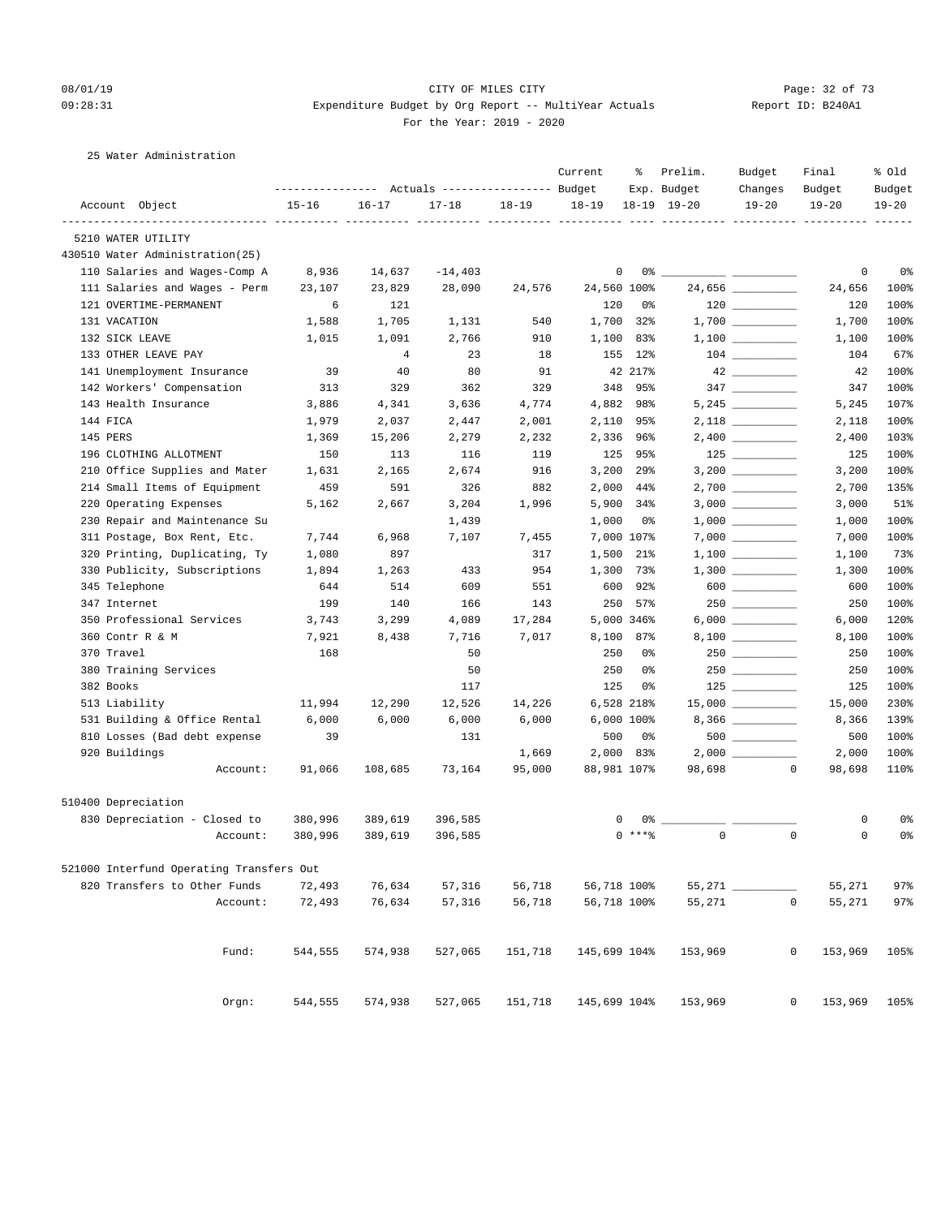#### 08/01/19 Page: 32 of 73 09:28:31 Expenditure Budget by Org Report -- MultiYear Actuals Report ID: B240A1 For the Year: 2019 - 2020

## 25 Water Administration

|                                                  | --------------- Actuals ---------------- Budget |                |           |           | Current      | ႜ               | Prelim.<br>Exp. Budget | Budget<br>Changes                      | Final<br>Budget  | % Old<br>Budget |
|--------------------------------------------------|-------------------------------------------------|----------------|-----------|-----------|--------------|-----------------|------------------------|----------------------------------------|------------------|-----------------|
| Account Object                                   | $15 - 16$                                       | $16 - 17$      | $17 - 18$ | $18 - 19$ | $18 - 19$    |                 | $18-19$ $19-20$        | $19 - 20$                              | $19 - 20$        | $19 - 20$       |
| -------------- -----------<br>5210 WATER UTILITY |                                                 |                |           |           |              |                 |                        |                                        |                  |                 |
| 430510 Water Administration(25)                  |                                                 |                |           |           |              |                 |                        |                                        |                  |                 |
| 110 Salaries and Wages-Comp A                    | 8,936                                           | 14,637         | $-14.403$ |           |              | 0               |                        |                                        | 0                | 0%              |
| 111 Salaries and Wages - Perm                    | 23,107                                          | 23,829         | 28,090    | 24,576    | 24,560 100%  |                 |                        | 24,656 __________                      | 24,656           | 100%            |
| 121 OVERTIME-PERMANENT                           | 6                                               | 121            |           |           | 120          | 0%              |                        |                                        | 120              | 100%            |
| 131 VACATION                                     | 1,588                                           | 1,705          | 1,131     | 540       | 1,700        | 32%             |                        |                                        | 1,700            | 100%            |
| 132 SICK LEAVE                                   | 1,015                                           | 1,091          | 2,766     | 910       | 1,100        | 83%             |                        |                                        | 1,100            | 100%            |
| 133 OTHER LEAVE PAY                              |                                                 | $\overline{4}$ | 23        | 18        | 155          | 12%             |                        | $\begin{tabular}{c} 104 \end{tabular}$ | 104              | 67%             |
| 141 Unemployment Insurance                       | 39                                              | 40             | 80        | 91        |              | 42 217%         |                        |                                        | 42               | 100%            |
| 142 Workers' Compensation                        | 313                                             | 329            | 362       | 329       | 348          | 95%             |                        |                                        | 347              | 100%            |
| 143 Health Insurance                             | 3,886                                           | 4,341          | 3,636     | 4,774     | 4,882        | 98%             |                        |                                        | 5,245            | 107%            |
| 144 FICA                                         | 1,979                                           | 2,037          | 2,447     | 2,001     |              | 2,110 95%       |                        |                                        | 2,118            | 100%            |
| 145 PERS                                         | 1,369                                           | 15,206         | 2,279     | 2,232     | 2,336        | 96%             |                        |                                        | 2,400            | 103%            |
| 196 CLOTHING ALLOTMENT                           | 150                                             | 113            | 116       | 119       | 125          | 95%             |                        |                                        | 125              | 100%            |
| 210 Office Supplies and Mater                    | 1,631                                           | 2,165          | 2,674     | 916       | 3,200        | 29%             |                        |                                        | 3,200            | 100%            |
| 214 Small Items of Equipment                     | 459                                             | 591            | 326       | 882       | 2,000        | 44%             |                        |                                        | 2,700            | 135%            |
| 220 Operating Expenses                           | 5,162                                           | 2,667          | 3,204     | 1,996     | 5,900        | 34%             |                        |                                        | 3,000            | 51%             |
| 230 Repair and Maintenance Su                    |                                                 |                | 1,439     |           | 1,000        | 0%              |                        |                                        | 1,000            | 100%            |
| 311 Postage, Box Rent, Etc.                      | 7,744                                           | 6,968          | 7,107     | 7,455     |              | 7,000 107%      |                        |                                        | 7,000            | 100%            |
| 320 Printing, Duplicating, Ty                    | 1,080                                           | 897            |           | 317       | 1,500        | 21%             |                        |                                        | 1,100            | 73%             |
| 330 Publicity, Subscriptions                     | 1,894                                           | 1,263          | 433       | 954       | 1,300        | 73%             |                        |                                        | 1,300            | 100%            |
| 345 Telephone                                    | 644                                             | 514            | 609       | 551       | 600          | 92%             |                        |                                        | 600              | 100%            |
| 347 Internet                                     | 199                                             | 140            | 166       | 143       | 250          | 57%             |                        |                                        | 250              | 100%            |
| 350 Professional Services                        | 3,743                                           | 3,299          | 4,089     | 17,284    |              | 5,000 346%      |                        |                                        | 6,000            | 120%            |
| 360 Contr R & M                                  | 7,921                                           | 8,438          | 7,716     | 7,017     |              | 8,100 87%       |                        |                                        | 8,100            | 100%            |
| 370 Travel                                       | 168                                             |                | 50        |           | 250          | 0%              |                        | $250$ _________                        | 250              | 100%            |
| 380 Training Services                            |                                                 |                | 50        |           | 250          | 0%              |                        |                                        | 250              | 100%            |
| 382 Books                                        |                                                 |                | 117       |           | 125          | 0%              |                        | $125$                                  | 125              | 100%            |
| 513 Liability                                    | 11,994                                          | 12,290         | 12,526    | 14,226    |              | 6,528 218%      |                        | $15,000$ _________                     | 15,000           | 230%            |
| 531 Building & Office Rental                     | 6,000                                           | 6,000          | 6,000     | 6,000     |              | $6,000$ $100\%$ |                        |                                        | 8,366            | 139%            |
| 810 Losses (Bad debt expense                     | 39                                              |                | 131       |           | 500          | 0%              |                        | $500$ _________                        | 500              | 100%            |
| 920 Buildings                                    |                                                 |                |           | 1,669     |              | 2,000 83%       |                        |                                        | 2,000            | 100%            |
| Account:                                         | 91,066                                          | 108,685        | 73,164    | 95,000    | 88,981 107%  |                 | 98,698                 | $\sim$ 0                               | 98,698           | 110%            |
| 510400 Depreciation                              |                                                 |                |           |           |              |                 |                        |                                        |                  |                 |
| 830 Depreciation - Closed to                     | 380,996                                         | 389,619        | 396,585   |           |              | 0%<br>0         |                        |                                        | 0                | 0%              |
| Account:                                         | 380,996                                         | 389,619        | 396,585   |           |              | $0$ ****        | $\mathbf{0}$           |                                        | $\mathbf 0$<br>0 | 0%              |
| 521000 Interfund Operating Transfers Out         |                                                 |                |           |           |              |                 |                        |                                        |                  |                 |
| 820 Transfers to Other Funds                     | 72,493                                          | 76,634         | 57,316    | 56,718    |              | 56,718 100%     | $55,271$ $\_$          |                                        | 55,271           | 97%             |
| Account:                                         | 72,493                                          | 76,634         | 57,316    | 56,718    | 56,718 100%  |                 | 55,271                 |                                        | 0<br>55,271      | $97$ $%$        |
| Fund:                                            | 544,555                                         | 574,938        | 527,065   | 151,718   | 145,699 104% |                 | 153,969                |                                        | 0<br>153,969     | 105%            |
|                                                  |                                                 |                |           |           |              |                 |                        |                                        |                  |                 |
| Orgn:                                            | 544,555                                         | 574,938        | 527,065   | 151,718   | 145,699 104% |                 | 153,969                |                                        | 0<br>153,969     | 105%            |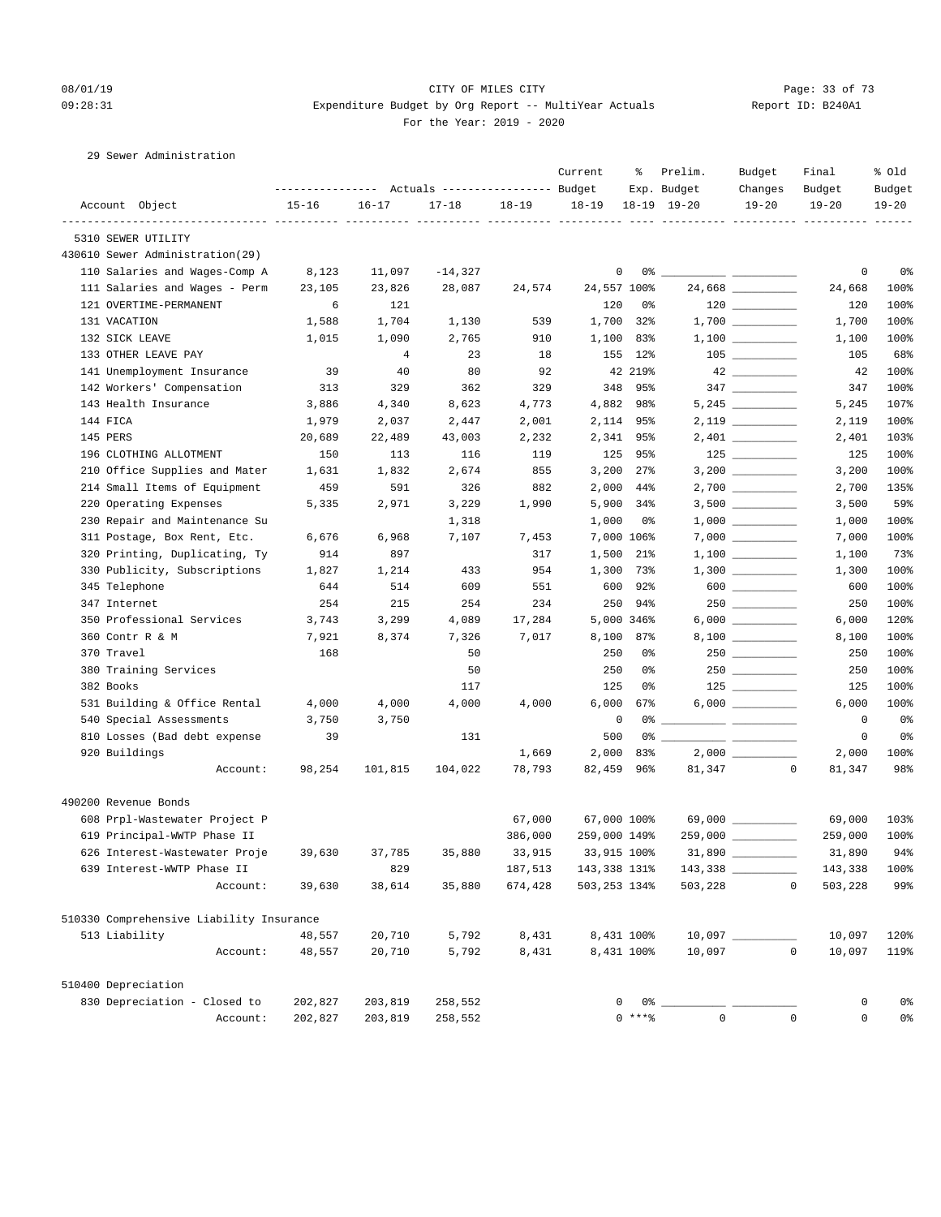#### 08/01/19 Page: 33 of 73 09:28:31 Expenditure Budget by Org Report -- MultiYear Actuals Report ID: B240A1 For the Year: 2019 - 2020

## 29 Sewer Administration

|                                          |                                                              |                |           |         | Current      | ႜ           | Prelim.                         | Budget                                                                                      | Final                  | % old               |
|------------------------------------------|--------------------------------------------------------------|----------------|-----------|---------|--------------|-------------|---------------------------------|---------------------------------------------------------------------------------------------|------------------------|---------------------|
| Account Object                           | --------------- Actuals ---------------- Budget<br>$15 - 16$ | $16 - 17$      | $17 - 18$ | 18-19   | $18 - 19$    |             | Exp. Budget<br>18-19 19-20      | Changes<br>$19 - 20$                                                                        | Budget<br>$19 - 20$    | Budget<br>$19 - 20$ |
|                                          |                                                              |                |           |         |              |             |                                 |                                                                                             |                        |                     |
| 5310 SEWER UTILITY                       |                                                              |                |           |         |              |             |                                 |                                                                                             |                        |                     |
| 430610 Sewer Administration(29)          |                                                              |                |           |         |              |             |                                 |                                                                                             |                        |                     |
| 110 Salaries and Wages-Comp A            | 8,123                                                        | 11,097         | $-14,327$ |         |              | 0<br>0%     | <u> Alexandria (Alexandria)</u> |                                                                                             | 0                      | 0%                  |
| 111 Salaries and Wages - Perm            | 23,105                                                       | 23,826         | 28,087    | 24,574  | 24,557 100%  |             |                                 |                                                                                             | 24,668                 | 100%                |
| 121 OVERTIME-PERMANENT                   | 6                                                            | 121            |           |         | 120          | 0%          |                                 |                                                                                             | 120                    | 100%                |
| 131 VACATION                             | 1,588                                                        | 1,704          | 1,130     | 539     | 1,700        | 32%         |                                 |                                                                                             | 1,700                  | 100%                |
| 132 SICK LEAVE                           | 1,015                                                        | 1,090          | 2,765     | 910     | 1,100        | 83%         |                                 |                                                                                             | 1,100                  | 100%                |
| 133 OTHER LEAVE PAY                      |                                                              | $\overline{4}$ | 23        | 18      | 155          | $12\%$      |                                 | $\begin{tabular}{c} 105 \end{tabular}$                                                      | 105                    | 68%                 |
| 141 Unemployment Insurance               | 39                                                           | 40             | 80        | 92      |              | 42 219%     |                                 |                                                                                             | 42                     | 100%                |
| 142 Workers' Compensation                | 313                                                          | 329            | 362       | 329     | 348          | 95%         |                                 |                                                                                             | 347                    | 100%                |
| 143 Health Insurance                     | 3,886                                                        | 4,340          | 8,623     | 4,773   | 4,882        | 98%         |                                 |                                                                                             | 5,245                  | 107%                |
| 144 FICA                                 | 1,979                                                        | 2,037          | 2,447     | 2,001   |              | 2,114 95%   |                                 |                                                                                             | 2,119                  | 100%                |
| 145 PERS                                 | 20,689                                                       | 22,489         | 43,003    | 2,232   | 2,341        | 95%         |                                 | $2,401$ __________                                                                          | 2,401                  | 103%                |
| 196 CLOTHING ALLOTMENT                   | 150                                                          | 113            | 116       | 119     | 125          | 95%         |                                 |                                                                                             | 125                    | 100%                |
| 210 Office Supplies and Mater            | 1,631                                                        | 1,832          | 2,674     | 855     | 3,200        | 27%         |                                 |                                                                                             | 3,200                  | 100%                |
| 214 Small Items of Equipment             | 459                                                          | 591            | 326       | 882     | 2,000        | 44%         |                                 |                                                                                             | 2,700                  | 135%                |
| 220 Operating Expenses                   | 5,335                                                        | 2,971          | 3,229     | 1,990   | 5,900        | 34%         |                                 |                                                                                             | 3,500                  | 59%                 |
| 230 Repair and Maintenance Su            |                                                              |                | 1,318     |         | 1,000        | 0%          |                                 | $1\, , \, 0\, 0\, 0 \quad \underline{\hspace{1cm}} \rule{2.5cm}{0.4cm} \rule{2.5cm}{0.4cm}$ | 1,000                  | 100%                |
| 311 Postage, Box Rent, Etc.              | 6,676                                                        | 6,968          | 7,107     | 7,453   |              | 7,000 106%  |                                 |                                                                                             | 7,000                  | 100%                |
| 320 Printing, Duplicating, Ty            | 914                                                          | 897            |           | 317     | 1,500        | 21%         |                                 |                                                                                             | 1,100                  | 73%                 |
| 330 Publicity, Subscriptions             | 1,827                                                        | 1,214          | 433       | 954     | 1,300        | 73%         |                                 | 1,300                                                                                       | 1,300                  | 100%                |
| 345 Telephone                            | 644                                                          | 514            | 609       | 551     | 600          | 92%         |                                 | $600$                                                                                       | 600                    | 100%                |
| 347 Internet                             | 254                                                          | 215            | 254       | 234     | 250          | 94%         |                                 |                                                                                             | 250                    | 100%                |
| 350 Professional Services                | 3,743                                                        | 3,299          | 4,089     | 17,284  |              | 5,000 346%  |                                 |                                                                                             | 6,000                  | 120%                |
| 360 Contr R & M                          | 7,921                                                        | 8,374          | 7,326     | 7,017   | 8,100        | 87%         |                                 |                                                                                             | 8,100                  | 100%                |
| 370 Travel                               | 168                                                          |                | 50        |         | 250          | 0%          |                                 |                                                                                             | 250                    | 100%                |
| 380 Training Services                    |                                                              |                | 50        |         | 250          | 0%          |                                 |                                                                                             | 250                    | 100%                |
| 382 Books                                |                                                              |                | 117       |         | 125          | 0%          |                                 | $125$                                                                                       | 125                    | 100%                |
| 531 Building & Office Rental             | 4,000                                                        | 4,000          | 4,000     | 4,000   | 6,000        | 67%         |                                 |                                                                                             | 6,000                  | 100%                |
| 540 Special Assessments                  | 3,750                                                        | 3,750          |           |         | $\mathbf 0$  | 0%          |                                 |                                                                                             | $\mathbf 0$            | 0%                  |
| 810 Losses (Bad debt expense             | 39                                                           |                | 131       |         | 500          | 0%          |                                 |                                                                                             | 0                      | 0 <sup>°</sup>      |
| 920 Buildings                            |                                                              |                |           | 1,669   | 2,000        | 83%         |                                 |                                                                                             | 2,000                  | 100%                |
| Account:                                 | 98,254                                                       | 101,815        | 104,022   | 78,793  | 82,459       | 96%         | 81,347                          | 0                                                                                           | 81,347                 | 98%                 |
|                                          |                                                              |                |           |         |              |             |                                 |                                                                                             |                        |                     |
| 490200 Revenue Bonds                     |                                                              |                |           |         |              |             |                                 |                                                                                             |                        |                     |
| 608 Prpl-Wastewater Project P            |                                                              |                |           | 67,000  | 67,000 100%  |             |                                 |                                                                                             | 69,000                 | 103%                |
| 619 Principal-WWTP Phase II              |                                                              |                |           | 386,000 | 259,000 149% |             |                                 |                                                                                             | 259,000                | 100%                |
| 626 Interest-Wastewater Proje            | 39,630                                                       | 37,785         | 35,880    | 33,915  | 33,915 100%  |             |                                 |                                                                                             | 31,890                 | 94%                 |
| 639 Interest-WWTP Phase II               |                                                              | 829            |           | 187,513 | 143,338 131% |             | 143,338                         |                                                                                             | 143,338                | 100%                |
| Account:                                 | 39,630                                                       | 38,614         | 35,880    | 674,428 | 503,253 134% |             | 503,228                         |                                                                                             | $\mathbf 0$<br>503,228 | 99%                 |
| 510330 Comprehensive Liability Insurance |                                                              |                |           |         |              |             |                                 |                                                                                             |                        |                     |
| 513 Liability                            | 48,557                                                       | 20,710         | 5,792     | 8,431   |              | 8,431 100%  |                                 |                                                                                             | 10,097                 | 120%                |
| Account:                                 | 48,557                                                       | 20,710         | 5,792     | 8,431   |              | 8,431 100%  | 10,097                          | $\mathbf 0$                                                                                 | 10,097                 | 119%                |
| 510400 Depreciation                      |                                                              |                |           |         |              |             |                                 |                                                                                             |                        |                     |
| 830 Depreciation - Closed to             | 202,827                                                      | 203,819        | 258,552   |         |              |             | $0\%$ __                        |                                                                                             | 0                      | 0%                  |
| Account:                                 | 202,827                                                      | 203,819        | 258,552   |         |              | $0$ *** $8$ | $\mathbf{0}$                    |                                                                                             | $\mathbf 0$<br>0       | 0%                  |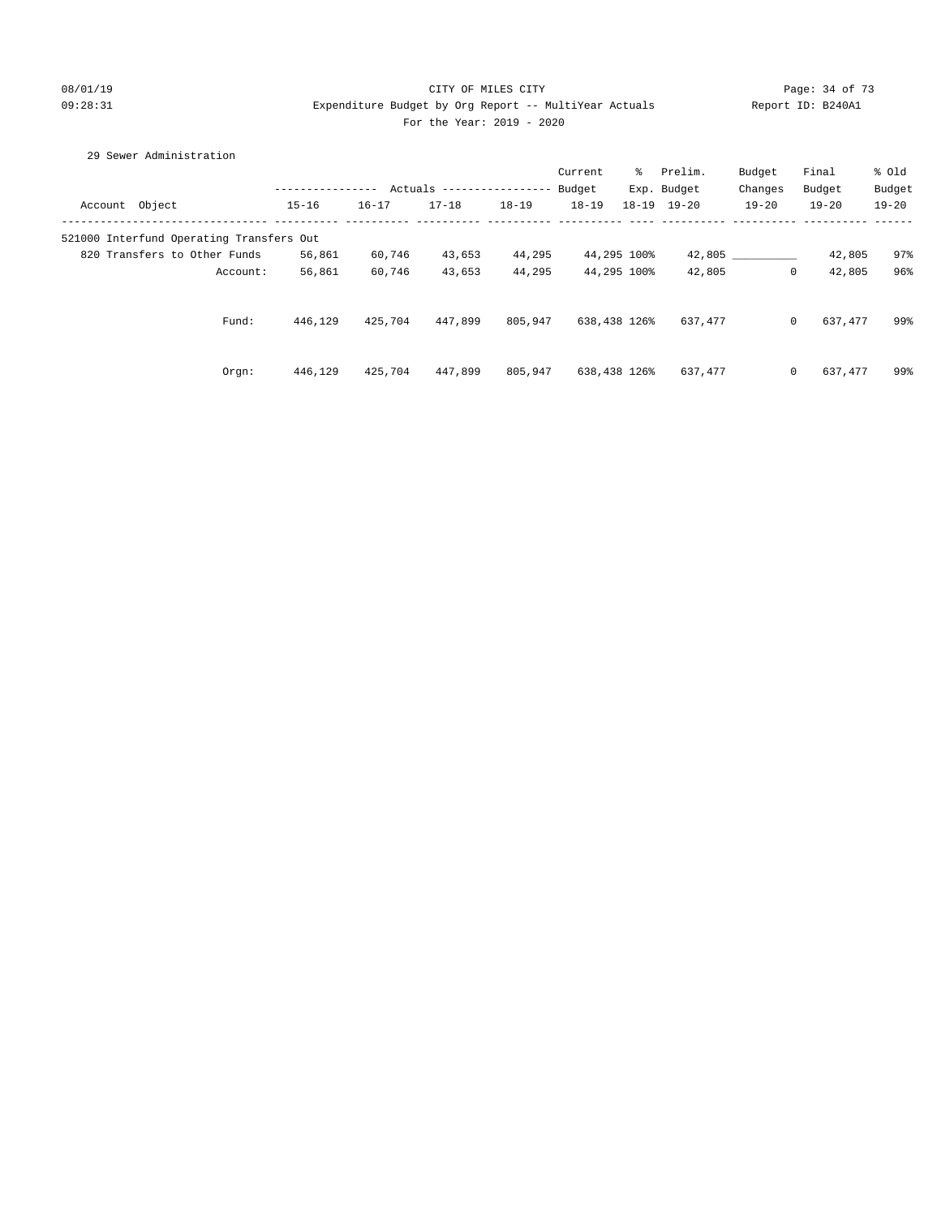# 08/01/19 Page: 34 of 73 For the Year: 2019 - 2020

# 09:28:31 Expenditure Budget by Org Report -- MultiYear Actuals Report ID: B240A1

| 29 Sewer Administration                  |                  |           |                           |           |           |              |                     |              |           |           |
|------------------------------------------|------------------|-----------|---------------------------|-----------|-----------|--------------|---------------------|--------------|-----------|-----------|
|                                          |                  |           |                           |           | Current   | ႜႜၟ          | Prelim.             | Budget       | Final     | % Old     |
|                                          | ---------------- |           | Actuals ----------------- |           | Budget    |              | Exp. Budget         | Changes      | Budget    | Budget    |
| Account Object                           | $15 - 16$        | $16 - 17$ | $17 - 18$                 | $18 - 19$ | $18 - 19$ |              | $18 - 19$ $19 - 20$ | $19 - 20$    | $19 - 20$ | $19 - 20$ |
| 521000 Interfund Operating Transfers Out |                  |           |                           |           |           |              |                     |              |           |           |
| 820 Transfers to Other Funds             | 56,861           | 60,746    | 43,653                    | 44,295    |           | 44,295 100%  |                     | 42,805       | 42,805    | 97%       |
| Account:                                 | 56,861           | 60,746    | 43,653                    | 44,295    |           | 44,295 100%  | 42,805              | $\mathbf{0}$ | 42,805    | 96%       |
| Fund:                                    | 446,129          | 425,704   | 447,899                   | 805,947   |           | 638,438 126% | 637,477             | $\circ$      | 637,477   | 99%       |
| Orgn:                                    | 446,129          | 425,704   | 447,899                   | 805,947   |           | 638,438 126% | 637,477             | $\circ$      | 637,477   | 99%       |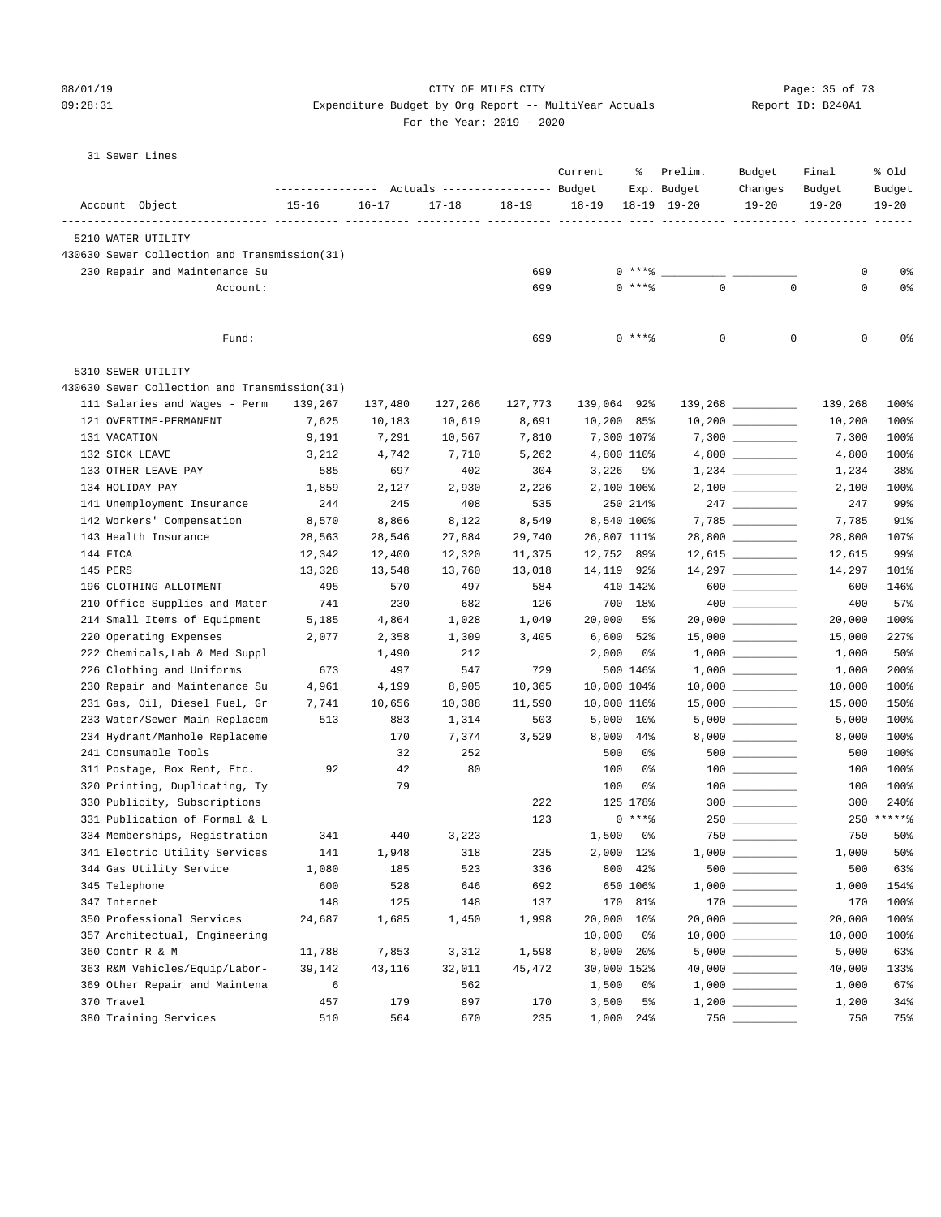## 08/01/19 Page: 35 of 73

## 09:28:31 Expenditure Budget by Org Report -- MultiYear Actuals Report ID: B240A1 For the Year: 2019 - 2020

| 31 Sewer Lines |  |
|----------------|--|
|                |  |

|          |                                              |           |            | Actuals ----------------- Budget |           | Current        | ႜ              | Prelim.<br>Exp. Budget | Budget<br>Changes                      | Final<br>Budget | % old<br>Budget |
|----------|----------------------------------------------|-----------|------------|----------------------------------|-----------|----------------|----------------|------------------------|----------------------------------------|-----------------|-----------------|
|          | Account Object                               | $15 - 16$ | $16 - 17$  | $17 - 18$                        | $18 - 19$ | $18 - 19$      |                | $18 - 19$ $19 - 20$    | $19 - 20$                              | $19 - 20$       |                 |
|          | 5210 WATER UTILITY                           |           |            |                                  |           |                |                |                        |                                        |                 |                 |
|          | 430630 Sewer Collection and Transmission(31) |           |            |                                  |           |                |                |                        |                                        |                 |                 |
|          | 230 Repair and Maintenance Su                |           |            |                                  | 699       |                | $0***8$        |                        |                                        | 0               | 0%              |
|          | Account:                                     |           |            |                                  | 699       |                | $0$ ****       | $\mathbf 0$            | $\mathbf 0$                            | $\mathbf 0$     | 0%              |
|          | Fund:                                        |           |            |                                  | 699       |                | 0 ****         | 0                      | 0                                      | 0               | 0%              |
|          | 5310 SEWER UTILITY                           |           |            |                                  |           |                |                |                        |                                        |                 |                 |
|          | 430630 Sewer Collection and Transmission(31) |           |            |                                  |           |                |                |                        |                                        |                 |                 |
|          | 111 Salaries and Wages - Perm                | 139,267   | 137,480    | 127,266                          | 127,773   | 139,064 92%    |                |                        | 139,268 _________                      | 139,268         | 100%            |
|          | 121 OVERTIME-PERMANENT                       | 7,625     | 10,183     | 10,619                           | 8,691     | 10,200 85%     |                |                        | $10,200$ _________                     | 10,200          | 100%            |
|          | 131 VACATION                                 | 9,191     | 7,291      | 10,567                           | 7,810     |                | 7,300 107%     |                        |                                        | 7,300           | 100%            |
|          | 132 SICK LEAVE                               | 3,212     | 4,742      | 7,710                            | 5,262     |                | 4,800 110%     |                        |                                        | 4,800           | 100%            |
|          | 133 OTHER LEAVE PAY                          | 585       | 697        | 402                              | 304       | 3,226          | _ 9%           |                        | $1,234 \ \ \underline{\hspace{1.5cm}}$ | 1,234           | 38%             |
|          | 134 HOLIDAY PAY                              | 1,859     | 2,127      | 2,930                            | 2,226     |                | 2,100 106%     |                        | $2,100$ _________                      | 2,100           | 100%            |
|          | 141 Unemployment Insurance                   | 244       | 245        | 408                              | 535       |                | 250 214%       |                        |                                        | 247             | 99%             |
|          | 142 Workers' Compensation                    | 8,570     | 8,866      | 8,122                            | 8,549     |                | 8,540 100%     |                        |                                        | 7,785           | 91%             |
|          | 143 Health Insurance                         | 28,563    | 28,546     | 27,884                           | 29,740    | 26,807 111%    |                |                        | 28,800 __________                      | 28,800          | 107%            |
| 144 FICA |                                              | 12,342    | 12,400     | 12,320                           | 11,375    | 12,752 89%     |                |                        | $12,615$ _________                     | 12,615          | 99%             |
| 145 PERS |                                              | 13,328    | 13,548     | 13,760                           | 13,018    | 14,119 92%     |                |                        |                                        | 14,297          | 101%            |
|          | 196 CLOTHING ALLOTMENT                       | 495       | 570        | 497                              | 584       |                | 410 142%       |                        | $600$                                  | 600             | 146%            |
|          | 210 Office Supplies and Mater                | 741       | 230        | 682                              | 126       |                | 700 18%        |                        |                                        | 400             | 57%             |
|          | 214 Small Items of Equipment                 | 5,185     | 4,864      | 1,028                            | 1,049     | 20,000         | 5%             |                        |                                        | 20,000          | 100%            |
|          | 220 Operating Expenses                       | 2,077     | 2,358      | 1,309                            | 3,405     | 6,600          | 52%            |                        | $15,000$ __________                    | 15,000          | 227%            |
|          | 222 Chemicals, Lab & Med Suppl               |           | 1,490      | 212                              |           | 2,000          | 0%             |                        |                                        | 1,000           | 50%             |
|          | 226 Clothing and Uniforms                    | 673       | 497        | 547                              | 729       |                | 500 146%       |                        |                                        | 1,000           | 200%            |
|          | 230 Repair and Maintenance Su                | 4,961     | 4,199      | 8,905                            | 10,365    | 10,000 104%    |                |                        | $10,000$ _________                     | 10,000          | 100%            |
|          | 231 Gas, Oil, Diesel Fuel, Gr                | 7,741     | 10,656     | 10,388                           | 11,590    | 10,000 116%    |                |                        |                                        | 15,000          | 150%            |
|          | 233 Water/Sewer Main Replacem                | 513       | 883        | 1,314                            | 503       |                | 5,000 10%      |                        |                                        | 5,000           | 100%            |
|          | 234 Hydrant/Manhole Replaceme                |           | 170        | 7,374                            | 3,529     | 8,000          | 44%            |                        |                                        | 8,000           | 100%            |
|          | 241 Consumable Tools                         |           | 32         | 252                              |           | 500            | 0%             |                        | $500$ _________                        | 500             | 100%            |
|          | 311 Postage, Box Rent, Etc.                  | 92        | 42         | 80                               |           | 100            | 0%             |                        | $\begin{tabular}{c} 100 \end{tabular}$ | 100             | 100%            |
|          | 320 Printing, Duplicating, Ty                |           | 79         |                                  |           | 100            | 0%             |                        |                                        | 100             | 100%            |
|          | 330 Publicity, Subscriptions                 |           |            |                                  | 222       |                | 125 178%       |                        | $300$                                  | 300             | 240%            |
|          | 331 Publication of Formal & L                |           |            |                                  | 123       |                | $0***$         |                        | $250$                                  |                 | 250 ******      |
|          | 334 Memberships, Registration                | 341       | 440        | 3,223                            |           | 1,500          | 0%             |                        |                                        | 750             | 50%             |
|          | 341 Electric Utility Services                | 141       | 1,948      | 318                              | 235       |                | 2,000 12%      | $1,000$ $\_\_$         |                                        | 1,000           | 50%             |
|          | 344 Gas Utility Service                      | 1,080     | 185        | 523                              | 336       | 800            | 42%            |                        |                                        | 500             | 63%             |
|          | 345 Telephone                                | 600       | 528        | 646                              | 692       |                | 650 106%       |                        |                                        | 1,000           | 154%            |
|          | 347 Internet                                 | 148       | 125        | 148                              | 137       | 170            | 81%            |                        | $\begin{tabular}{c} 170 \end{tabular}$ | 170             | 100%            |
|          | 350 Professional Services                    | 24,687    | 1,685      | 1,450                            | 1,998     | 20,000 10%     |                |                        |                                        | 20,000          | 100%            |
|          | 357 Architectual, Engineering                |           |            |                                  |           | 10,000         | 0 <sup>o</sup> |                        |                                        | 10,000          | 100%            |
|          | 360 Contr R & M                              | 11,788    | 7,853      | 3,312                            | 1,598     | 8,000          | 20%            |                        |                                        | 5,000           | 63%             |
|          | 363 R&M Vehicles/Equip/Labor-                | 39,142    | 43,116     | 32,011                           | 45,472    | 30,000 152%    |                |                        |                                        | 40,000          | 133%            |
|          | 369 Other Repair and Maintena                | 6<br>457  |            | 562<br>897                       | 170       | 1,500          | 0%<br>5%       |                        |                                        | 1,000           | 67%<br>34%      |
|          | 370 Travel<br>380 Training Services          | 510       | 179<br>564 | 670                              | 235       | 3,500<br>1,000 | 24%            | 750                    |                                        | 1,200<br>750    | 75%             |
|          |                                              |           |            |                                  |           |                |                |                        |                                        |                 |                 |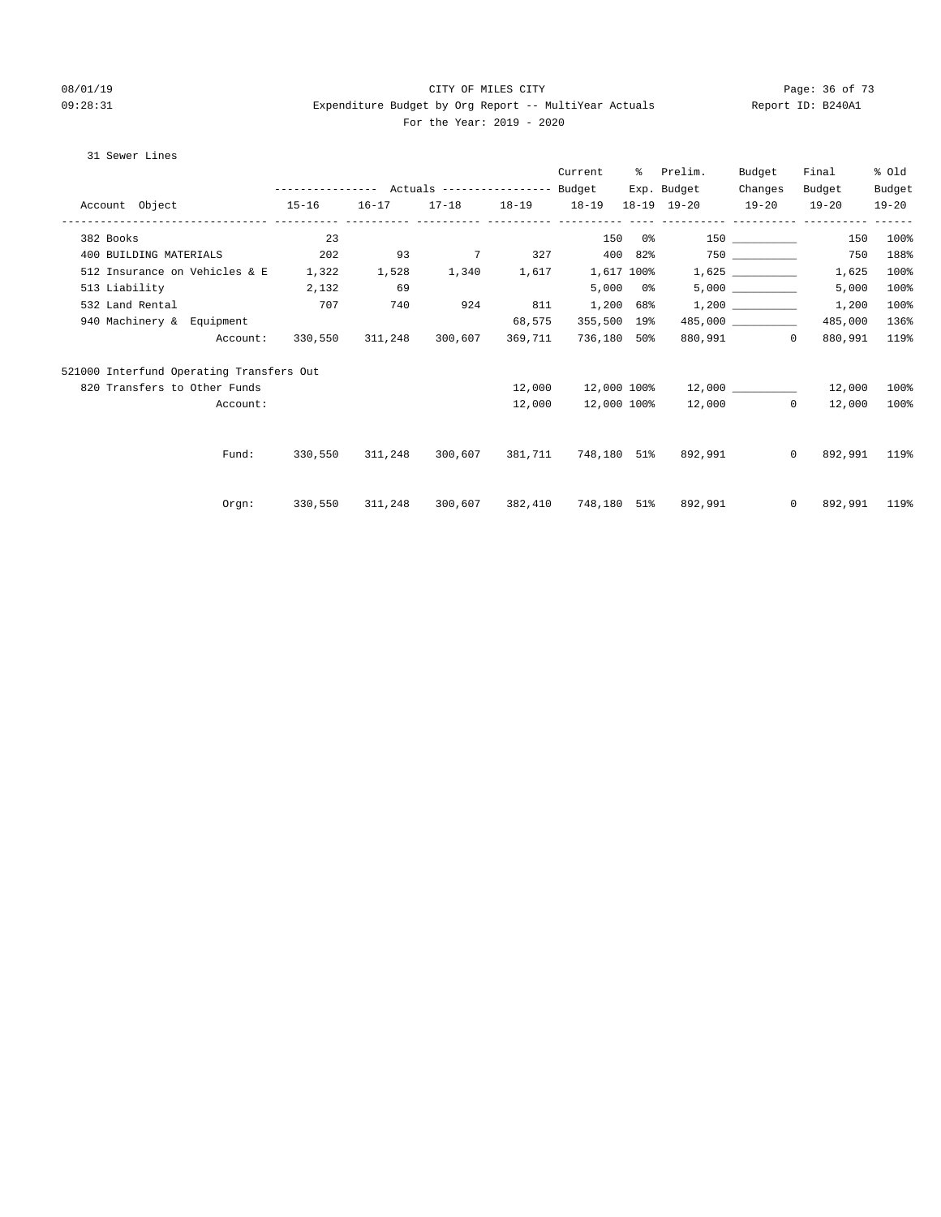#### 08/01/19 Page: 36 of 73 09:28:31 Expenditure Budget by Org Report -- MultiYear Actuals Report ID: B240A1 For the Year: 2019 - 2020

#### 31 Sewer Lines

|                              |                                           |                                                 |         |                         |         | Current     |               | % Prelim.                                           | Budget            | Final          | % old     |
|------------------------------|-------------------------------------------|-------------------------------------------------|---------|-------------------------|---------|-------------|---------------|-----------------------------------------------------|-------------------|----------------|-----------|
|                              |                                           | --------------- Actuals ---------------- Budget |         |                         |         |             | Exp. Budget   | Changes                                             | Budget            | Budget         |           |
|                              | Account Object 15-16                      |                                                 |         | 16-17 17-18 18-19 18-19 |         |             |               | 18-19 19-20 19-20 19-20                             |                   |                | $19 - 20$ |
|                              |                                           |                                                 |         |                         |         |             |               |                                                     | ----------------- |                |           |
| 382 Books                    |                                           | 23                                              |         |                         |         |             | 150 0%        |                                                     |                   | 150            | 100%      |
| 400 BUILDING MATERIALS       |                                           | 202                                             | 93      |                         |         |             |               | 7 327 400 82% 750 200 750                           |                   |                | 188%      |
|                              | 512 Insurance on Vehicles & E 1,322 1,528 |                                                 |         | 1,340 1,617             |         |             |               |                                                     |                   | 1,625          | 100%      |
| 513 Liability                | 2,132                                     |                                                 | 69      |                         |         |             | $5,000$ $0\%$ |                                                     | 5,000             | 5,000          | 100%      |
| 532 Land Rental              |                                           | 707                                             | 740     | 924                     | 811     | 1,200 68%   |               | 1,200                                               |                   | 1,200          | 100%      |
| 940 Machinery & Equipment    |                                           |                                                 |         |                         | 68,575  | 355,500 19% |               |                                                     | 485,000           | 485,000        | 136%      |
|                              | Account:                                  | 330,550                                         | 311,248 | 300,607                 | 369,711 | 736,180 50% |               |                                                     | 880,991 0         | 880,991        | 119%      |
|                              | 521000 Interfund Operating Transfers Out  |                                                 |         |                         |         |             |               |                                                     |                   |                |           |
| 820 Transfers to Other Funds |                                           |                                                 |         |                         | 12,000  | 12,000 100% |               |                                                     |                   | 12,000         | $100\%$   |
|                              | Account:                                  |                                                 |         |                         | 12,000  | 12,000 100% |               |                                                     | 12,000 0          | 12,000         | 100%      |
|                              |                                           |                                                 |         |                         |         |             |               |                                                     |                   |                |           |
|                              | Fund:                                     |                                                 |         |                         |         |             |               | 330,550 311,248 300,607 381,711 748,180 51% 892,991 | $\Omega$          | 892,991        | 119%      |
|                              |                                           |                                                 |         |                         |         |             |               |                                                     |                   |                |           |
|                              | Orgn:                                     | 330,550                                         |         |                         |         |             |               | 311,248  300,607  382,410  748,180  51%  892,991    |                   | 0 892,991 119% |           |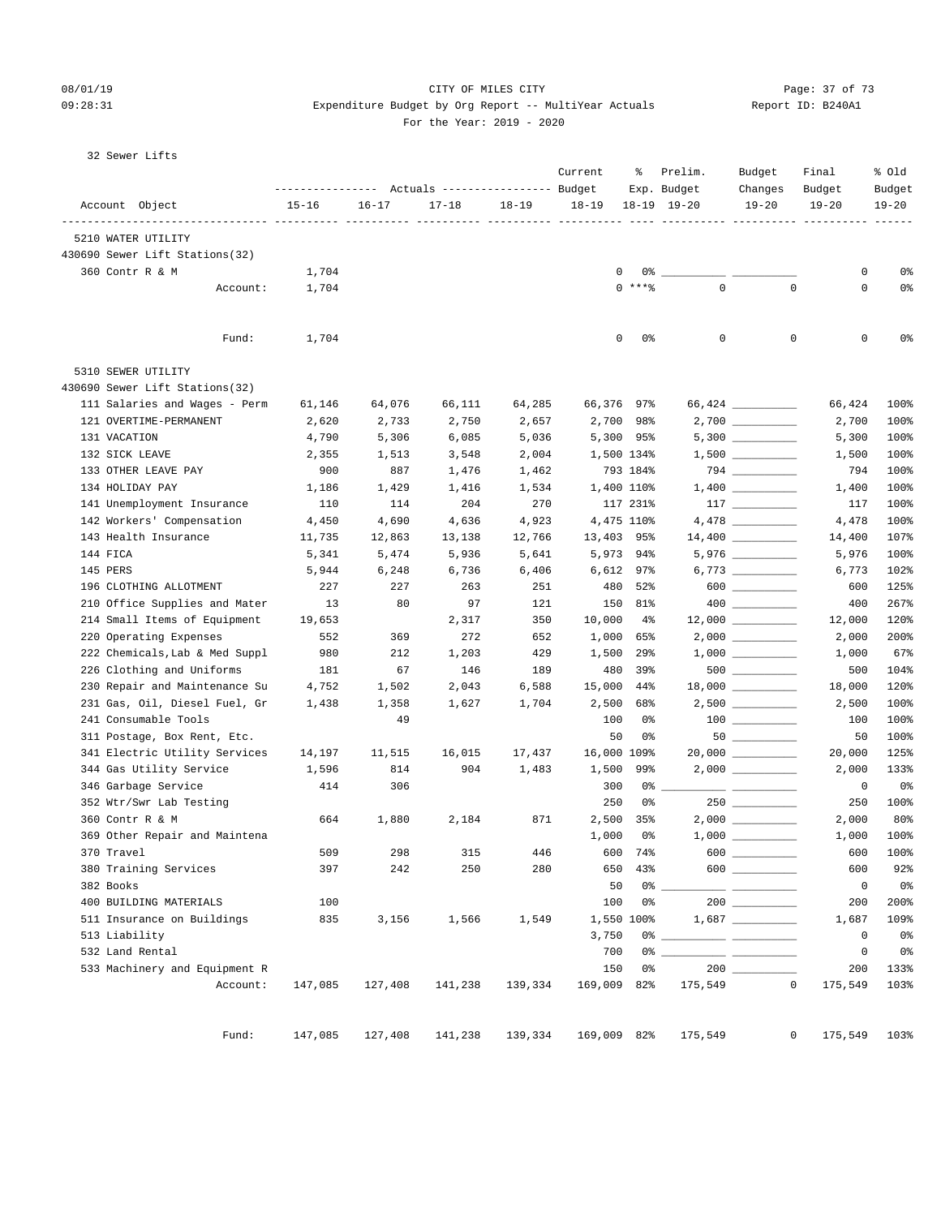#### 08/01/19 Page: 37 of 73 09:28:31 Expenditure Budget by Org Report -- MultiYear Actuals Report ID: B240A1 For the Year: 2019 - 2020

| Report I |  |
|----------|--|
|          |  |

32 Sewer Lifts

|                                |           | --------------- Actuals ---------------- Budget |           |           | Current     | ႜ                     | Prelim.<br>Exp. Budget       | Budget<br>Changes                          | Final<br>Budget     | % old<br>Budget |
|--------------------------------|-----------|-------------------------------------------------|-----------|-----------|-------------|-----------------------|------------------------------|--------------------------------------------|---------------------|-----------------|
| Account Object                 | $15 - 16$ | $16 - 17$                                       | $17 - 18$ | $18 - 19$ | $18 - 19$   |                       | $18 - 19$ $19 - 20$          | $19 - 20$                                  | $19 - 20$           | $19 - 20$       |
| 5210 WATER UTILITY             |           |                                                 |           |           |             |                       | -----------                  |                                            |                     |                 |
| 430690 Sewer Lift Stations(32) |           |                                                 |           |           |             |                       |                              |                                            |                     |                 |
| 360 Contr R & M                | 1,704     |                                                 |           |           |             | 0                     | $0\%$ __                     |                                            | 0                   | 0%              |
| Account:                       | 1,704     |                                                 |           |           |             | $\Omega$<br>$***$ $%$ | $\mathbf 0$                  | $\Omega$                                   | 0                   | 0%              |
| Fund:                          | 1,704     |                                                 |           |           |             | 0<br>0%               | 0                            | $\mathbf 0$                                | 0                   | 0%              |
| 5310 SEWER UTILITY             |           |                                                 |           |           |             |                       |                              |                                            |                     |                 |
| 430690 Sewer Lift Stations(32) |           |                                                 |           |           |             |                       |                              |                                            |                     |                 |
| 111 Salaries and Wages - Perm  | 61,146    | 64,076                                          | 66,111    | 64,285    | 66,376 97%  |                       |                              |                                            | 66,424              | 100%            |
| 121 OVERTIME-PERMANENT         | 2,620     | 2,733                                           | 2,750     | 2,657     | 2,700       | 98%                   |                              | $2,700$ __________                         | 2,700               | 100%            |
| 131 VACATION                   | 4,790     | 5,306                                           | 6,085     | 5,036     |             | 5,300 95%             |                              | $5,300$ __________                         | 5,300               | 100%            |
| 132 SICK LEAVE                 | 2,355     | 1,513                                           | 3,548     | 2,004     |             | 1,500 134%            |                              |                                            | 1,500               | 100%            |
| 133 OTHER LEAVE PAY            | 900       | 887                                             | 1,476     | 1,462     |             | 793 184%              |                              |                                            | 794                 | 100%            |
| 134 HOLIDAY PAY                | 1,186     | 1,429                                           | 1,416     | 1,534     |             | 1,400 110%            |                              |                                            | 1,400               | 100%            |
| 141 Unemployment Insurance     | 110       | 114                                             | 204       | 270       |             | 117 231%              |                              | 117 7                                      | 117                 | 100%            |
| 142 Workers' Compensation      | 4,450     | 4,690                                           | 4,636     | 4,923     |             | 4,475 110%            |                              |                                            | 4,478               | 100%            |
| 143 Health Insurance           | 11,735    | 12,863                                          | 13,138    | 12,766    | 13,403      | 95%                   |                              |                                            | 14,400              | 107%            |
| 144 FICA                       | 5,341     | 5,474                                           | 5,936     | 5,641     |             | 5,973 94%             |                              |                                            | 5,976               | 100%            |
| 145 PERS                       | 5,944     | 6,248                                           | 6,736     | 6,406     | 6,612       | 97%                   |                              |                                            | 6,773               | 102%            |
| 196 CLOTHING ALLOTMENT         | 227       | 227                                             | 263       | 251       | 480         | 52%                   |                              | $600$                                      | 600                 | 125%            |
| 210 Office Supplies and Mater  | 13        | 80                                              | 97        | 121       | 150         | 81%                   |                              |                                            | 400                 | 267%            |
| 214 Small Items of Equipment   | 19,653    |                                                 | 2,317     | 350       | 10,000      | $4\%$                 |                              | $12,000$ _________                         | 12,000              | 120%            |
| 220 Operating Expenses         | 552       | 369                                             | 272       | 652       | 1,000       | 65%                   |                              |                                            | 2,000               | 200%            |
| 222 Chemicals, Lab & Med Suppl | 980       | 212                                             | 1,203     | 429       | 1,500       | 29%                   |                              |                                            | 1,000               | 67%             |
| 226 Clothing and Uniforms      | 181       | 67                                              | 146       | 189       | 480         | 39%                   |                              | $500$ ___________                          | 500                 | 104%            |
| 230 Repair and Maintenance Su  | 4,752     | 1,502                                           | 2,043     | 6,588     | 15,000      | 44%                   |                              |                                            | 18,000              | 120%            |
| 231 Gas, Oil, Diesel Fuel, Gr  | 1,438     | 1,358                                           | 1,627     | 1,704     | 2,500       | 68%                   |                              | $2,500$ ___________                        | 2,500               | 100%            |
| 241 Consumable Tools           |           | 49                                              |           |           | 100         | 0%                    |                              |                                            | 100                 | 100%            |
| 311 Postage, Box Rent, Etc.    |           |                                                 |           |           | 50          | 0%                    |                              |                                            | 50                  | 100%            |
| 341 Electric Utility Services  | 14,197    | 11,515                                          | 16,015    | 17,437    | 16,000 109% |                       |                              | $20,000$ __________                        | 20,000              | 125%            |
| 344 Gas Utility Service        | 1,596     | 814                                             | 904       | 1,483     | 1,500       | 99%                   |                              |                                            | 2,000               | 133%            |
| 346 Garbage Service            | 414       | 306                                             |           |           | 300         | 0%                    |                              |                                            | 0                   | $0\,$           |
| 352 Wtr/Swr Lab Testing        |           |                                                 |           |           | 250         | 0%                    |                              |                                            | 250                 | 100%            |
| 360 Contr R & M                | 664       | 1,880                                           | 2,184     | 871       | 2,500       | 35%                   |                              |                                            | 2,000               | 80%             |
| 369 Other Repair and Maintena  |           |                                                 |           |           | 1,000       | 0%                    |                              |                                            | 1,000               | 100%            |
| 370 Travel                     | 509       | 298                                             | 315       | 446       | 600         | 74%                   | 600                          |                                            | 600                 | 100%            |
| 380 Training Services          | 397       | 242                                             | 250       | 280       | 650         | 43%                   |                              | 600                                        | 600                 | 92%             |
| 382 Books                      |           |                                                 |           |           | 50          |                       | 0%                           | <u> 1999 - Johann Barnett, mars et al.</u> | $\mathsf{O}\xspace$ | 0 <sup>°</sup>  |
| 400 BUILDING MATERIALS         | 100       |                                                 |           |           | 100         | 0%                    |                              |                                            | 200                 | 200%            |
| 511 Insurance on Buildings     | 835       | 3,156                                           | 1,566     | 1,549     |             | 1,550 100%            |                              |                                            | 1,687               | 109%            |
| 513 Liability                  |           |                                                 |           |           | 3,750       |                       | 0% _____________ ___________ |                                            | $\mathbf 0$         | 0 <sup>°</sup>  |
| 532 Land Rental                |           |                                                 |           |           | 700         | 0%                    |                              |                                            | 0                   | 0%              |
| 533 Machinery and Equipment R  |           |                                                 |           |           | 150         | 0%                    |                              |                                            | 200                 | 133%            |
| Account:                       | 147,085   | 127,408                                         | 141,238   | 139,334   | 169,009     | 82%                   | 175,549                      | $\mathbf{0}$                               | 175,549             | 103%            |
| Fund:                          | 147,085   | 127,408                                         | 141,238   | 139,334   | 169,009 82% |                       | 175,549                      | $\overline{0}$                             | 175,549 103%        |                 |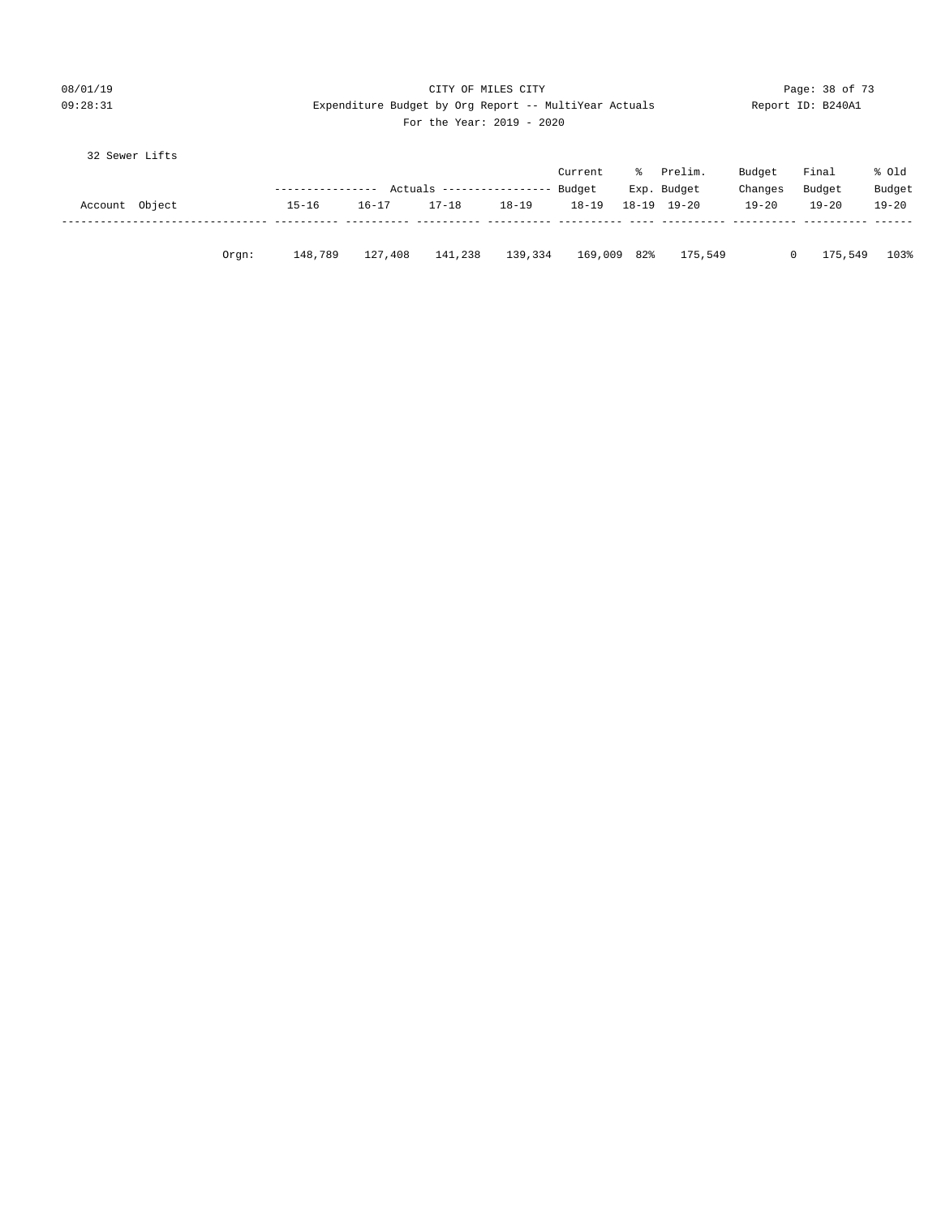| 08/01/19 |                                                      |  | CITY OF MILES CITY |  |  |
|----------|------------------------------------------------------|--|--------------------|--|--|
| 09:28:31 | Expenditure Budget by Org Report -- MultiYear Actual |  |                    |  |  |

Page: 38 of 73 ls Report ID: B240A1

# For the Year: 2019 - 2020

32 Sewer Lifts

|                |          |                  |           |                            |           | Current   | - 옹 | Prelim.     | Budget    | Final     | % old     |
|----------------|----------|------------------|-----------|----------------------------|-----------|-----------|-----|-------------|-----------|-----------|-----------|
|                |          | ---------------- |           | Actuals ------------------ |           | Budget    |     | Exp. Budget | Changes   | Budget    | Budget    |
| Account Object |          | $15 - 16$        | $16 - 17$ | $17 - 18$                  | $18 - 19$ | $18 - 19$ |     | 18-19 19-20 | $19 - 20$ | $19 - 20$ | $19 - 20$ |
|                |          |                  |           |                            |           |           |     |             |           |           |           |
|                | $0$ rqn: | 148,789          | 127,408   | 141,238                    | 139,334   | 169,009   | 82% | 175,549     |           | 175,549   | 103%      |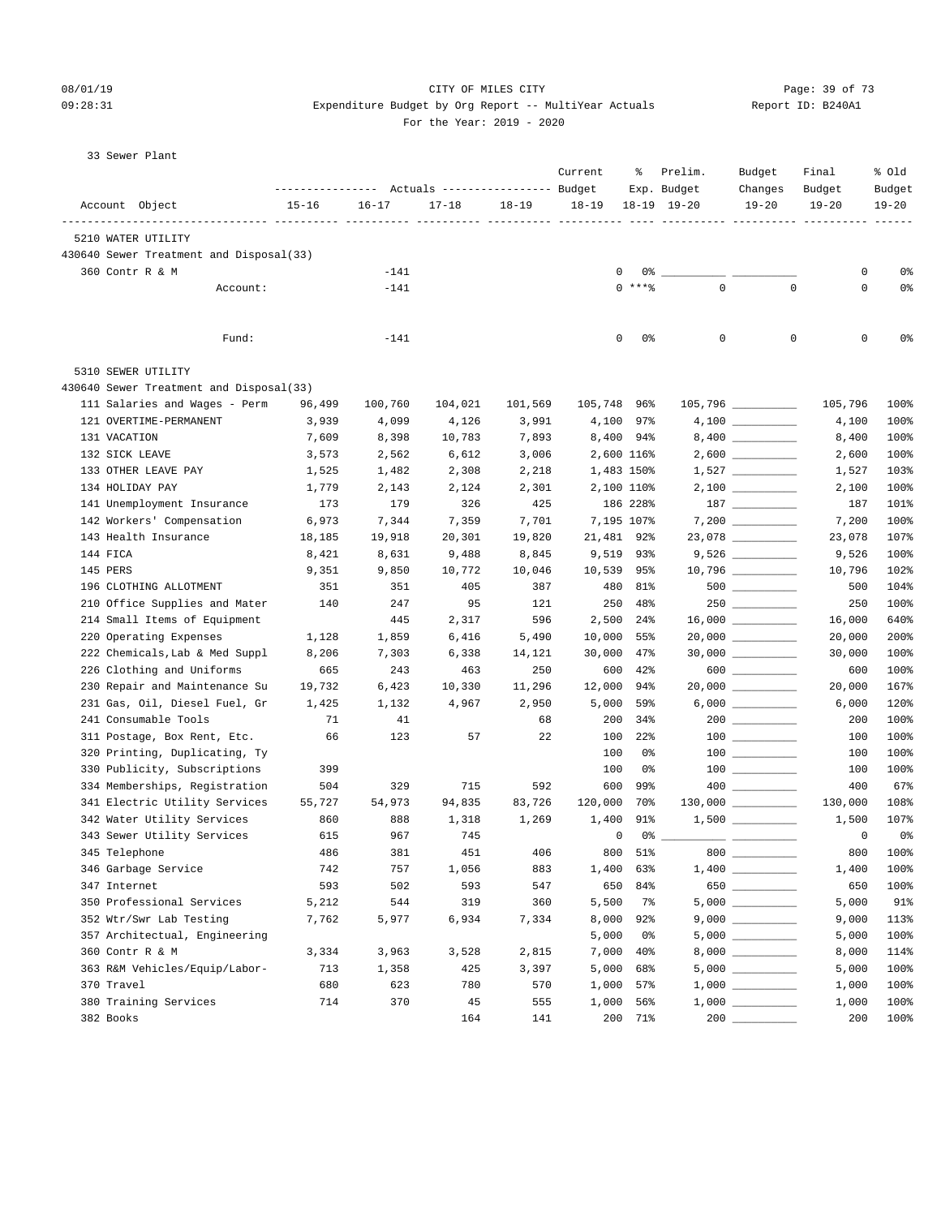# 08/01/19 Page: 39 of 73 09:28:31 Expenditure Budget by Org Report -- MultiYear Actuals Report ID: B240A1

For the Year: 2019 - 2020

| KEDOLL ID. E |  |
|--------------|--|
|              |  |

33 Sewer Plant

| Actuals ----------------- Budget<br>Account Object<br>$15 - 16$<br>$16 - 17$<br>$17 - 18$<br>$18 - 19$<br>$18 - 19$<br>18-19 19-20<br>$19 - 20$<br>$19 - 20$<br>$19 - 20$<br>5210 WATER UTILITY<br>430640 Sewer Treatment and Disposal(33)<br>360 Contr R & M<br>$-141$<br>0<br>0 %<br>0<br>0%<br>$\mathbf 0$<br>$0$ ****<br>$\mathbf 0$<br>$\mathbf 0$<br>0%<br>Account:<br>$-141$<br>0<br>0%<br>0<br>0<br>0<br>Fund:<br>$-141$<br>5310 SEWER UTILITY<br>430640 Sewer Treatment and Disposal(33)<br>111 Salaries and Wages - Perm<br>$105,796$ _________<br>96,499<br>100,760<br>104,021<br>101,569<br>105,748 96%<br>105,796<br>121 OVERTIME-PERMANENT<br>3,939<br>4,099<br>4,126<br>3,991<br>4,100<br>97%<br>4,100<br>7,893<br>131 VACATION<br>7,609<br>8,398<br>10,783<br>8,400 94%<br>8,400<br>$2,600$ _________<br>132 SICK LEAVE<br>3,573<br>2,562<br>6,612<br>3,006<br>2,600 116%<br>2,600<br>$1,527 \ \ \underline{\hspace{1.5cm}}$<br>133 OTHER LEAVE PAY<br>1,525<br>1,482<br>2,308<br>2,218<br>1,483 150%<br>1,527<br>134 HOLIDAY PAY<br>1,779<br>2,143<br>2,124<br>2,301<br>2,100 110%<br>2,100<br>141 Unemployment Insurance<br>173<br>179<br>326<br>425<br>186 228%<br>187<br>142 Workers' Compensation<br>100%<br>6,973<br>7,344<br>7,359<br>7,701<br>7,195 107%<br>7,200<br>143 Health Insurance<br>21,481 92%<br>107%<br>18,185<br>19,918<br>20,301<br>19,820<br>23,078<br>144 FICA<br>8,421<br>8,631<br>9,488<br>8,845<br>9,519<br>93%<br>100%<br>9,526<br>102%<br>145 PERS<br>9,351<br>9,850<br>10,772<br>10,046<br>10,539<br>95%<br>10,796<br>$500$ ________<br>104%<br>196 CLOTHING ALLOTMENT<br>351<br>351<br>405<br>387<br>480<br>81%<br>500<br>$250$ __________<br>100%<br>210 Office Supplies and Mater<br>140<br>247<br>95<br>121<br>250<br>48%<br>250<br>214 Small Items of Equipment<br>640%<br>445<br>2,317<br>596<br>2,500<br>24%<br>16,000<br>220 Operating Expenses<br>1,128<br>1,859<br>6,416<br>5,490<br>10,000<br>55%<br>200%<br>20,000<br>$30,000$ __________<br>100%<br>222 Chemicals, Lab & Med Suppl<br>8,206<br>7,303<br>6,338<br>14,121<br>30,000<br>$47\%$<br>30,000<br>226 Clothing and Uniforms<br>665<br>243<br>250<br>600<br>100%<br>463<br>42%<br>600<br>$20,000$ ___________<br>230 Repair and Maintenance Su<br>167%<br>19,732<br>6,423<br>10,330<br>11,296<br>12,000<br>94%<br>20,000<br>$6,000$ __________<br>231 Gas, Oil, Diesel Fuel, Gr<br>120%<br>1,425<br>1,132<br>4,967<br>2,950<br>5,000<br>59%<br>6,000<br>100%<br>241 Consumable Tools<br>71<br>41<br>68<br>200<br>34%<br>$200$ _________<br>200<br>57<br>22<br>100%<br>311 Postage, Box Rent, Etc.<br>66<br>123<br>100<br>$22$ $%$<br>100<br>320 Printing, Duplicating, Ty<br>100%<br>100<br>0%<br>100<br>$\begin{tabular}{c} 100 \end{tabular}$<br>330 Publicity, Subscriptions<br>100%<br>399<br>100<br>0%<br>100<br>334 Memberships, Registration<br>67%<br>504<br>329<br>715<br>592<br>600<br>99%<br>400<br>341 Electric Utility Services<br>55,727<br>54,973<br>94,835<br>83,726<br>120,000<br>70%<br>$130,000$ _________<br>130,000<br>108%<br>1,269<br>1,400<br>$1,500$ _________<br>107%<br>342 Water Utility Services<br>860<br>888<br>1,318<br>91%<br>1,500<br>343 Sewer Utility Services<br>967<br>745<br>$0\%$ __<br>$\mathbf 0$<br>0%<br>615<br>0<br>800<br>100%<br>345 Telephone<br>486<br>381<br>451<br>$51\%$<br>$800$ $-$<br>800<br>406<br>346 Garbage Service<br>742<br>757<br>1,056<br>883<br>1,400 63%<br>1,400<br>100%<br>$\begin{picture}(150,10) \put(0,0){\line(1,0){10}} \put(15,0){\line(1,0){10}} \put(15,0){\line(1,0){10}} \put(15,0){\line(1,0){10}} \put(15,0){\line(1,0){10}} \put(15,0){\line(1,0){10}} \put(15,0){\line(1,0){10}} \put(15,0){\line(1,0){10}} \put(15,0){\line(1,0){10}} \put(15,0){\line(1,0){10}} \put(15,0){\line(1,0){10}} \put(15,0){\line($<br>347 Internet<br>593<br>502<br>593<br>547<br>650<br>650<br>100%<br>84%<br>350 Professional Services<br>5,212<br>544<br>319<br>360<br>5,500<br>5,000<br>91%<br>7%<br>352 Wtr/Swr Lab Testing<br>7,762<br>5,977<br>6,934<br>7,334<br>8,000<br>9,000<br>113%<br>92%<br>357 Architectual, Engineering<br>5,000<br>0%<br>100%<br>5,000<br>360 Contr R & M<br>2,815<br>7,000<br>3,334<br>3,963<br>3,528<br>40%<br>8,000<br>363 R&M Vehicles/Equip/Labor-<br>713<br>3,397<br>1,358<br>425<br>5,000<br>68%<br>5,000<br>370 Travel<br>680<br>623<br>780<br>570<br>1,000<br>57%<br>1,000<br>380 Training Services<br>714<br>370<br>555<br>1,000<br>45<br>56%<br>1,000 |  | ---------------- |  | Current | ႜ | Prelim.<br>Exp. Budget | Budget<br>Changes | Final<br>Budget | % old<br>Budget |
|---------------------------------------------------------------------------------------------------------------------------------------------------------------------------------------------------------------------------------------------------------------------------------------------------------------------------------------------------------------------------------------------------------------------------------------------------------------------------------------------------------------------------------------------------------------------------------------------------------------------------------------------------------------------------------------------------------------------------------------------------------------------------------------------------------------------------------------------------------------------------------------------------------------------------------------------------------------------------------------------------------------------------------------------------------------------------------------------------------------------------------------------------------------------------------------------------------------------------------------------------------------------------------------------------------------------------------------------------------------------------------------------------------------------------------------------------------------------------------------------------------------------------------------------------------------------------------------------------------------------------------------------------------------------------------------------------------------------------------------------------------------------------------------------------------------------------------------------------------------------------------------------------------------------------------------------------------------------------------------------------------------------------------------------------------------------------------------------------------------------------------------------------------------------------------------------------------------------------------------------------------------------------------------------------------------------------------------------------------------------------------------------------------------------------------------------------------------------------------------------------------------------------------------------------------------------------------------------------------------------------------------------------------------------------------------------------------------------------------------------------------------------------------------------------------------------------------------------------------------------------------------------------------------------------------------------------------------------------------------------------------------------------------------------------------------------------------------------------------------------------------------------------------------------------------------------------------------------------------------------------------------------------------------------------------------------------------------------------------------------------------------------------------------------------------------------------------------------------------------------------------------------------------------------------------------------------------------------------------------------------------------------------------------------------------------------------------------------------------------------------------------------------------------------------------------------------------------------------------------------------------------------------------------------------------------------------------------------------------------------------------------------------------------------------------------------------------------------------------------------------------------------------------------------------------------------------------------------------------------------------------------------------------------------------------------------------------------------------------------------------------------------------------------------------------------------------------------------------------|--|------------------|--|---------|---|------------------------|-------------------|-----------------|-----------------|
|                                                                                                                                                                                                                                                                                                                                                                                                                                                                                                                                                                                                                                                                                                                                                                                                                                                                                                                                                                                                                                                                                                                                                                                                                                                                                                                                                                                                                                                                                                                                                                                                                                                                                                                                                                                                                                                                                                                                                                                                                                                                                                                                                                                                                                                                                                                                                                                                                                                                                                                                                                                                                                                                                                                                                                                                                                                                                                                                                                                                                                                                                                                                                                                                                                                                                                                                                                                                                                                                                                                                                                                                                                                                                                                                                                                                                                                                                                                                                                                                                                                                                                                                                                                                                                                                                                                                                                                                                                                                                 |  |                  |  |         |   |                        |                   |                 |                 |
|                                                                                                                                                                                                                                                                                                                                                                                                                                                                                                                                                                                                                                                                                                                                                                                                                                                                                                                                                                                                                                                                                                                                                                                                                                                                                                                                                                                                                                                                                                                                                                                                                                                                                                                                                                                                                                                                                                                                                                                                                                                                                                                                                                                                                                                                                                                                                                                                                                                                                                                                                                                                                                                                                                                                                                                                                                                                                                                                                                                                                                                                                                                                                                                                                                                                                                                                                                                                                                                                                                                                                                                                                                                                                                                                                                                                                                                                                                                                                                                                                                                                                                                                                                                                                                                                                                                                                                                                                                                                                 |  |                  |  |         |   |                        |                   |                 |                 |
|                                                                                                                                                                                                                                                                                                                                                                                                                                                                                                                                                                                                                                                                                                                                                                                                                                                                                                                                                                                                                                                                                                                                                                                                                                                                                                                                                                                                                                                                                                                                                                                                                                                                                                                                                                                                                                                                                                                                                                                                                                                                                                                                                                                                                                                                                                                                                                                                                                                                                                                                                                                                                                                                                                                                                                                                                                                                                                                                                                                                                                                                                                                                                                                                                                                                                                                                                                                                                                                                                                                                                                                                                                                                                                                                                                                                                                                                                                                                                                                                                                                                                                                                                                                                                                                                                                                                                                                                                                                                                 |  |                  |  |         |   |                        |                   |                 |                 |
|                                                                                                                                                                                                                                                                                                                                                                                                                                                                                                                                                                                                                                                                                                                                                                                                                                                                                                                                                                                                                                                                                                                                                                                                                                                                                                                                                                                                                                                                                                                                                                                                                                                                                                                                                                                                                                                                                                                                                                                                                                                                                                                                                                                                                                                                                                                                                                                                                                                                                                                                                                                                                                                                                                                                                                                                                                                                                                                                                                                                                                                                                                                                                                                                                                                                                                                                                                                                                                                                                                                                                                                                                                                                                                                                                                                                                                                                                                                                                                                                                                                                                                                                                                                                                                                                                                                                                                                                                                                                                 |  |                  |  |         |   |                        |                   |                 |                 |
|                                                                                                                                                                                                                                                                                                                                                                                                                                                                                                                                                                                                                                                                                                                                                                                                                                                                                                                                                                                                                                                                                                                                                                                                                                                                                                                                                                                                                                                                                                                                                                                                                                                                                                                                                                                                                                                                                                                                                                                                                                                                                                                                                                                                                                                                                                                                                                                                                                                                                                                                                                                                                                                                                                                                                                                                                                                                                                                                                                                                                                                                                                                                                                                                                                                                                                                                                                                                                                                                                                                                                                                                                                                                                                                                                                                                                                                                                                                                                                                                                                                                                                                                                                                                                                                                                                                                                                                                                                                                                 |  |                  |  |         |   |                        |                   |                 |                 |
|                                                                                                                                                                                                                                                                                                                                                                                                                                                                                                                                                                                                                                                                                                                                                                                                                                                                                                                                                                                                                                                                                                                                                                                                                                                                                                                                                                                                                                                                                                                                                                                                                                                                                                                                                                                                                                                                                                                                                                                                                                                                                                                                                                                                                                                                                                                                                                                                                                                                                                                                                                                                                                                                                                                                                                                                                                                                                                                                                                                                                                                                                                                                                                                                                                                                                                                                                                                                                                                                                                                                                                                                                                                                                                                                                                                                                                                                                                                                                                                                                                                                                                                                                                                                                                                                                                                                                                                                                                                                                 |  |                  |  |         |   |                        |                   |                 |                 |
|                                                                                                                                                                                                                                                                                                                                                                                                                                                                                                                                                                                                                                                                                                                                                                                                                                                                                                                                                                                                                                                                                                                                                                                                                                                                                                                                                                                                                                                                                                                                                                                                                                                                                                                                                                                                                                                                                                                                                                                                                                                                                                                                                                                                                                                                                                                                                                                                                                                                                                                                                                                                                                                                                                                                                                                                                                                                                                                                                                                                                                                                                                                                                                                                                                                                                                                                                                                                                                                                                                                                                                                                                                                                                                                                                                                                                                                                                                                                                                                                                                                                                                                                                                                                                                                                                                                                                                                                                                                                                 |  |                  |  |         |   |                        |                   |                 | 0%              |
|                                                                                                                                                                                                                                                                                                                                                                                                                                                                                                                                                                                                                                                                                                                                                                                                                                                                                                                                                                                                                                                                                                                                                                                                                                                                                                                                                                                                                                                                                                                                                                                                                                                                                                                                                                                                                                                                                                                                                                                                                                                                                                                                                                                                                                                                                                                                                                                                                                                                                                                                                                                                                                                                                                                                                                                                                                                                                                                                                                                                                                                                                                                                                                                                                                                                                                                                                                                                                                                                                                                                                                                                                                                                                                                                                                                                                                                                                                                                                                                                                                                                                                                                                                                                                                                                                                                                                                                                                                                                                 |  |                  |  |         |   |                        |                   |                 |                 |
|                                                                                                                                                                                                                                                                                                                                                                                                                                                                                                                                                                                                                                                                                                                                                                                                                                                                                                                                                                                                                                                                                                                                                                                                                                                                                                                                                                                                                                                                                                                                                                                                                                                                                                                                                                                                                                                                                                                                                                                                                                                                                                                                                                                                                                                                                                                                                                                                                                                                                                                                                                                                                                                                                                                                                                                                                                                                                                                                                                                                                                                                                                                                                                                                                                                                                                                                                                                                                                                                                                                                                                                                                                                                                                                                                                                                                                                                                                                                                                                                                                                                                                                                                                                                                                                                                                                                                                                                                                                                                 |  |                  |  |         |   |                        |                   |                 |                 |
|                                                                                                                                                                                                                                                                                                                                                                                                                                                                                                                                                                                                                                                                                                                                                                                                                                                                                                                                                                                                                                                                                                                                                                                                                                                                                                                                                                                                                                                                                                                                                                                                                                                                                                                                                                                                                                                                                                                                                                                                                                                                                                                                                                                                                                                                                                                                                                                                                                                                                                                                                                                                                                                                                                                                                                                                                                                                                                                                                                                                                                                                                                                                                                                                                                                                                                                                                                                                                                                                                                                                                                                                                                                                                                                                                                                                                                                                                                                                                                                                                                                                                                                                                                                                                                                                                                                                                                                                                                                                                 |  |                  |  |         |   |                        |                   |                 | 100%            |
|                                                                                                                                                                                                                                                                                                                                                                                                                                                                                                                                                                                                                                                                                                                                                                                                                                                                                                                                                                                                                                                                                                                                                                                                                                                                                                                                                                                                                                                                                                                                                                                                                                                                                                                                                                                                                                                                                                                                                                                                                                                                                                                                                                                                                                                                                                                                                                                                                                                                                                                                                                                                                                                                                                                                                                                                                                                                                                                                                                                                                                                                                                                                                                                                                                                                                                                                                                                                                                                                                                                                                                                                                                                                                                                                                                                                                                                                                                                                                                                                                                                                                                                                                                                                                                                                                                                                                                                                                                                                                 |  |                  |  |         |   |                        |                   |                 | 100%            |
|                                                                                                                                                                                                                                                                                                                                                                                                                                                                                                                                                                                                                                                                                                                                                                                                                                                                                                                                                                                                                                                                                                                                                                                                                                                                                                                                                                                                                                                                                                                                                                                                                                                                                                                                                                                                                                                                                                                                                                                                                                                                                                                                                                                                                                                                                                                                                                                                                                                                                                                                                                                                                                                                                                                                                                                                                                                                                                                                                                                                                                                                                                                                                                                                                                                                                                                                                                                                                                                                                                                                                                                                                                                                                                                                                                                                                                                                                                                                                                                                                                                                                                                                                                                                                                                                                                                                                                                                                                                                                 |  |                  |  |         |   |                        |                   |                 | 100%            |
|                                                                                                                                                                                                                                                                                                                                                                                                                                                                                                                                                                                                                                                                                                                                                                                                                                                                                                                                                                                                                                                                                                                                                                                                                                                                                                                                                                                                                                                                                                                                                                                                                                                                                                                                                                                                                                                                                                                                                                                                                                                                                                                                                                                                                                                                                                                                                                                                                                                                                                                                                                                                                                                                                                                                                                                                                                                                                                                                                                                                                                                                                                                                                                                                                                                                                                                                                                                                                                                                                                                                                                                                                                                                                                                                                                                                                                                                                                                                                                                                                                                                                                                                                                                                                                                                                                                                                                                                                                                                                 |  |                  |  |         |   |                        |                   |                 | 100%            |
|                                                                                                                                                                                                                                                                                                                                                                                                                                                                                                                                                                                                                                                                                                                                                                                                                                                                                                                                                                                                                                                                                                                                                                                                                                                                                                                                                                                                                                                                                                                                                                                                                                                                                                                                                                                                                                                                                                                                                                                                                                                                                                                                                                                                                                                                                                                                                                                                                                                                                                                                                                                                                                                                                                                                                                                                                                                                                                                                                                                                                                                                                                                                                                                                                                                                                                                                                                                                                                                                                                                                                                                                                                                                                                                                                                                                                                                                                                                                                                                                                                                                                                                                                                                                                                                                                                                                                                                                                                                                                 |  |                  |  |         |   |                        |                   |                 | 103%            |
|                                                                                                                                                                                                                                                                                                                                                                                                                                                                                                                                                                                                                                                                                                                                                                                                                                                                                                                                                                                                                                                                                                                                                                                                                                                                                                                                                                                                                                                                                                                                                                                                                                                                                                                                                                                                                                                                                                                                                                                                                                                                                                                                                                                                                                                                                                                                                                                                                                                                                                                                                                                                                                                                                                                                                                                                                                                                                                                                                                                                                                                                                                                                                                                                                                                                                                                                                                                                                                                                                                                                                                                                                                                                                                                                                                                                                                                                                                                                                                                                                                                                                                                                                                                                                                                                                                                                                                                                                                                                                 |  |                  |  |         |   |                        |                   |                 | 100%            |
|                                                                                                                                                                                                                                                                                                                                                                                                                                                                                                                                                                                                                                                                                                                                                                                                                                                                                                                                                                                                                                                                                                                                                                                                                                                                                                                                                                                                                                                                                                                                                                                                                                                                                                                                                                                                                                                                                                                                                                                                                                                                                                                                                                                                                                                                                                                                                                                                                                                                                                                                                                                                                                                                                                                                                                                                                                                                                                                                                                                                                                                                                                                                                                                                                                                                                                                                                                                                                                                                                                                                                                                                                                                                                                                                                                                                                                                                                                                                                                                                                                                                                                                                                                                                                                                                                                                                                                                                                                                                                 |  |                  |  |         |   |                        |                   |                 | 101%            |
|                                                                                                                                                                                                                                                                                                                                                                                                                                                                                                                                                                                                                                                                                                                                                                                                                                                                                                                                                                                                                                                                                                                                                                                                                                                                                                                                                                                                                                                                                                                                                                                                                                                                                                                                                                                                                                                                                                                                                                                                                                                                                                                                                                                                                                                                                                                                                                                                                                                                                                                                                                                                                                                                                                                                                                                                                                                                                                                                                                                                                                                                                                                                                                                                                                                                                                                                                                                                                                                                                                                                                                                                                                                                                                                                                                                                                                                                                                                                                                                                                                                                                                                                                                                                                                                                                                                                                                                                                                                                                 |  |                  |  |         |   |                        |                   |                 |                 |
|                                                                                                                                                                                                                                                                                                                                                                                                                                                                                                                                                                                                                                                                                                                                                                                                                                                                                                                                                                                                                                                                                                                                                                                                                                                                                                                                                                                                                                                                                                                                                                                                                                                                                                                                                                                                                                                                                                                                                                                                                                                                                                                                                                                                                                                                                                                                                                                                                                                                                                                                                                                                                                                                                                                                                                                                                                                                                                                                                                                                                                                                                                                                                                                                                                                                                                                                                                                                                                                                                                                                                                                                                                                                                                                                                                                                                                                                                                                                                                                                                                                                                                                                                                                                                                                                                                                                                                                                                                                                                 |  |                  |  |         |   |                        |                   |                 |                 |
|                                                                                                                                                                                                                                                                                                                                                                                                                                                                                                                                                                                                                                                                                                                                                                                                                                                                                                                                                                                                                                                                                                                                                                                                                                                                                                                                                                                                                                                                                                                                                                                                                                                                                                                                                                                                                                                                                                                                                                                                                                                                                                                                                                                                                                                                                                                                                                                                                                                                                                                                                                                                                                                                                                                                                                                                                                                                                                                                                                                                                                                                                                                                                                                                                                                                                                                                                                                                                                                                                                                                                                                                                                                                                                                                                                                                                                                                                                                                                                                                                                                                                                                                                                                                                                                                                                                                                                                                                                                                                 |  |                  |  |         |   |                        |                   |                 |                 |
|                                                                                                                                                                                                                                                                                                                                                                                                                                                                                                                                                                                                                                                                                                                                                                                                                                                                                                                                                                                                                                                                                                                                                                                                                                                                                                                                                                                                                                                                                                                                                                                                                                                                                                                                                                                                                                                                                                                                                                                                                                                                                                                                                                                                                                                                                                                                                                                                                                                                                                                                                                                                                                                                                                                                                                                                                                                                                                                                                                                                                                                                                                                                                                                                                                                                                                                                                                                                                                                                                                                                                                                                                                                                                                                                                                                                                                                                                                                                                                                                                                                                                                                                                                                                                                                                                                                                                                                                                                                                                 |  |                  |  |         |   |                        |                   |                 |                 |
|                                                                                                                                                                                                                                                                                                                                                                                                                                                                                                                                                                                                                                                                                                                                                                                                                                                                                                                                                                                                                                                                                                                                                                                                                                                                                                                                                                                                                                                                                                                                                                                                                                                                                                                                                                                                                                                                                                                                                                                                                                                                                                                                                                                                                                                                                                                                                                                                                                                                                                                                                                                                                                                                                                                                                                                                                                                                                                                                                                                                                                                                                                                                                                                                                                                                                                                                                                                                                                                                                                                                                                                                                                                                                                                                                                                                                                                                                                                                                                                                                                                                                                                                                                                                                                                                                                                                                                                                                                                                                 |  |                  |  |         |   |                        |                   |                 |                 |
|                                                                                                                                                                                                                                                                                                                                                                                                                                                                                                                                                                                                                                                                                                                                                                                                                                                                                                                                                                                                                                                                                                                                                                                                                                                                                                                                                                                                                                                                                                                                                                                                                                                                                                                                                                                                                                                                                                                                                                                                                                                                                                                                                                                                                                                                                                                                                                                                                                                                                                                                                                                                                                                                                                                                                                                                                                                                                                                                                                                                                                                                                                                                                                                                                                                                                                                                                                                                                                                                                                                                                                                                                                                                                                                                                                                                                                                                                                                                                                                                                                                                                                                                                                                                                                                                                                                                                                                                                                                                                 |  |                  |  |         |   |                        |                   |                 |                 |
|                                                                                                                                                                                                                                                                                                                                                                                                                                                                                                                                                                                                                                                                                                                                                                                                                                                                                                                                                                                                                                                                                                                                                                                                                                                                                                                                                                                                                                                                                                                                                                                                                                                                                                                                                                                                                                                                                                                                                                                                                                                                                                                                                                                                                                                                                                                                                                                                                                                                                                                                                                                                                                                                                                                                                                                                                                                                                                                                                                                                                                                                                                                                                                                                                                                                                                                                                                                                                                                                                                                                                                                                                                                                                                                                                                                                                                                                                                                                                                                                                                                                                                                                                                                                                                                                                                                                                                                                                                                                                 |  |                  |  |         |   |                        |                   |                 |                 |
|                                                                                                                                                                                                                                                                                                                                                                                                                                                                                                                                                                                                                                                                                                                                                                                                                                                                                                                                                                                                                                                                                                                                                                                                                                                                                                                                                                                                                                                                                                                                                                                                                                                                                                                                                                                                                                                                                                                                                                                                                                                                                                                                                                                                                                                                                                                                                                                                                                                                                                                                                                                                                                                                                                                                                                                                                                                                                                                                                                                                                                                                                                                                                                                                                                                                                                                                                                                                                                                                                                                                                                                                                                                                                                                                                                                                                                                                                                                                                                                                                                                                                                                                                                                                                                                                                                                                                                                                                                                                                 |  |                  |  |         |   |                        |                   |                 |                 |
|                                                                                                                                                                                                                                                                                                                                                                                                                                                                                                                                                                                                                                                                                                                                                                                                                                                                                                                                                                                                                                                                                                                                                                                                                                                                                                                                                                                                                                                                                                                                                                                                                                                                                                                                                                                                                                                                                                                                                                                                                                                                                                                                                                                                                                                                                                                                                                                                                                                                                                                                                                                                                                                                                                                                                                                                                                                                                                                                                                                                                                                                                                                                                                                                                                                                                                                                                                                                                                                                                                                                                                                                                                                                                                                                                                                                                                                                                                                                                                                                                                                                                                                                                                                                                                                                                                                                                                                                                                                                                 |  |                  |  |         |   |                        |                   |                 |                 |
|                                                                                                                                                                                                                                                                                                                                                                                                                                                                                                                                                                                                                                                                                                                                                                                                                                                                                                                                                                                                                                                                                                                                                                                                                                                                                                                                                                                                                                                                                                                                                                                                                                                                                                                                                                                                                                                                                                                                                                                                                                                                                                                                                                                                                                                                                                                                                                                                                                                                                                                                                                                                                                                                                                                                                                                                                                                                                                                                                                                                                                                                                                                                                                                                                                                                                                                                                                                                                                                                                                                                                                                                                                                                                                                                                                                                                                                                                                                                                                                                                                                                                                                                                                                                                                                                                                                                                                                                                                                                                 |  |                  |  |         |   |                        |                   |                 |                 |
|                                                                                                                                                                                                                                                                                                                                                                                                                                                                                                                                                                                                                                                                                                                                                                                                                                                                                                                                                                                                                                                                                                                                                                                                                                                                                                                                                                                                                                                                                                                                                                                                                                                                                                                                                                                                                                                                                                                                                                                                                                                                                                                                                                                                                                                                                                                                                                                                                                                                                                                                                                                                                                                                                                                                                                                                                                                                                                                                                                                                                                                                                                                                                                                                                                                                                                                                                                                                                                                                                                                                                                                                                                                                                                                                                                                                                                                                                                                                                                                                                                                                                                                                                                                                                                                                                                                                                                                                                                                                                 |  |                  |  |         |   |                        |                   |                 |                 |
|                                                                                                                                                                                                                                                                                                                                                                                                                                                                                                                                                                                                                                                                                                                                                                                                                                                                                                                                                                                                                                                                                                                                                                                                                                                                                                                                                                                                                                                                                                                                                                                                                                                                                                                                                                                                                                                                                                                                                                                                                                                                                                                                                                                                                                                                                                                                                                                                                                                                                                                                                                                                                                                                                                                                                                                                                                                                                                                                                                                                                                                                                                                                                                                                                                                                                                                                                                                                                                                                                                                                                                                                                                                                                                                                                                                                                                                                                                                                                                                                                                                                                                                                                                                                                                                                                                                                                                                                                                                                                 |  |                  |  |         |   |                        |                   |                 |                 |
|                                                                                                                                                                                                                                                                                                                                                                                                                                                                                                                                                                                                                                                                                                                                                                                                                                                                                                                                                                                                                                                                                                                                                                                                                                                                                                                                                                                                                                                                                                                                                                                                                                                                                                                                                                                                                                                                                                                                                                                                                                                                                                                                                                                                                                                                                                                                                                                                                                                                                                                                                                                                                                                                                                                                                                                                                                                                                                                                                                                                                                                                                                                                                                                                                                                                                                                                                                                                                                                                                                                                                                                                                                                                                                                                                                                                                                                                                                                                                                                                                                                                                                                                                                                                                                                                                                                                                                                                                                                                                 |  |                  |  |         |   |                        |                   |                 |                 |
|                                                                                                                                                                                                                                                                                                                                                                                                                                                                                                                                                                                                                                                                                                                                                                                                                                                                                                                                                                                                                                                                                                                                                                                                                                                                                                                                                                                                                                                                                                                                                                                                                                                                                                                                                                                                                                                                                                                                                                                                                                                                                                                                                                                                                                                                                                                                                                                                                                                                                                                                                                                                                                                                                                                                                                                                                                                                                                                                                                                                                                                                                                                                                                                                                                                                                                                                                                                                                                                                                                                                                                                                                                                                                                                                                                                                                                                                                                                                                                                                                                                                                                                                                                                                                                                                                                                                                                                                                                                                                 |  |                  |  |         |   |                        |                   |                 |                 |
|                                                                                                                                                                                                                                                                                                                                                                                                                                                                                                                                                                                                                                                                                                                                                                                                                                                                                                                                                                                                                                                                                                                                                                                                                                                                                                                                                                                                                                                                                                                                                                                                                                                                                                                                                                                                                                                                                                                                                                                                                                                                                                                                                                                                                                                                                                                                                                                                                                                                                                                                                                                                                                                                                                                                                                                                                                                                                                                                                                                                                                                                                                                                                                                                                                                                                                                                                                                                                                                                                                                                                                                                                                                                                                                                                                                                                                                                                                                                                                                                                                                                                                                                                                                                                                                                                                                                                                                                                                                                                 |  |                  |  |         |   |                        |                   |                 |                 |
|                                                                                                                                                                                                                                                                                                                                                                                                                                                                                                                                                                                                                                                                                                                                                                                                                                                                                                                                                                                                                                                                                                                                                                                                                                                                                                                                                                                                                                                                                                                                                                                                                                                                                                                                                                                                                                                                                                                                                                                                                                                                                                                                                                                                                                                                                                                                                                                                                                                                                                                                                                                                                                                                                                                                                                                                                                                                                                                                                                                                                                                                                                                                                                                                                                                                                                                                                                                                                                                                                                                                                                                                                                                                                                                                                                                                                                                                                                                                                                                                                                                                                                                                                                                                                                                                                                                                                                                                                                                                                 |  |                  |  |         |   |                        |                   |                 |                 |
|                                                                                                                                                                                                                                                                                                                                                                                                                                                                                                                                                                                                                                                                                                                                                                                                                                                                                                                                                                                                                                                                                                                                                                                                                                                                                                                                                                                                                                                                                                                                                                                                                                                                                                                                                                                                                                                                                                                                                                                                                                                                                                                                                                                                                                                                                                                                                                                                                                                                                                                                                                                                                                                                                                                                                                                                                                                                                                                                                                                                                                                                                                                                                                                                                                                                                                                                                                                                                                                                                                                                                                                                                                                                                                                                                                                                                                                                                                                                                                                                                                                                                                                                                                                                                                                                                                                                                                                                                                                                                 |  |                  |  |         |   |                        |                   |                 |                 |
|                                                                                                                                                                                                                                                                                                                                                                                                                                                                                                                                                                                                                                                                                                                                                                                                                                                                                                                                                                                                                                                                                                                                                                                                                                                                                                                                                                                                                                                                                                                                                                                                                                                                                                                                                                                                                                                                                                                                                                                                                                                                                                                                                                                                                                                                                                                                                                                                                                                                                                                                                                                                                                                                                                                                                                                                                                                                                                                                                                                                                                                                                                                                                                                                                                                                                                                                                                                                                                                                                                                                                                                                                                                                                                                                                                                                                                                                                                                                                                                                                                                                                                                                                                                                                                                                                                                                                                                                                                                                                 |  |                  |  |         |   |                        |                   |                 |                 |
|                                                                                                                                                                                                                                                                                                                                                                                                                                                                                                                                                                                                                                                                                                                                                                                                                                                                                                                                                                                                                                                                                                                                                                                                                                                                                                                                                                                                                                                                                                                                                                                                                                                                                                                                                                                                                                                                                                                                                                                                                                                                                                                                                                                                                                                                                                                                                                                                                                                                                                                                                                                                                                                                                                                                                                                                                                                                                                                                                                                                                                                                                                                                                                                                                                                                                                                                                                                                                                                                                                                                                                                                                                                                                                                                                                                                                                                                                                                                                                                                                                                                                                                                                                                                                                                                                                                                                                                                                                                                                 |  |                  |  |         |   |                        |                   |                 |                 |
|                                                                                                                                                                                                                                                                                                                                                                                                                                                                                                                                                                                                                                                                                                                                                                                                                                                                                                                                                                                                                                                                                                                                                                                                                                                                                                                                                                                                                                                                                                                                                                                                                                                                                                                                                                                                                                                                                                                                                                                                                                                                                                                                                                                                                                                                                                                                                                                                                                                                                                                                                                                                                                                                                                                                                                                                                                                                                                                                                                                                                                                                                                                                                                                                                                                                                                                                                                                                                                                                                                                                                                                                                                                                                                                                                                                                                                                                                                                                                                                                                                                                                                                                                                                                                                                                                                                                                                                                                                                                                 |  |                  |  |         |   |                        |                   |                 |                 |
|                                                                                                                                                                                                                                                                                                                                                                                                                                                                                                                                                                                                                                                                                                                                                                                                                                                                                                                                                                                                                                                                                                                                                                                                                                                                                                                                                                                                                                                                                                                                                                                                                                                                                                                                                                                                                                                                                                                                                                                                                                                                                                                                                                                                                                                                                                                                                                                                                                                                                                                                                                                                                                                                                                                                                                                                                                                                                                                                                                                                                                                                                                                                                                                                                                                                                                                                                                                                                                                                                                                                                                                                                                                                                                                                                                                                                                                                                                                                                                                                                                                                                                                                                                                                                                                                                                                                                                                                                                                                                 |  |                  |  |         |   |                        |                   |                 |                 |
|                                                                                                                                                                                                                                                                                                                                                                                                                                                                                                                                                                                                                                                                                                                                                                                                                                                                                                                                                                                                                                                                                                                                                                                                                                                                                                                                                                                                                                                                                                                                                                                                                                                                                                                                                                                                                                                                                                                                                                                                                                                                                                                                                                                                                                                                                                                                                                                                                                                                                                                                                                                                                                                                                                                                                                                                                                                                                                                                                                                                                                                                                                                                                                                                                                                                                                                                                                                                                                                                                                                                                                                                                                                                                                                                                                                                                                                                                                                                                                                                                                                                                                                                                                                                                                                                                                                                                                                                                                                                                 |  |                  |  |         |   |                        |                   |                 |                 |
|                                                                                                                                                                                                                                                                                                                                                                                                                                                                                                                                                                                                                                                                                                                                                                                                                                                                                                                                                                                                                                                                                                                                                                                                                                                                                                                                                                                                                                                                                                                                                                                                                                                                                                                                                                                                                                                                                                                                                                                                                                                                                                                                                                                                                                                                                                                                                                                                                                                                                                                                                                                                                                                                                                                                                                                                                                                                                                                                                                                                                                                                                                                                                                                                                                                                                                                                                                                                                                                                                                                                                                                                                                                                                                                                                                                                                                                                                                                                                                                                                                                                                                                                                                                                                                                                                                                                                                                                                                                                                 |  |                  |  |         |   |                        |                   |                 |                 |
|                                                                                                                                                                                                                                                                                                                                                                                                                                                                                                                                                                                                                                                                                                                                                                                                                                                                                                                                                                                                                                                                                                                                                                                                                                                                                                                                                                                                                                                                                                                                                                                                                                                                                                                                                                                                                                                                                                                                                                                                                                                                                                                                                                                                                                                                                                                                                                                                                                                                                                                                                                                                                                                                                                                                                                                                                                                                                                                                                                                                                                                                                                                                                                                                                                                                                                                                                                                                                                                                                                                                                                                                                                                                                                                                                                                                                                                                                                                                                                                                                                                                                                                                                                                                                                                                                                                                                                                                                                                                                 |  |                  |  |         |   |                        |                   |                 |                 |
|                                                                                                                                                                                                                                                                                                                                                                                                                                                                                                                                                                                                                                                                                                                                                                                                                                                                                                                                                                                                                                                                                                                                                                                                                                                                                                                                                                                                                                                                                                                                                                                                                                                                                                                                                                                                                                                                                                                                                                                                                                                                                                                                                                                                                                                                                                                                                                                                                                                                                                                                                                                                                                                                                                                                                                                                                                                                                                                                                                                                                                                                                                                                                                                                                                                                                                                                                                                                                                                                                                                                                                                                                                                                                                                                                                                                                                                                                                                                                                                                                                                                                                                                                                                                                                                                                                                                                                                                                                                                                 |  |                  |  |         |   |                        |                   |                 |                 |
|                                                                                                                                                                                                                                                                                                                                                                                                                                                                                                                                                                                                                                                                                                                                                                                                                                                                                                                                                                                                                                                                                                                                                                                                                                                                                                                                                                                                                                                                                                                                                                                                                                                                                                                                                                                                                                                                                                                                                                                                                                                                                                                                                                                                                                                                                                                                                                                                                                                                                                                                                                                                                                                                                                                                                                                                                                                                                                                                                                                                                                                                                                                                                                                                                                                                                                                                                                                                                                                                                                                                                                                                                                                                                                                                                                                                                                                                                                                                                                                                                                                                                                                                                                                                                                                                                                                                                                                                                                                                                 |  |                  |  |         |   |                        |                   |                 | 114%            |
|                                                                                                                                                                                                                                                                                                                                                                                                                                                                                                                                                                                                                                                                                                                                                                                                                                                                                                                                                                                                                                                                                                                                                                                                                                                                                                                                                                                                                                                                                                                                                                                                                                                                                                                                                                                                                                                                                                                                                                                                                                                                                                                                                                                                                                                                                                                                                                                                                                                                                                                                                                                                                                                                                                                                                                                                                                                                                                                                                                                                                                                                                                                                                                                                                                                                                                                                                                                                                                                                                                                                                                                                                                                                                                                                                                                                                                                                                                                                                                                                                                                                                                                                                                                                                                                                                                                                                                                                                                                                                 |  |                  |  |         |   |                        |                   |                 | 100%            |
|                                                                                                                                                                                                                                                                                                                                                                                                                                                                                                                                                                                                                                                                                                                                                                                                                                                                                                                                                                                                                                                                                                                                                                                                                                                                                                                                                                                                                                                                                                                                                                                                                                                                                                                                                                                                                                                                                                                                                                                                                                                                                                                                                                                                                                                                                                                                                                                                                                                                                                                                                                                                                                                                                                                                                                                                                                                                                                                                                                                                                                                                                                                                                                                                                                                                                                                                                                                                                                                                                                                                                                                                                                                                                                                                                                                                                                                                                                                                                                                                                                                                                                                                                                                                                                                                                                                                                                                                                                                                                 |  |                  |  |         |   |                        |                   |                 | 100%            |
|                                                                                                                                                                                                                                                                                                                                                                                                                                                                                                                                                                                                                                                                                                                                                                                                                                                                                                                                                                                                                                                                                                                                                                                                                                                                                                                                                                                                                                                                                                                                                                                                                                                                                                                                                                                                                                                                                                                                                                                                                                                                                                                                                                                                                                                                                                                                                                                                                                                                                                                                                                                                                                                                                                                                                                                                                                                                                                                                                                                                                                                                                                                                                                                                                                                                                                                                                                                                                                                                                                                                                                                                                                                                                                                                                                                                                                                                                                                                                                                                                                                                                                                                                                                                                                                                                                                                                                                                                                                                                 |  |                  |  |         |   |                        |                   |                 | 100%            |
| 382 Books<br>200 71%<br>200<br>164<br>141                                                                                                                                                                                                                                                                                                                                                                                                                                                                                                                                                                                                                                                                                                                                                                                                                                                                                                                                                                                                                                                                                                                                                                                                                                                                                                                                                                                                                                                                                                                                                                                                                                                                                                                                                                                                                                                                                                                                                                                                                                                                                                                                                                                                                                                                                                                                                                                                                                                                                                                                                                                                                                                                                                                                                                                                                                                                                                                                                                                                                                                                                                                                                                                                                                                                                                                                                                                                                                                                                                                                                                                                                                                                                                                                                                                                                                                                                                                                                                                                                                                                                                                                                                                                                                                                                                                                                                                                                                       |  |                  |  |         |   |                        |                   |                 | 100%            |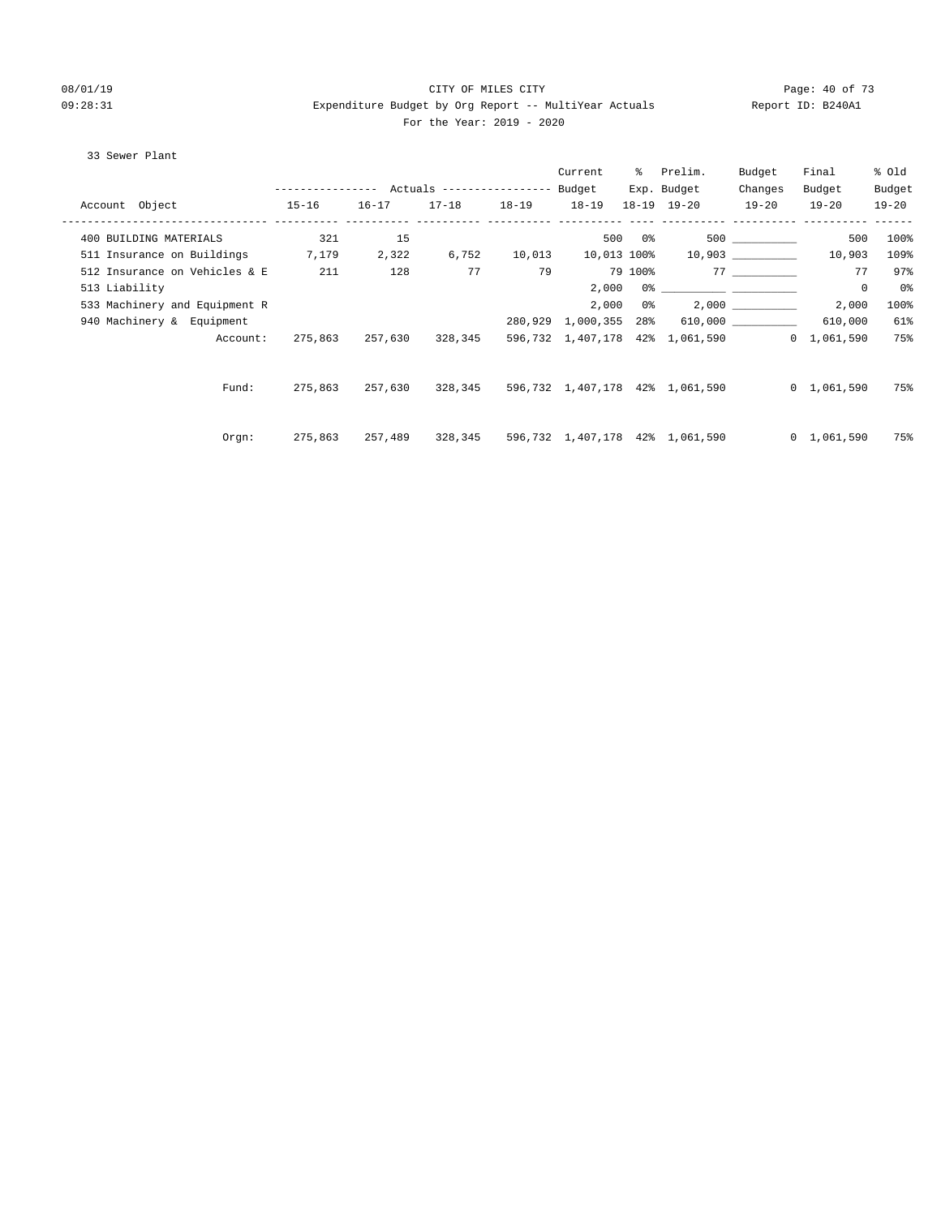#### 08/01/19 Page: 40 of 73 09:28:31 Expenditure Budget by Org Report -- MultiYear Actuals Report ID: B240A1 For the Year: 2019 - 2020

#### 33 Sewer Plant

|                                  |         |           |                   |    | Current | % Prelim.                                                           | Budget    | Final               | % old     |
|----------------------------------|---------|-----------|-------------------|----|---------|---------------------------------------------------------------------|-----------|---------------------|-----------|
|                                  |         |           |                   |    |         | Exp. Budget                                                         | Changes   | Budget              | Budget    |
| Account Object<br>$15-16$        |         | $16 - 17$ | 17-18 18-19 18-19 |    |         | $18 - 19$ $19 - 20$                                                 | $19 - 20$ | $19 - 20$           | $19 - 20$ |
| 400 BUILDING MATERIALS           | 321     | 15        |                   |    |         | $500$ 0% 500 __________                                             |           | 500                 | 100%      |
| 511 Insurance on Buildings 7,179 |         |           |                   |    |         | 2,322 6,752 10,013 10,013 100% 10,903 _________                     |           | 10,903              | 109%      |
| 512 Insurance on Vehicles & E    | 211     | 128       | 77                | 79 |         | 79 100% 77                                                          |           | 77                  | 97%       |
| 513 Liability                    |         |           |                   |    |         |                                                                     |           | $\mathbf 0$         | 0%        |
| 533 Machinery and Equipment R    |         |           |                   |    | 2,000   | $0\%$ 2,000                                                         |           | 2,000               | 100%      |
| 940 Machinery & Equipment        |         |           |                   |    |         | 280,929 1,000,355 28% 610,000 ________                              |           | 610,000             | 61%       |
| Account:                         |         |           |                   |    |         | 275,863 257,630 328,345 596,732 1,407,178 42% 1,061,590 0 1,061,590 |           |                     | 75%       |
| Fund:                            | 275,863 |           |                   |    |         | 257,630 328,345 596,732 1,407,178 42% 1,061,590                     |           | $0 \quad 1,061,590$ | 75%       |
| Orem:                            | 275,863 |           |                   |    |         | 257,489 328,345 596,732 1,407,178 42% 1,061,590                     |           | $0 \quad 1,061,590$ | 75%       |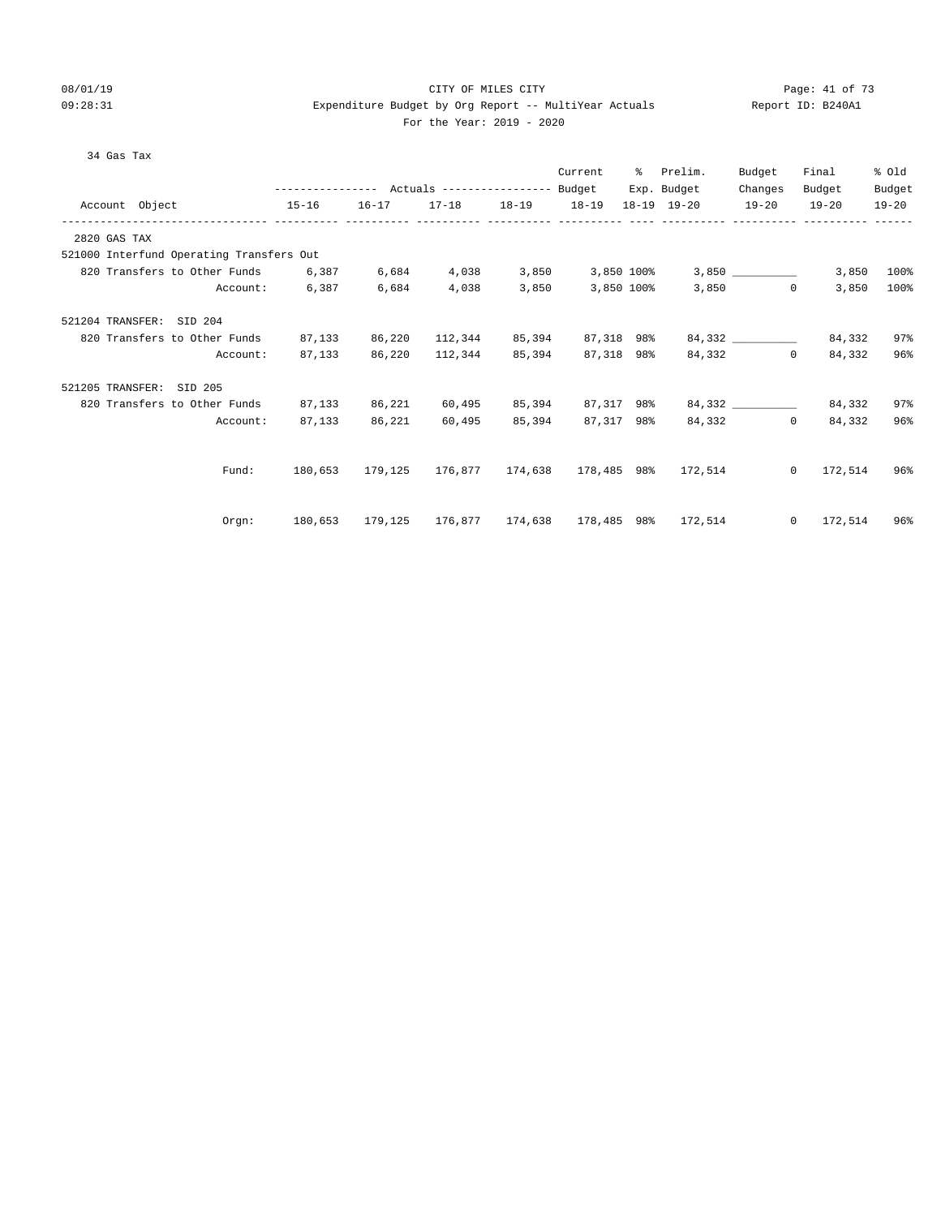# 08/01/19 Page: 41 of 73 09:28:31 Expenditure Budget by Org Report -- MultiYear Actuals Report ID: B240A1

#### For the Year: 2019 - 2020

|  | FUL LHE IEAL: 2012 |  |
|--|--------------------|--|
|  |                    |  |
|  |                    |  |
|  |                    |  |

| 34 Gas Tax                               |                |        |                                  |        |                          |                                                     |          |                   |           |
|------------------------------------------|----------------|--------|----------------------------------|--------|--------------------------|-----------------------------------------------------|----------|-------------------|-----------|
|                                          |                |        |                                  |        | Current                  | % Prelim.                                           | Budget   | Final             | % Old     |
|                                          |                |        |                                  |        |                          | Exp. Budget                                         | Changes  | Budget            | Budget    |
| Account Object                           | $15 - 16$      |        |                                  |        |                          | 16-17 17-18 18-19 18-19 18-19 19-20 19-20           |          | $19 - 20$         | $19 - 20$ |
| 2820 GAS TAX                             |                |        |                                  |        |                          |                                                     |          |                   |           |
| 521000 Interfund Operating Transfers Out |                |        |                                  |        |                          |                                                     |          |                   |           |
| 820 Transfers to Other Funds 6,387       |                | 6,684  |                                  |        |                          | $4,038$ $3,850$ $3,850$ $100$ $3,850$               |          | 3,850             | 100%      |
|                                          | Account: 6,387 | 6,684  | 4,038                            |        | 3,850 3,850 100%         |                                                     | 3,850    | $\circ$<br>3,850  | 100%      |
| 521204 TRANSFER: SID 204                 |                |        |                                  |        |                          |                                                     |          |                   |           |
| 820 Transfers to Other Funds 87,133      |                |        | 86,220 112,344 85,394 87,318 98% |        |                          |                                                     | 84,332   | 84,332            | 97%       |
| Account:                                 | 87,133         |        | 86,220 112,344                   | 85,394 | 87,318 98%               |                                                     | 84,332   | $\circ$<br>84,332 | 96%       |
| 521205 TRANSFER: SID 205                 |                |        |                                  |        |                          |                                                     |          |                   |           |
| 820 Transfers to Other Funds             | 87,133         | 86,221 |                                  |        | 60,495 85,394 87,317 98% |                                                     | 84,332   | 84,332            | 97%       |
| Account:                                 | 87,133         | 86,221 | 60,495                           | 85,394 | 87,317 98%               |                                                     | 84,332 0 | 84,332            | 96%       |
|                                          |                |        |                                  |        |                          |                                                     |          |                   |           |
| Fund:                                    |                |        |                                  |        |                          | 180,653 179,125 176,877 174,638 178,485 98% 172,514 |          | $0 \t 172,514$    | 96%       |
|                                          |                |        |                                  |        |                          |                                                     |          |                   |           |
| Orqn:                                    | 180,653        |        |                                  |        |                          | 179,125 176,877 174,638 178,485 98% 172,514         |          | $0 \t 172,514$    | 96%       |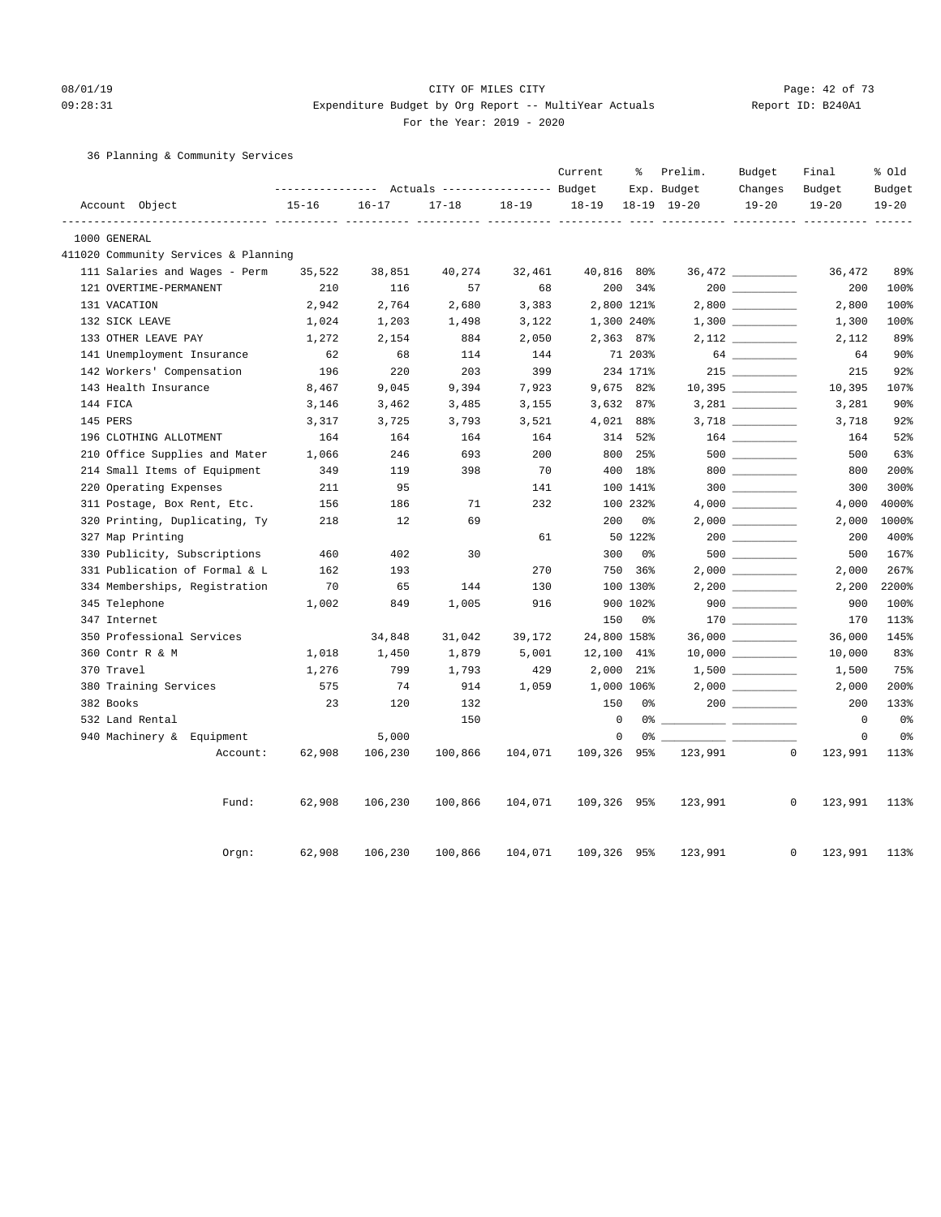# 08/01/19 Page: 42 of 73 09:28:31 Expenditure Budget by Org Report -- MultiYear Actuals Report ID: B240A1

For the Year: 2019 - 2020

36 Planning & Community Services

|                                      |           |           | Actuals ----------------- Budget |           | Current     | ႜ        | Prelim.<br>Exp. Budget                                             | Budget<br>Changes | Final<br>Budget | % Old<br>Budget |
|--------------------------------------|-----------|-----------|----------------------------------|-----------|-------------|----------|--------------------------------------------------------------------|-------------------|-----------------|-----------------|
| Account Object                       | $15 - 16$ | $16 - 17$ | $17 - 18$                        | $18 - 19$ | $18 - 19$   |          | 18-19 19-20                                                        | $19 - 20$         | $19 - 20$       | $19 - 20$       |
| 1000 GENERAL                         |           |           |                                  |           |             |          |                                                                    |                   |                 |                 |
| 411020 Community Services & Planning |           |           |                                  |           |             |          |                                                                    |                   |                 |                 |
| 111 Salaries and Wages - Perm        | 35,522    | 38,851    | 40,274                           | 32,461    | 40,816 80%  |          |                                                                    |                   | 36,472          | 89%             |
| 121 OVERTIME-PERMANENT               | 210       | 116       | 57                               | 68        |             | 200 34%  |                                                                    |                   | 200             | 100%            |
| 131 VACATION                         | 2,942     | 2,764     | 2,680                            | 3,383     | 2,800 121%  |          |                                                                    | $2,800$ _________ | 2,800           | 100%            |
| 132 SICK LEAVE                       | 1,024     | 1,203     | 1,498                            | 3,122     | 1,300 240%  |          |                                                                    |                   | 1,300           | 100%            |
| 133 OTHER LEAVE PAY                  | 1,272     | 2,154     | 884                              | 2,050     | 2,363 87%   |          |                                                                    |                   | 2,112           | 89%             |
| 141 Unemployment Insurance           | 62        | 68        | 114                              | 144       |             | 71 203%  |                                                                    | 64                | 64              | 90 <sup>°</sup> |
| 142 Workers' Compensation            | 196       | 220       | 203                              | 399       |             | 234 171% |                                                                    | $215$             | 215             | 92%             |
| 143 Health Insurance                 | 8,467     | 9,045     | 9,394                            | 7,923     | 9,675 82%   |          |                                                                    |                   | 10,395          | 107%            |
| 144 FICA                             | 3,146     | 3,462     | 3,485                            | 3,155     | $3,632$ 87% |          |                                                                    |                   | 3,281           | 90%             |
| 145 PERS                             | 3,317     | 3,725     | 3,793                            | 3,521     | 4,021 88%   |          |                                                                    |                   | 3,718           | 92%             |
| 196 CLOTHING ALLOTMENT               | 164       | 164       | 164                              | 164       |             | 314 52%  |                                                                    |                   | 164             | 52%             |
| 210 Office Supplies and Mater        | 1,066     | 246       | 693                              | 200       |             | 800 25%  |                                                                    | $500$ ________    | 500             | 63%             |
| 214 Small Items of Equipment         | 349       | 119       | 398                              | 70        |             | 400 18%  |                                                                    | $800$             | 800             | 200%            |
| 220 Operating Expenses               | 211       | 95        |                                  | 141       |             | 100 141% |                                                                    |                   | 300             | 300%            |
| 311 Postage, Box Rent, Etc.          | 156       | 186       | 71                               | 232       |             | 100 232% |                                                                    |                   | 4,000           | 4000%           |
| 320 Printing, Duplicating, Ty        | 218       | 12        | 69                               |           | 200         | 0 %      |                                                                    |                   | 2,000           | 1000%           |
| 327 Map Printing                     |           |           |                                  | 61        |             | 50 122%  |                                                                    | 200               | 200             | 400%            |
| 330 Publicity, Subscriptions         | 460       | 402       | 30                               |           | 300         | 0%       |                                                                    |                   | 500             | 167%            |
| 331 Publication of Formal & L        | 162       | 193       |                                  | 270       |             | 750 36%  |                                                                    |                   | 2,000           | 267%            |
| 334 Memberships, Registration        | 70        | 65        | 144                              | 130       |             | 100 130% |                                                                    |                   | 2,200           | 2200%           |
| 345 Telephone                        | 1,002     | 849       | 1,005                            | 916       |             | 900 102% |                                                                    | $900$             | 900             | 100%            |
| 347 Internet                         |           |           |                                  |           | 150         | 0 %      |                                                                    |                   | 170             | 113%            |
| 350 Professional Services            |           | 34,848    | 31,042                           | 39,172    | 24,800 158% |          |                                                                    | 36,000 __________ | 36,000          | 145%            |
| 360 Contr R & M                      | 1,018     | 1,450     | 1,879                            | 5,001     | 12,100 41%  |          |                                                                    |                   | 10,000          | 83%             |
| 370 Travel                           | 1,276     | 799       | 1,793                            | 429       | 2,000 21%   |          |                                                                    |                   | 1,500           | 75%             |
| 380 Training Services                | 575       | 74        | 914                              | 1,059     | 1,000 106%  |          |                                                                    |                   | 2,000           | 200%            |
| 382 Books                            | 23        | 120       | 132                              |           | 150         | 0%       |                                                                    |                   | 200             | 133%            |
| 532 Land Rental                      |           |           | 150                              |           | $\mathbf 0$ |          | 0 왕                                                                |                   | $\overline{0}$  | 0 <sub>8</sub>  |
| 940 Machinery & Equipment            |           | 5,000     |                                  |           | $\mathbf 0$ |          | $0$ $\frac{2}{\sqrt{2}}$ $\frac{2}{\sqrt{2}}$ $\frac{2}{\sqrt{2}}$ |                   | $\mathbf 0$     | 0%              |
| Account:                             | 62,908    | 106,230   | 100,866                          | 104,071   | 109,326 95% |          | 123,991                                                            | $\mathbf 0$       | 123,991         | 113%            |
| Fund:                                | 62,908    | 106,230   | 100,866                          | 104,071   | 109,326 95% |          | 123,991                                                            | $\mathbf{0}$      | 123,991         | 113%            |
| Orgn:                                | 62,908    | 106,230   | 100,866                          | 104,071   | 109,326 95% |          | 123,991                                                            | $\mathbf{0}$      | 123,991         | 113%            |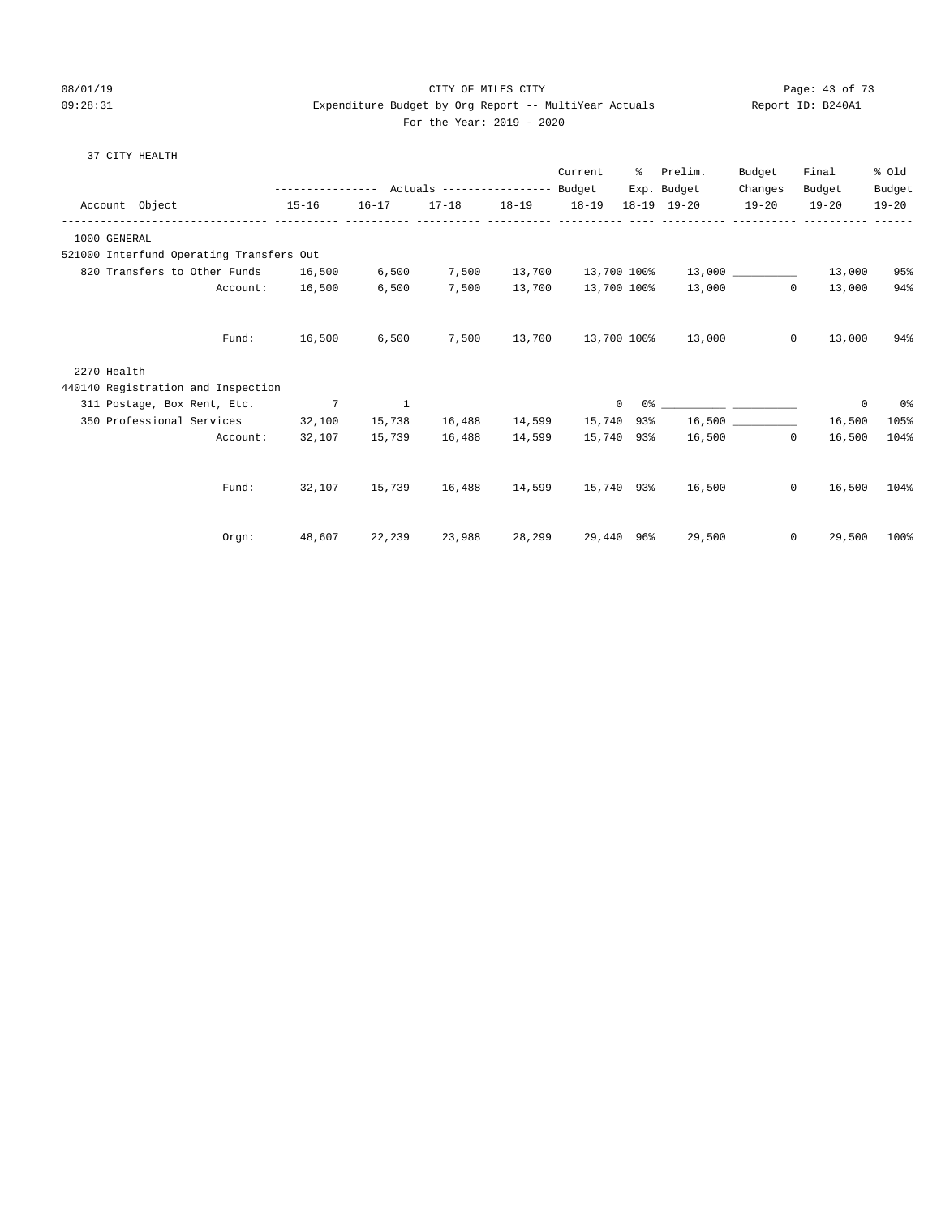#### 08/01/19 Page: 43 of 73 09:28:31 Expenditure Budget by Org Report -- MultiYear Actuals Report ID: B240A1 For the Year: 2019 - 2020

37 CITY HEALTH

|                                          | -------------   |           | Actuals ----------------- |                         | Current<br>Budget | ៖               | Prelim.<br>Exp. Budget | Budget<br>Changes | Final<br>Budget       | % Old<br>Budget |
|------------------------------------------|-----------------|-----------|---------------------------|-------------------------|-------------------|-----------------|------------------------|-------------------|-----------------------|-----------------|
| Account Object                           | $15 - 16$       | $16 - 17$ | 17-18 18-19 18-19         | ----------- ----------- |                   |                 | 18-19 19-20            | $19 - 20$         | $19 - 20$             | $19 - 20$       |
| 1000 GENERAL                             |                 |           |                           |                         |                   |                 |                        |                   |                       |                 |
| 521000 Interfund Operating Transfers Out |                 |           |                           |                         |                   |                 |                        |                   |                       |                 |
| 820 Transfers to Other Funds             | 16,500          | 6,500     | 7,500                     | 13,700                  | 13,700 100%       |                 |                        | 13,000            | 13,000                | 95%             |
| Account:                                 | 16,500          | 6,500     | 7,500                     | 13,700                  |                   | 13,700 100%     | 13,000                 |                   | $\circ$<br>13,000     | 94%             |
| Fund:                                    | 16,500          | 6,500     | 7,500                     | 13,700                  |                   | 13,700 100%     | 13,000                 |                   | $\circ$<br>13,000     | 94%             |
| 2270 Health                              |                 |           |                           |                         |                   |                 |                        |                   |                       |                 |
| 440140 Registration and Inspection       |                 |           |                           |                         |                   |                 |                        |                   |                       |                 |
| 311 Postage, Box Rent, Etc.              | $7\phantom{.0}$ | 1         |                           |                         |                   | $\Omega$<br>0 % |                        |                   | 0                     | 0%              |
| 350 Professional Services                | 32,100          | 15,738    | 16,488                    | 14,599                  | 15,740 93%        |                 |                        |                   | 16,500                | 105%            |
| Account:                                 | 32,107          | 15,739    | 16,488                    | 14,599                  |                   | 15,740 93%      |                        | 16,500            | $\circ$<br>16,500     | 104%            |
| Fund:                                    | 32,107          | 15,739    | 16,488                    | 14,599                  |                   | 15,740 93%      | 16,500                 |                   | 0<br>16,500           | 104%            |
| Orgn:                                    | 48,607          | 22,239    | 23,988                    | 28,299                  |                   | 29,440 96%      | 29,500                 |                   | $\mathbf 0$<br>29,500 | 100%            |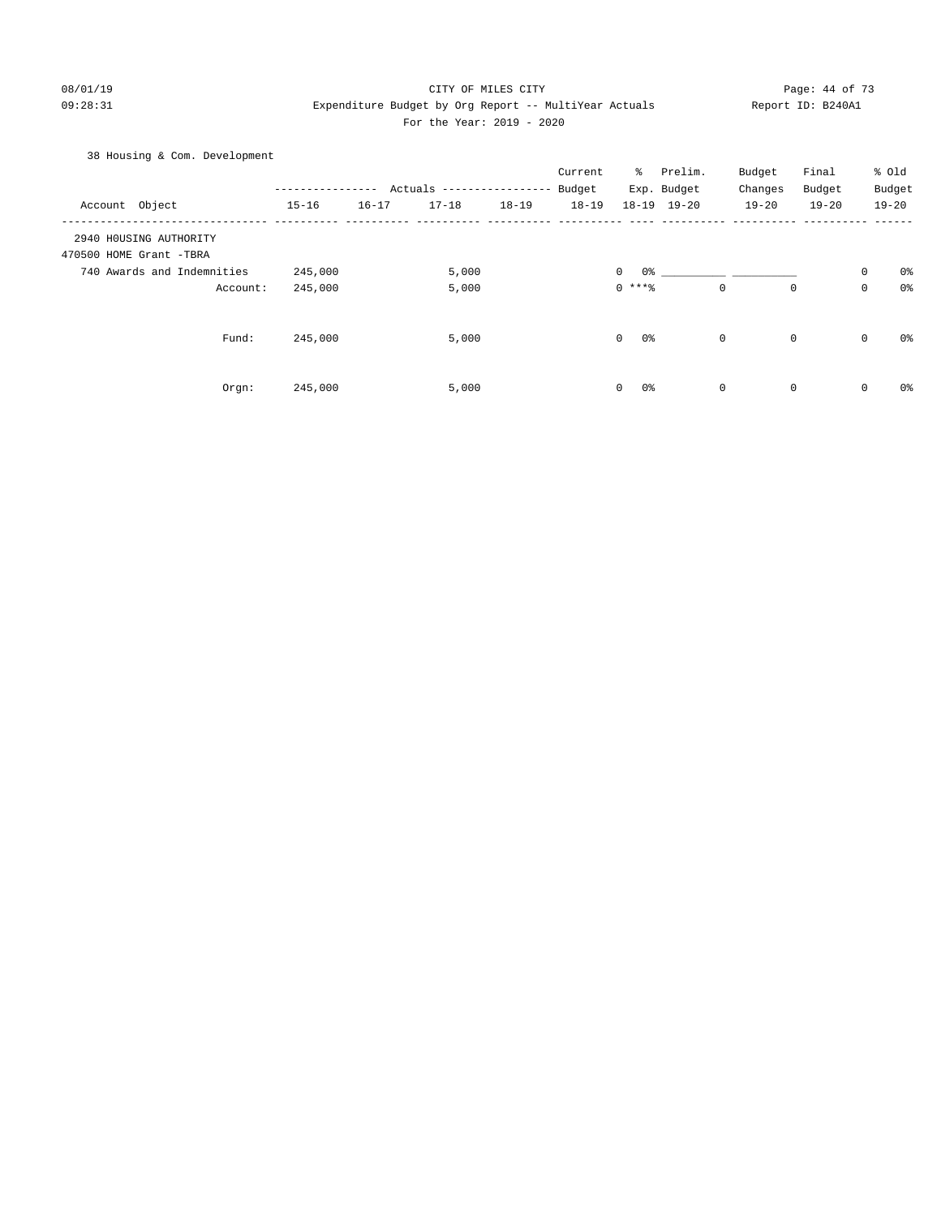#### 08/01/19 Page: 44 of 73 09:28:31 Expenditure Budget by Org Report -- MultiYear Actuals Report ID: B240A1 For the Year: 2019 - 2020

### 38 Housing & Com. Development

|                            |           |           |                           |           | Current   | ိ                   | Prelim.         | Budget    | Final       |             | % Old          |
|----------------------------|-----------|-----------|---------------------------|-----------|-----------|---------------------|-----------------|-----------|-------------|-------------|----------------|
|                            |           |           | Actuals ----------------- |           | Budget    |                     | Exp. Budget     | Changes   | Budget      |             | Budget         |
| Account Object             | $15 - 16$ | $16 - 17$ | $17 - 18$                 | $18 - 19$ | $18 - 19$ |                     | $18-19$ $19-20$ | $19 - 20$ | $19 - 20$   |             | $19 - 20$      |
| 2940 HOUSING AUTHORITY     |           |           |                           |           |           |                     |                 |           |             |             |                |
| 470500 HOME Grant -TBRA    |           |           |                           |           |           |                     |                 |           |             |             |                |
| 740 Awards and Indemnities | 245,000   |           | 5,000                     |           |           | $\mathbf{0}$<br>0 % |                 |           |             | $\mathbf 0$ | 0%             |
| Account:                   | 245,000   |           | 5,000                     |           |           | $0***8$             |                 | 0         | $\mathbf 0$ | $\mathbf 0$ | 0 <sup>8</sup> |
| Fund:                      | 245,000   |           | 5,000                     |           |           | 0<br>0%             |                 | 0         | $\mathbf 0$ | $\mathbf 0$ | 0%             |
| Orgn:                      | 245,000   |           | 5,000                     |           |           | 0%<br>$\mathbf{0}$  |                 | 0         | $\mathbf 0$ | $\mathbf 0$ | 0%             |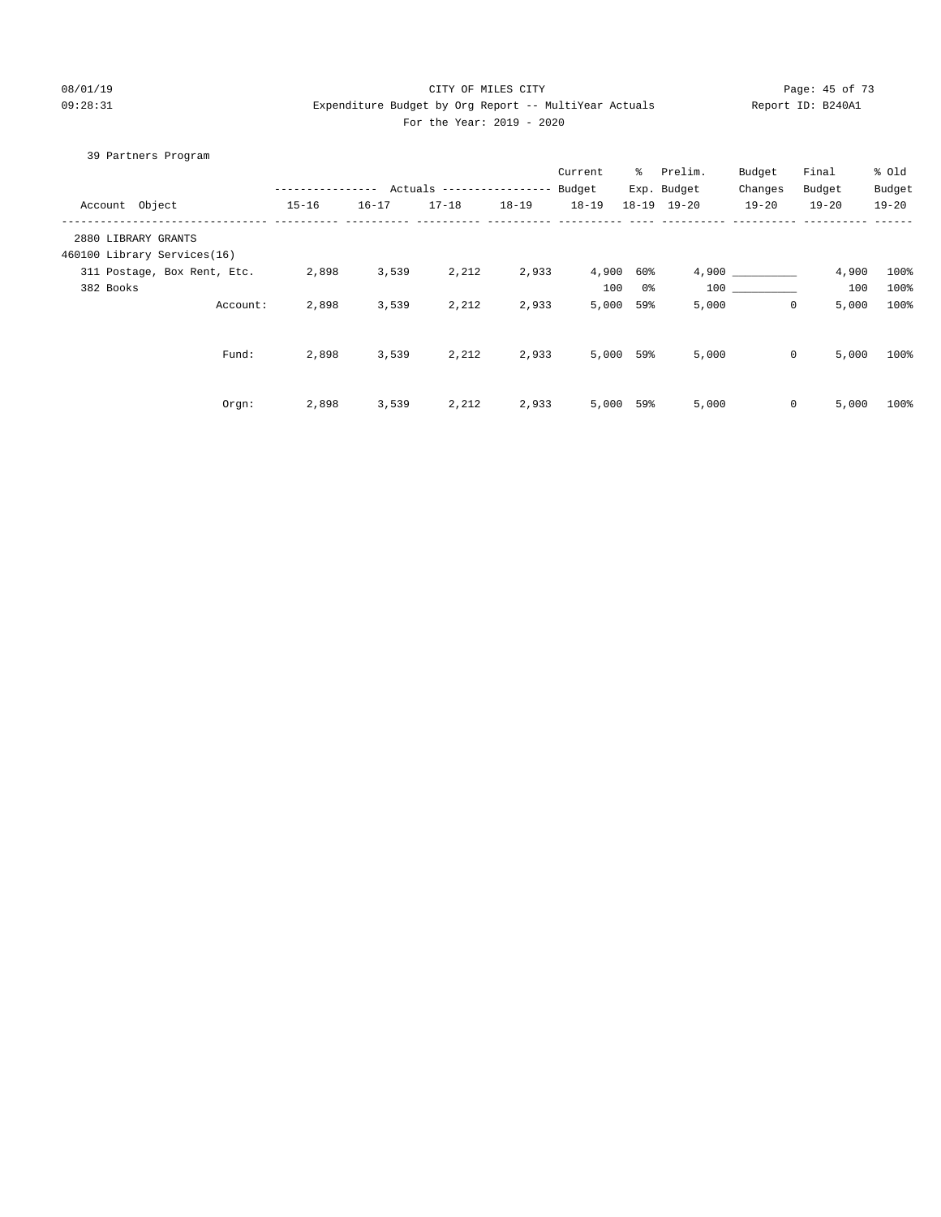#### 08/01/19 Page: 45 of 73 09:28:31 Expenditure Budget by Org Report -- MultiYear Actuals Report ID: B240A1 For the Year: 2019 - 2020

# 39 Partners Program

|                     |                             |           |           | Actuals -------------- |           | Current<br>Budget | ိ         | Prelim.<br>Exp. Budget | Budget<br>Changes | Final<br>Budget | % Old<br>Budget |
|---------------------|-----------------------------|-----------|-----------|------------------------|-----------|-------------------|-----------|------------------------|-------------------|-----------------|-----------------|
| Account Object      |                             | $15 - 16$ | $16 - 17$ | $17 - 18$              | $18 - 19$ | $18 - 19$         |           | $18 - 19$ $19 - 20$    | $19 - 20$         | $19 - 20$       | $19 - 20$       |
| 2880 LIBRARY GRANTS |                             |           |           |                        |           |                   |           |                        |                   |                 |                 |
|                     | 460100 Library Services(16) |           |           |                        |           |                   |           |                        |                   |                 |                 |
|                     | 311 Postage, Box Rent, Etc. | 2,898     | 3,539     | 2,212                  | 2,933     | 4,900             | 60%       |                        | 4,900             | 4,900           | 100%            |
| 382 Books           |                             |           |           |                        |           | 100               | 0%        |                        | 100 000           | 100             | 100%            |
|                     | Account:                    | 2,898     | 3,539     | 2,212                  | 2,933     | 5,000             | 59%       | 5,000                  | $\mathbf{0}$      | 5,000           | 100%            |
|                     |                             |           |           |                        |           |                   |           |                        |                   |                 |                 |
|                     | Fund:                       | 2,898     | 3,539     | 2,212                  | 2,933     |                   | 5,000 59% | 5,000                  | 0                 | 5,000           | 100%            |
|                     |                             |           |           |                        |           |                   |           |                        |                   |                 |                 |
|                     | Orgn:                       | 2,898     | 3,539     | 2,212                  | 2,933     |                   | 5,000 59% | 5,000                  | $\circ$           | 5,000           | 100%            |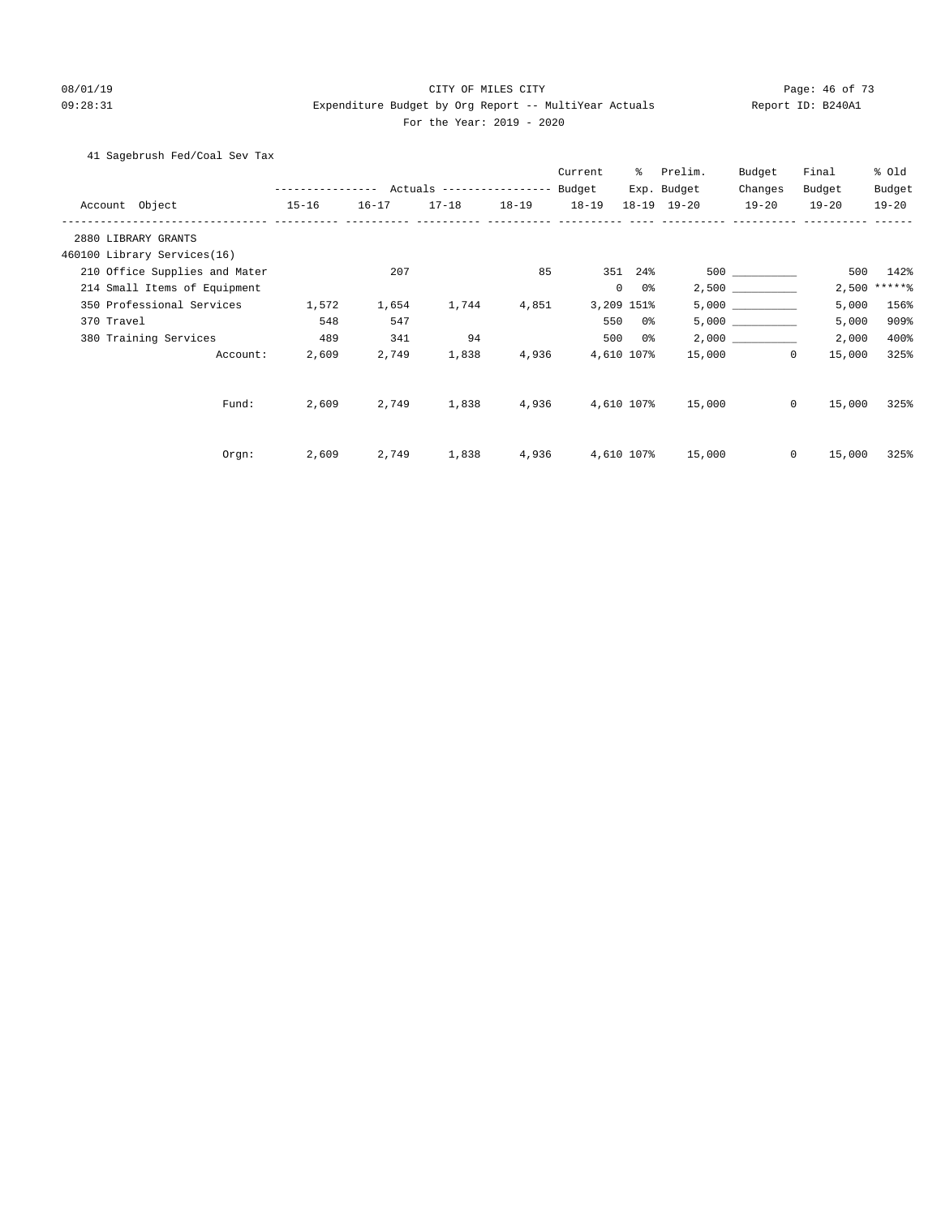#### 08/01/19 Page: 46 of 73 09:28:31 Expenditure Budget by Org Report -- MultiYear Actuals Report ID: B240A1 For the Year: 2019 - 2020

#### 41 Sagebrush Fed/Coal Sev Tax

|                               |               |           |                           |           | Current   | ွေ                   | Prelim.     | Budget       | Final     | % old     |
|-------------------------------|---------------|-----------|---------------------------|-----------|-----------|----------------------|-------------|--------------|-----------|-----------|
|                               | ------------- |           | Actuals ----------------- |           | Budget    |                      | Exp. Budget | Changes      | Budget    | Budget    |
| Account Object                | $15 - 16$     | $16 - 17$ | $17 - 18$                 | $18 - 19$ | $18 - 19$ |                      | 18-19 19-20 | $19 - 20$    | $19 - 20$ | $19 - 20$ |
| 2880 LIBRARY GRANTS           |               |           |                           |           |           |                      |             |              |           |           |
| 460100 Library Services(16)   |               |           |                           |           |           |                      |             |              |           |           |
| 210 Office Supplies and Mater |               | 207       |                           | 85        |           | 351 24%              |             |              | 500       | 142%      |
| 214 Small Items of Equipment  |               |           |                           |           |           | $\overline{0}$<br>0% |             |              | 2,500     | $*****$   |
| 350 Professional Services     | 1,572         | 1,654     | 1,744                     | 4,851     |           | 3,209 151%           |             |              | 5,000     | 156%      |
| 370 Travel                    | 548           | 547       |                           |           | 550       | 0 %                  |             | 5,000        | 5,000     | 909%      |
| 380 Training Services         | 489           | 341       | 94                        |           | 500       | 0 %                  |             | 2,000        | 2,000     | 400%      |
| Account:                      | 2,609         | 2,749     | 1,838                     | 4,936     |           | 4,610 107%           | 15,000      | $\circ$      | 15,000    | 325%      |
| Fund:                         | 2,609         | 2,749     | 1,838                     | 4,936     |           | 4,610 107%           | 15,000      | $\circ$      | 15,000    | 325%      |
| Orgn:                         | 2,609         | 2,749     | 1,838                     | 4,936     |           | 4,610 107%           | 15,000      | $\mathbf{0}$ | 15,000    | 325%      |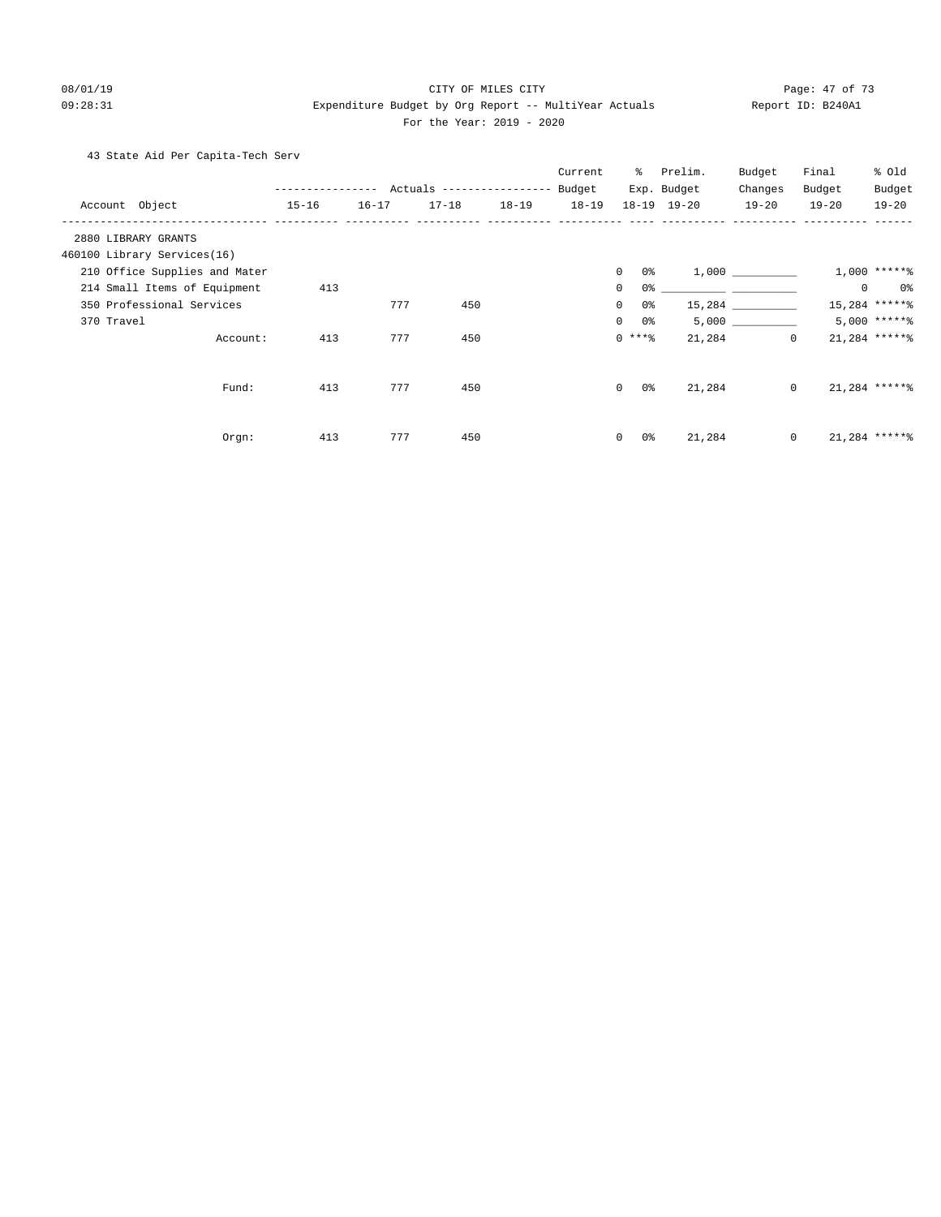#### 08/01/19 Page: 47 of 73 09:28:31 Expenditure Budget by Org Report -- MultiYear Actuals Report ID: B240A1

#### For the Year: 2019 - 2020

43 State Aid Per Capita-Tech Serv

|                               |               |           |                                  |           | Current   | ႜွ                    | Prelim.     | Budget                                               | Final     | % Old           |
|-------------------------------|---------------|-----------|----------------------------------|-----------|-----------|-----------------------|-------------|------------------------------------------------------|-----------|-----------------|
|                               | ------------- |           | Actuals ----------------- Budget |           |           |                       | Exp. Budget | Changes                                              | Budget    | Budget          |
| Account Object                | $15 - 16$     | $16 - 17$ | $17 - 18$                        | $18 - 19$ | $18 - 19$ |                       | 18-19 19-20 | $19 - 20$                                            | $19 - 20$ | $19 - 20$       |
| 2880 LIBRARY GRANTS           |               |           |                                  |           |           |                       |             |                                                      |           |                 |
| 460100 Library Services(16)   |               |           |                                  |           |           |                       |             |                                                      |           |                 |
| 210 Office Supplies and Mater |               |           |                                  |           |           | $\overline{0}$<br>0 % |             |                                                      |           | $1,000$ *****%  |
| 214 Small Items of Equipment  | 413           |           |                                  |           |           | 0<br>0%               |             | <u> 1989 - Jan James James Barnett, fransk konge</u> | $\circ$   | 0%              |
| 350 Professional Services     |               | 777       | 450                              |           |           | 0%<br>$\circ$         |             | 15,284                                               |           | 15,284 ******   |
| 370 Travel                    |               |           |                                  |           |           | $\mathbf{0}$<br>0 %   |             | 5,000                                                |           | $5.000$ ***** \ |
| Account:                      | 413           | 777       | 450                              |           |           | $0***8$               | 21,284      | $\circ$                                              |           | $21,284$ ****** |
|                               |               |           |                                  |           |           |                       |             |                                                      |           |                 |
| Fund:                         | 413           | 777       | 450                              |           |           | $\Omega$<br>0 %       | 21,284      | $\circ$                                              |           | $21,284$ ****** |
|                               |               |           |                                  |           |           |                       |             |                                                      |           |                 |
| Orgn:                         | 413           | 777       | 450                              |           |           | $\overline{0}$<br>0 % | 21,284      | $\circ$                                              |           | 21,284 ******   |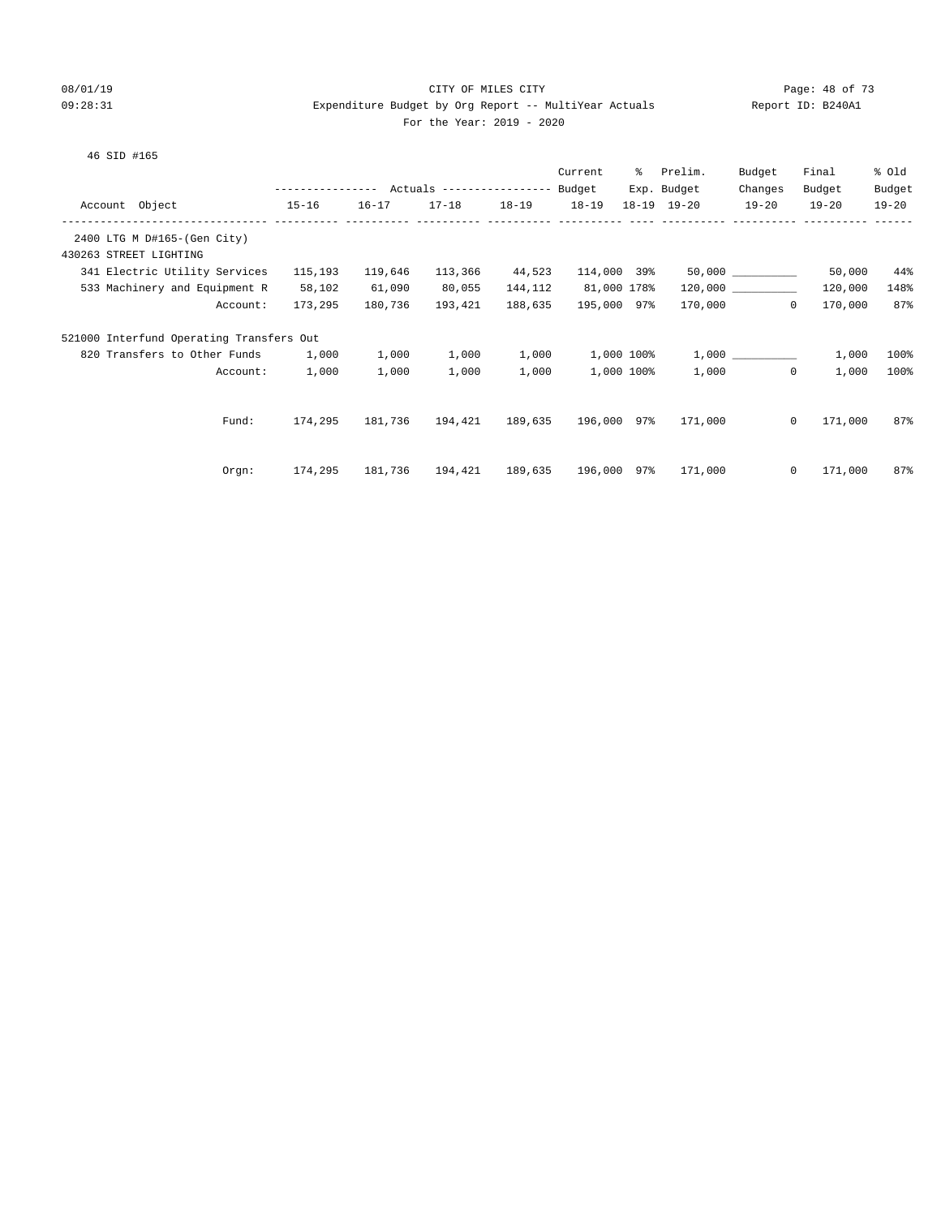#### 08/01/19 Page: 48 of 73 09:28:31 Expenditure Budget by Org Report -- MultiYear Actuals Report ID: B240A1 For the Year: 2019 - 2020

|                                          |                                    |         |           |                                                 |                     | Current     | ႜႜၟ | Prelim.                                                                                                                                                                                                                     | Budget                | Final     | % Old     |
|------------------------------------------|------------------------------------|---------|-----------|-------------------------------------------------|---------------------|-------------|-----|-----------------------------------------------------------------------------------------------------------------------------------------------------------------------------------------------------------------------------|-----------------------|-----------|-----------|
|                                          |                                    |         |           | --------------- Actuals ---------------- Budget |                     |             |     | Exp. Budget                                                                                                                                                                                                                 | Changes               | Budget    | Budget    |
| Account Object                           | $15 - 16$                          |         | $16 - 17$ |                                                 | 17-18  18-19  18-19 |             |     | $18 - 19$ $19 - 20$                                                                                                                                                                                                         | $19 - 20$             | $19 - 20$ | $19 - 20$ |
|                                          |                                    |         |           |                                                 |                     |             |     |                                                                                                                                                                                                                             |                       |           |           |
| 2400 LTG M D#165-(Gen City)              |                                    |         |           |                                                 |                     |             |     |                                                                                                                                                                                                                             |                       |           |           |
| 430263 STREET LIGHTING                   |                                    |         |           |                                                 |                     |             |     |                                                                                                                                                                                                                             |                       |           |           |
|                                          | 341 Electric Utility Services      | 115,193 | 119,646   | 113,366                                         | 44,523              |             |     |                                                                                                                                                                                                                             |                       | 50,000    | $44\%$    |
| 533 Machinery and Equipment R            |                                    | 58,102  | 61,090    | 80,055                                          | 144,112             | 81,000 178% |     |                                                                                                                                                                                                                             | $120,000$ ___________ | 120,000   | 148%      |
|                                          | Account:                           | 173,295 | 180,736   | 193,421                                         | 188,635             | 195,000 97% |     |                                                                                                                                                                                                                             | 170,000 0             | 170,000   | 87%       |
| 521000 Interfund Operating Transfers Out |                                    |         |           |                                                 |                     |             |     |                                                                                                                                                                                                                             |                       |           |           |
|                                          | 820 Transfers to Other Funds 1,000 |         | 1,000     | 1,000                                           | 1,000               |             |     | $1,000$ $100$ $100$ $1,000$ $1,000$ $1,000$ $1,000$ $1,000$ $1,000$ $1,000$ $1,000$ $1,000$ $1,000$ $1,000$ $1,000$ $1,000$ $1,000$ $1,000$ $1,000$ $1,000$ $1,000$ $1,000$ $1,000$ $1,000$ $1,000$ $1,000$ $1,000$ $1,000$ |                       | 1,000     | 100%      |
|                                          | Account:                           | 1,000   | 1,000     | 1,000                                           | 1,000               | 1,000 100%  |     |                                                                                                                                                                                                                             | 1,000<br>$\Omega$     | 1,000     | 100%      |
|                                          |                                    |         |           |                                                 |                     |             |     |                                                                                                                                                                                                                             |                       |           |           |
|                                          | Fund:                              | 174,295 |           | 181,736  194,421  189,635  196,000  97%         |                     |             |     | 171,000                                                                                                                                                                                                                     | $\Omega$              | 171,000   | 87%       |
|                                          |                                    |         |           |                                                 |                     |             |     |                                                                                                                                                                                                                             |                       |           |           |
|                                          | Orem:                              | 174,295 |           | 181,736  194,421  189,635  196,000  97%         |                     |             |     | 171,000                                                                                                                                                                                                                     | $\circ$               | 171,000   | 87%       |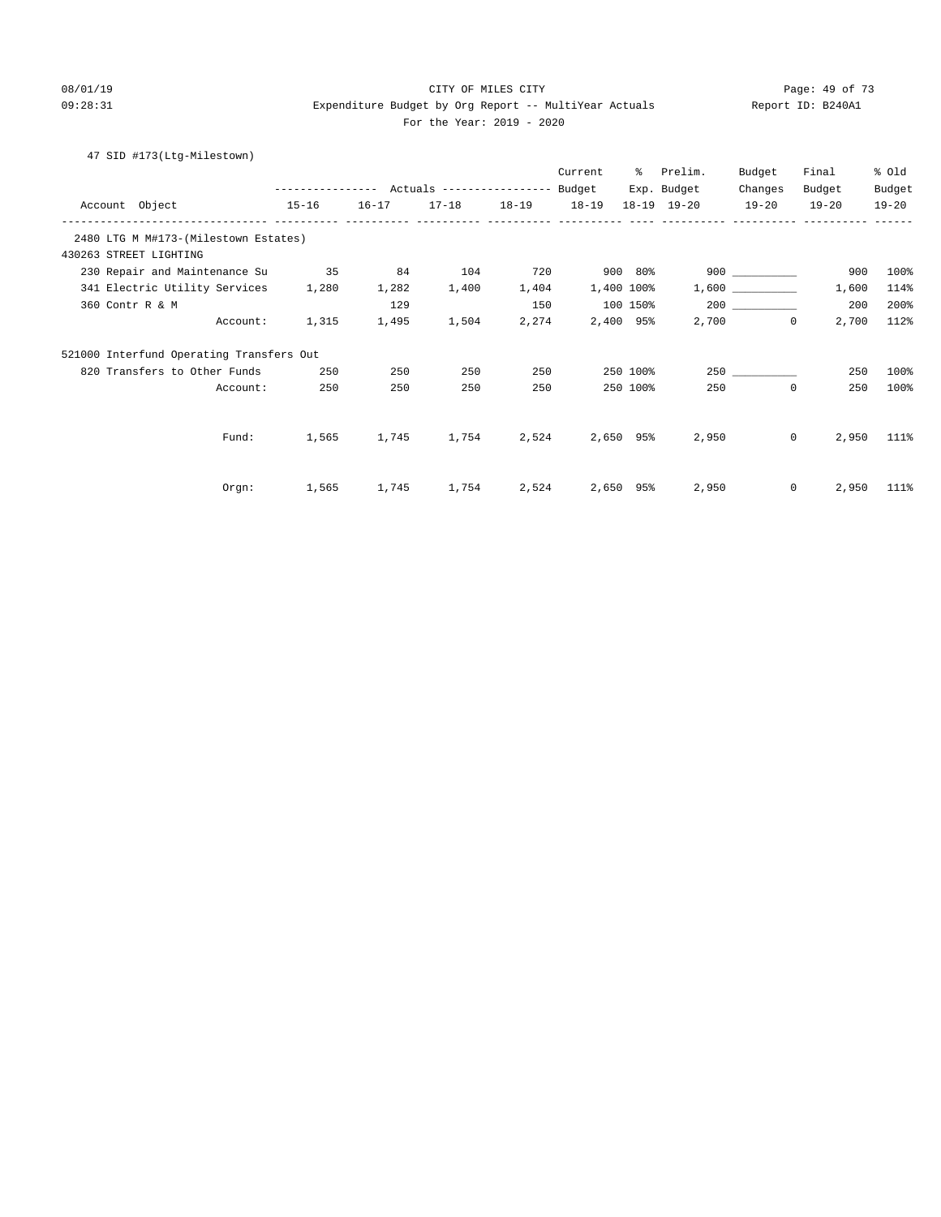#### 08/01/19 Page: 49 of 73 09:28:31 Expenditure Budget by Org Report -- MultiYear Actuals Report ID: B240A1 For the Year: 2019 - 2020

#### 47 SID #173(Ltg-Milestown)

|                                          |                                                 |       |                         |       | Current         | ိ        | Prelim.         | Budget            | Final                 | % Old     |
|------------------------------------------|-------------------------------------------------|-------|-------------------------|-------|-----------------|----------|-----------------|-------------------|-----------------------|-----------|
|                                          | --------------- Actuals ---------------- Budget |       |                         |       |                 |          | Exp. Budget     | Changes           | Budget                | Budget    |
| Account Object<br>$15 - 16$              |                                                 |       | 16-17 17-18 18-19 18-19 |       |                 |          | $18-19$ $19-20$ | $19-20$           | $19 - 20$             | $19 - 20$ |
| 2480 LTG M M#173-(Milestown Estates)     |                                                 |       |                         |       |                 |          |                 |                   |                       |           |
| 430263 STREET LIGHTING                   |                                                 |       |                         |       |                 |          |                 |                   |                       |           |
| 230 Repair and Maintenance Su            | 35                                              | 84    | 104                     | 720   |                 | 900 80%  |                 | $900$ _________   | 900                   | 100%      |
| 341 Electric Utility Services            | 1,280                                           | 1,282 | 1,400                   | 1,404 | 1,400 100%      |          |                 | 1,600             | 1,600                 | 114%      |
| 360 Contr R & M                          |                                                 | 129   |                         | 150   | 100 150%        |          |                 |                   | 200                   | 200%      |
| Account:                                 | 1,315                                           | 1,495 | 1,504                   | 2,274 | 2,400 95%       |          |                 | 2,700<br>$\Omega$ | 2,700                 | 112%      |
| 521000 Interfund Operating Transfers Out |                                                 |       |                         |       |                 |          |                 |                   |                       |           |
| 820 Transfers to Other Funds             | 250                                             | 250   | 250                     | 250   |                 | 250 100% |                 | 250               | 250                   | 100%      |
| Account:                                 | 250                                             | 250   | 250                     | 250   |                 | 250 100% | 250             | $\mathbf{0}$      | 250                   | 100%      |
|                                          |                                                 |       |                         |       |                 |          |                 |                   |                       |           |
| Fund:                                    | 1,565                                           | 1,745 | 1,754                   | 2,524 | 2,650 95%       |          | 2,950           |                   | 2,950<br>$\mathbf{0}$ | 111%      |
|                                          |                                                 |       |                         |       |                 |          |                 |                   |                       |           |
| Orgn:                                    | 1,565                                           | 1,745 | 1,754                   |       | 2,524 2,650 95% |          | 2,950           |                   | $\mathbf{0}$<br>2,950 | 111%      |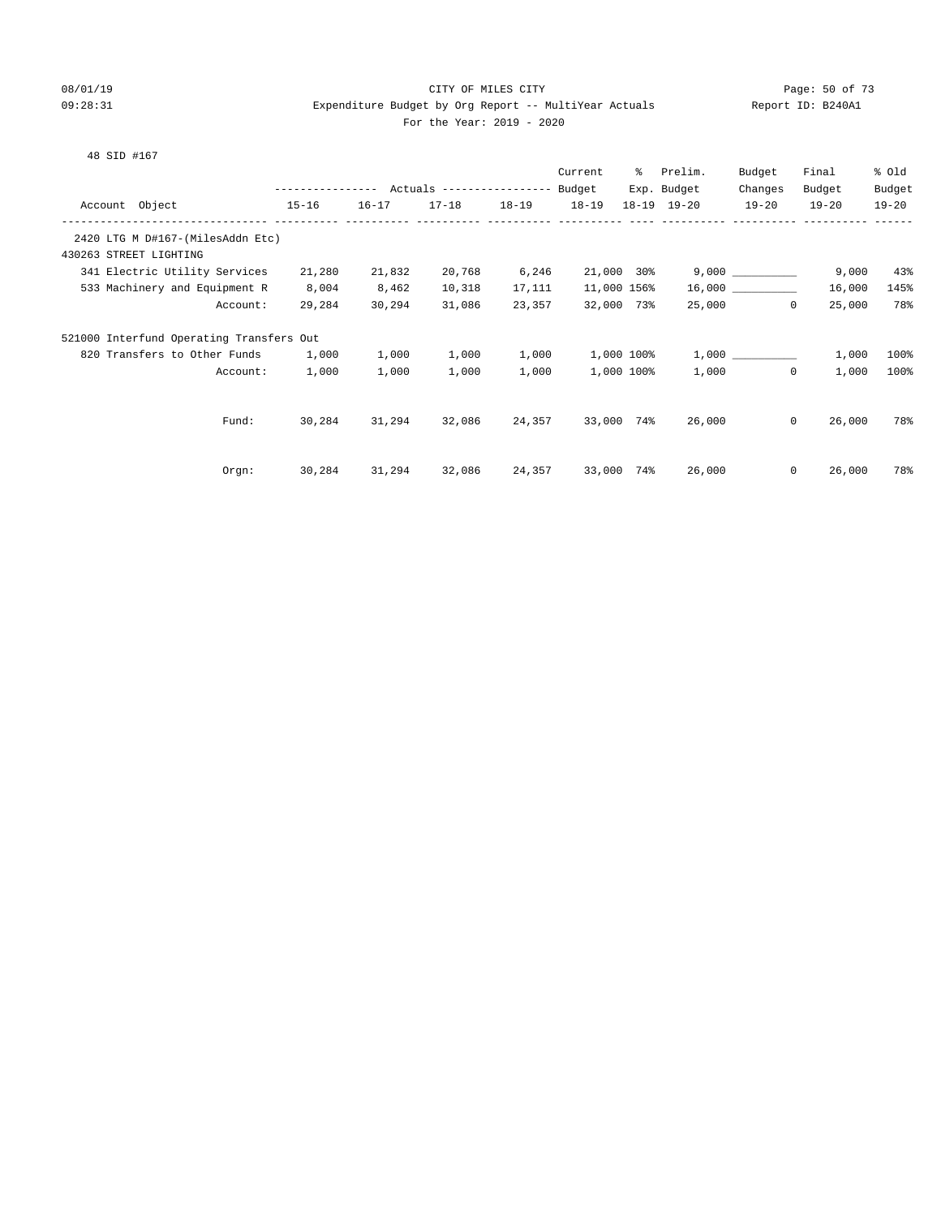#### 08/01/19 Page: 50 of 73 09:28:31 Expenditure Budget by Org Report -- MultiYear Actuals Report ID: B240A1 For the Year: 2019 - 2020

|  |  | ĸeĿ |
|--|--|-----|
|  |  |     |

|  | 48 SID #167 |  |  |
|--|-------------|--|--|
|  |             |  |  |

|         |                                          |                                            |           |           |           | Current     | ៖          | Prelim.     | Budget             | Final     | % Old     |
|---------|------------------------------------------|--------------------------------------------|-----------|-----------|-----------|-------------|------------|-------------|--------------------|-----------|-----------|
|         |                                          | ---------------- Actuals ----------------- |           |           |           | Budget      |            | Exp. Budget | Changes            | Budget    | Budget    |
| Account | Object                                   | $15 - 16$                                  | $16 - 17$ | $17 - 18$ | $18 - 19$ | $18 - 19$   | $18 - 19$  | $19 - 20$   | $19 - 20$          | $19 - 20$ | $19 - 20$ |
|         | 2420 LTG M D#167-(MilesAddn Etc)         |                                            |           |           |           |             |            |             |                    |           |           |
|         | 430263 STREET LIGHTING                   |                                            |           |           |           |             |            |             |                    |           |           |
|         | 341 Electric Utility Services            | 21,280                                     | 21,832    | 20,768    | 6,246     | 21,000 30%  |            |             |                    | 9,000     | 43%       |
|         | 533 Machinery and Equipment R            | 8,004                                      | 8,462     | 10,318    | 17,111    | 11,000 156% |            |             |                    | 16,000    | 145%      |
|         | Account:                                 | 29,284                                     | 30,294    | 31,086    | 23,357    | 32,000 73%  |            |             | $\Omega$<br>25,000 | 25,000    | 78%       |
|         | 521000 Interfund Operating Transfers Out |                                            |           |           |           |             |            |             |                    |           |           |
|         | 820 Transfers to Other Funds             | 1,000                                      | 1,000     | 1,000     | 1,000     |             | 1,000 100% |             |                    | 1,000     | 100%      |
|         | Account:                                 | 1,000                                      | 1,000     | 1,000     | 1,000     |             | 1,000 100% | 1,000       | $\mathbf{0}$       | 1,000     | 100%      |
|         |                                          |                                            |           |           |           |             |            |             |                    |           |           |
|         | Fund:                                    | 30,284                                     | 31,294    | 32,086    | 24,357    | 33,000 74%  |            | 26,000      | $\circ$            | 26,000    | 78%       |
|         |                                          |                                            |           |           |           |             |            |             |                    |           |           |
|         | Orgn:                                    | 30,284                                     | 31,294    | 32,086    | 24,357    | 33,000 74%  |            | 26,000      | $\mathbf{0}$       | 26,000    | 78%       |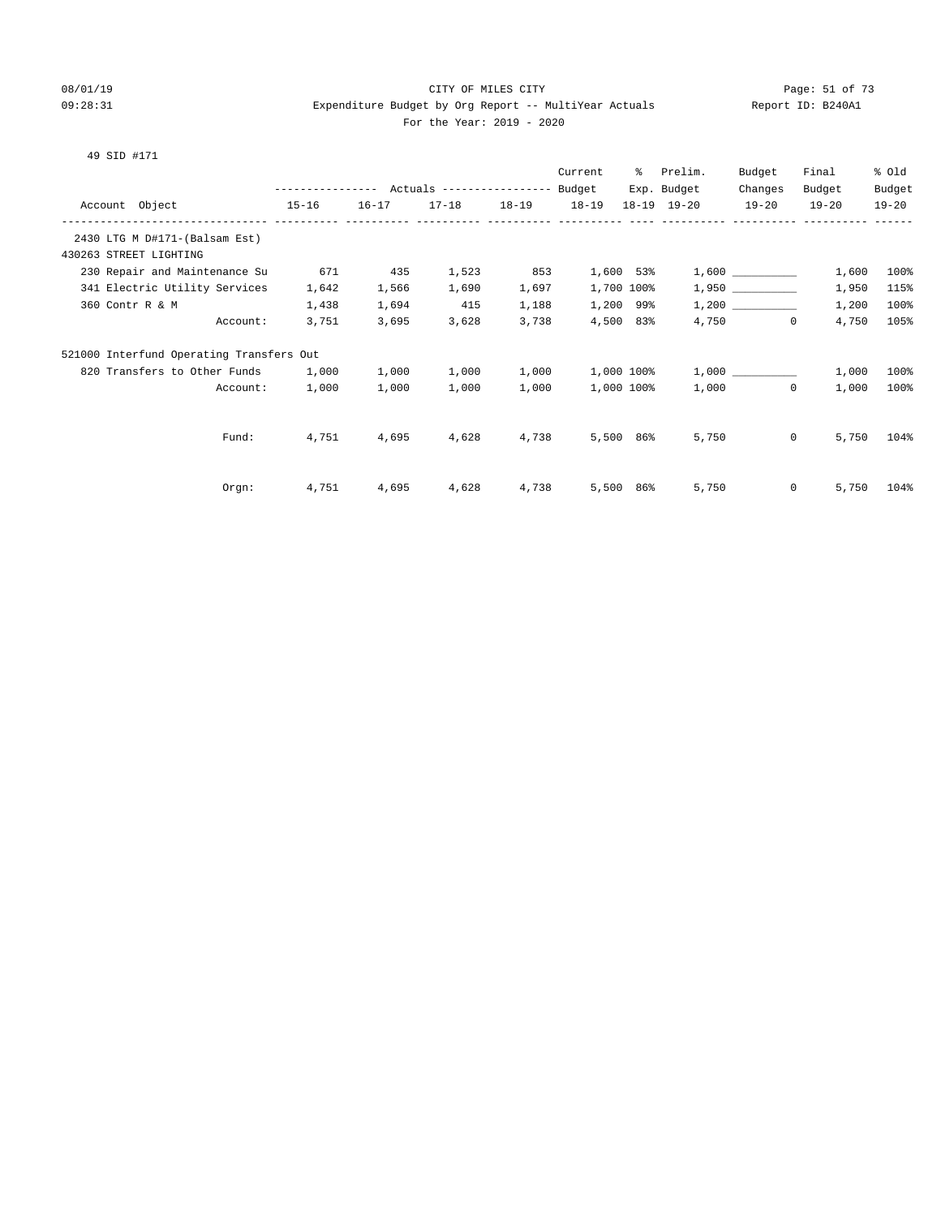#### 08/01/19 Page: 51 of 73 09:28:31 Expenditure Budget by Org Report -- MultiYear Actuals Report ID: B240A1 For the Year: 2019 - 2020

|                                                      |                                                       |           |           |             | Current | ႜႜၟ        | Prelim.     | Budget                | Final     | % Old     |
|------------------------------------------------------|-------------------------------------------------------|-----------|-----------|-------------|---------|------------|-------------|-----------------------|-----------|-----------|
|                                                      | ---------------    Actuals ----------------    Budget |           |           |             |         |            | Exp. Budget | Changes               | Budget    | Budget    |
| Account Object<br>------------- ---------- --------- | $15 - 16$                                             | $16 - 17$ | $17 - 18$ | 18-19 18-19 |         |            | 18-19 19-20 | $19 - 20$             | $19 - 20$ | $19 - 20$ |
| 2430 LTG M D#171-(Balsam Est)                        |                                                       |           |           |             |         |            |             |                       |           |           |
| 430263 STREET LIGHTING                               |                                                       |           |           |             |         |            |             |                       |           |           |
| 230 Repair and Maintenance Su                        | 671                                                   | 435       | 1,523     | 853         |         | 1,600 53%  |             |                       | 1,600     | 100%      |
| 341 Electric Utility Services                        | 1,642                                                 | 1,566     | 1,690     | 1,697       |         | 1,700 100% |             |                       | 1,950     | 115%      |
| 360 Contr R & M                                      | 1,438                                                 | 1,694     | 415       | 1,188       |         | 1,200 99%  |             |                       | 1,200     | 100%      |
| Account:                                             | 3,751                                                 | 3,695     | 3,628     | 3,738       |         | 4,500 83%  |             | 4,750<br>$\mathbf{0}$ | 4,750     | 105%      |
| 521000 Interfund Operating Transfers Out             |                                                       |           |           |             |         |            |             |                       |           |           |
| 820 Transfers to Other Funds                         | 1,000                                                 | 1,000     | 1,000     | 1,000       |         | 1,000 100% |             | 1,000                 | 1,000     | 100%      |
| Account:                                             | 1,000                                                 | 1,000     | 1,000     | 1,000       |         | 1,000 100% |             | $\Omega$<br>1,000     | 1,000     | 100%      |
|                                                      |                                                       |           |           |             |         |            |             |                       |           |           |
| Fund:                                                | 4,751                                                 | 4,695     | 4,628     | 4,738       |         | 5,500 86%  | 5,750       | $\circ$               | 5,750     | 104%      |
|                                                      |                                                       |           |           |             |         |            |             |                       |           |           |
| Orgn:                                                | 4,751                                                 | 4,695     | 4,628     | 4,738       | 5,500   | 86%        | 5,750       | $\mathbf{0}$          | 5,750     | 104%      |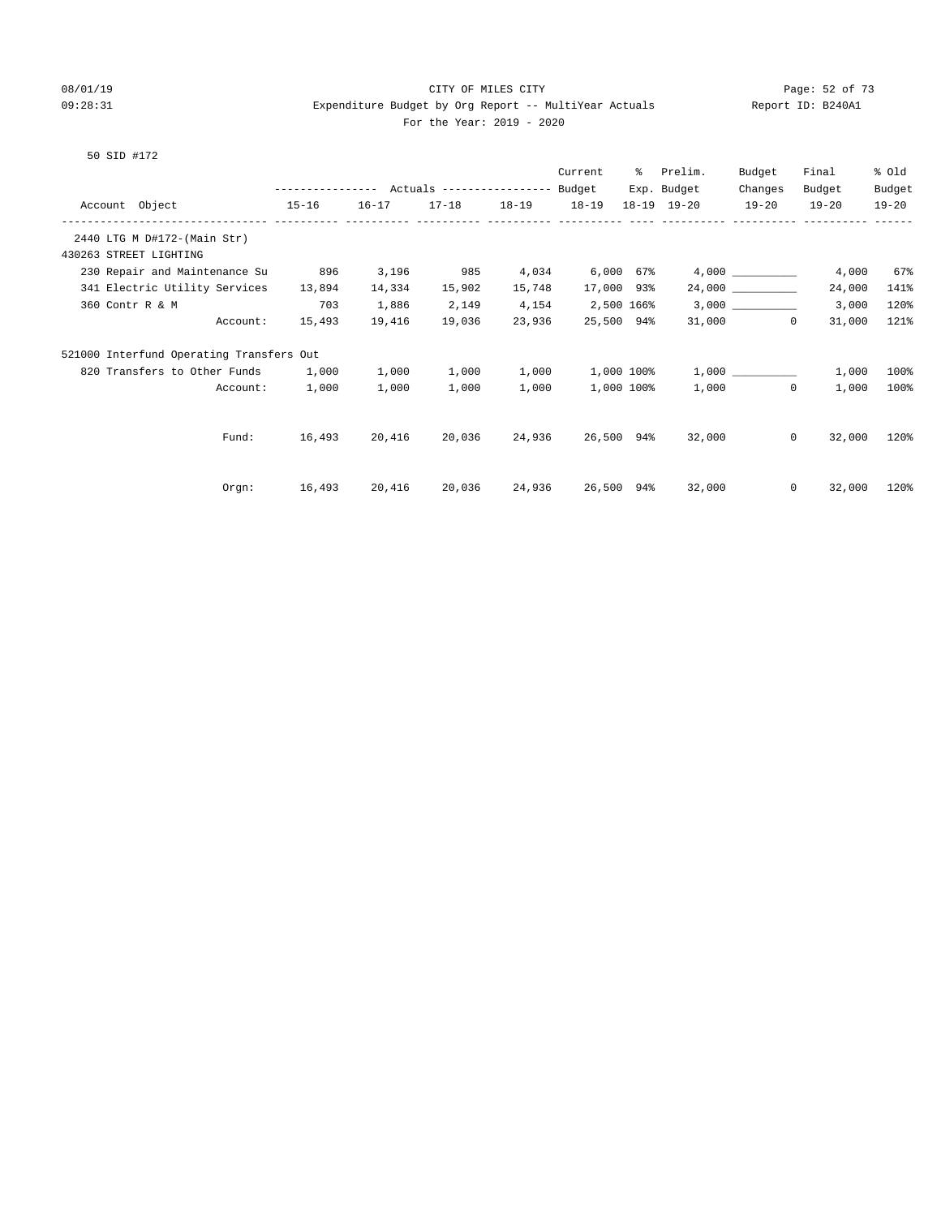#### 08/01/19 Page: 52 of 73 09:28:31 Expenditure Budget by Org Report -- MultiYear Actuals Report ID: B240A1 For the Year: 2019 - 2020

|                                                      |                                                       |           |           |           | Current    | ႜႜႜ | Prelim.     | Budget            | Final     | % Old     |
|------------------------------------------------------|-------------------------------------------------------|-----------|-----------|-----------|------------|-----|-------------|-------------------|-----------|-----------|
|                                                      | ---------------    Actuals ----------------    Budget |           |           |           |            |     | Exp. Budget | Changes           | Budget    | Budget    |
| Account Object<br>------------ ---------- ---------- | $15 - 16$                                             | $16 - 17$ | $17 - 18$ | $18 - 19$ | $18 - 19$  |     | 18-19 19-20 | $19 - 20$         | $19 - 20$ | $19 - 20$ |
| 2440 LTG M D#172-(Main Str)                          |                                                       |           |           |           |            |     |             |                   |           |           |
| 430263 STREET LIGHTING                               |                                                       |           |           |           |            |     |             |                   |           |           |
| 230 Repair and Maintenance Su                        | 896                                                   | 3,196     | 985       | 4,034     | 6,000 67%  |     |             |                   | 4,000     | 67%       |
| 341 Electric Utility Services                        | 13,894                                                | 14,334    | 15,902    | 15,748    | 17,000 93% |     |             | 24,000            | 24,000    | 141%      |
| 360 Contr R & M                                      | 703                                                   | 1,886     | 2,149     | 4,154     | 2,500 166% |     |             |                   | 3,000     | 120%      |
| Account:                                             | 15,493                                                | 19,416    | 19,036    | 23,936    | 25,500 94% |     |             | 31,000<br>$\circ$ | 31,000    | 121%      |
| 521000 Interfund Operating Transfers Out             |                                                       |           |           |           |            |     |             |                   |           |           |
| 820 Transfers to Other Funds                         | 1,000                                                 | 1,000     | 1,000     | 1,000     | 1,000 100% |     |             | 1,000             | 1,000     | 100%      |
| Account:                                             | 1,000                                                 | 1,000     | 1,000     | 1,000     | 1,000 100% |     |             | $\Omega$<br>1,000 | 1,000     | 100%      |
|                                                      |                                                       |           |           |           |            |     |             |                   |           |           |
| Fund:                                                | 16,493                                                | 20,416    | 20,036    | 24,936    | 26,500 94% |     | 32,000      | $\mathbf{0}$      | 32,000    | 120%      |
|                                                      |                                                       |           |           |           |            |     |             |                   |           |           |
| Orgn:                                                | 16,493                                                | 20,416    | 20,036    | 24,936    | 26,500 94% |     | 32,000      | $\Omega$          | 32,000    | 120%      |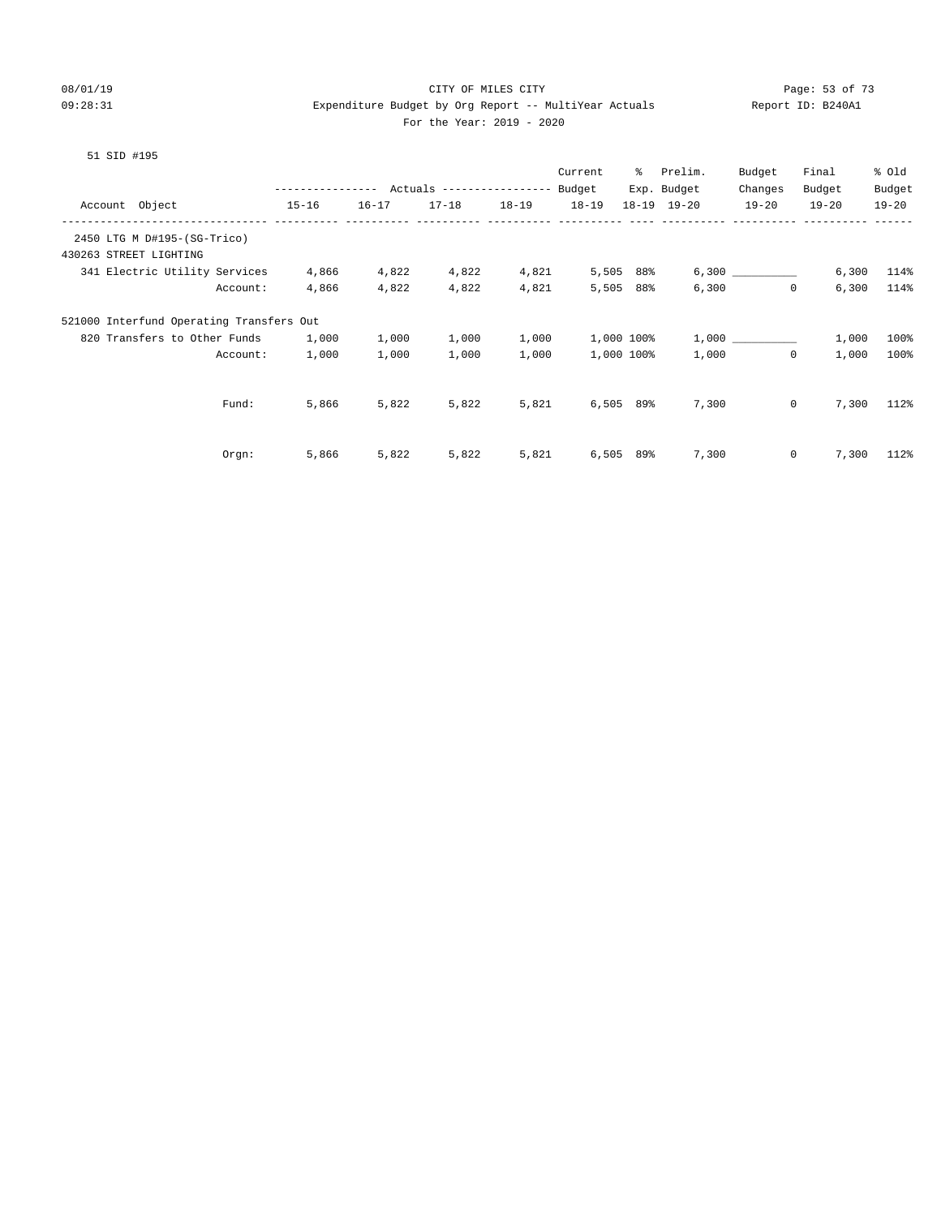#### 08/01/19 Page: 53 of 73 09:28:31 Expenditure Budget by Org Report -- MultiYear Actuals Report ID: B240A1 For the Year: 2019 - 2020

|                                          |                   |           |                           |           | Current    | ⊱           | Prelim.             | Budget       | Final     | % Old     |
|------------------------------------------|-------------------|-----------|---------------------------|-----------|------------|-------------|---------------------|--------------|-----------|-----------|
|                                          | ----------------- |           | Actuals ----------------- |           | Budget     |             | Exp. Budget         | Changes      | Budget    | Budget    |
| Account Object                           | $15 - 16$         | $16 - 17$ | $17 - 18$                 | $18 - 19$ | $18 - 19$  |             | $18 - 19$ $19 - 20$ | $19 - 20$    | $19 - 20$ | $19 - 20$ |
| 2450 LTG M D#195-(SG-Trico)              |                   |           |                           |           |            |             |                     |              |           |           |
| 430263 STREET LIGHTING                   |                   |           |                           |           |            |             |                     |              |           |           |
| 341 Electric Utility Services            | 4,866             | 4,822     | 4,822                     | 4,821     |            | 5,505 88%   |                     |              | 6,300     | 114%      |
| Account:                                 | 4,866             | 4,822     | 4,822                     | 4,821     | 5,505      | 88%         | 6,300               | $\circ$      | 6,300     | 114%      |
| 521000 Interfund Operating Transfers Out |                   |           |                           |           |            |             |                     |              |           |           |
| 820 Transfers to Other Funds             | 1,000             | 1,000     | 1,000                     | 1,000     | 1,000 100% |             |                     | 1,000        | 1,000     | 100%      |
| Account:                                 | 1,000             | 1,000     | 1,000                     | 1,000     | 1,000 100% |             | 1,000               | $\mathbf{0}$ | 1,000     | 100%      |
|                                          |                   |           |                           |           |            |             |                     |              |           |           |
| Fund:                                    | 5,866             | 5,822     | 5,822                     | 5,821     |            | $6,505$ 89% | 7,300               | 0            | 7,300     | 112%      |
|                                          |                   |           |                           |           |            |             |                     |              |           |           |
| Orgn:                                    | 5,866             | 5,822     | 5,822                     | 5,821     | 6,505      | 89%         | 7,300               | 0            | 7,300     | 112%      |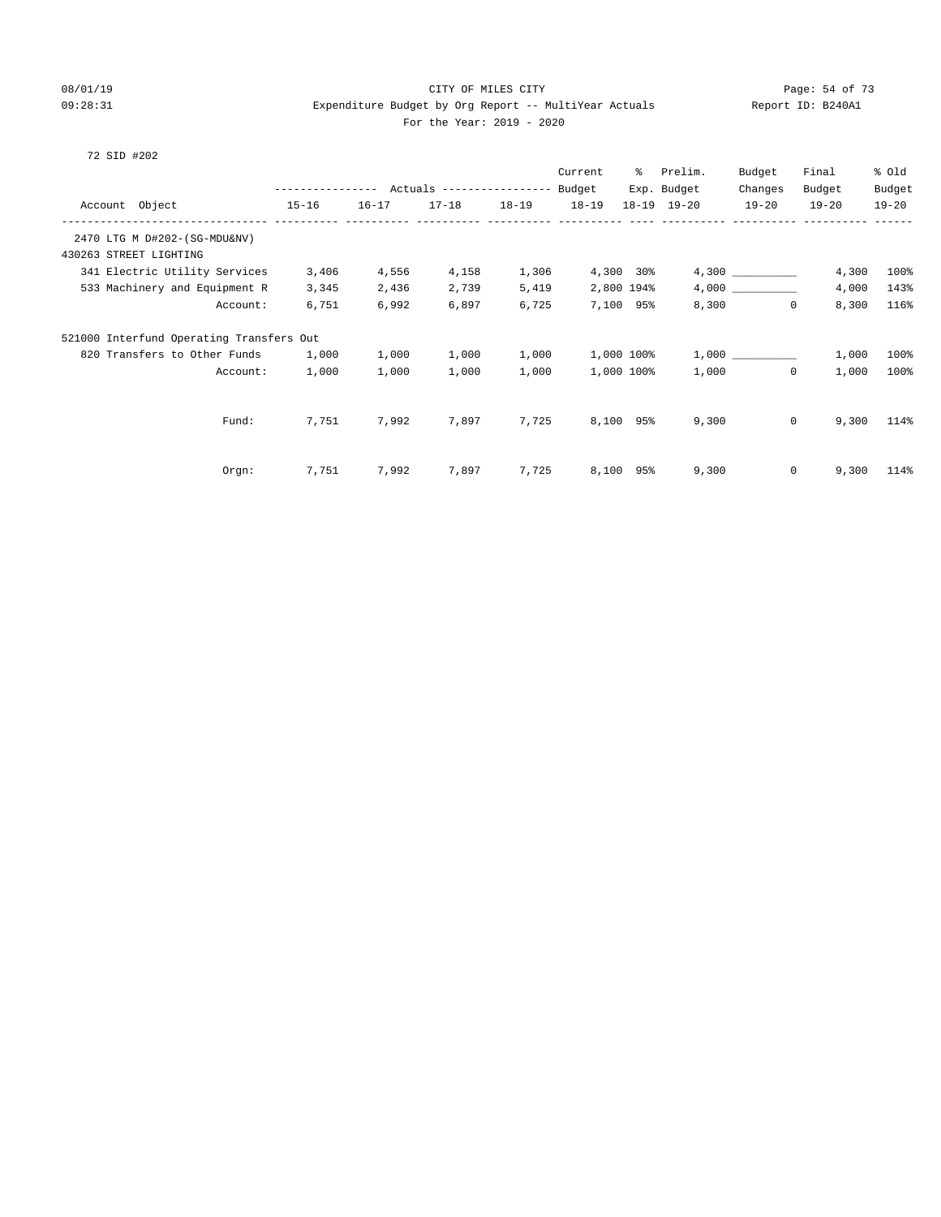#### 08/01/19 Page: 54 of 73 09:28:31 Expenditure Budget by Org Report -- MultiYear Actuals Report ID: B240A1 For the Year: 2019 - 2020

|                                                                      |                                                       |           |           |           | Current    | ႜၟ          | Prelim.     | Budget           | Final     | % Old     |
|----------------------------------------------------------------------|-------------------------------------------------------|-----------|-----------|-----------|------------|-------------|-------------|------------------|-----------|-----------|
|                                                                      | ---------------    Actuals ----------------    Budget |           |           |           |            |             | Exp. Budget | Changes          | Budget    | Budget    |
| Account Object                                                       | $15 - 16$                                             | $16 - 17$ | $17 - 18$ | $18 - 19$ | $18 - 19$  |             | 18-19 19-20 | $19 - 20$        | $19 - 20$ | $19 - 20$ |
| --------------------------- --------<br>2470 LTG M D#202-(SG-MDU&NV) |                                                       |           |           |           |            |             |             |                  |           |           |
| 430263 STREET LIGHTING                                               |                                                       |           |           |           |            |             |             |                  |           |           |
| 341 Electric Utility Services                                        | 3,406                                                 | 4,556     | 4,158     | 1,306     |            | $4,300$ 30% |             | 4,300            | 4,300     | 100%      |
| 533 Machinery and Equipment R                                        | 3,345                                                 | 2,436     | 2,739     | 5,419     | 2,800 194% |             |             |                  | 4,000     | 143%      |
| Account:                                                             | 6,751                                                 | 6,992     | 6,897     | 6,725     | 7,100 95%  |             |             | 8,300<br>$\circ$ | 8,300     | 116%      |
| 521000 Interfund Operating Transfers Out                             |                                                       |           |           |           |            |             |             |                  |           |           |
| 820 Transfers to Other Funds                                         | 1,000                                                 | 1,000     | 1,000     | 1,000     | 1,000 100% |             |             |                  | 1,000     | 100%      |
| Account:                                                             | 1,000                                                 | 1,000     | 1,000     | 1,000     | 1,000 100% |             | 1,000       | $\Omega$         | 1,000     | 100%      |
|                                                                      |                                                       |           |           |           |            |             |             |                  |           |           |
| Fund:                                                                | 7,751                                                 | 7,992     | 7,897     | 7,725     | 8,100 95%  |             | 9,300       | $\overline{0}$   | 9,300     | 114%      |
|                                                                      |                                                       |           |           |           |            |             |             |                  |           |           |
| $Orgn$ :                                                             | 7,751                                                 | 7,992     | 7,897     | 7,725     | 8,100 95%  |             | 9,300       | $\mathbf{0}$     | 9,300     | 114%      |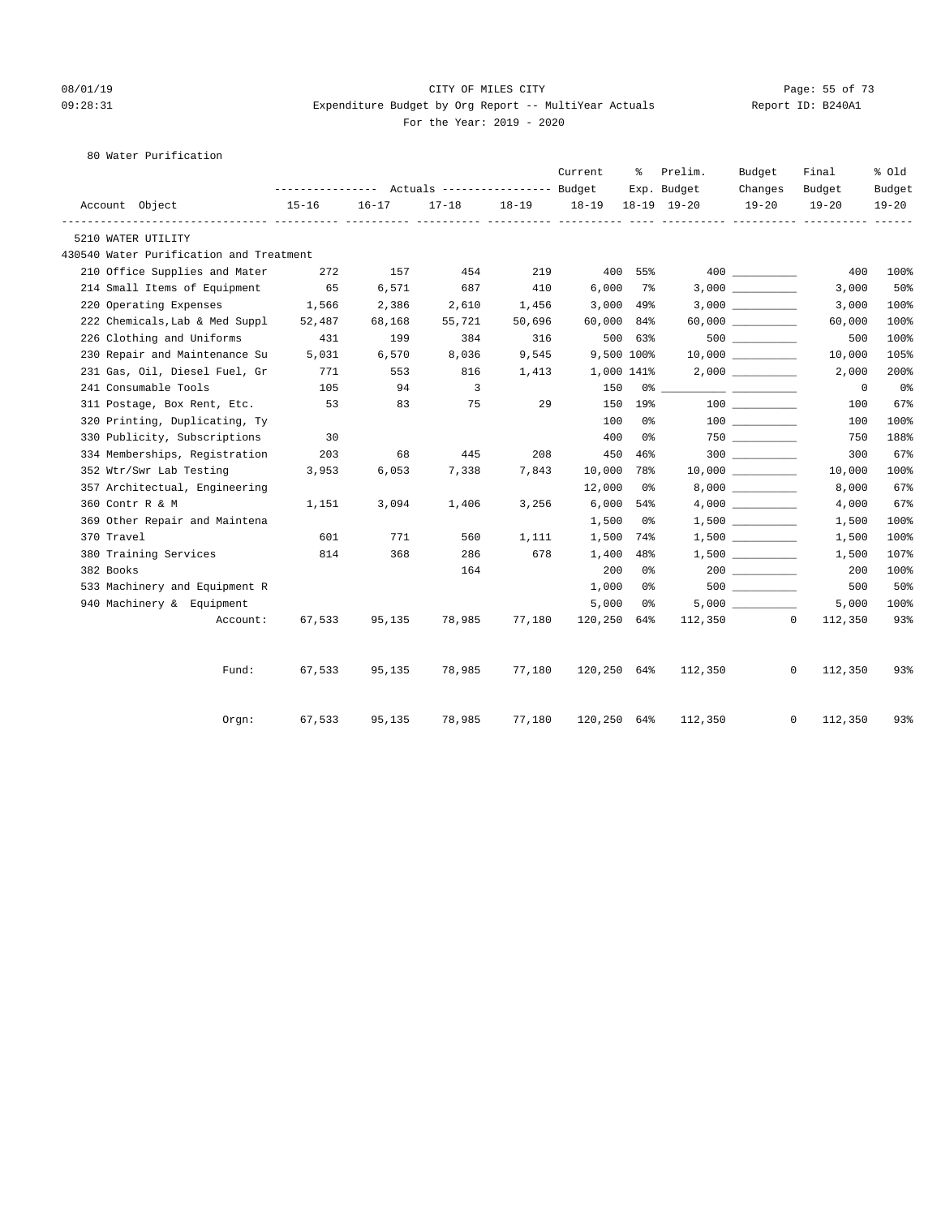#### 08/01/19 Page: 55 of 73 09:28:31 Expenditure Budget by Org Report -- MultiYear Actuals Report ID: B240A1 For the Year: 2019 - 2020

80 Water Purification

|                                         |           |           |                                  |           | Current     | ႜ       | Prelim.     | Budget                                  | Final                   | % Old          |
|-----------------------------------------|-----------|-----------|----------------------------------|-----------|-------------|---------|-------------|-----------------------------------------|-------------------------|----------------|
|                                         |           |           | Actuals ----------------- Budget |           |             |         | Exp. Budget | Changes                                 | Budget                  | Budget         |
| Account Object                          | $15 - 16$ | $16 - 17$ | $17 - 18$<br>----- ---           | $18 - 19$ | 18-19       |         | 18-19 19-20 | $19 - 20$                               | $19 - 20$               | $19 - 20$      |
| 5210 WATER UTILITY                      |           |           |                                  |           |             |         |             |                                         |                         |                |
| 430540 Water Purification and Treatment |           |           |                                  |           |             |         |             |                                         |                         |                |
| 210 Office Supplies and Mater           | 272       | 157       | 454                              | 219       |             | 400 55% |             |                                         | 400                     | 100%           |
| 214 Small Items of Equipment            | 65        | 6,571     | 687                              | 410       | 6,000       | 7%      |             |                                         | 3,000                   | 50%            |
| 220 Operating Expenses                  | 1,566     | 2,386     | 2,610                            | 1,456     | 3,000       | 49%     |             |                                         | 3,000                   | 100%           |
| 222 Chemicals, Lab & Med Suppl          | 52,487    | 68,168    | 55,721                           | 50,696    | 60,000      | 84%     |             | $60,000$ ___________                    | 60,000                  | 100%           |
| 226 Clothing and Uniforms               | 431       | 199       | 384                              | 316       |             | 500 63% |             | $500$ __________                        | 500                     | 100%           |
| 230 Repair and Maintenance Su           | 5,031     | 6,570     | 8,036                            | 9,545     | 9,500 100%  |         |             | 10,000                                  | 10,000                  | 105%           |
| 231 Gas, Oil, Diesel Fuel, Gr           | 771       | 553       | 816                              | 1,413     | 1,000 141%  |         |             |                                         | 2,000                   | 200%           |
| 241 Consumable Tools                    | 105       | 94        | $\overline{3}$                   |           | 150         | 0 %     |             |                                         | $\Omega$                | 0 <sub>8</sub> |
| 311 Postage, Box Rent, Etc.             | 53        | 83        | 75                               | 29        | 150         | 19%     |             | 100 000                                 | 100                     | 67%            |
| 320 Printing, Duplicating, Ty           |           |           |                                  |           | 100         | 0 %     |             | $\begin{array}{c} 100 \\ - \end{array}$ | 100                     | 100%           |
| 330 Publicity, Subscriptions            | 30        |           |                                  |           | 400         | 0 %     |             | $750$ _________                         | 750                     | 188%           |
| 334 Memberships, Registration           | 203       | 68        | 445                              | 208       | 450         | 46%     |             |                                         | 300                     | 67%            |
| 352 Wtr/Swr Lab Testing                 | 3,953     | 6,053     | 7,338                            | 7,843     | 10,000      | 78%     |             |                                         | 10,000                  | 100%           |
| 357 Architectual, Engineering           |           |           |                                  |           | 12,000      | 0 %     |             |                                         | 8,000                   | 67%            |
| 360 Contr R & M                         | 1,151     | 3,094     | 1,406                            | 3,256     | 6,000       | 54%     |             |                                         | 4,000                   | 67%            |
| 369 Other Repair and Maintena           |           |           |                                  |           | 1,500       | 0%      |             |                                         | 1,500                   | 100%           |
| 370 Travel                              | 601       | 771       | 560                              | 1,111     | 1,500       | 74%     |             |                                         | 1,500                   | 100%           |
| 380 Training Services                   | 814       | 368       | 286                              | 678       | 1,400       | 48%     |             |                                         | 1,500                   | 107%           |
| 382 Books                               |           |           | 164                              |           | 200         | 0%      |             | 200                                     | 200                     | 100%           |
| 533 Machinery and Equipment R           |           |           |                                  |           | 1,000       | 0%      |             |                                         | 500                     | 50%            |
| 940 Machinery & Equipment               |           |           |                                  |           | 5,000       | 0%      |             |                                         | 5,000                   | 100%           |
| Account:                                | 67,533    | 95,135    | 78,985                           | 77,180    | 120,250 64% |         | 112,350     |                                         | $\mathbf{0}$<br>112,350 | 93%            |
| Fund:                                   | 67,533    | 95,135    | 78,985                           | 77,180    | 120,250 64% |         | 112,350     |                                         | 0<br>112,350            | 93%            |
| Orem:                                   | 67,533    | 95,135    | 78,985                           | 77,180    | 120,250 64% |         | 112,350     |                                         | 0<br>112,350            | 93%            |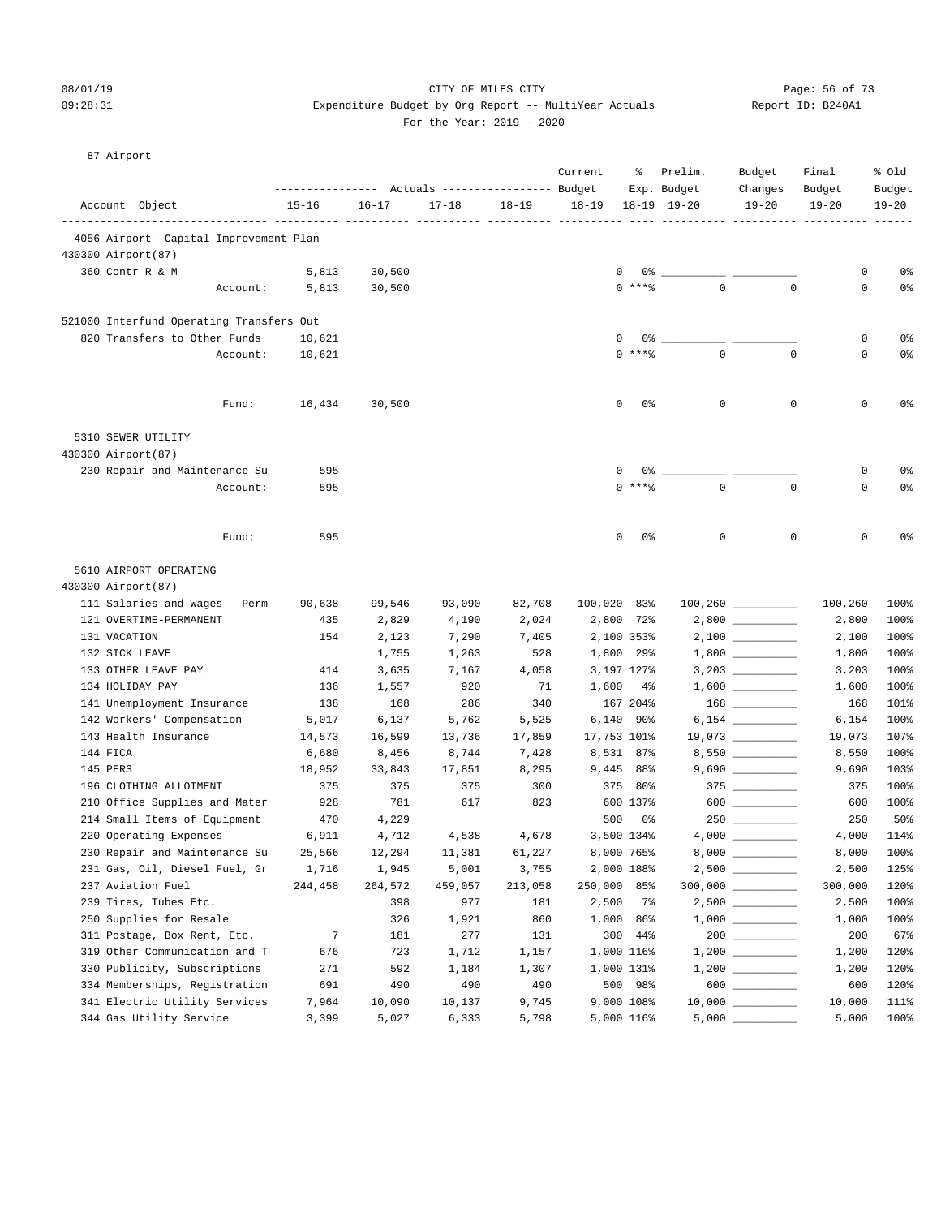#### 08/01/19 Page: 56 of 73 09:28:31 Expenditure Budget by Org Report -- MultiYear Actuals Report ID: B240A1 For the Year: 2019 - 2020

| LOT LITE<br>$\sim$ |  |
|--------------------|--|
|                    |  |
|                    |  |

| % Old<br>Current<br>ిం<br>Budget<br>Final<br>--------------- Actuals ---------------- Budget<br>Exp. Budget<br>Budget<br>Changes<br>Budget<br>$15 - 16$<br>$18 - 19$<br>18-19 19-20<br>$19 - 20$<br>$19 - 20$<br>Account Object<br>$16 - 17$<br>$17 - 18$<br>$18 - 19$<br>$19 - 20$<br>---- ----------<br>4056 Airport- Capital Improvement Plan<br>430300 Airport (87)<br>360 Contr R & M<br>5,813<br>$0$ %<br>30,500<br>0<br>0<br>$\Omega$<br>$\Omega$<br>$0$ ****<br>$\mathbf 0$<br>5,813<br>30,500<br>Account:<br>521000 Interfund Operating Transfers Out<br>820 Transfers to Other Funds<br>0 왕 1<br>0<br>10,621<br>0<br>$0$ ****<br>$\Omega$<br>$\Omega$<br>0<br>Account:<br>10,621<br>$\mathbf 0$<br>0 <sup>°</sup><br>$\mathbf 0$<br>$\mathbf 0$<br>0<br>Fund:<br>16,434<br>30,500<br>5310 SEWER UTILITY<br>430300 Airport (87)<br>230 Repair and Maintenance Su<br>0<br>595<br>0<br>0%<br>$0$ ****<br>$\mathbf{0}$<br>$\Omega$<br>$\mathbf 0$<br>Account:<br>595<br>$\mathbf 0$<br>595<br>$\mathbf 0$<br>0<br>$\mathbf 0$<br>Fund:<br>0%<br>0%<br>5610 AIRPORT OPERATING<br>430300 Airport (87)<br>111 Salaries and Wages - Perm<br>100,020 83%<br>90,638<br>99,546<br>93,090<br>82,708<br>100,260<br>100%<br>100%<br>121 OVERTIME-PERMANENT<br>435<br>2,829<br>4,190<br>2,024<br>2,800 72%<br>2,800<br>154<br>131 VACATION<br>2,123<br>7,290<br>7,405<br>2,100 353%<br>2,100<br>$1,800$ __________<br>132 SICK LEAVE<br>1,755<br>1,263<br>528<br>1,800 29%<br>1,800<br>100%<br>133 OTHER LEAVE PAY<br>7,167<br>4,058<br>3,197 127%<br>100%<br>414<br>3,635<br>3,203<br>134 HOLIDAY PAY<br>920<br>71<br>1,600<br>100%<br>136<br>1,557<br>$4\%$<br>1,600<br>141 Unemployment Insurance<br>168<br>340<br>167 204%<br>168<br>101%<br>138<br>286<br>142 Workers' Compensation<br>6,154<br>100%<br>5,017<br>6,137<br>5,762<br>5,525<br>6,140<br>90%<br>$19,073$ __________<br>143 Health Insurance<br>107%<br>14,573<br>16,599<br>13,736<br>17,859<br>17,753 101%<br>19,073<br>144 FICA<br>8,456<br>8,744<br>7,428<br>8,531 87%<br>100%<br>6,680<br>8,550<br>145 PERS<br>18,952<br>33,843<br>17,851<br>8,295<br>9,445<br>88%<br>9,690<br>103%<br>9,690<br>$375$ __________<br>196 CLOTHING ALLOTMENT<br>375<br>375<br>375<br>375<br>300<br>80%<br>375<br>100%<br>600 000<br>100%<br>210 Office Supplies and Mater<br>928<br>781<br>617<br>823<br>600 137%<br>600<br>214 Small Items of Equipment<br>50%<br>470<br>4,229<br>500<br>0%<br>250<br>220 Operating Expenses<br>6,911<br>4,712<br>4,538<br>4,678<br>3,500 134%<br>4,000<br>114%<br>8,000 765%<br>100%<br>230 Repair and Maintenance Su<br>25,566<br>12,294<br>11,381<br>61,227<br>8,000<br>231 Gas, Oil, Diesel Fuel, Gr<br>2,000 188%<br>125%<br>1,716<br>1,945<br>5,001<br>3,755<br>2,500<br>120%<br>237 Aviation Fuel<br>244,458<br>264,572<br>459,057<br>213,058<br>250,000<br>85%<br>300,000<br>239 Tires, Tubes Etc.<br>398<br>977<br>2,500<br>2,500<br>100%<br>181<br>7%<br>250 Supplies for Resale<br>860<br>1,000<br>$1\, , \, 0\, 0\, 0 \quad \underline{\hspace{1cm}} \rule{2.5cm}{0.4cm}$<br>326<br>1,921<br>86%<br>1,000<br>100%<br>311 Postage, Box Rent, Etc.<br>$\overline{7}$<br>277<br>131<br>300<br>200<br>67%<br>181<br>44%<br>319 Other Communication and T<br>676<br>723<br>1,712<br>1,157<br>1,000 116%<br>1,200<br>120%<br>120%<br>330 Publicity, Subscriptions<br>271<br>592<br>1,184<br>1,307<br>1,000 131%<br>1,200<br>600<br>334 Memberships, Registration<br>120%<br>691<br>490<br>490<br>490<br>500 98%<br>600<br>341 Electric Utility Services<br>9,745<br>9,000 108%<br>111%<br>7,964<br>10,090<br>10,137<br>10,000<br>344 Gas Utility Service<br>3,399<br>6,333<br>5,000 116%<br>5,000<br>100%<br>5,027<br>5,798 | 87 Airport |  |  |  |         |  |                |
|-----------------------------------------------------------------------------------------------------------------------------------------------------------------------------------------------------------------------------------------------------------------------------------------------------------------------------------------------------------------------------------------------------------------------------------------------------------------------------------------------------------------------------------------------------------------------------------------------------------------------------------------------------------------------------------------------------------------------------------------------------------------------------------------------------------------------------------------------------------------------------------------------------------------------------------------------------------------------------------------------------------------------------------------------------------------------------------------------------------------------------------------------------------------------------------------------------------------------------------------------------------------------------------------------------------------------------------------------------------------------------------------------------------------------------------------------------------------------------------------------------------------------------------------------------------------------------------------------------------------------------------------------------------------------------------------------------------------------------------------------------------------------------------------------------------------------------------------------------------------------------------------------------------------------------------------------------------------------------------------------------------------------------------------------------------------------------------------------------------------------------------------------------------------------------------------------------------------------------------------------------------------------------------------------------------------------------------------------------------------------------------------------------------------------------------------------------------------------------------------------------------------------------------------------------------------------------------------------------------------------------------------------------------------------------------------------------------------------------------------------------------------------------------------------------------------------------------------------------------------------------------------------------------------------------------------------------------------------------------------------------------------------------------------------------------------------------------------------------------------------------------------------------------------------------------------------------------------------------------------------------------------------------------------------------------------------------------------------------------------------------------------------------------------------------------------------------------------------------------------------------------------------------------------------------------------------------------------------------------------------------------------------------------------------------------------------------------------|------------|--|--|--|---------|--|----------------|
|                                                                                                                                                                                                                                                                                                                                                                                                                                                                                                                                                                                                                                                                                                                                                                                                                                                                                                                                                                                                                                                                                                                                                                                                                                                                                                                                                                                                                                                                                                                                                                                                                                                                                                                                                                                                                                                                                                                                                                                                                                                                                                                                                                                                                                                                                                                                                                                                                                                                                                                                                                                                                                                                                                                                                                                                                                                                                                                                                                                                                                                                                                                                                                                                                                                                                                                                                                                                                                                                                                                                                                                                                                                                                                                 |            |  |  |  | Prelim. |  |                |
|                                                                                                                                                                                                                                                                                                                                                                                                                                                                                                                                                                                                                                                                                                                                                                                                                                                                                                                                                                                                                                                                                                                                                                                                                                                                                                                                                                                                                                                                                                                                                                                                                                                                                                                                                                                                                                                                                                                                                                                                                                                                                                                                                                                                                                                                                                                                                                                                                                                                                                                                                                                                                                                                                                                                                                                                                                                                                                                                                                                                                                                                                                                                                                                                                                                                                                                                                                                                                                                                                                                                                                                                                                                                                                                 |            |  |  |  |         |  |                |
|                                                                                                                                                                                                                                                                                                                                                                                                                                                                                                                                                                                                                                                                                                                                                                                                                                                                                                                                                                                                                                                                                                                                                                                                                                                                                                                                                                                                                                                                                                                                                                                                                                                                                                                                                                                                                                                                                                                                                                                                                                                                                                                                                                                                                                                                                                                                                                                                                                                                                                                                                                                                                                                                                                                                                                                                                                                                                                                                                                                                                                                                                                                                                                                                                                                                                                                                                                                                                                                                                                                                                                                                                                                                                                                 |            |  |  |  |         |  |                |
|                                                                                                                                                                                                                                                                                                                                                                                                                                                                                                                                                                                                                                                                                                                                                                                                                                                                                                                                                                                                                                                                                                                                                                                                                                                                                                                                                                                                                                                                                                                                                                                                                                                                                                                                                                                                                                                                                                                                                                                                                                                                                                                                                                                                                                                                                                                                                                                                                                                                                                                                                                                                                                                                                                                                                                                                                                                                                                                                                                                                                                                                                                                                                                                                                                                                                                                                                                                                                                                                                                                                                                                                                                                                                                                 |            |  |  |  |         |  |                |
|                                                                                                                                                                                                                                                                                                                                                                                                                                                                                                                                                                                                                                                                                                                                                                                                                                                                                                                                                                                                                                                                                                                                                                                                                                                                                                                                                                                                                                                                                                                                                                                                                                                                                                                                                                                                                                                                                                                                                                                                                                                                                                                                                                                                                                                                                                                                                                                                                                                                                                                                                                                                                                                                                                                                                                                                                                                                                                                                                                                                                                                                                                                                                                                                                                                                                                                                                                                                                                                                                                                                                                                                                                                                                                                 |            |  |  |  |         |  | 0%             |
|                                                                                                                                                                                                                                                                                                                                                                                                                                                                                                                                                                                                                                                                                                                                                                                                                                                                                                                                                                                                                                                                                                                                                                                                                                                                                                                                                                                                                                                                                                                                                                                                                                                                                                                                                                                                                                                                                                                                                                                                                                                                                                                                                                                                                                                                                                                                                                                                                                                                                                                                                                                                                                                                                                                                                                                                                                                                                                                                                                                                                                                                                                                                                                                                                                                                                                                                                                                                                                                                                                                                                                                                                                                                                                                 |            |  |  |  |         |  | 0%             |
|                                                                                                                                                                                                                                                                                                                                                                                                                                                                                                                                                                                                                                                                                                                                                                                                                                                                                                                                                                                                                                                                                                                                                                                                                                                                                                                                                                                                                                                                                                                                                                                                                                                                                                                                                                                                                                                                                                                                                                                                                                                                                                                                                                                                                                                                                                                                                                                                                                                                                                                                                                                                                                                                                                                                                                                                                                                                                                                                                                                                                                                                                                                                                                                                                                                                                                                                                                                                                                                                                                                                                                                                                                                                                                                 |            |  |  |  |         |  |                |
|                                                                                                                                                                                                                                                                                                                                                                                                                                                                                                                                                                                                                                                                                                                                                                                                                                                                                                                                                                                                                                                                                                                                                                                                                                                                                                                                                                                                                                                                                                                                                                                                                                                                                                                                                                                                                                                                                                                                                                                                                                                                                                                                                                                                                                                                                                                                                                                                                                                                                                                                                                                                                                                                                                                                                                                                                                                                                                                                                                                                                                                                                                                                                                                                                                                                                                                                                                                                                                                                                                                                                                                                                                                                                                                 |            |  |  |  |         |  | 0 <sup>8</sup> |
|                                                                                                                                                                                                                                                                                                                                                                                                                                                                                                                                                                                                                                                                                                                                                                                                                                                                                                                                                                                                                                                                                                                                                                                                                                                                                                                                                                                                                                                                                                                                                                                                                                                                                                                                                                                                                                                                                                                                                                                                                                                                                                                                                                                                                                                                                                                                                                                                                                                                                                                                                                                                                                                                                                                                                                                                                                                                                                                                                                                                                                                                                                                                                                                                                                                                                                                                                                                                                                                                                                                                                                                                                                                                                                                 |            |  |  |  |         |  | 0%             |
|                                                                                                                                                                                                                                                                                                                                                                                                                                                                                                                                                                                                                                                                                                                                                                                                                                                                                                                                                                                                                                                                                                                                                                                                                                                                                                                                                                                                                                                                                                                                                                                                                                                                                                                                                                                                                                                                                                                                                                                                                                                                                                                                                                                                                                                                                                                                                                                                                                                                                                                                                                                                                                                                                                                                                                                                                                                                                                                                                                                                                                                                                                                                                                                                                                                                                                                                                                                                                                                                                                                                                                                                                                                                                                                 |            |  |  |  |         |  | 0 <sup>8</sup> |
|                                                                                                                                                                                                                                                                                                                                                                                                                                                                                                                                                                                                                                                                                                                                                                                                                                                                                                                                                                                                                                                                                                                                                                                                                                                                                                                                                                                                                                                                                                                                                                                                                                                                                                                                                                                                                                                                                                                                                                                                                                                                                                                                                                                                                                                                                                                                                                                                                                                                                                                                                                                                                                                                                                                                                                                                                                                                                                                                                                                                                                                                                                                                                                                                                                                                                                                                                                                                                                                                                                                                                                                                                                                                                                                 |            |  |  |  |         |  |                |
|                                                                                                                                                                                                                                                                                                                                                                                                                                                                                                                                                                                                                                                                                                                                                                                                                                                                                                                                                                                                                                                                                                                                                                                                                                                                                                                                                                                                                                                                                                                                                                                                                                                                                                                                                                                                                                                                                                                                                                                                                                                                                                                                                                                                                                                                                                                                                                                                                                                                                                                                                                                                                                                                                                                                                                                                                                                                                                                                                                                                                                                                                                                                                                                                                                                                                                                                                                                                                                                                                                                                                                                                                                                                                                                 |            |  |  |  |         |  |                |
|                                                                                                                                                                                                                                                                                                                                                                                                                                                                                                                                                                                                                                                                                                                                                                                                                                                                                                                                                                                                                                                                                                                                                                                                                                                                                                                                                                                                                                                                                                                                                                                                                                                                                                                                                                                                                                                                                                                                                                                                                                                                                                                                                                                                                                                                                                                                                                                                                                                                                                                                                                                                                                                                                                                                                                                                                                                                                                                                                                                                                                                                                                                                                                                                                                                                                                                                                                                                                                                                                                                                                                                                                                                                                                                 |            |  |  |  |         |  | 0%             |
|                                                                                                                                                                                                                                                                                                                                                                                                                                                                                                                                                                                                                                                                                                                                                                                                                                                                                                                                                                                                                                                                                                                                                                                                                                                                                                                                                                                                                                                                                                                                                                                                                                                                                                                                                                                                                                                                                                                                                                                                                                                                                                                                                                                                                                                                                                                                                                                                                                                                                                                                                                                                                                                                                                                                                                                                                                                                                                                                                                                                                                                                                                                                                                                                                                                                                                                                                                                                                                                                                                                                                                                                                                                                                                                 |            |  |  |  |         |  | 0 <sup>8</sup> |
|                                                                                                                                                                                                                                                                                                                                                                                                                                                                                                                                                                                                                                                                                                                                                                                                                                                                                                                                                                                                                                                                                                                                                                                                                                                                                                                                                                                                                                                                                                                                                                                                                                                                                                                                                                                                                                                                                                                                                                                                                                                                                                                                                                                                                                                                                                                                                                                                                                                                                                                                                                                                                                                                                                                                                                                                                                                                                                                                                                                                                                                                                                                                                                                                                                                                                                                                                                                                                                                                                                                                                                                                                                                                                                                 |            |  |  |  |         |  |                |
|                                                                                                                                                                                                                                                                                                                                                                                                                                                                                                                                                                                                                                                                                                                                                                                                                                                                                                                                                                                                                                                                                                                                                                                                                                                                                                                                                                                                                                                                                                                                                                                                                                                                                                                                                                                                                                                                                                                                                                                                                                                                                                                                                                                                                                                                                                                                                                                                                                                                                                                                                                                                                                                                                                                                                                                                                                                                                                                                                                                                                                                                                                                                                                                                                                                                                                                                                                                                                                                                                                                                                                                                                                                                                                                 |            |  |  |  |         |  |                |
|                                                                                                                                                                                                                                                                                                                                                                                                                                                                                                                                                                                                                                                                                                                                                                                                                                                                                                                                                                                                                                                                                                                                                                                                                                                                                                                                                                                                                                                                                                                                                                                                                                                                                                                                                                                                                                                                                                                                                                                                                                                                                                                                                                                                                                                                                                                                                                                                                                                                                                                                                                                                                                                                                                                                                                                                                                                                                                                                                                                                                                                                                                                                                                                                                                                                                                                                                                                                                                                                                                                                                                                                                                                                                                                 |            |  |  |  |         |  |                |
|                                                                                                                                                                                                                                                                                                                                                                                                                                                                                                                                                                                                                                                                                                                                                                                                                                                                                                                                                                                                                                                                                                                                                                                                                                                                                                                                                                                                                                                                                                                                                                                                                                                                                                                                                                                                                                                                                                                                                                                                                                                                                                                                                                                                                                                                                                                                                                                                                                                                                                                                                                                                                                                                                                                                                                                                                                                                                                                                                                                                                                                                                                                                                                                                                                                                                                                                                                                                                                                                                                                                                                                                                                                                                                                 |            |  |  |  |         |  |                |
|                                                                                                                                                                                                                                                                                                                                                                                                                                                                                                                                                                                                                                                                                                                                                                                                                                                                                                                                                                                                                                                                                                                                                                                                                                                                                                                                                                                                                                                                                                                                                                                                                                                                                                                                                                                                                                                                                                                                                                                                                                                                                                                                                                                                                                                                                                                                                                                                                                                                                                                                                                                                                                                                                                                                                                                                                                                                                                                                                                                                                                                                                                                                                                                                                                                                                                                                                                                                                                                                                                                                                                                                                                                                                                                 |            |  |  |  |         |  |                |
|                                                                                                                                                                                                                                                                                                                                                                                                                                                                                                                                                                                                                                                                                                                                                                                                                                                                                                                                                                                                                                                                                                                                                                                                                                                                                                                                                                                                                                                                                                                                                                                                                                                                                                                                                                                                                                                                                                                                                                                                                                                                                                                                                                                                                                                                                                                                                                                                                                                                                                                                                                                                                                                                                                                                                                                                                                                                                                                                                                                                                                                                                                                                                                                                                                                                                                                                                                                                                                                                                                                                                                                                                                                                                                                 |            |  |  |  |         |  | 100%           |
|                                                                                                                                                                                                                                                                                                                                                                                                                                                                                                                                                                                                                                                                                                                                                                                                                                                                                                                                                                                                                                                                                                                                                                                                                                                                                                                                                                                                                                                                                                                                                                                                                                                                                                                                                                                                                                                                                                                                                                                                                                                                                                                                                                                                                                                                                                                                                                                                                                                                                                                                                                                                                                                                                                                                                                                                                                                                                                                                                                                                                                                                                                                                                                                                                                                                                                                                                                                                                                                                                                                                                                                                                                                                                                                 |            |  |  |  |         |  |                |
|                                                                                                                                                                                                                                                                                                                                                                                                                                                                                                                                                                                                                                                                                                                                                                                                                                                                                                                                                                                                                                                                                                                                                                                                                                                                                                                                                                                                                                                                                                                                                                                                                                                                                                                                                                                                                                                                                                                                                                                                                                                                                                                                                                                                                                                                                                                                                                                                                                                                                                                                                                                                                                                                                                                                                                                                                                                                                                                                                                                                                                                                                                                                                                                                                                                                                                                                                                                                                                                                                                                                                                                                                                                                                                                 |            |  |  |  |         |  |                |
|                                                                                                                                                                                                                                                                                                                                                                                                                                                                                                                                                                                                                                                                                                                                                                                                                                                                                                                                                                                                                                                                                                                                                                                                                                                                                                                                                                                                                                                                                                                                                                                                                                                                                                                                                                                                                                                                                                                                                                                                                                                                                                                                                                                                                                                                                                                                                                                                                                                                                                                                                                                                                                                                                                                                                                                                                                                                                                                                                                                                                                                                                                                                                                                                                                                                                                                                                                                                                                                                                                                                                                                                                                                                                                                 |            |  |  |  |         |  |                |
|                                                                                                                                                                                                                                                                                                                                                                                                                                                                                                                                                                                                                                                                                                                                                                                                                                                                                                                                                                                                                                                                                                                                                                                                                                                                                                                                                                                                                                                                                                                                                                                                                                                                                                                                                                                                                                                                                                                                                                                                                                                                                                                                                                                                                                                                                                                                                                                                                                                                                                                                                                                                                                                                                                                                                                                                                                                                                                                                                                                                                                                                                                                                                                                                                                                                                                                                                                                                                                                                                                                                                                                                                                                                                                                 |            |  |  |  |         |  |                |
|                                                                                                                                                                                                                                                                                                                                                                                                                                                                                                                                                                                                                                                                                                                                                                                                                                                                                                                                                                                                                                                                                                                                                                                                                                                                                                                                                                                                                                                                                                                                                                                                                                                                                                                                                                                                                                                                                                                                                                                                                                                                                                                                                                                                                                                                                                                                                                                                                                                                                                                                                                                                                                                                                                                                                                                                                                                                                                                                                                                                                                                                                                                                                                                                                                                                                                                                                                                                                                                                                                                                                                                                                                                                                                                 |            |  |  |  |         |  |                |
|                                                                                                                                                                                                                                                                                                                                                                                                                                                                                                                                                                                                                                                                                                                                                                                                                                                                                                                                                                                                                                                                                                                                                                                                                                                                                                                                                                                                                                                                                                                                                                                                                                                                                                                                                                                                                                                                                                                                                                                                                                                                                                                                                                                                                                                                                                                                                                                                                                                                                                                                                                                                                                                                                                                                                                                                                                                                                                                                                                                                                                                                                                                                                                                                                                                                                                                                                                                                                                                                                                                                                                                                                                                                                                                 |            |  |  |  |         |  |                |
|                                                                                                                                                                                                                                                                                                                                                                                                                                                                                                                                                                                                                                                                                                                                                                                                                                                                                                                                                                                                                                                                                                                                                                                                                                                                                                                                                                                                                                                                                                                                                                                                                                                                                                                                                                                                                                                                                                                                                                                                                                                                                                                                                                                                                                                                                                                                                                                                                                                                                                                                                                                                                                                                                                                                                                                                                                                                                                                                                                                                                                                                                                                                                                                                                                                                                                                                                                                                                                                                                                                                                                                                                                                                                                                 |            |  |  |  |         |  |                |
|                                                                                                                                                                                                                                                                                                                                                                                                                                                                                                                                                                                                                                                                                                                                                                                                                                                                                                                                                                                                                                                                                                                                                                                                                                                                                                                                                                                                                                                                                                                                                                                                                                                                                                                                                                                                                                                                                                                                                                                                                                                                                                                                                                                                                                                                                                                                                                                                                                                                                                                                                                                                                                                                                                                                                                                                                                                                                                                                                                                                                                                                                                                                                                                                                                                                                                                                                                                                                                                                                                                                                                                                                                                                                                                 |            |  |  |  |         |  |                |
|                                                                                                                                                                                                                                                                                                                                                                                                                                                                                                                                                                                                                                                                                                                                                                                                                                                                                                                                                                                                                                                                                                                                                                                                                                                                                                                                                                                                                                                                                                                                                                                                                                                                                                                                                                                                                                                                                                                                                                                                                                                                                                                                                                                                                                                                                                                                                                                                                                                                                                                                                                                                                                                                                                                                                                                                                                                                                                                                                                                                                                                                                                                                                                                                                                                                                                                                                                                                                                                                                                                                                                                                                                                                                                                 |            |  |  |  |         |  |                |
|                                                                                                                                                                                                                                                                                                                                                                                                                                                                                                                                                                                                                                                                                                                                                                                                                                                                                                                                                                                                                                                                                                                                                                                                                                                                                                                                                                                                                                                                                                                                                                                                                                                                                                                                                                                                                                                                                                                                                                                                                                                                                                                                                                                                                                                                                                                                                                                                                                                                                                                                                                                                                                                                                                                                                                                                                                                                                                                                                                                                                                                                                                                                                                                                                                                                                                                                                                                                                                                                                                                                                                                                                                                                                                                 |            |  |  |  |         |  |                |
|                                                                                                                                                                                                                                                                                                                                                                                                                                                                                                                                                                                                                                                                                                                                                                                                                                                                                                                                                                                                                                                                                                                                                                                                                                                                                                                                                                                                                                                                                                                                                                                                                                                                                                                                                                                                                                                                                                                                                                                                                                                                                                                                                                                                                                                                                                                                                                                                                                                                                                                                                                                                                                                                                                                                                                                                                                                                                                                                                                                                                                                                                                                                                                                                                                                                                                                                                                                                                                                                                                                                                                                                                                                                                                                 |            |  |  |  |         |  |                |
|                                                                                                                                                                                                                                                                                                                                                                                                                                                                                                                                                                                                                                                                                                                                                                                                                                                                                                                                                                                                                                                                                                                                                                                                                                                                                                                                                                                                                                                                                                                                                                                                                                                                                                                                                                                                                                                                                                                                                                                                                                                                                                                                                                                                                                                                                                                                                                                                                                                                                                                                                                                                                                                                                                                                                                                                                                                                                                                                                                                                                                                                                                                                                                                                                                                                                                                                                                                                                                                                                                                                                                                                                                                                                                                 |            |  |  |  |         |  |                |
|                                                                                                                                                                                                                                                                                                                                                                                                                                                                                                                                                                                                                                                                                                                                                                                                                                                                                                                                                                                                                                                                                                                                                                                                                                                                                                                                                                                                                                                                                                                                                                                                                                                                                                                                                                                                                                                                                                                                                                                                                                                                                                                                                                                                                                                                                                                                                                                                                                                                                                                                                                                                                                                                                                                                                                                                                                                                                                                                                                                                                                                                                                                                                                                                                                                                                                                                                                                                                                                                                                                                                                                                                                                                                                                 |            |  |  |  |         |  |                |
|                                                                                                                                                                                                                                                                                                                                                                                                                                                                                                                                                                                                                                                                                                                                                                                                                                                                                                                                                                                                                                                                                                                                                                                                                                                                                                                                                                                                                                                                                                                                                                                                                                                                                                                                                                                                                                                                                                                                                                                                                                                                                                                                                                                                                                                                                                                                                                                                                                                                                                                                                                                                                                                                                                                                                                                                                                                                                                                                                                                                                                                                                                                                                                                                                                                                                                                                                                                                                                                                                                                                                                                                                                                                                                                 |            |  |  |  |         |  |                |
|                                                                                                                                                                                                                                                                                                                                                                                                                                                                                                                                                                                                                                                                                                                                                                                                                                                                                                                                                                                                                                                                                                                                                                                                                                                                                                                                                                                                                                                                                                                                                                                                                                                                                                                                                                                                                                                                                                                                                                                                                                                                                                                                                                                                                                                                                                                                                                                                                                                                                                                                                                                                                                                                                                                                                                                                                                                                                                                                                                                                                                                                                                                                                                                                                                                                                                                                                                                                                                                                                                                                                                                                                                                                                                                 |            |  |  |  |         |  |                |
|                                                                                                                                                                                                                                                                                                                                                                                                                                                                                                                                                                                                                                                                                                                                                                                                                                                                                                                                                                                                                                                                                                                                                                                                                                                                                                                                                                                                                                                                                                                                                                                                                                                                                                                                                                                                                                                                                                                                                                                                                                                                                                                                                                                                                                                                                                                                                                                                                                                                                                                                                                                                                                                                                                                                                                                                                                                                                                                                                                                                                                                                                                                                                                                                                                                                                                                                                                                                                                                                                                                                                                                                                                                                                                                 |            |  |  |  |         |  |                |
|                                                                                                                                                                                                                                                                                                                                                                                                                                                                                                                                                                                                                                                                                                                                                                                                                                                                                                                                                                                                                                                                                                                                                                                                                                                                                                                                                                                                                                                                                                                                                                                                                                                                                                                                                                                                                                                                                                                                                                                                                                                                                                                                                                                                                                                                                                                                                                                                                                                                                                                                                                                                                                                                                                                                                                                                                                                                                                                                                                                                                                                                                                                                                                                                                                                                                                                                                                                                                                                                                                                                                                                                                                                                                                                 |            |  |  |  |         |  |                |
|                                                                                                                                                                                                                                                                                                                                                                                                                                                                                                                                                                                                                                                                                                                                                                                                                                                                                                                                                                                                                                                                                                                                                                                                                                                                                                                                                                                                                                                                                                                                                                                                                                                                                                                                                                                                                                                                                                                                                                                                                                                                                                                                                                                                                                                                                                                                                                                                                                                                                                                                                                                                                                                                                                                                                                                                                                                                                                                                                                                                                                                                                                                                                                                                                                                                                                                                                                                                                                                                                                                                                                                                                                                                                                                 |            |  |  |  |         |  |                |
|                                                                                                                                                                                                                                                                                                                                                                                                                                                                                                                                                                                                                                                                                                                                                                                                                                                                                                                                                                                                                                                                                                                                                                                                                                                                                                                                                                                                                                                                                                                                                                                                                                                                                                                                                                                                                                                                                                                                                                                                                                                                                                                                                                                                                                                                                                                                                                                                                                                                                                                                                                                                                                                                                                                                                                                                                                                                                                                                                                                                                                                                                                                                                                                                                                                                                                                                                                                                                                                                                                                                                                                                                                                                                                                 |            |  |  |  |         |  |                |
|                                                                                                                                                                                                                                                                                                                                                                                                                                                                                                                                                                                                                                                                                                                                                                                                                                                                                                                                                                                                                                                                                                                                                                                                                                                                                                                                                                                                                                                                                                                                                                                                                                                                                                                                                                                                                                                                                                                                                                                                                                                                                                                                                                                                                                                                                                                                                                                                                                                                                                                                                                                                                                                                                                                                                                                                                                                                                                                                                                                                                                                                                                                                                                                                                                                                                                                                                                                                                                                                                                                                                                                                                                                                                                                 |            |  |  |  |         |  |                |
|                                                                                                                                                                                                                                                                                                                                                                                                                                                                                                                                                                                                                                                                                                                                                                                                                                                                                                                                                                                                                                                                                                                                                                                                                                                                                                                                                                                                                                                                                                                                                                                                                                                                                                                                                                                                                                                                                                                                                                                                                                                                                                                                                                                                                                                                                                                                                                                                                                                                                                                                                                                                                                                                                                                                                                                                                                                                                                                                                                                                                                                                                                                                                                                                                                                                                                                                                                                                                                                                                                                                                                                                                                                                                                                 |            |  |  |  |         |  |                |
|                                                                                                                                                                                                                                                                                                                                                                                                                                                                                                                                                                                                                                                                                                                                                                                                                                                                                                                                                                                                                                                                                                                                                                                                                                                                                                                                                                                                                                                                                                                                                                                                                                                                                                                                                                                                                                                                                                                                                                                                                                                                                                                                                                                                                                                                                                                                                                                                                                                                                                                                                                                                                                                                                                                                                                                                                                                                                                                                                                                                                                                                                                                                                                                                                                                                                                                                                                                                                                                                                                                                                                                                                                                                                                                 |            |  |  |  |         |  |                |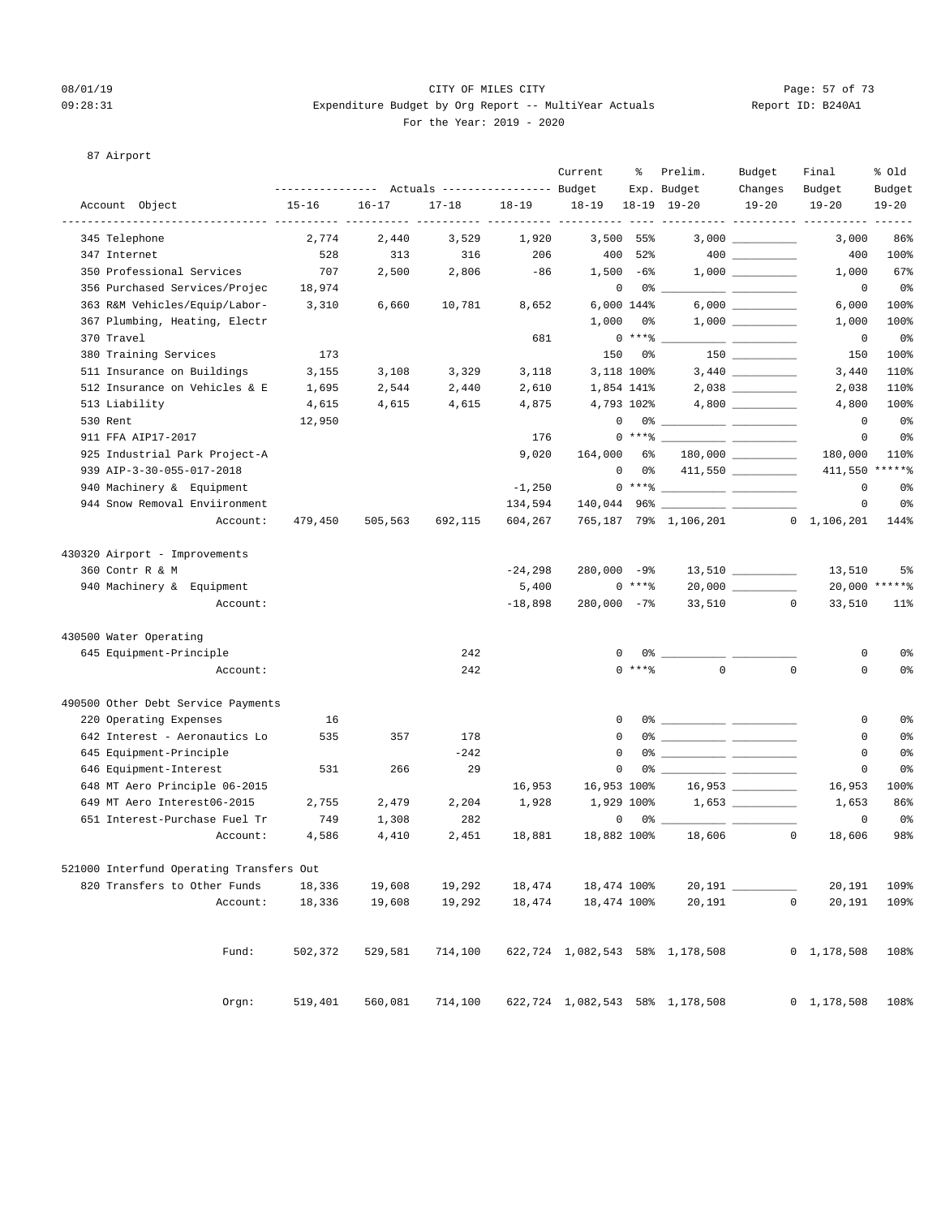#### 08/01/19 Page: 57 of 73 09:28:31 Expenditure Budget by Org Report -- MultiYear Actuals Report ID: B240A1 For the Year: 2019 - 2020

#### 87 Airport

|                                          | -------------- |           | Actuals ----------------- Budget |           | Current                | ႜ           | Prelim.<br>Exp. Budget                                                                                                                                                                                                                                                                                                 | Budget<br>Changes                      | Final<br>Budget           | % old<br>Budget   |
|------------------------------------------|----------------|-----------|----------------------------------|-----------|------------------------|-------------|------------------------------------------------------------------------------------------------------------------------------------------------------------------------------------------------------------------------------------------------------------------------------------------------------------------------|----------------------------------------|---------------------------|-------------------|
| Account Object                           | $15 - 16$      | $16 - 17$ | $17 - 18$                        | $18 - 19$ | $18 - 19$              |             | $18-19$ $19-20$                                                                                                                                                                                                                                                                                                        | $19 - 20$                              | $19 - 20$                 | $19 - 20$         |
| 345 Telephone                            | 2.774          | 2,440     | 3,529                            | 1,920     | $- - - - - -$<br>3,500 | 55%         |                                                                                                                                                                                                                                                                                                                        | $3,000$ __________                     | ----- ----------<br>3,000 | 86%               |
| 347 Internet                             | 528            | 313       | 316                              | 206       | 400                    | 52%         |                                                                                                                                                                                                                                                                                                                        | $\begin{tabular}{c} 400 \end{tabular}$ | 400                       | 100%              |
| 350 Professional Services                | 707            | 2,500     | 2,806                            | $-86$     |                        | $1,500 -68$ |                                                                                                                                                                                                                                                                                                                        |                                        | 1,000                     | 67%               |
| 356 Purchased Services/Projec            | 18,974         |           |                                  |           | 0                      | 0%          |                                                                                                                                                                                                                                                                                                                        |                                        | $\circ$                   | 0%                |
| 363 R&M Vehicles/Equip/Labor-            | 3,310          | 6,660     | 10,781                           | 8,652     |                        | 6,000 144%  |                                                                                                                                                                                                                                                                                                                        |                                        | 6,000                     | 100%              |
| 367 Plumbing, Heating, Electr            |                |           |                                  |           | 1,000                  | 0%          |                                                                                                                                                                                                                                                                                                                        |                                        | 1,000                     | 100%              |
| 370 Travel                               |                |           |                                  | 681       |                        | $0***8$     |                                                                                                                                                                                                                                                                                                                        |                                        | 0                         | 0%                |
| 380 Training Services                    | 173            |           |                                  |           | 150                    | 0 %         |                                                                                                                                                                                                                                                                                                                        |                                        | 150                       | 100%              |
| 511 Insurance on Buildings               | 3,155          | 3,108     | 3,329                            | 3,118     |                        | 3,118 100%  |                                                                                                                                                                                                                                                                                                                        |                                        | 3,440                     | 110%              |
| 512 Insurance on Vehicles & E            | 1,695          | 2,544     | 2,440                            | 2,610     |                        | 1,854 141%  |                                                                                                                                                                                                                                                                                                                        |                                        | 2,038                     | 110%              |
| 513 Liability                            | 4,615          | 4,615     | 4,615                            | 4,875     |                        | 4,793 102%  |                                                                                                                                                                                                                                                                                                                        |                                        | 4,800                     | 100%              |
| 530 Rent                                 | 12,950         |           |                                  |           | 0                      |             |                                                                                                                                                                                                                                                                                                                        |                                        | $^{\circ}$                | 0%                |
| 911 FFA AIP17-2017                       |                |           |                                  | 176       |                        | $0***$ $*$  |                                                                                                                                                                                                                                                                                                                        | <u> The Common School (1989)</u>       | 0                         | 0%                |
| 925 Industrial Park Project-A            |                |           |                                  | 9,020     | 164,000                | 6%          |                                                                                                                                                                                                                                                                                                                        |                                        | 180,000                   | 110%              |
| 939 AIP-3-30-055-017-2018                |                |           |                                  |           | $\mathbf{0}$           | 0 %         |                                                                                                                                                                                                                                                                                                                        | 411,550                                | 411,550                   | $***$ * * * * $%$ |
| 940 Machinery & Equipment                |                |           |                                  | $-1,250$  |                        |             | $0***$ $\frac{1}{2}$                                                                                                                                                                                                                                                                                                   |                                        | 0                         | 0%                |
| 944 Snow Removal Enviironment            |                |           |                                  | 134,594   |                        |             |                                                                                                                                                                                                                                                                                                                        |                                        | 0                         | 0%                |
| Account:                                 | 479,450        | 505,563   | 692,115                          | 604,267   |                        |             | 765,187 79% 1,106,201 0 1,106,201                                                                                                                                                                                                                                                                                      |                                        |                           | 144%              |
| 430320 Airport - Improvements            |                |           |                                  |           |                        |             |                                                                                                                                                                                                                                                                                                                        |                                        |                           |                   |
| 360 Contr R & M                          |                |           |                                  | $-24,298$ | $280,000 -9$           |             |                                                                                                                                                                                                                                                                                                                        | $13,510$ ________                      | 13,510                    | 5%                |
| 940 Machinery & Equipment                |                |           |                                  | 5,400     |                        | $0***8$     |                                                                                                                                                                                                                                                                                                                        |                                        |                           | 20,000 ******     |
| Account:                                 |                |           |                                  | $-18,898$ | $280,000 -78$          |             | 33,510                                                                                                                                                                                                                                                                                                                 | $\circ$                                | 33,510                    | $11$ %            |
| 430500 Water Operating                   |                |           |                                  |           |                        |             |                                                                                                                                                                                                                                                                                                                        |                                        |                           |                   |
| 645 Equipment-Principle                  |                |           | 242                              |           | 0                      |             | 0 %                                                                                                                                                                                                                                                                                                                    |                                        | 0                         | 0%                |
| Account:                                 |                |           | 242                              |           |                        | $0$ ****    | $\Omega$                                                                                                                                                                                                                                                                                                               | $\mathbf 0$                            | 0                         | 0%                |
| 490500 Other Debt Service Payments       |                |           |                                  |           |                        |             |                                                                                                                                                                                                                                                                                                                        |                                        |                           |                   |
| 220 Operating Expenses                   | 16             |           |                                  |           | 0                      |             | $0$ $\frac{1}{2}$ $\frac{1}{2}$ $\frac{1}{2}$ $\frac{1}{2}$ $\frac{1}{2}$ $\frac{1}{2}$ $\frac{1}{2}$ $\frac{1}{2}$ $\frac{1}{2}$ $\frac{1}{2}$ $\frac{1}{2}$ $\frac{1}{2}$ $\frac{1}{2}$ $\frac{1}{2}$ $\frac{1}{2}$ $\frac{1}{2}$ $\frac{1}{2}$ $\frac{1}{2}$ $\frac{1}{2}$ $\frac{1}{2}$ $\frac{1}{2}$ $\frac{1}{2$ |                                        | 0                         | 0%                |
| 642 Interest - Aeronautics Lo            | 535            | 357       | 178                              |           | $\mathbf 0$            |             |                                                                                                                                                                                                                                                                                                                        |                                        | 0                         | 0%                |
| 645 Equipment-Principle                  |                |           | $-242$                           |           | 0                      | 0%          |                                                                                                                                                                                                                                                                                                                        |                                        | 0                         | 0%                |
| 646 Equipment-Interest                   | 531            | 266       | 29                               |           | $\mathbf 0$            | 0%          |                                                                                                                                                                                                                                                                                                                        |                                        | 0                         | 0 <sup>°</sup>    |
| 648 MT Aero Principle 06-2015            |                |           |                                  | 16,953    | 16,953 100%            |             |                                                                                                                                                                                                                                                                                                                        | 16,953                                 | 16,953                    | 100%              |
| 649 MT Aero Interest06-2015              | 2,755          | 2,479     | 2,204                            | 1,928     |                        | 1,929 100%  |                                                                                                                                                                                                                                                                                                                        |                                        | 1,653                     | 86%               |
| 651 Interest-Purchase Fuel Tr            | 749            | 1,308     | 282                              |           | 0                      |             | 0% -                                                                                                                                                                                                                                                                                                                   |                                        | 0                         | 0%                |
| Account:                                 | 4,586          | 4,410     | 2,451                            | 18,881    | 18,882 100%            |             | 18,606                                                                                                                                                                                                                                                                                                                 | $\overline{0}$                         | 18,606                    | 98%               |
| 521000 Interfund Operating Transfers Out |                |           |                                  |           |                        |             |                                                                                                                                                                                                                                                                                                                        |                                        |                           |                   |
| 820 Transfers to Other Funds             | 18,336         | 19,608    | 19,292                           | 18,474    | 18,474 100%            |             | $20,191$ __                                                                                                                                                                                                                                                                                                            |                                        | 20,191                    | 109%              |
| Account:                                 | 18,336         | 19,608    | 19,292                           | 18,474    | 18,474 100%            |             | 20,191                                                                                                                                                                                                                                                                                                                 | $\mathsf{O}\xspace$                    | 20,191                    | 109%              |
| Fund:                                    | 502,372        | 529,581   | 714,100                          |           |                        |             | 622,724 1,082,543 58% 1,178,508                                                                                                                                                                                                                                                                                        |                                        | $0 \quad 1,178,508$       | 108%              |
| Orgn:                                    | 519,401        | 560,081   | 714,100                          |           |                        |             | 622,724 1,082,543 58% 1,178,508                                                                                                                                                                                                                                                                                        |                                        | 0 1, 178, 508             | 108%              |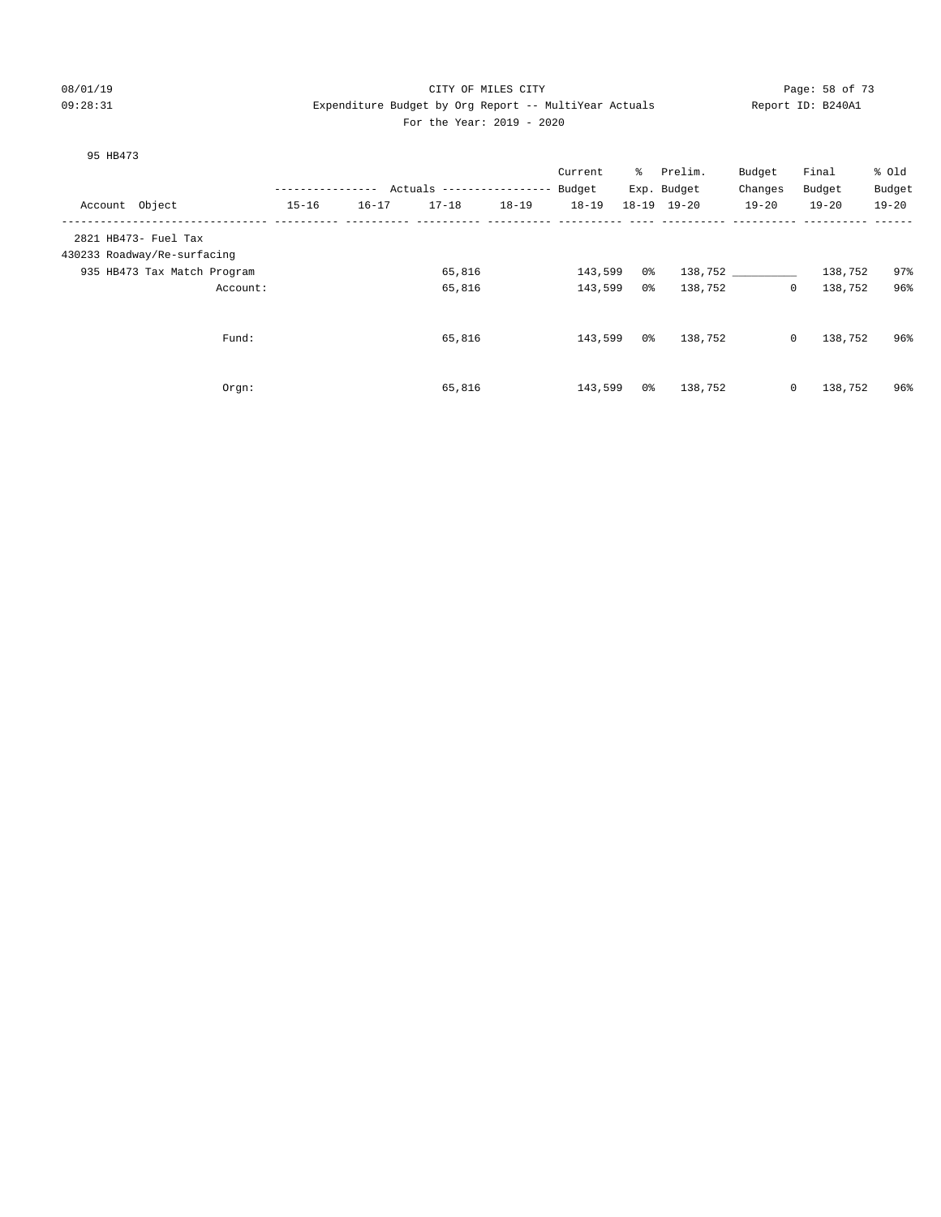#### 08/01/19 Page: 58 of 73 09:28:31 Expenditure Budget by Org Report -- MultiYear Actuals Report ID: B240A1 For the Year: 2019 - 2020

#### 95 HB473

|                             |                  |           |                           |           | Current   | ႜႜႜ | Prelim.             | Budget      | Final     | % Old     |
|-----------------------------|------------------|-----------|---------------------------|-----------|-----------|-----|---------------------|-------------|-----------|-----------|
|                             | ---------------- |           | Actuals ----------------- |           | Budget    |     | Exp. Budget         | Changes     | Budget    | Budget    |
| Account Object              | $15 - 16$        | $16 - 17$ | $17 - 18$                 | $18 - 19$ | $18 - 19$ |     | $18 - 19$ $19 - 20$ | $19 - 20$   | $19 - 20$ | $19 - 20$ |
| 2821 HB473- Fuel Tax        |                  |           |                           |           |           |     |                     |             |           |           |
| 430233 Roadway/Re-surfacing |                  |           |                           |           |           |     |                     |             |           |           |
| 935 HB473 Tax Match Program |                  |           | 65,816                    |           | 143,599   | 0 % |                     | 138,752     | 138,752   | 97%       |
| Account:                    |                  |           | 65,816                    |           | 143,599   | 0%  | 138,752             | $\circ$     | 138,752   | 96%       |
| Fund:                       |                  |           | 65,816                    |           | 143,599   | 0 % | 138,752             | $\circ$     | 138,752   | 96%       |
|                             |                  |           |                           |           |           |     |                     |             |           |           |
| Orgn:                       |                  |           | 65,816                    |           | 143,599   | 0%  | 138,752             | $\mathbf 0$ | 138,752   | 96%       |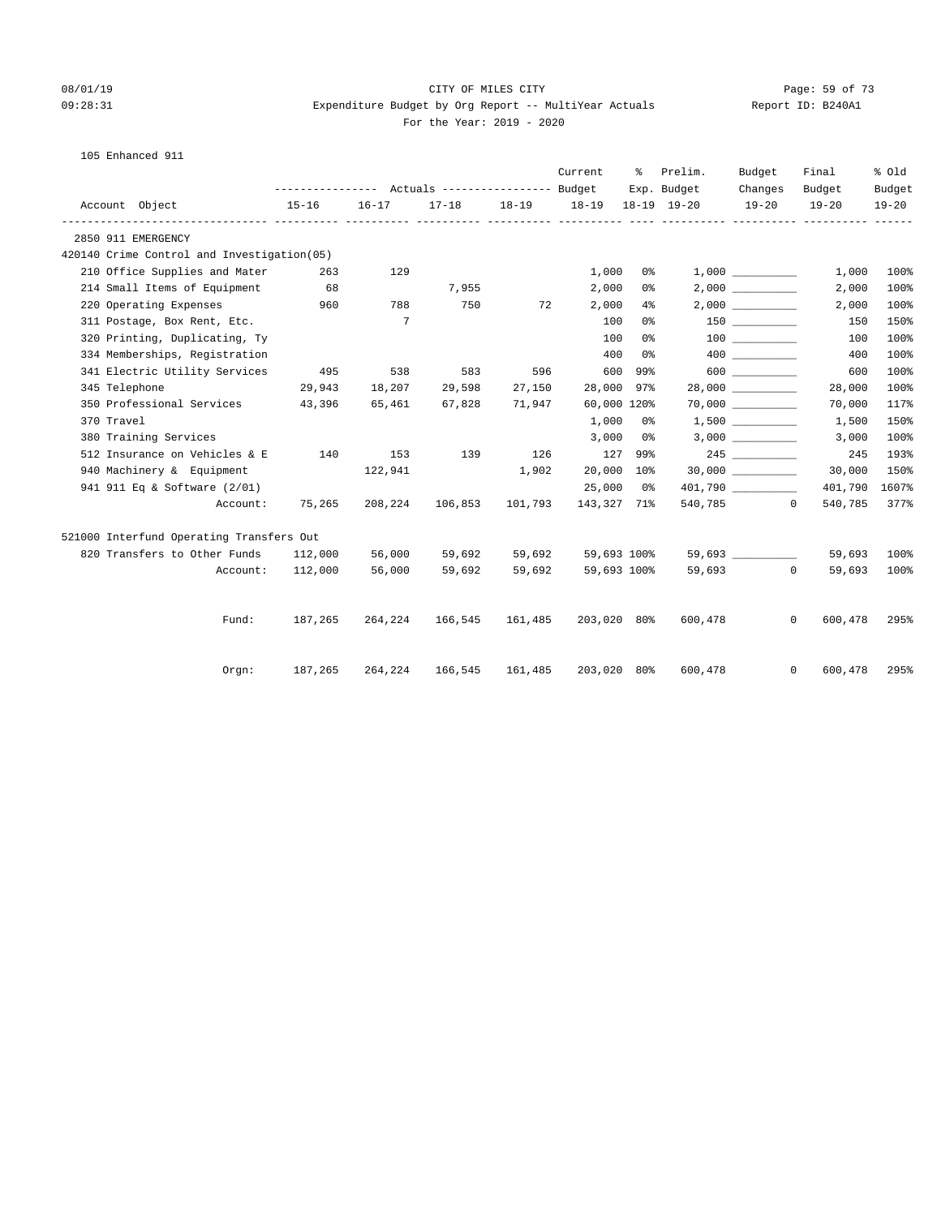#### 08/01/19 Page: 59 of 73 09:28:31 Expenditure Budget by Org Report -- MultiYear Actuals Report ID: B240A1 For the Year: 2019 - 2020

| 105 Enhanced 911 |  |
|------------------|--|
|                  |  |

|  |                                             |           | Current<br>Prelim.<br>Budget<br>ႜၟ |                 |           |                   |       |             |                      |                         | % Old     |
|--|---------------------------------------------|-----------|------------------------------------|-----------------|-----------|-------------------|-------|-------------|----------------------|-------------------------|-----------|
|  |                                             |           |                                    |                 |           |                   |       | Exp. Budget | Changes              | Budget                  | Budget    |
|  | Account Object                              | $15 - 16$ | $16 - 17$                          | $17 - 18$       | $18 - 19$ | 18-19 18-19 19-20 |       |             | $19 - 20$            | $19 - 20$               | $19 - 20$ |
|  | 2850 911 EMERGENCY                          |           |                                    |                 |           |                   |       |             |                      |                         |           |
|  | 420140 Crime Control and Investigation (05) |           |                                    |                 |           |                   |       |             |                      |                         |           |
|  | 210 Office Supplies and Mater               | 263       | 129                                |                 |           | 1,000             | 0%    |             |                      | 1,000                   | 100%      |
|  | 214 Small Items of Equipment                | 68        |                                    | 7,955           |           | 2,000             | 0%    |             |                      | 2,000                   | 100%      |
|  | 220 Operating Expenses 960                  |           | 788                                | 750             | 72        | 2,000             | $4\,$ |             |                      | 2,000                   | 100%      |
|  | 311 Postage, Box Rent, Etc.                 |           | $\overline{7}$                     |                 |           | 100               | 0%    |             |                      | 150                     | 150%      |
|  | 320 Printing, Duplicating, Ty               |           |                                    |                 |           | 100               | 0%    |             |                      | 100                     | 100%      |
|  | 334 Memberships, Registration               |           |                                    |                 |           | 400               | 0 %   |             | 400 000              | 400                     | 100%      |
|  | 341 Electric Utility Services               | 495       | 538                                | 583             | 596       | 600               | 99%   |             | $600$                | 600                     | 100%      |
|  | 345 Telephone                               | 29,943    | 18,207                             | 29,598          | 27,150    | 28,000            | 97%   |             |                      | 28,000                  | 100%      |
|  | 350 Professional Services 43,396            |           | 65,461                             | 67,828          | 71,947    | 60,000 120%       |       |             | $70,000$ ___________ | 70,000                  | 117%      |
|  | 370 Travel                                  |           |                                    |                 |           | 1,000             | - 0 % |             |                      | 1,500                   | 150%      |
|  | 380 Training Services                       |           |                                    |                 |           | 3,000             | 0 %   |             | 3,000                | 3,000                   | 100%      |
|  | 512 Insurance on Vehicles & E               | 140       | 153                                | 139             | 126       | 127 99%           |       |             |                      | 245                     | 193%      |
|  | 940 Machinery & Equipment                   |           | 122,941                            |                 | 1,902     | 20,000 10%        |       |             | 30,000               | 30,000                  | 150%      |
|  | 941 911 Eq & Software (2/01)                |           |                                    |                 |           | 25,000            | 0 %   |             |                      | 401,790                 | 1607%     |
|  | Account:                                    | 75,265    | 208,224                            | 106,853         | 101,793   | 143,327 71%       |       |             | 540,785 0            | 540,785                 | 377%      |
|  | 521000 Interfund Operating Transfers Out    |           |                                    |                 |           |                   |       |             |                      |                         |           |
|  | 820 Transfers to Other Funds 112,000        |           | 56,000                             | 59,692          | 59,692    | 59,693 100%       |       |             | 59,693               | 59,693                  | 100%      |
|  | Account:                                    | 112,000   | 56,000                             | 59,692          | 59,692    | 59,693 100%       |       |             | 59,693 0             | 59,693                  | 100%      |
|  |                                             |           |                                    |                 |           |                   |       |             |                      |                         |           |
|  | Fund:                                       | 187,265   |                                    | 264,224 166,545 | 161,485   | 203,020 80%       |       | 600,478     |                      | $\mathbf{0}$<br>600,478 | 295%      |
|  | Orgn:                                       | 187,265   | 264,224                            | 166,545         | 161,485   | 203,020 80%       |       | 600,478     |                      | $\mathbf{0}$<br>600,478 | 295%      |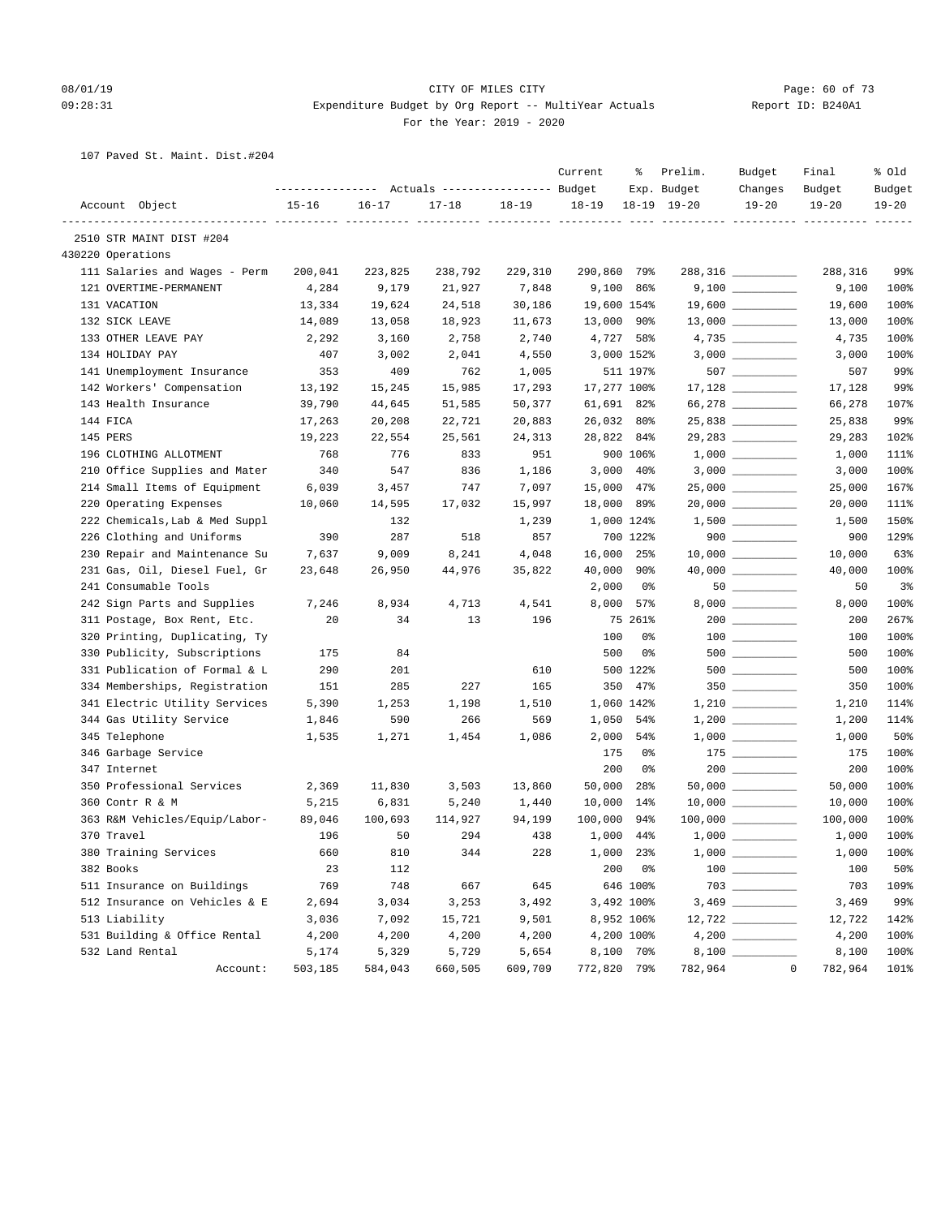#### 08/01/19 Page: 60 of 73 09:28:31 Expenditure Budget by Org Report -- MultiYear Actuals Report ID: B240A1 For the Year: 2019 - 2020

107 Paved St. Maint. Dist.#204

|                                | ---------------- |           | Actuals ----------------- Budget |           | Current     | ႜ              | Prelim.<br>Exp. Budget               | Budget<br>Changes                                                                                                                                                                                                                                                                                                                                                                 | Final<br>Budget        | % old<br>Budget |
|--------------------------------|------------------|-----------|----------------------------------|-----------|-------------|----------------|--------------------------------------|-----------------------------------------------------------------------------------------------------------------------------------------------------------------------------------------------------------------------------------------------------------------------------------------------------------------------------------------------------------------------------------|------------------------|-----------------|
| Account Object                 | $15 - 16$        | $16 - 17$ | $17 - 18$                        | $18 - 19$ | $18 - 19$   |                | $18-19$ $19-20$                      | $19 - 20$                                                                                                                                                                                                                                                                                                                                                                         | $19 - 20$              | $19 - 20$       |
| 2510 STR MAINT DIST #204       |                  |           |                                  |           |             |                | ---- ---------- ---- ---------- ---- |                                                                                                                                                                                                                                                                                                                                                                                   |                        |                 |
| 430220 Operations              |                  |           |                                  |           |             |                |                                      |                                                                                                                                                                                                                                                                                                                                                                                   |                        |                 |
| 111 Salaries and Wages - Perm  | 200,041          | 223,825   | 238,792                          | 229,310   | 290,860 79% |                |                                      | 288,316 _________                                                                                                                                                                                                                                                                                                                                                                 | 288,316                | 99%             |
| 121 OVERTIME-PERMANENT         | 4,284            | 9,179     | 21,927                           | 7,848     |             | 9,100 86%      |                                      |                                                                                                                                                                                                                                                                                                                                                                                   | 9,100                  | 100%            |
| 131 VACATION                   | 13,334           | 19,624    | 24,518                           | 30,186    | 19,600 154% |                |                                      | $19,600$ _________                                                                                                                                                                                                                                                                                                                                                                | 19,600                 | 100%            |
| 132 SICK LEAVE                 | 14,089           | 13,058    | 18,923                           | 11,673    | 13,000 90%  |                |                                      |                                                                                                                                                                                                                                                                                                                                                                                   | 13,000                 | 100%            |
| 133 OTHER LEAVE PAY            | 2,292            | 3,160     | 2,758                            | 2,740     | 4,727 58%   |                |                                      | $4,735$ ____________                                                                                                                                                                                                                                                                                                                                                              | 4,735                  | 100%            |
| 134 HOLIDAY PAY                | 407              | 3,002     | 2,041                            | 4,550     |             | 3,000 152%     |                                      |                                                                                                                                                                                                                                                                                                                                                                                   | 3,000                  | 100%            |
| 141 Unemployment Insurance     | 353              | 409       | 762                              | 1,005     |             | 511 197%       |                                      | $507$ _________                                                                                                                                                                                                                                                                                                                                                                   | 507                    | 99%             |
| 142 Workers' Compensation      | 13,192           | 15,245    | 15,985                           | 17,293    | 17,277 100% |                |                                      |                                                                                                                                                                                                                                                                                                                                                                                   | 17,128                 | 99%             |
| 143 Health Insurance           | 39,790           | 44,645    | 51,585                           | 50,377    | 61,691 82%  |                |                                      | 66,278 __________                                                                                                                                                                                                                                                                                                                                                                 | 66,278                 | 107%            |
| 144 FICA                       | 17,263           | 20,208    | 22,721                           | 20,883    | 26,032 80%  |                |                                      |                                                                                                                                                                                                                                                                                                                                                                                   | 25,838                 | 99%             |
| 145 PERS                       | 19,223           | 22,554    | 25,561                           | 24,313    | 28,822 84%  |                |                                      | 29,283 __________                                                                                                                                                                                                                                                                                                                                                                 | 29,283                 | 102%            |
| 196 CLOTHING ALLOTMENT         | 768              | 776       | 833                              | 951       |             | 900 106%       |                                      |                                                                                                                                                                                                                                                                                                                                                                                   | 1,000                  | 111%            |
| 210 Office Supplies and Mater  | 340              | 547       | 836                              | 1,186     |             | $3,000$ 40%    |                                      |                                                                                                                                                                                                                                                                                                                                                                                   | 3,000                  | 100%            |
| 214 Small Items of Equipment   | 6,039            | 3,457     | 747                              | 7,097     | 15,000 47%  |                |                                      | 25,000 __________                                                                                                                                                                                                                                                                                                                                                                 | 25,000                 | 167%            |
| 220 Operating Expenses         | 10,060           | 14,595    | 17,032                           | 15,997    | 18,000      | 89%            |                                      |                                                                                                                                                                                                                                                                                                                                                                                   | 20,000                 | 111%            |
| 222 Chemicals, Lab & Med Suppl |                  | 132       |                                  | 1,239     |             | 1,000 124%     |                                      | $1,500$ __________                                                                                                                                                                                                                                                                                                                                                                | 1,500                  | 150%            |
| 226 Clothing and Uniforms      | 390              | 287       | 518                              | 857       |             | 700 122%       |                                      | $900$                                                                                                                                                                                                                                                                                                                                                                             | 900                    | 129%            |
| 230 Repair and Maintenance Su  | 7,637            | 9,009     | 8,241                            | 4,048     | 16,000 25%  |                |                                      | $10,000$ __________                                                                                                                                                                                                                                                                                                                                                               | 10,000                 | 63%             |
| 231 Gas, Oil, Diesel Fuel, Gr  | 23,648           | 26,950    | 44,976                           | 35,822    | 40,000      | 90%            |                                      |                                                                                                                                                                                                                                                                                                                                                                                   | 40,000                 | 100%            |
| 241 Consumable Tools           |                  |           |                                  |           | 2,000       | 0%             |                                      | $50 \begin{tabular}{l} \hline \rule{0pt}{2.5ex} \rule{0pt}{2.5ex} \rule{0pt}{2.5ex} \rule{0pt}{2.5ex} \rule{0pt}{2.5ex} \rule{0pt}{2.5ex} \rule{0pt}{2.5ex} \rule{0pt}{2.5ex} \rule{0pt}{2.5ex} \rule{0pt}{2.5ex} \rule{0pt}{2.5ex} \rule{0pt}{2.5ex} \rule{0pt}{2.5ex} \rule{0pt}{2.5ex} \rule{0pt}{2.5ex} \rule{0pt}{2.5ex} \rule{0pt}{2.5ex} \rule{0pt}{2.5ex} \rule{0pt}{2.5$ | 50                     | 3 <sup>°</sup>  |
| 242 Sign Parts and Supplies    | 7,246            | 8,934     | 4,713                            | 4,541     |             | 8,000 57%      |                                      |                                                                                                                                                                                                                                                                                                                                                                                   | 8,000                  | 100%            |
| 311 Postage, Box Rent, Etc.    | 20               | 34        | 13                               | 196       |             | 75 261%        |                                      |                                                                                                                                                                                                                                                                                                                                                                                   | 200                    | 267%            |
| 320 Printing, Duplicating, Ty  |                  |           |                                  |           | 100         | 0%             |                                      |                                                                                                                                                                                                                                                                                                                                                                                   | 100                    | 100%            |
| 330 Publicity, Subscriptions   | 175              | 84        |                                  |           | 500         | 0%             |                                      | $500$ _________                                                                                                                                                                                                                                                                                                                                                                   | 500                    | 100%            |
| 331 Publication of Formal & L  | 290              | 201       |                                  | 610       |             | 500 122%       |                                      | $500$                                                                                                                                                                                                                                                                                                                                                                             | 500                    | 100%            |
| 334 Memberships, Registration  | 151              | 285       | 227                              | 165       | 350         | $47\%$         |                                      |                                                                                                                                                                                                                                                                                                                                                                                   | 350                    | 100%            |
| 341 Electric Utility Services  | 5,390            | 1,253     | 1,198                            | 1,510     |             | 1,060 142%     |                                      |                                                                                                                                                                                                                                                                                                                                                                                   | 1,210                  | 114%            |
| 344 Gas Utility Service        | 1,846            | 590       | 266                              | 569       |             | 1,050 54%      |                                      |                                                                                                                                                                                                                                                                                                                                                                                   | 1,200                  | 114%            |
| 345 Telephone                  | 1,535            | 1,271     | 1,454                            | 1,086     | 2,000       | 54%            |                                      |                                                                                                                                                                                                                                                                                                                                                                                   | 1,000                  | 50%             |
| 346 Garbage Service            |                  |           |                                  |           | 175         | 0%             |                                      |                                                                                                                                                                                                                                                                                                                                                                                   | 175                    | 100%            |
| 347 Internet                   |                  |           |                                  |           | 200         | 0%             |                                      | $200$ _________                                                                                                                                                                                                                                                                                                                                                                   | 200                    | 100%            |
| 350 Professional Services      | 2,369            | 11,830    | 3,503                            | 13,860    | 50,000      | 28.8           |                                      | $50,000$ __________                                                                                                                                                                                                                                                                                                                                                               | 50,000                 | 100%            |
| 360 Contr R & M                | 5,215            | 6,831     | 5,240                            | 1,440     | 10,000 14%  |                |                                      | $10,000$ _________                                                                                                                                                                                                                                                                                                                                                                | 10,000                 | 100%            |
| 363 R&M Vehicles/Equip/Labor-  | 89,046           | 100,693   | 114,927                          | 94,199    | 100,000     | 94%            |                                      | $100,000$ _________                                                                                                                                                                                                                                                                                                                                                               | 100,000                | 100%            |
| 370 Travel                     | 196              | 50        | 294                              | 438       |             | 1,000 44%      |                                      |                                                                                                                                                                                                                                                                                                                                                                                   | 1,000                  | 100%            |
| 380 Training Services          | 660              | 810       | 344                              | 228       | 1,000 23%   |                | $1,000$ $\_$                         |                                                                                                                                                                                                                                                                                                                                                                                   | $1\, , \, 0\,0\,0$     | 100%            |
| 382 Books                      | 23               | 112       |                                  |           | 200         | 0 <sup>8</sup> |                                      |                                                                                                                                                                                                                                                                                                                                                                                   | 100                    | 50%             |
| 511 Insurance on Buildings     | 769              | 748       | 667                              | 645       |             | 646 100%       |                                      |                                                                                                                                                                                                                                                                                                                                                                                   | 703                    | 109%            |
| 512 Insurance on Vehicles & E  | 2,694            | 3,034     | 3,253                            | 3,492     |             | 3,492 100%     |                                      |                                                                                                                                                                                                                                                                                                                                                                                   | 3,469                  | 99%             |
| 513 Liability                  | 3,036            | 7,092     | 15,721                           | 9,501     |             | 8,952 106%     |                                      | $12,722$                                                                                                                                                                                                                                                                                                                                                                          | 12,722                 | 142%            |
| 531 Building & Office Rental   | 4,200            | 4,200     | 4,200                            | 4,200     |             | 4,200 100%     |                                      |                                                                                                                                                                                                                                                                                                                                                                                   | 4,200                  | 100%            |
| 532 Land Rental                | 5,174            | 5,329     | 5,729                            | 5,654     |             | 8,100 70%      |                                      |                                                                                                                                                                                                                                                                                                                                                                                   | 8,100                  | 100%            |
| Account:                       | 503,185          | 584,043   | 660,505                          | 609,709   | 772,820 79% |                | 782,964                              |                                                                                                                                                                                                                                                                                                                                                                                   | $\mathbf 0$<br>782,964 | 101%            |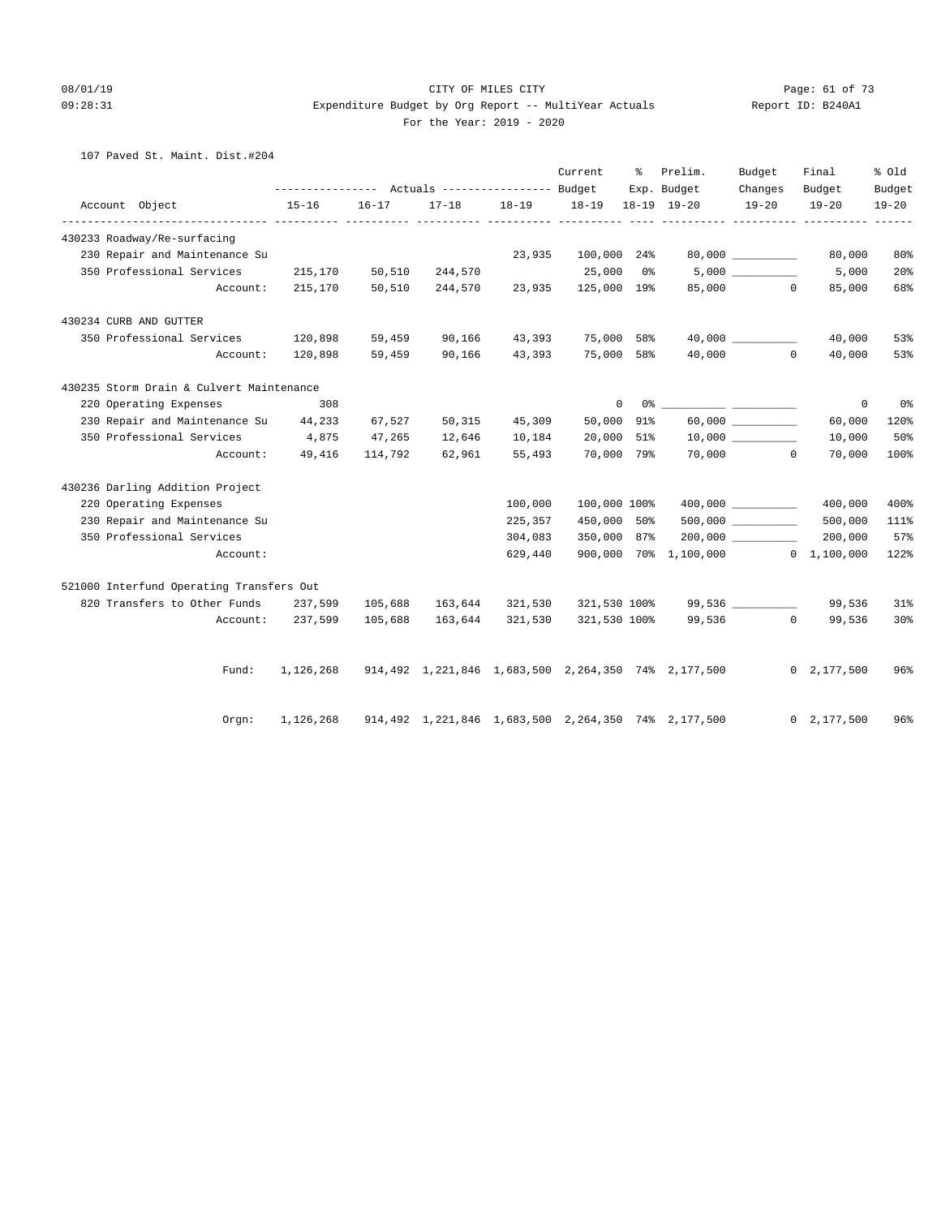#### 08/01/19 Page: 61 of 73 09:28:31 Expenditure Budget by Org Report -- MultiYear Actuals Report ID: B240A1 For the Year: 2019 - 2020

#### 107 Paved St. Maint. Dist.#204

|                                          |                                 |                |         |                               | Current      | % Prelim.<br>Exp. Budget                                      | Budget<br>Changes    | Final<br>Budget    | % Old<br>Budget |
|------------------------------------------|---------------------------------|----------------|---------|-------------------------------|--------------|---------------------------------------------------------------|----------------------|--------------------|-----------------|
| Account Object                           | $15 - 16$                       | $16 - 17$      |         | 17-18 18-19 18-19 18-19 19-20 |              |                                                               | $19 - 20$            | $19 - 20$          | $19 - 20$       |
| 430233 Roadway/Re-surfacing              |                                 |                |         |                               |              |                                                               |                      |                    |                 |
| 230 Repair and Maintenance Su            |                                 |                |         | 23,935                        | 100,000 24%  |                                                               |                      | 80,000             | 80%             |
| 350 Professional Services 215,170 50,510 |                                 |                | 244,570 |                               |              | $25,000$ 0% $5,000$ <u>________</u>                           |                      | 5,000              | 20%             |
|                                          | Account: 215,170 50,510 244,570 |                |         |                               |              | 23,935 125,000 19% 85,000 0                                   |                      | 85,000             | 68%             |
| 430234 CURB AND GUTTER                   |                                 |                |         |                               |              |                                                               |                      |                    |                 |
| 350 Professional Services                |                                 | 120,898 59,459 |         | 90,166 43,393                 | 75,000 58%   |                                                               |                      | 40,000             | 53%             |
| Account:                                 |                                 | 120,898 59,459 |         | 90,166 43,393                 |              | 75,000 58% 40,000 0                                           |                      | 40,000             | 53%             |
| 430235 Storm Drain & Culvert Maintenance |                                 |                |         |                               |              |                                                               |                      |                    |                 |
| 220 Operating Expenses                   | 308                             |                |         |                               | $\circ$      |                                                               |                      | $\circ$            | 0 °             |
| 230 Repair and Maintenance Su 44,233     |                                 | 67,527         |         | 50,315 45,309                 | 50,000 91%   |                                                               | $60,000$ ___________ | 60,000             | 120%            |
| 350 Professional Services 4,875          |                                 | 47,265         | 12,646  | 10,184                        |              | $20,000$ 51% 10,000 ________                                  |                      | 10,000             | 50%             |
|                                          | Account: 49,416                 | 114,792        | 62,961  | 55,493                        |              | 70,000 79% 70,000 0                                           |                      | 70,000             | 100%            |
| 430236 Darling Addition Project          |                                 |                |         |                               |              |                                                               |                      |                    |                 |
| 220 Operating Expenses                   |                                 |                |         | 100,000                       | 100,000 100% |                                                               |                      | 400,000            | 400%            |
| 230 Repair and Maintenance Su            |                                 |                |         | 225,357                       | 450,000 50%  |                                                               |                      | 500,000            | 111%            |
| 350 Professional Services                |                                 |                |         | 304,083                       | 350,000 87%  |                                                               |                      | 200,000            | 57%             |
| Account:                                 |                                 |                |         | 629,440                       |              | 900,000 70% 1,100,000 0 1,100,000                             |                      |                    | 122%            |
| 521000 Interfund Operating Transfers Out |                                 |                |         |                               |              |                                                               |                      |                    |                 |
| 820 Transfers to Other Funds 237,599     |                                 | 105,688        |         | 163,644 321,530               |              | 321,530 100% 99,536 _________                                 |                      | 99,536             | 31%             |
|                                          | Account: 237,599                | 105,688        |         |                               |              | 163,644 321,530 321,530 100% 99,536 0                         |                      | 99,536             | 30 <sup>8</sup> |
| Fund:                                    | 1,126,268                       |                |         |                               |              | 914,492   1,221,846   1,683,500   2,264,350   74%   2,177,500 |                      | $0\quad 2,177,500$ | 96%             |
| Orgn:                                    | 1,126,268                       |                |         |                               |              | 914,492 1,221,846 1,683,500 2,264,350 74% 2,177,500           |                      | 0, 2, 177, 500     | 96%             |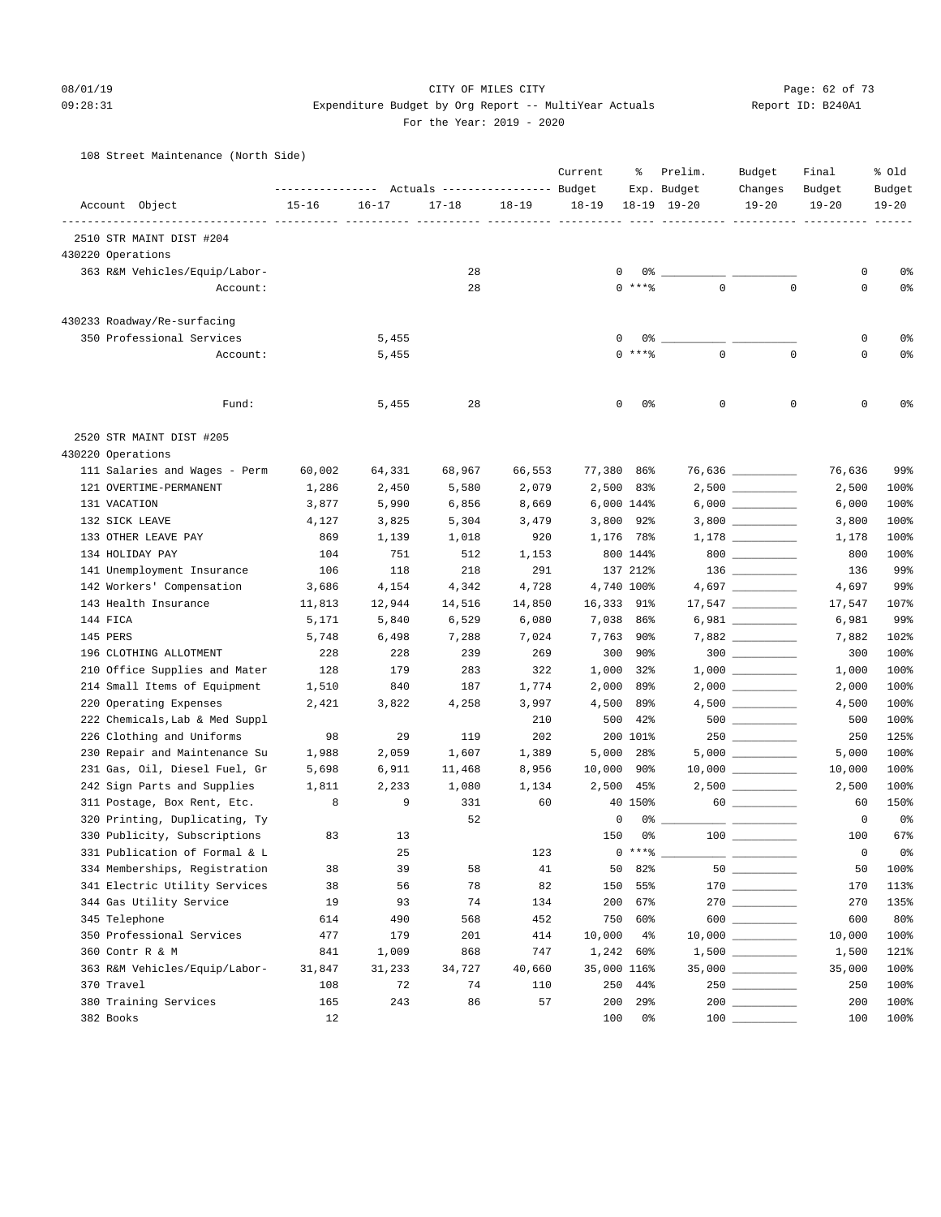#### 08/01/19 Page: 62 of 73

# 09:28:31 Expenditure Budget by Org Report -- MultiYear Actuals Report ID: B240A1 For the Year: 2019 - 2020

108 Street Maintenance (North Side)

|                                | ---------------- |           | Actuals ----------------- Budget |           | Current     | ႜ             | Prelim.<br>Exp. Budget | Budget<br>Changes   | Final<br>Budget | % old<br>Budget |
|--------------------------------|------------------|-----------|----------------------------------|-----------|-------------|---------------|------------------------|---------------------|-----------------|-----------------|
| Account Object                 | $15 - 16$        | $16 - 17$ | $17 - 18$                        | $18 - 19$ | $18 - 19$   |               | $18 - 19$ $19 - 20$    | $19 - 20$           | $19 - 20$       | $19 - 20$       |
| 2510 STR MAINT DIST #204       |                  |           |                                  |           |             |               |                        |                     |                 |                 |
| 430220 Operations              |                  |           |                                  |           |             |               |                        |                     |                 |                 |
| 363 R&M Vehicles/Equip/Labor-  |                  |           | 28                               |           | 0           | 0%            |                        |                     | 0               | 0%              |
| Account:                       |                  |           | 28                               |           |             | $0***$        | $\mathbf 0$            | $\mathbf 0$         | 0               | 0%              |
|                                |                  |           |                                  |           |             |               |                        |                     |                 |                 |
| 430233 Roadway/Re-surfacing    |                  |           |                                  |           |             |               |                        |                     |                 |                 |
| 350 Professional Services      |                  | 5,455     |                                  |           | 0           | $0$ ****      |                        |                     | 0               | 0%              |
| Account:                       |                  | 5,455     |                                  |           |             |               | $\mathsf 0$            | $\mathbf 0$         | $\mathbf 0$     | 0%              |
| Fund:                          |                  | 5,455     | 28                               |           | 0           | 0%            | 0                      | 0                   | 0               | 0%              |
| 2520 STR MAINT DIST #205       |                  |           |                                  |           |             |               |                        |                     |                 |                 |
| 430220 Operations              |                  |           |                                  |           |             |               |                        |                     |                 |                 |
| 111 Salaries and Wages - Perm  | 60,002           | 64,331    | 68,967                           | 66,553    | 77,380 86%  |               |                        | 76,636 _________    | 76,636          | 99%             |
| 121 OVERTIME-PERMANENT         | 1,286            | 2,450     | 5,580                            | 2,079     |             | 2,500 83%     |                        |                     | 2,500           | 100%            |
| 131 VACATION                   | 3,877            | 5,990     | 6,856                            | 8,669     |             | 6,000 144%    |                        | $6,000$             | 6,000           | 100%            |
| 132 SICK LEAVE                 | 4,127            | 3,825     | 5,304                            | 3,479     |             | $3,800$ 92%   |                        |                     | 3,800           | 100%            |
| 133 OTHER LEAVE PAY            | 869              | 1,139     | 1,018                            | 920       |             | 1,176 78%     |                        |                     | 1,178           | 100%            |
| 134 HOLIDAY PAY                | 104              | 751       | 512                              | 1,153     |             | 800 144%      |                        | $800$ _________     | 800             | 100%            |
| 141 Unemployment Insurance     | 106              | 118       | 218                              | 291       |             | 137 212%      |                        |                     | 136             | 99%             |
| 142 Workers' Compensation      | 3,686            | 4,154     | 4,342                            | 4,728     |             | 4,740 100%    |                        |                     | 4,697           | 99%             |
| 143 Health Insurance           | 11,813           | 12,944    | 14,516                           | 14,850    | 16,333 91%  |               |                        |                     | 17,547          | 107%            |
| 144 FICA                       | 5,171            | 5,840     | 6,529                            | 6,080     |             | 7,038 86%     |                        | $6,981$ __________  | 6,981           | 99%             |
| 145 PERS                       | 5,748            | 6,498     | 7,288                            | 7,024     |             | 7,763 90%     |                        | 7,882 __________    | 7,882           | 102%            |
| 196 CLOTHING ALLOTMENT         | 228              | 228       | 239                              | 269       |             | 300 90%       |                        | $300$               | 300             | 100%            |
| 210 Office Supplies and Mater  | 128              | 179       | 283                              | 322       |             | 1,000 32%     |                        |                     | 1,000           | 100%            |
| 214 Small Items of Equipment   | 1,510            | 840       | 187                              | 1,774     | 2,000       | 89%           |                        |                     | 2,000           | 100%            |
| 220 Operating Expenses         | 2,421            | 3,822     | 4,258                            | 3,997     | 4,500       | 89%           |                        |                     | 4,500           | 100%            |
| 222 Chemicals, Lab & Med Suppl |                  |           |                                  | 210       | 500         | 42%           |                        | $500$ _________     | 500             | 100%            |
| 226 Clothing and Uniforms      | 98               | 29        | 119                              | 202       |             | 200 101%      |                        |                     | 250             | 125%            |
| 230 Repair and Maintenance Su  | 1,988            | 2,059     | 1,607                            | 1,389     |             | 5,000 28%     |                        | $5,000$             | 5,000           | 100%            |
| 231 Gas, Oil, Diesel Fuel, Gr  | 5,698            | 6,911     | 11,468                           | 8,956     | 10,000      | 90%           |                        |                     | 10,000          | 100%            |
| 242 Sign Parts and Supplies    | 1,811            | 2,233     | 1,080                            | 1,134     | 2,500       | $45\%$        |                        |                     | 2,500           | 100%            |
| 311 Postage, Box Rent, Etc.    | 8                | 9         | 331                              | 60        |             | 40 150%       |                        |                     | 60              | 150%            |
| 320 Printing, Duplicating, Ty  |                  |           | 52                               |           | 0           | 0%            |                        |                     | 0               | 0 <sup>°</sup>  |
| 330 Publicity, Subscriptions   | 83               | 13        |                                  |           | 150         | 0%            |                        |                     | 100             | 67%             |
| 331 Publication of Formal & L  |                  | 25        |                                  | 123       |             | $0***$ $****$ |                        |                     | 0               | 0%              |
| 334 Memberships, Registration  | 38               | 39        | 58                               | 41        | 50          | 82%           |                        |                     | 50              | 100%            |
| 341 Electric Utility Services  | 38               | 56        | 78                               | 82        | 150         | 55%           |                        |                     | 170             | 113%            |
| 344 Gas Utility Service        | 19               | 93        | 74                               | 134       | 200         | 67%           |                        |                     | 270             | 135%            |
| 345 Telephone                  | 614              | 490       | 568                              | 452       | 750         | 60%           |                        | $600$               | 600             | 80%             |
| 350 Professional Services      | 477              | 179       | 201                              | 414       | 10,000      | $4\%$         |                        | $10,000$ __________ | 10,000          | 100%            |
| 360 Contr R & M                | 841              | 1,009     | 868                              | 747       |             | 1,242 60%     |                        |                     | 1,500           | 121%            |
| 363 R&M Vehicles/Equip/Labor-  | 31,847           | 31,233    | 34,727                           | 40,660    | 35,000 116% |               |                        | 35,000 __________   | 35,000          | 100%            |
| 370 Travel                     | 108              | 72        | 74                               | 110       | 250         | 44%           |                        |                     | 250             | 100%            |
| 380 Training Services          | 165              | 243       | 86                               | 57        | 200         | 29%           |                        |                     | 200             | 100%            |
| 382 Books                      | 12               |           |                                  |           | 100         | 0%            | 100                    |                     | 100             | 100%            |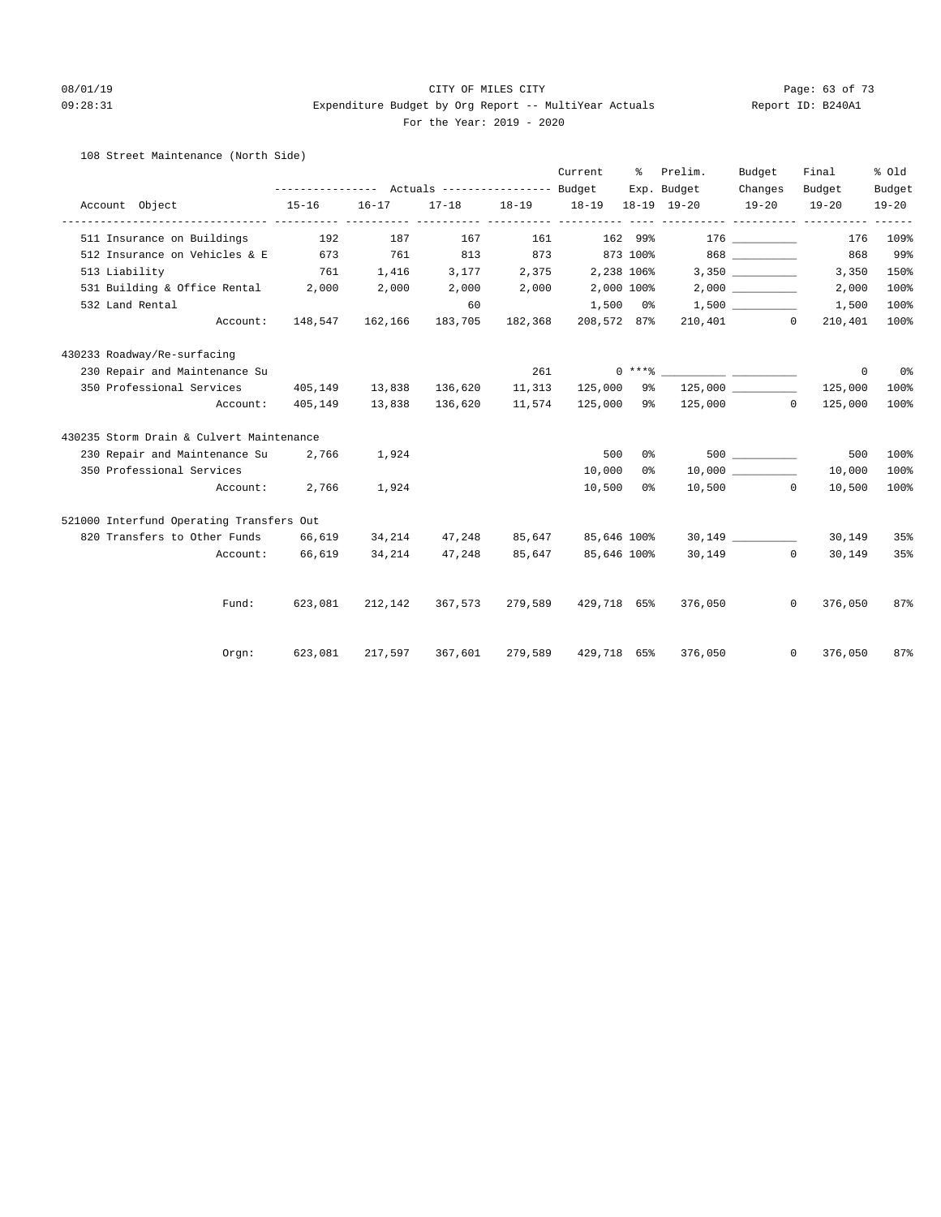#### 08/01/19 Page: 63 of 73 09:28:31 Expenditure Budget by Org Report -- MultiYear Actuals Report ID: B240A1 For the Year: 2019 - 2020

#### 108 Street Maintenance (North Side)

|                                          |                 |                                  |                                 |         | Current     | ႜ | Prelim.                                         | Budget                         | Final                                         | % old     |
|------------------------------------------|-----------------|----------------------------------|---------------------------------|---------|-------------|---|-------------------------------------------------|--------------------------------|-----------------------------------------------|-----------|
|                                          |                 |                                  |                                 |         |             |   | Exp. Budget                                     | Changes                        | Budget                                        | Budget    |
| Account Object                           | $15 - 16$       | $16 - 17$                        | $17 - 18$                       |         |             |   |                                                 | $19 - 20$                      | $19 - 20$<br>----------- ---------- --------- | $19 - 20$ |
| 511 Insurance on Buildings               | 192             | 187                              | 167                             | 161     |             |   | $162$ 99% 176 __________                        |                                | 176                                           | 109%      |
| 512 Insurance on Vehicles & E 673 761    |                 |                                  |                                 |         |             |   | 813 873 873 100% 868 2000                       |                                | 868                                           | 99%       |
| 513 Liability                            |                 | 761 1,416 3,177 2,375 2,238 106% |                                 |         |             |   |                                                 |                                | 3,350                                         | 150%      |
| 531 Building & Office Rental 2,000       |                 | 2,000                            | $2,000$ $2,000$ $2,000$ $100\%$ |         |             |   |                                                 |                                | 2,000                                         | 100%      |
| 532 Land Rental                          |                 |                                  | 60                              |         | $1,500$ 0%  |   |                                                 | $1,500$ $\qquad \qquad \qquad$ | 1,500                                         | 100%      |
| Account:                                 |                 | 148,547 162,166                  | 183,705                         | 182,368 | 208,572 87% |   |                                                 | 210,401 0                      | 210,401                                       | 100%      |
| 430233 Roadway/Re-surfacing              |                 |                                  |                                 |         |             |   |                                                 |                                |                                               |           |
| 230 Repair and Maintenance Su            |                 |                                  |                                 | 261     |             |   | $0***$ $****$ $1***$                            |                                | $\circ$                                       | 0%        |
| 350 Professional Services                |                 | 405,149 13,838 136,620           |                                 | 11,313  | 125,000 9%  |   |                                                 | 125,000                        | 125,000                                       | 100%      |
| Account:                                 | 405,149         | 13,838 136,620                   |                                 | 11,574  |             |   | 125,000 9% 125,000 0                            |                                | 125,000                                       | 100%      |
| 430235 Storm Drain & Culvert Maintenance |                 |                                  |                                 |         |             |   |                                                 |                                |                                               |           |
| 230 Repair and Maintenance Su            | 2,766           | 1,924                            |                                 |         | 500         |   | $0$ % and $0$ . The set of $\sim$               | 500 000                        | 500                                           | 100%      |
| 350 Professional Services                |                 |                                  |                                 |         | 10,000      |   | $0\%$ 10,000                                    |                                | 10,000                                        | 100%      |
| Account:                                 | 2,766           | 1,924                            |                                 |         | 10,500      |   | $0\,$ %                                         | $10,500$ 0                     | 10,500                                        | 100%      |
| 521000 Interfund Operating Transfers Out |                 |                                  |                                 |         |             |   |                                                 |                                |                                               |           |
| 820 Transfers to Other Funds 66,619      |                 |                                  |                                 |         |             |   | $34,214$ $47,248$ $85,647$ $85,646$ 100% 30,149 |                                | 30,149                                        | 35%       |
|                                          | Account: 66,619 | 34,214                           | 47,248                          | 85,647  | 85,646 100% |   |                                                 | 30,149 0                       | 30,149                                        | 35%       |
|                                          |                 |                                  |                                 |         |             |   |                                                 |                                |                                               |           |
| Fund:                                    | 623,081         |                                  |                                 |         |             |   | 212,142 367,573 279,589 429,718 65% 376,050     |                                | $\overline{0}$<br>376,050                     | 87%       |
| Orem:                                    | 623,081         |                                  | 217,597 367,601                 | 279,589 |             |   | 429,718 65% 376,050                             |                                | $0 \qquad \qquad$<br>376,050                  | 87%       |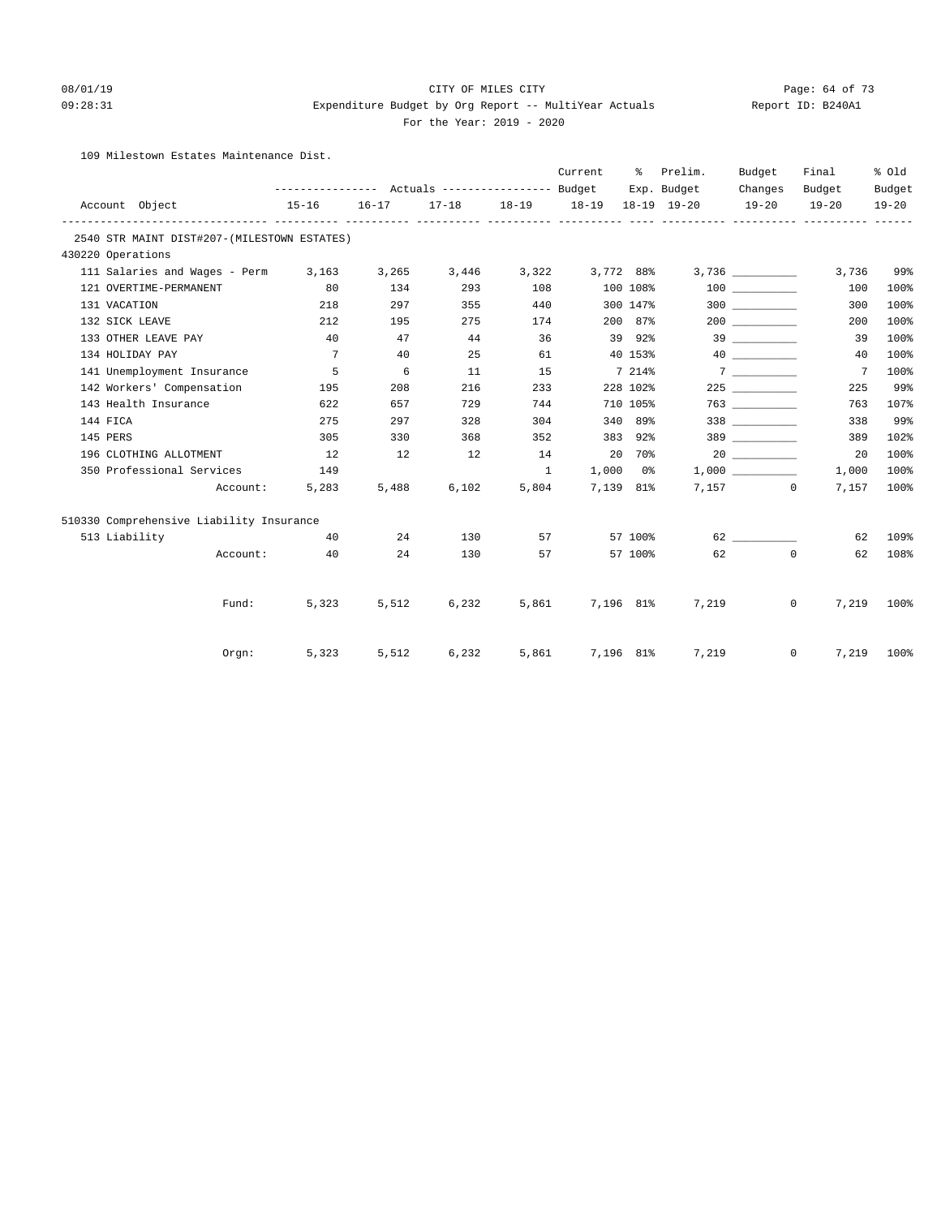#### 08/01/19 Page: 64 of 73

### 09:28:31 Expenditure Budget by Org Report -- MultiYear Actuals Report ID: B240A1 For the Year: 2019 - 2020

109 Milestown Estates Maintenance Dist.

|                            |                                             |                 |       |                                     |          | Current               |          | % Prelim.   | Budget    | Final<br>Budget<br>$19 - 20$ | % Old<br>Budget<br>$19 - 20$ |
|----------------------------|---------------------------------------------|-----------------|-------|-------------------------------------|----------|-----------------------|----------|-------------|-----------|------------------------------|------------------------------|
|                            |                                             |                 |       |                                     |          |                       |          | Exp. Budget | Changes   |                              |                              |
| Account Object             |                                             | $15 - 16$       |       | 16-17 17-18 18-19 18-19 18-19 19-20 |          |                       |          |             | $19 - 20$ |                              |                              |
|                            | 2540 STR MAINT DIST#207-(MILESTOWN ESTATES) |                 |       |                                     |          |                       |          |             |           |                              |                              |
| 430220 Operations          |                                             |                 |       |                                     |          |                       |          |             |           |                              |                              |
|                            | 111 Salaries and Wages - Perm 3,163         |                 | 3,265 |                                     |          | 3,446 3,322 3,772 88% |          |             |           | 3,736                        | 99%                          |
| 121 OVERTIME-PERMANENT     |                                             | 80              | 134   | 293                                 | 108      |                       | 100 108% |             | 100 000   | 100                          | 100%                         |
| 131 VACATION               |                                             | 218             | 297   | 355                                 | 440      |                       | 300 147% |             |           | 300                          | 100%                         |
| 132 SICK LEAVE             |                                             | 212             | 195   | 275                                 | 174      |                       | 200 87%  |             |           | 200                          | 100%                         |
| 133 OTHER LEAVE PAY        |                                             | 40              | 47    | 44                                  | 36       |                       | 39 92%   |             |           | 39                           | 100%                         |
| 134 HOLIDAY PAY            |                                             | $7\overline{ }$ | 40    | 25                                  | 61       |                       | 40 153%  |             | 40        | 40                           | 100%                         |
| 141 Unemployment Insurance |                                             | $5^{\circ}$     | 6     | 11                                  | 15       |                       | 7 214%   |             | 7         | $\overline{7}$               | 100%                         |
| 142 Workers' Compensation  |                                             | 195             | 208   | 216                                 | 233      |                       | 228 102% |             |           | 225                          | 99%                          |
| 143 Health Insurance       |                                             | 622             | 657   | 729                                 | 744      |                       | 710 105% |             |           | 763                          | 107%                         |
| 144 FICA                   |                                             | 275             | 297   | 328                                 | 304      |                       | 340 89%  |             | 338 338   | 338                          | 99%                          |
| 145 PERS                   |                                             | 305             | 330   | 368                                 | 352      |                       | 383 92%  |             | 389 389   | 389                          | 102%                         |
| 196 CLOTHING ALLOTMENT     |                                             | $\sim$ $12$     | 12    | 12                                  | 14       | 20 70%                |          |             |           | 20                           | 100%                         |
| 350 Professional Services  |                                             | 149             |       |                                     | $\sim$ 1 | $1,000$ $0\%$         |          |             | 1,000     | 1,000                        | 100%                         |
|                            | Account:                                    | 5,283           | 5,488 | 6,102                               | 5,804    | 7.139 81%             |          |             | 7,157 0   | 7,157                        | 100%                         |
|                            | 510330 Comprehensive Liability Insurance    |                 |       |                                     |          |                       |          |             |           |                              |                              |
| 513 Liability              |                                             | 40              | 24    | 130                                 |          | 57 — 17               | 57 100%  |             |           | 62                           | 109%                         |
|                            | Account:                                    | 40              | 24    | 130                                 |          |                       | 57 100%  | 62          |           | $\circ$<br>62                | 108%                         |
|                            |                                             |                 |       |                                     |          |                       |          |             |           |                              |                              |
|                            | Fund:                                       | 5,323           | 5,512 | 6,232                               |          | 5,861 7,196 81%       |          | 7,219       |           | $\circ$<br>7,219             | 100%                         |
|                            | Orgn:                                       | 5,323           | 5,512 | 6,232                               |          | 5,861 7,196 81%       |          | 7,219       |           | $0 \qquad \qquad$<br>7,219   | 100%                         |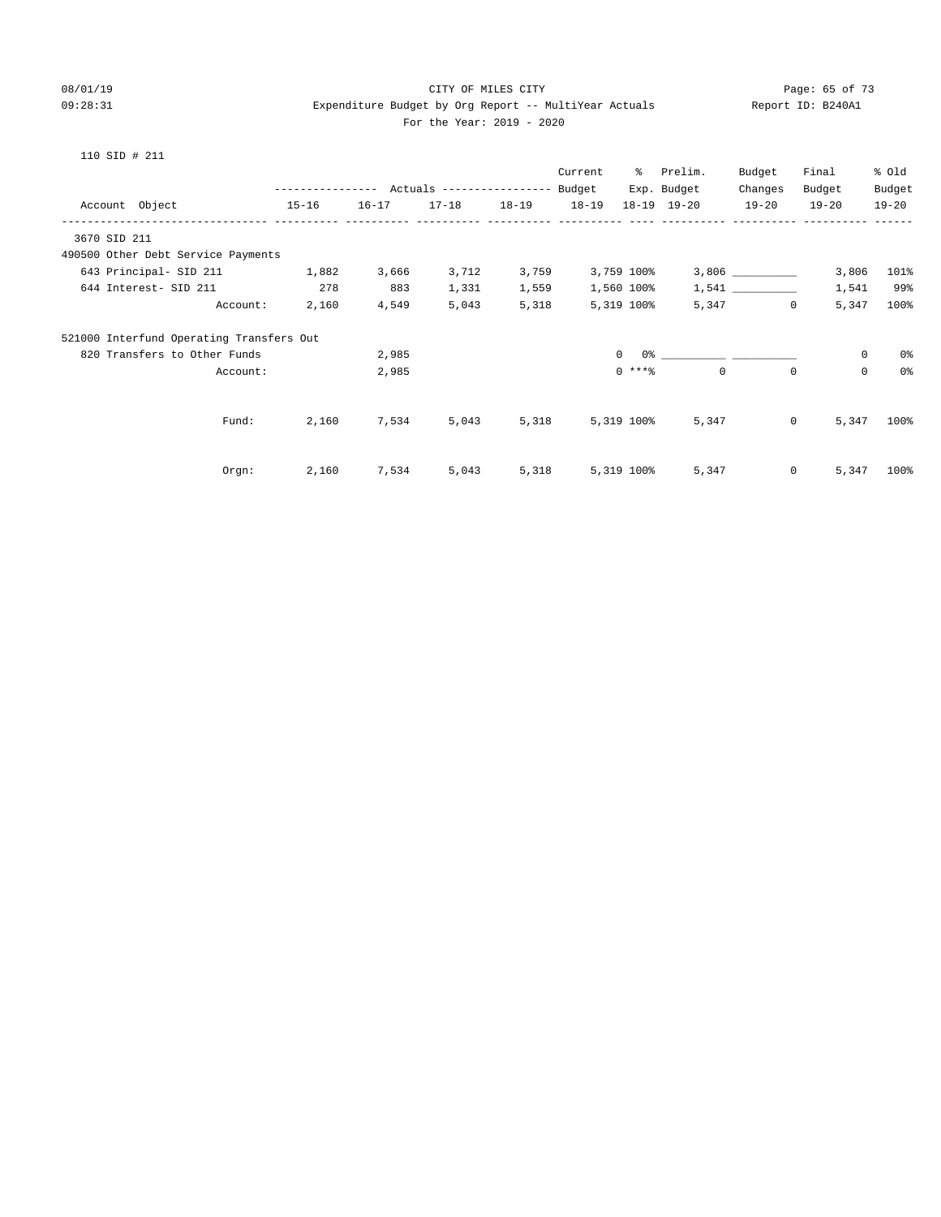#### 08/01/19 Page: 65 of 73 09:28:31 Expenditure Budget by Org Report -- MultiYear Actuals Report ID: B240A1 For the Year: 2019 - 2020

|                                          |           |           |                                                 |                   | Current    | ိ              | Prelim.     | Budget                  | Final     | % Old          |
|------------------------------------------|-----------|-----------|-------------------------------------------------|-------------------|------------|----------------|-------------|-------------------------|-----------|----------------|
|                                          |           |           | --------------- Actuals ---------------- Budget |                   |            |                | Exp. Budget | Changes                 | Budget    | Budget         |
| Account Object                           | $15 - 16$ | $16 - 17$ |                                                 | 17-18 18-19 18-19 |            |                | 18-19 19-20 | $19 - 20$               | $19 - 20$ | $19 - 20$      |
| 3670 SID 211                             |           |           |                                                 |                   |            |                |             |                         |           |                |
| 490500 Other Debt Service Payments       |           |           |                                                 |                   |            |                |             |                         |           |                |
| 643 Principal- SID 211 1,882             |           | 3,666     | 3,712                                           | 3,759             |            | 3,759 100%     |             |                         | 3,806     | 101%           |
| 644 Interest- SID 211 278                |           | 883       | 1,331                                           | 1,559             |            | 1,560 100%     |             |                         | 1,541     | 99%            |
| Account:                                 | 2,160     | 4,549     | 5,043                                           | 5,318             |            | 5,319 100%     |             | 5,347 0                 | 5,347     | 100%           |
| 521000 Interfund Operating Transfers Out |           |           |                                                 |                   |            |                |             |                         |           |                |
| 820 Transfers to Other Funds             |           | 2,985     |                                                 |                   |            | $\overline{0}$ |             |                         | $\circ$   | 0%             |
| Account:                                 |           | 2,985     |                                                 |                   |            | $0$ ****       | $\Omega$    | $\Omega$                | $\Omega$  | 0 <sup>°</sup> |
|                                          |           |           |                                                 |                   |            |                |             |                         |           |                |
| Fund:                                    | 2,160     | 7,534     | 5,043                                           | 5,318             | 5,319 100% |                | 5,347       | $\overline{0}$          | 5,347     | 100%           |
|                                          |           |           |                                                 |                   |            |                |             |                         |           |                |
| Orgn:                                    | 2,160     | 7,534     | 5,043                                           | 5,318             |            | 5,319 100%     |             | $\overline{0}$<br>5,347 | 5,347     | 100%           |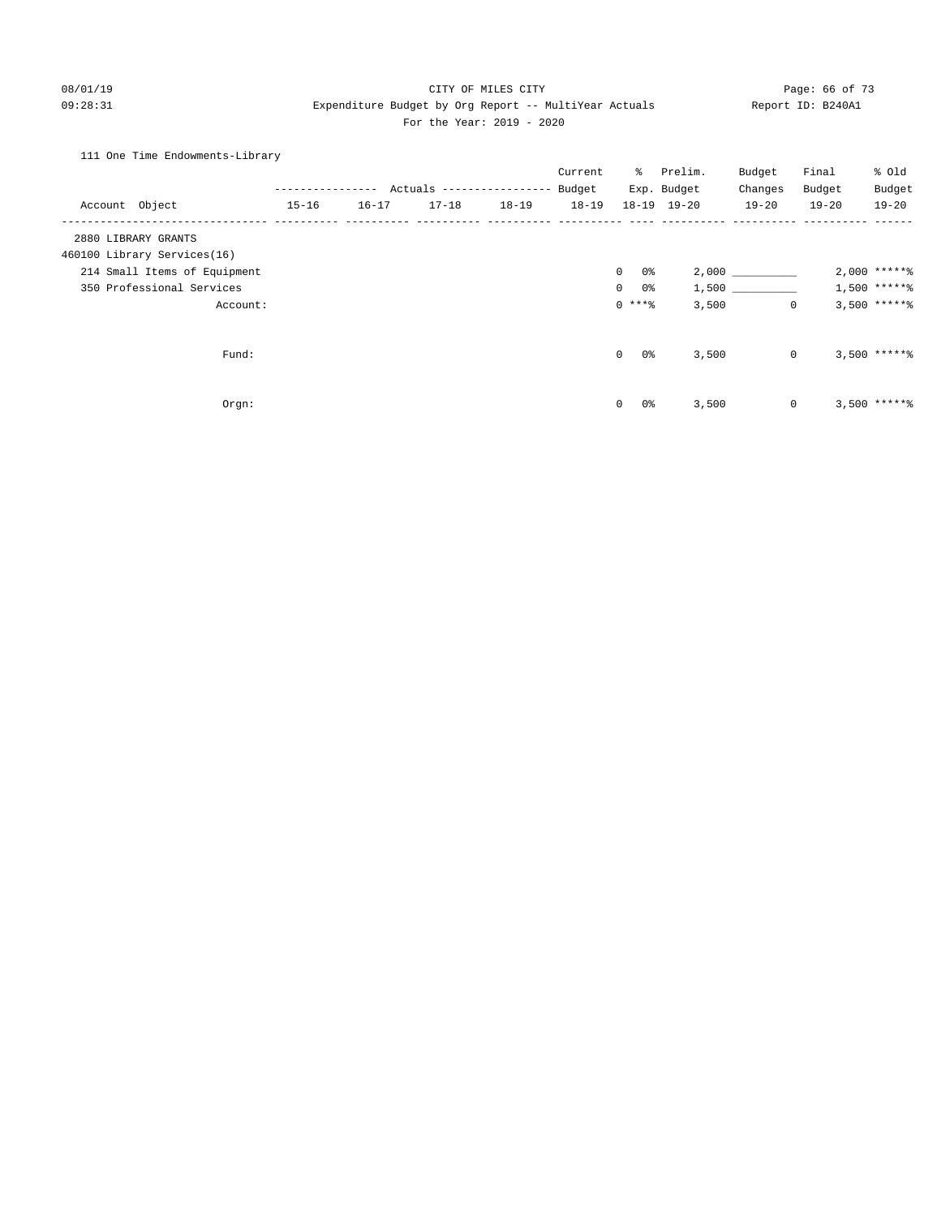#### 08/01/19 Page: 66 of 73 09:28:31 Expenditure Budget by Org Report -- MultiYear Actuals Report ID: B240A1 For the Year: 2019 - 2020

#### 111 One Time Endowments-Library

|                              |               |           |                                  |           | Current   | ႜႜႜ                  | Prelim.             | Budget    | Final        | % Old           |
|------------------------------|---------------|-----------|----------------------------------|-----------|-----------|----------------------|---------------------|-----------|--------------|-----------------|
|                              | ------------- |           | Actuals ----------------- Budget |           |           |                      | Exp. Budget         | Changes   | Budget       | Budget          |
| Account Object               | $15 - 16$     | $16 - 17$ | $17 - 18$                        | $18 - 19$ | $18 - 19$ |                      | $18 - 19$ $19 - 20$ | $19 - 20$ | $19 - 20$    | $19 - 20$       |
| 2880 LIBRARY GRANTS          |               |           |                                  |           |           |                      |                     |           |              |                 |
| 460100 Library Services(16)  |               |           |                                  |           |           |                      |                     |           |              |                 |
| 214 Small Items of Equipment |               |           |                                  |           |           | 0%<br>$\overline{0}$ |                     | 2,000     |              | $2,000$ ***** % |
| 350 Professional Services    |               |           |                                  |           |           | 0%<br>$\Omega$       |                     | 1,500     |              | $1,500$ *****%  |
| Account:                     |               |           |                                  |           |           | $0$ ****             | 3,500               |           | $\mathbf{0}$ | $3,500$ ***** % |
| Fund:                        |               |           |                                  |           |           | $\mathbf{0}$<br>0%   | 3,500               |           | $\mathbf 0$  | $3,500$ ***** \ |
| Orgn:                        |               |           |                                  |           |           | 0%<br>$\mathbf 0$    | 3,500               |           | $\mathbf 0$  | $3,500$ ***** \ |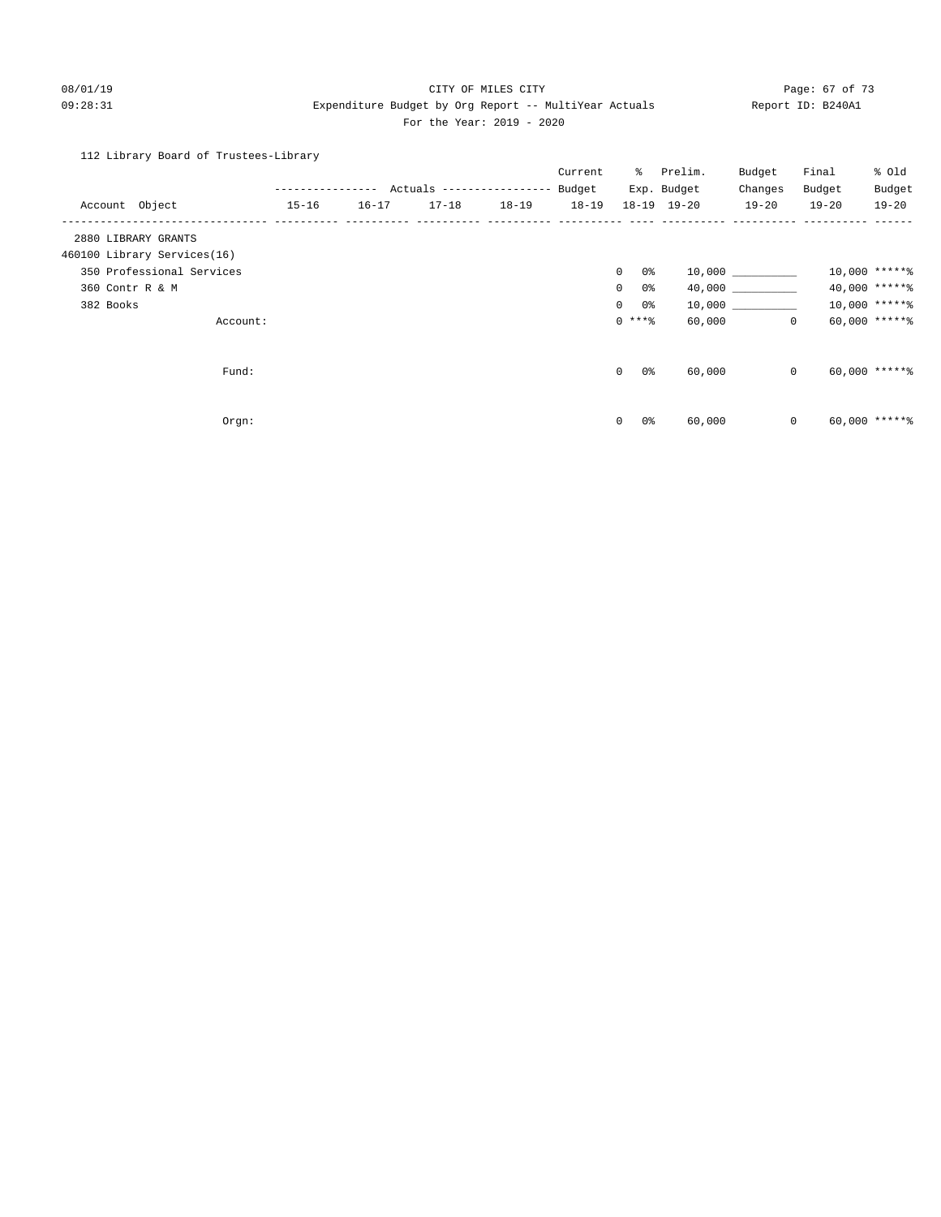#### 08/01/19 Page: 67 of 73 09:28:31 Expenditure Budget by Org Report -- MultiYear Actuals Report ID: B240A1 For the Year: 2019 - 2020

#### 112 Library Board of Trustees-Library

|                             |           |           |           |           | Current   | ွေ                    | Prelim.         | Budget     | Final        | % Old           |
|-----------------------------|-----------|-----------|-----------|-----------|-----------|-----------------------|-----------------|------------|--------------|-----------------|
|                             |           |           |           |           |           |                       | Exp. Budget     | Changes    | Budget       | Budget          |
| Account Object              | $15 - 16$ | $16 - 17$ | $17 - 18$ | $18 - 19$ | $18 - 19$ |                       | $18-19$ $19-20$ | $19 - 20$  | $19 - 20$    | $19 - 20$       |
| 2880 LIBRARY GRANTS         |           |           |           |           |           |                       |                 |            |              |                 |
| 460100 Library Services(16) |           |           |           |           |           |                       |                 |            |              |                 |
| 350 Professional Services   |           |           |           |           |           | $\overline{0}$<br>0%  |                 | 10,000 000 |              | $10,000$ *****% |
| 360 Contr R & M             |           |           |           |           |           | $\overline{0}$<br>0 % |                 | 40,000     |              | 40,000 ******   |
| 382 Books                   |           |           |           |           |           | $\circ$<br>0%         |                 | 10,000     |              | $10,000$ *****% |
| Account:                    |           |           |           |           |           | $0***$ $%$            | 60,000          |            | $\mathbf{0}$ | $60,000$ ****** |
|                             |           |           |           |           |           |                       |                 |            |              |                 |
| Fund:                       |           |           |           |           |           | $\mathbf{0}$<br>0 %   | 60,000          |            | $\mathbf{0}$ | $60,000$ *****% |
|                             |           |           |           |           |           |                       |                 |            |              |                 |
| Orgn:                       |           |           |           |           |           | 0%<br>$\circ$         | 60,000          |            | $\mathbf{0}$ | $60,000$ *****\ |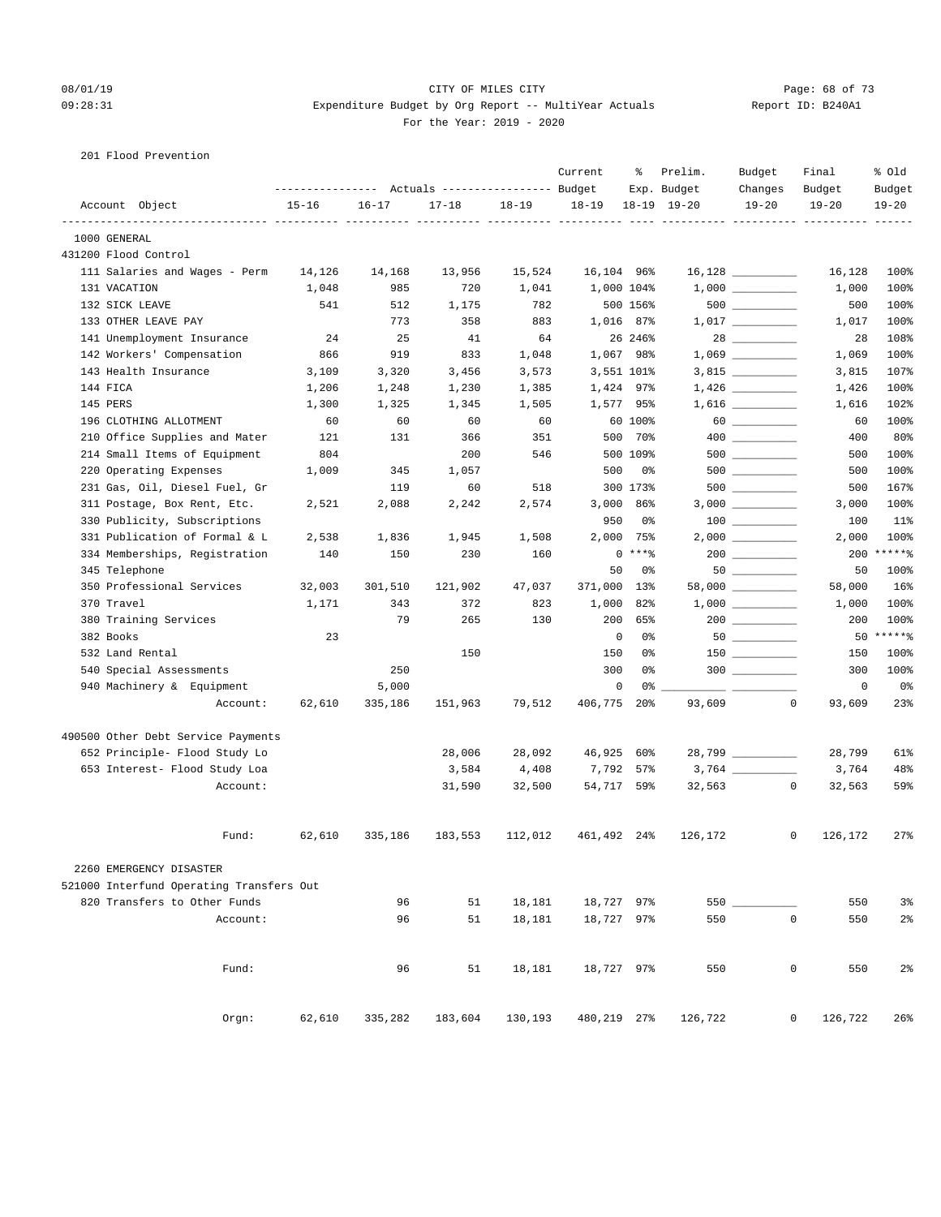#### 08/01/19 Page: 68 of 73 09:28:31 Expenditure Budget by Org Report -- MultiYear Actuals Report ID: B240A1 For the Year: 2019 - 2020

201 Flood Prevention

|              |                                          | ---------------- |           | Actuals ----------------- Budget |           | Current     | ႜ          | Prelim.<br>Exp. Budget | Budget<br>Changes                      | Final<br>Budget    | % old<br>Budget |
|--------------|------------------------------------------|------------------|-----------|----------------------------------|-----------|-------------|------------|------------------------|----------------------------------------|--------------------|-----------------|
|              | Account Object                           | $15 - 16$        | $16 - 17$ | $17 - 18$                        | $18 - 19$ | $18 - 19$   |            | $18 - 19$ $19 - 20$    | $19 - 20$                              | $19 - 20$          | $19 - 20$       |
| 1000 GENERAL | ------------- ---                        |                  | --- ---   |                                  |           |             |            |                        |                                        |                    |                 |
|              | 431200 Flood Control                     |                  |           |                                  |           |             |            |                        |                                        |                    |                 |
|              | 111 Salaries and Wages - Perm            | 14,126           | 14,168    | 13,956                           | 15,524    | 16,104 96%  |            |                        |                                        | 16,128             | 100%            |
|              | 131 VACATION                             | 1,048            | 985       | 720                              | 1,041     |             | 1,000 104% |                        |                                        | 1,000              | 100%            |
|              | 132 SICK LEAVE                           | 541              | 512       | 1,175                            | 782       |             | 500 156%   |                        |                                        | 500                | 100%            |
|              | 133 OTHER LEAVE PAY                      |                  | 773       | 358                              | 883       |             | 1,016 87%  |                        | $1,017$ _________                      | 1,017              | 100%            |
|              | 141 Unemployment Insurance               | 24               | 25        | 41                               | 64        |             | 26 246%    |                        |                                        | 28                 | 108%            |
|              | 142 Workers' Compensation                | 866              | 919       | 833                              | 1,048     |             | 1,067 98%  |                        | $1,069$ __________                     | 1,069              | 100%            |
|              | 143 Health Insurance                     | 3,109            | 3,320     | 3,456                            | 3,573     |             | 3,551 101% |                        |                                        | 3,815              | 107%            |
| 144 FICA     |                                          | 1,206            | 1,248     | 1,230                            | 1,385     |             | 1,424 97%  |                        |                                        | 1,426              | 100%            |
| 145 PERS     |                                          | 1,300            | 1,325     | 1,345                            | 1,505     |             | 1,577 95%  |                        |                                        | 1,616              | 102%            |
|              | 196 CLOTHING ALLOTMENT                   | 60               | 60        | 60                               | 60        |             | 60 100%    |                        | $60$                                   | 60                 | 100%            |
|              | 210 Office Supplies and Mater            | 121              | 131       | 366                              | 351       |             | 500 70%    |                        |                                        | 400                | 80%             |
|              | 214 Small Items of Equipment             | 804              |           | 200                              | 546       |             | 500 109%   |                        | 500                                    | 500                | 100%            |
|              | 220 Operating Expenses                   | 1,009            | 345       | 1,057                            |           | 500         | 0%         |                        | $500$ ________                         | 500                | 100%            |
|              | 231 Gas, Oil, Diesel Fuel, Gr            |                  | 119       | 60                               | 518       |             | 300 173%   |                        |                                        | 500                | 167%            |
|              | 311 Postage, Box Rent, Etc.              | 2,521            | 2,088     | 2,242                            | 2,574     |             | 3,000 86%  |                        |                                        | 3,000              | 100%            |
|              | 330 Publicity, Subscriptions             |                  |           |                                  |           | 950         | 0%         |                        | $\begin{tabular}{c} 100 \end{tabular}$ | 100                | 11%             |
|              | 331 Publication of Formal & L            | 2,538            | 1,836     | 1,945                            | 1,508     | 2,000       | 75%        |                        |                                        | 2,000              | 100%            |
|              | 334 Memberships, Registration            | 140              | 150       | 230                              | 160       |             | $0***8$    |                        | $200$ ________                         | 200                | $*****$         |
|              | 345 Telephone                            |                  |           |                                  |           | 50          | 0%         |                        | 50                                     | 50                 | 100%            |
|              | 350 Professional Services                | 32,003           | 301,510   | 121,902                          | 47,037    | 371,000     | 13%        |                        | $58,000$ __________                    | 58,000             | 16%             |
| 370 Travel   |                                          | 1,171            | 343       | 372                              | 823       | 1,000       | 82%        |                        |                                        | 1,000              | 100%            |
|              | 380 Training Services                    |                  | 79        | 265                              | 130       | 200         | 65%        |                        |                                        | 200                | 100%            |
| 382 Books    |                                          | 23               |           |                                  |           | 0           | 0%         |                        |                                        |                    | 50 ******       |
|              | 532 Land Rental                          |                  |           | 150                              |           | 150         | 0%         |                        |                                        | 150                | 100%            |
|              | 540 Special Assessments                  |                  | 250       |                                  |           | 300         | 0%         |                        |                                        | 300                | 100%            |
|              | 940 Machinery & Equipment                |                  | 5,000     |                                  |           | $\mathbf 0$ | 0%         |                        |                                        | 0                  | 0%              |
|              | Account:                                 | 62,610           | 335,186   | 151,963                          | 79,512    | 406,775     | $20\%$     | 93,609                 |                                        | $\circ$<br>93,609  | 23%             |
|              | 490500 Other Debt Service Payments       |                  |           |                                  |           |             |            |                        |                                        |                    |                 |
|              | 652 Principle- Flood Study Lo            |                  |           | 28,006                           | 28,092    | 46,925      | 60%        |                        | 28,799 __________                      | 28,799             | 61%             |
|              | 653 Interest- Flood Study Loa            |                  |           | 3,584                            | 4,408     | 7,792       | 57%        |                        |                                        | 3,764              | 48%             |
|              | Account:                                 |                  |           | 31,590                           | 32,500    | 54,717 59%  |            | 32,563                 |                                        | 0<br>32,563        | 59%             |
|              | Fund:                                    | 62,610           | 335,186   | 183,553                          | 112,012   | 461,492 24% |            | 126,172                |                                        | 0<br>126,172       | 27%             |
|              | 2260 EMERGENCY DISASTER                  |                  |           |                                  |           |             |            |                        |                                        |                    |                 |
|              | 521000 Interfund Operating Transfers Out |                  |           |                                  |           |             |            |                        |                                        |                    |                 |
|              | 820 Transfers to Other Funds             |                  | 96        | 51                               | 18,181    | 18,727 97%  |            | $550$ __               |                                        | 550                | 3%              |
|              | Account:                                 |                  | 96        | 51                               | 18,181    | 18,727 97%  |            | 550                    |                                        | 0<br>550           | 2 <sup>°</sup>  |
|              |                                          |                  |           |                                  |           |             |            |                        |                                        |                    |                 |
|              | Fund:                                    |                  | 96        | 51                               | 18,181    | 18,727 97%  |            | 550                    |                                        | $\mathsf 0$<br>550 | 2 <sup>°</sup>  |
|              | Orgn:                                    | 62,610           | 335,282   | 183,604                          | 130,193   | 480,219 27% |            | 126,722                |                                        | 0<br>126,722       | 26%             |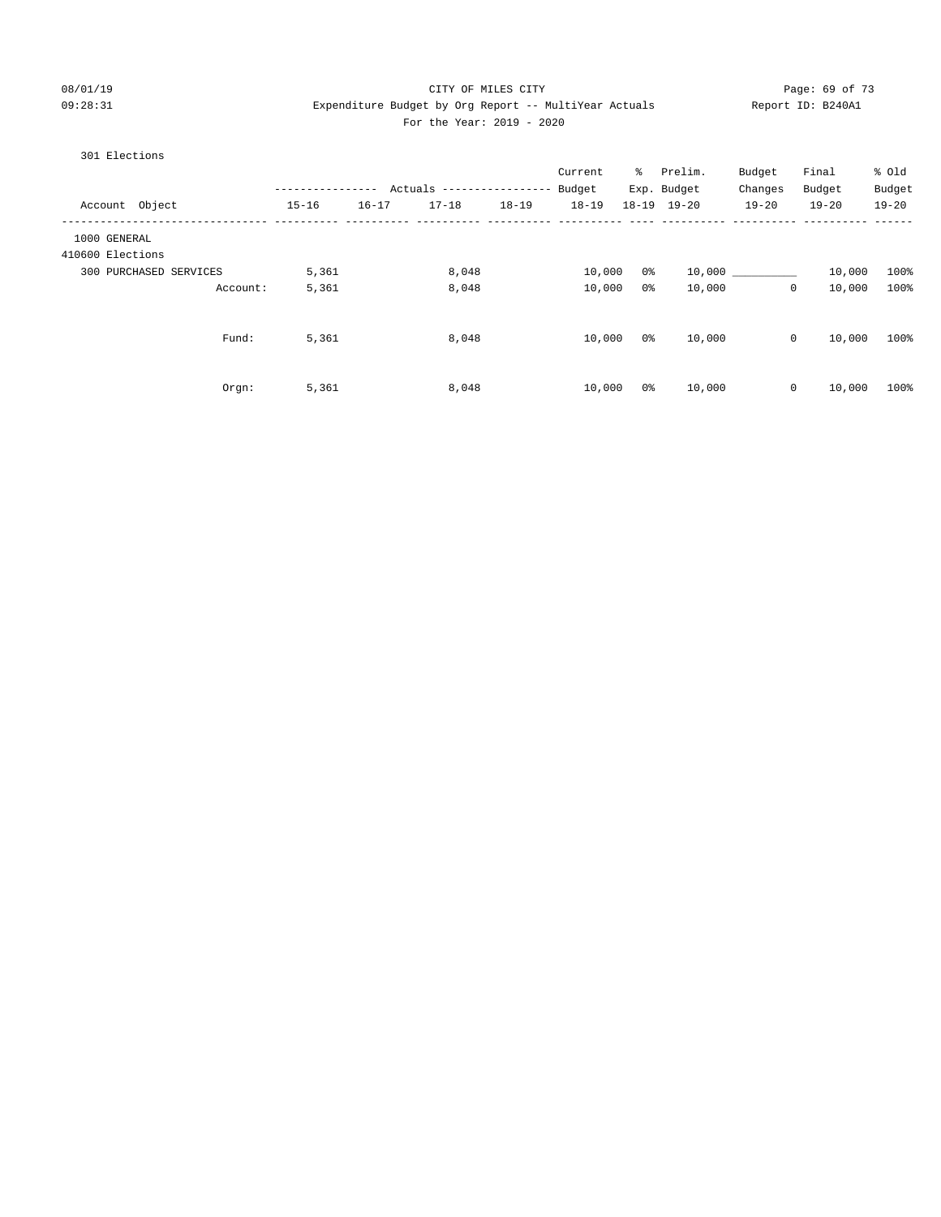#### 08/01/19 Page: 69 of 73 09:28:31 Expenditure Budget by Org Report -- MultiYear Actuals Report ID: B240A1 For the Year: 2019 - 2020

#### 301 Elections

|                  |                        | ------------- |           | Actuals ----------------- |           | Current<br>Budget | ွေ             | Prelim.<br>Exp. Budget | Budget<br>Changes | Final<br>Budget | % Old<br>Budget |
|------------------|------------------------|---------------|-----------|---------------------------|-----------|-------------------|----------------|------------------------|-------------------|-----------------|-----------------|
| Account Object   |                        | $15 - 16$     | $16 - 17$ | $17 - 18$                 | $18 - 19$ | $18 - 19$         |                | 18-19 19-20            | $19 - 20$         | $19 - 20$       | $19 - 20$       |
| 1000 GENERAL     |                        |               |           |                           |           |                   |                |                        |                   |                 |                 |
| 410600 Elections |                        |               |           |                           |           |                   |                |                        |                   |                 |                 |
|                  | 300 PURCHASED SERVICES | 5,361         |           | 8,048                     |           | 10,000            | 0%             | 10,000                 |                   | 10,000          | 100%            |
|                  | Account:               | 5,361         |           | 8,048                     |           | 10,000            | 0 <sup>o</sup> | 10,000                 | 0                 | 10,000          | 100%            |
|                  | Fund:                  | 5,361         |           | 8,048                     |           | 10,000            | 0 %            | 10,000                 | $\circ$           | 10,000          | 100%            |
|                  | Orgn:                  | 5,361         |           | 8,048                     |           | 10,000            | 0 <sup>o</sup> | 10,000                 | $\mathbf 0$       | 10,000          | 100%            |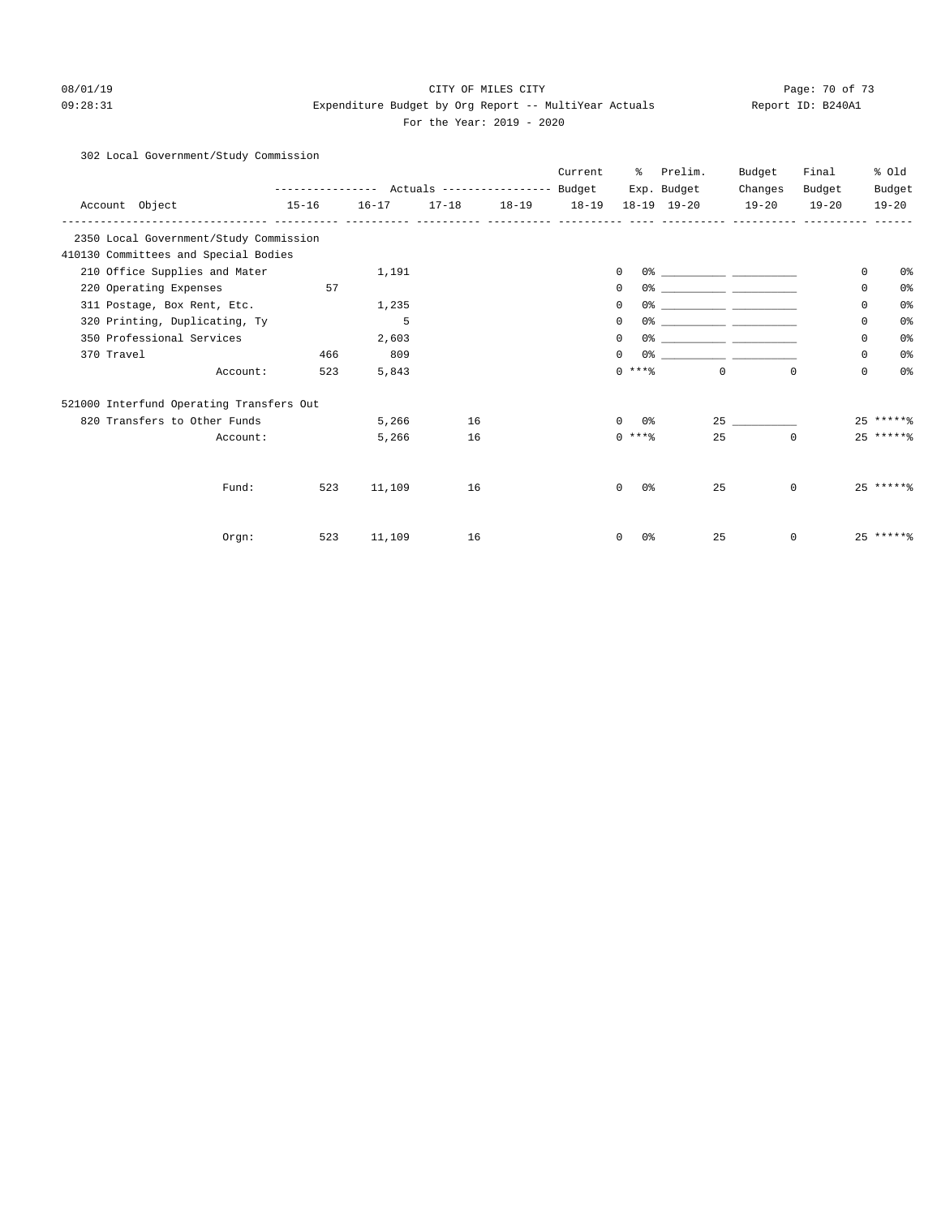#### 08/01/19 Page: 70 of 73 09:28:31 Expenditure Budget by Org Report -- MultiYear Actuals Report ID: B240A1 For the Year: 2019 - 2020

#### 302 Local Government/Study Commission

|            |                                          |           |           |    |                     | Current | ႜ                         | Prelim.                                                                                                                | Budget      | Final     | % old          |
|------------|------------------------------------------|-----------|-----------|----|---------------------|---------|---------------------------|------------------------------------------------------------------------------------------------------------------------|-------------|-----------|----------------|
|            |                                          |           |           |    |                     |         |                           | Exp. Budget                                                                                                            | Changes     | Budget    | Budget         |
|            | Account Object                           | $15 - 16$ | $16 - 17$ |    | 17-18  18-19  18-19 |         |                           | 18-19 19-20                                                                                                            | $19 - 20$   | $19 - 20$ | $19 - 20$      |
|            | 2350 Local Government/Study Commission   |           |           |    |                     |         |                           |                                                                                                                        |             |           |                |
|            | 410130 Committees and Special Bodies     |           |           |    |                     |         |                           |                                                                                                                        |             |           |                |
|            | 210 Office Supplies and Mater            |           | 1,191     |    |                     |         | 0                         |                                                                                                                        |             | 0         | 0%             |
|            | 220 Operating Expenses                   | 57        |           |    |                     |         | 0                         |                                                                                                                        |             | 0         | 0%             |
|            | 311 Postage, Box Rent, Etc.              |           | 1,235     |    |                     |         | 0<br>0 %                  | <u> 1989 - John Harry Barn, mars and de la partie de la partie de la partie de la partie de la partie de la partie</u> |             | $\Omega$  | 0%             |
|            | 320 Printing, Duplicating, Ty            |           | 5         |    |                     |         | 0%<br>0                   |                                                                                                                        |             | $\Omega$  | 0%             |
|            | 350 Professional Services                |           | 2,603     |    |                     |         | 0<br>0 <sup>°</sup>       | <u> 1990 - Johann John Harry Harry Harry Harry Harry Harry Harry Harry Harry Harry Harry Harry Harry Harry Harry</u>   |             | 0         | 0 <sup>°</sup> |
| 370 Travel |                                          | 466       | 809       |    |                     |         | 0%<br>$\Omega$            |                                                                                                                        |             | 0         | 0%             |
|            | Account:                                 | 523       | 5,843     |    |                     |         | $0$ ****                  | $\Omega$                                                                                                               | $\Omega$    | $\Omega$  | 0 <sup>°</sup> |
|            | 521000 Interfund Operating Transfers Out |           |           |    |                     |         |                           |                                                                                                                        |             |           |                |
|            | 820 Transfers to Other Funds             |           | 5,266     | 16 |                     |         | 0 %<br>$\Omega$           |                                                                                                                        | 25          |           | $25$ ******    |
|            | Account:                                 |           | 5,266     | 16 |                     |         | $0$ *** $%$               | 25                                                                                                                     | $\mathbf 0$ |           | $25****$       |
|            |                                          |           |           |    |                     |         |                           |                                                                                                                        |             |           |                |
|            | Fund:                                    | 523       | 11,109    | 16 |                     |         | 0%<br>$\Omega$            | 25                                                                                                                     | $\Omega$    |           | $25****$       |
|            | Orgn:                                    | 523       | 11,109    | 16 |                     |         | 0 <sup>°</sup><br>$\circ$ | 25                                                                                                                     | $\mathbf 0$ |           | $25$ ******    |
|            |                                          |           |           |    |                     |         |                           |                                                                                                                        |             |           |                |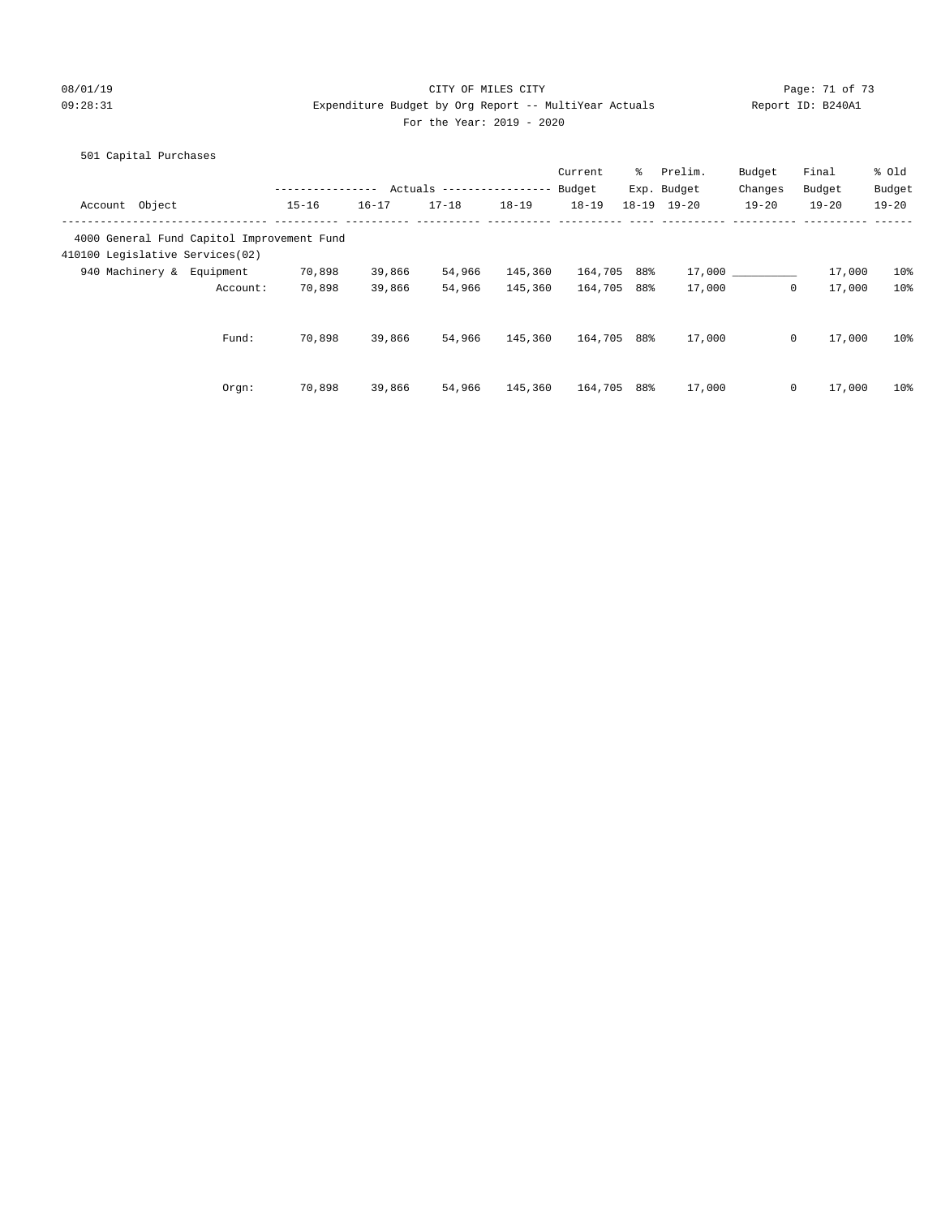08/01/19 Page: 71 of 73

# 09:28:31 Expenditure Budget by Org Report -- MultiYear Actuals Report ID: B240A1 For the Year: 2019 - 2020

|           |                                                                                                              |                           |           | Current                            | ိ | Prelim.                       | Budget                                                                                         | Final     | % old                                                        |
|-----------|--------------------------------------------------------------------------------------------------------------|---------------------------|-----------|------------------------------------|---|-------------------------------|------------------------------------------------------------------------------------------------|-----------|--------------------------------------------------------------|
|           |                                                                                                              |                           |           | Budget                             |   |                               | Changes                                                                                        | Budget    | Budget                                                       |
| $15 - 16$ | $16 - 17$                                                                                                    | $17 - 18$                 | $18 - 19$ | $18 - 19$                          |   | $19 - 20$                     | $19 - 20$                                                                                      | $19 - 20$ | $19 - 20$                                                    |
|           |                                                                                                              |                           |           |                                    |   |                               |                                                                                                |           |                                                              |
|           |                                                                                                              |                           |           |                                    |   |                               |                                                                                                |           |                                                              |
| 70,898    | 39,866                                                                                                       | 54,966                    | 145,360   |                                    |   | 17,000                        |                                                                                                | 17,000    | 10 <sup>8</sup>                                              |
| 70,898    | 39,866                                                                                                       | 54,966                    | 145,360   |                                    |   | 17,000                        |                                                                                                | 17,000    | 10%                                                          |
|           |                                                                                                              |                           |           |                                    |   |                               |                                                                                                |           |                                                              |
|           |                                                                                                              |                           |           |                                    |   |                               |                                                                                                |           | 10%                                                          |
| 70,898    |                                                                                                              | 54,966                    |           |                                    |   |                               |                                                                                                |           | 10 <sup>8</sup>                                              |
|           | 4000 General Fund Capitol Improvement Fund<br>410100 Legislative Services(02)<br>Account:<br>Fund:<br>70,898 | 39,866<br>39,866<br>Orgn: | 54,966    | Actuals ---------------<br>145,360 |   | 164,705<br>164,705<br>164,705 | Exp. Budget<br>$18 - 19$<br>88%<br>88%<br>17,000<br>88%<br>145,360<br>164,705<br>17,000<br>88% |           | $\Omega$<br>$\mathbf{0}$<br>17,000<br>17,000<br>$\mathbf{0}$ |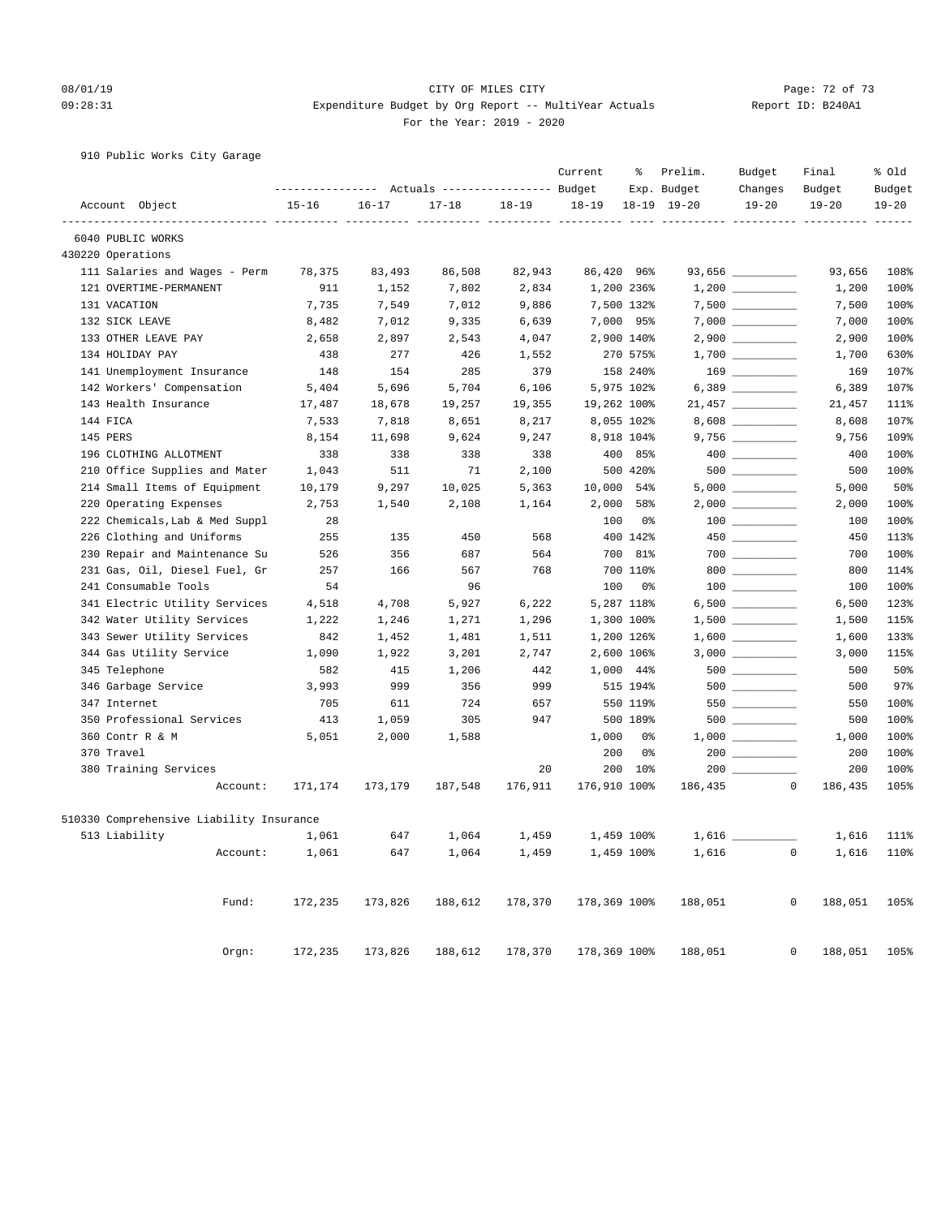#### 08/01/19 Page: 72 of 73 09:28:31 Expenditure Budget by Org Report -- MultiYear Actuals Report ID: B240A1 For the Year: 2019 - 2020

### 910 Public Works City Garage

|                                          |           |           |           |           | Current      | ွေ             | Prelim.<br>Exp. Budget       | Budget<br>Changes                  | Final<br>Budget        | % Old<br>Budget |
|------------------------------------------|-----------|-----------|-----------|-----------|--------------|----------------|------------------------------|------------------------------------|------------------------|-----------------|
| Account Object                           | $15 - 16$ | $16 - 17$ | $17 - 18$ | $18 - 19$ |              |                | $18-19$ $19-20$              | $19 - 20$                          | $19 - 20$              | $19 - 20$       |
| ----------------<br>6040 PUBLIC WORKS    |           |           |           |           |              |                | ----------- ---------- ----- |                                    |                        | $- - - -$       |
| 430220 Operations                        |           |           |           |           |              |                |                              |                                    |                        |                 |
| 111 Salaries and Wages - Perm            | 78,375    | 83,493    | 86,508    | 82,943    |              | 86,420 96%     |                              | 93,656 _________                   | 93,656                 | 108%            |
| 121 OVERTIME-PERMANENT                   | 911       | 1,152     | 7,802     | 2,834     |              | 1,200 236%     |                              | $1,200$                            | 1,200                  | 100%            |
| 131 VACATION                             | 7,735     | 7,549     | 7,012     | 9,886     |              | 7,500 132%     |                              |                                    | 7,500                  | 100%            |
| 132 SICK LEAVE                           | 8,482     | 7,012     | 9,335     | 6,639     |              | 7,000 95%      |                              |                                    | 7,000                  | 100%            |
| 133 OTHER LEAVE PAY                      | 2,658     | 2,897     | 2,543     | 4,047     |              | 2,900 140%     |                              |                                    | 2,900                  | 100%            |
| 134 HOLIDAY PAY                          | 438       | 277       | 426       | 1,552     |              | 270 575%       |                              |                                    | 1,700                  | 630%            |
| 141 Unemployment Insurance               | 148       | 154       | 285       | 379       |              | 158 240%       |                              | $\begin{array}{c} 169 \end{array}$ | 169                    | 107%            |
| 142 Workers' Compensation                | 5,404     | 5,696     | 5,704     | 6,106     |              | 5,975 102%     |                              | 6,389 _________                    | 6,389                  | 107%            |
| 143 Health Insurance                     | 17,487    | 18,678    | 19,257    | 19,355    |              | 19,262 100%    |                              | $21,457$ __________                | 21,457                 | 111%            |
| 144 FICA                                 | 7,533     | 7,818     | 8,651     | 8,217     |              | 8,055 102%     |                              |                                    | 8,608                  | 107%            |
| 145 PERS                                 | 8,154     | 11,698    | 9,624     | 9,247     |              | 8,918 104%     |                              |                                    | 9,756                  | 109%            |
| 196 CLOTHING ALLOTMENT                   | 338       | 338       | 338       | 338       |              | 400 85%        |                              |                                    | 400                    | 100%            |
| 210 Office Supplies and Mater            | 1,043     | 511       | 71        | 2,100     |              | 500 420%       |                              |                                    | 500                    | 100%            |
| 214 Small Items of Equipment             | 10,179    | 9,297     | 10,025    | 5,363     | 10,000       | 54%            |                              |                                    | 5,000                  | 50%             |
| 220 Operating Expenses                   | 2,753     | 1,540     | 2,108     | 1,164     | 2,000        | 58%            |                              |                                    | 2,000                  | 100%            |
| 222 Chemicals, Lab & Med Suppl           | 28        |           |           |           | 100          | 0%             |                              |                                    | 100                    | 100%            |
| 226 Clothing and Uniforms                | 255       | 135       | 450       | 568       |              | 400 142%       |                              |                                    | 450                    | 113%            |
| 230 Repair and Maintenance Su            | 526       | 356       | 687       | 564       | 700          | 81%            |                              | $700$                              | 700                    | 100%            |
| 231 Gas, Oil, Diesel Fuel, Gr            | 257       | 166       | 567       | 768       |              | 700 110%       |                              | $800$                              | 800                    | 114%            |
| 241 Consumable Tools                     | 54        |           | 96        |           | 100          | 0 <sup>8</sup> |                              |                                    | 100                    | 100%            |
| 341 Electric Utility Services            | 4,518     | 4,708     | 5,927     | 6,222     |              | 5,287 118%     |                              |                                    | 6,500                  | 123%            |
| 342 Water Utility Services               | 1,222     | 1,246     | 1,271     | 1,296     |              | 1,300 100%     |                              |                                    | 1,500                  | 115%            |
| 343 Sewer Utility Services               | 842       | 1,452     | 1,481     | 1,511     |              | 1,200 126%     |                              |                                    | 1,600                  | 133%            |
| 344 Gas Utility Service                  | 1,090     | 1,922     | 3,201     | 2,747     |              | 2,600 106%     |                              |                                    | 3,000                  | 115%            |
| 345 Telephone                            | 582       | 415       | 1,206     | 442       | 1,000        | 44%            |                              |                                    | 500                    | 50%             |
| 346 Garbage Service                      | 3,993     | 999       | 356       | 999       |              | 515 194%       |                              |                                    | 500                    | 97%             |
| 347 Internet                             | 705       | 611       | 724       | 657       |              | 550 119%       |                              | 550                                | 550                    | 100%            |
| 350 Professional Services                | 413       | 1,059     | 305       | 947       |              | 500 189%       |                              |                                    | 500                    | 100%            |
| 360 Contr R & M                          | 5,051     | 2,000     | 1,588     |           | 1,000        | 0%             |                              |                                    | 1,000                  | 100%            |
| 370 Travel                               |           |           |           |           | 200          | 0%             |                              | 200                                | 200                    | 100%            |
| 380 Training Services                    |           |           |           | 20        | 200          | $10\%$         | 200                          |                                    | 200                    | 100%            |
| Account:                                 | 171,174   | 173,179   | 187,548   | 176,911   | 176,910 100% |                | 186,435                      | $\Omega$                           | 186,435                | 105%            |
| 510330 Comprehensive Liability Insurance |           |           |           |           |              |                |                              |                                    |                        |                 |
| 513 Liability                            | 1,061     | 647       | 1,064     | 1,459     |              | 1,459 100%     | $1,616$ _                    |                                    | 1,616                  | 111%            |
| Account:                                 | 1,061     | 647       |           | 1,459     |              | 1,459 100%     | 1,616                        |                                    | 1,616<br>$\mathbf{0}$  | 110%            |
|                                          |           |           | 1,064     |           |              |                |                              |                                    |                        |                 |
| Fund:                                    | 172,235   | 173,826   | 188,612   | 178,370   | 178,369 100% |                | 188,051                      |                                    | 0<br>188,051           | 105%            |
| Orgn:                                    | 172,235   | 173,826   | 188,612   | 178,370   | 178,369 100% |                | 188,051                      |                                    | $\mathbf 0$<br>188,051 | 105%            |